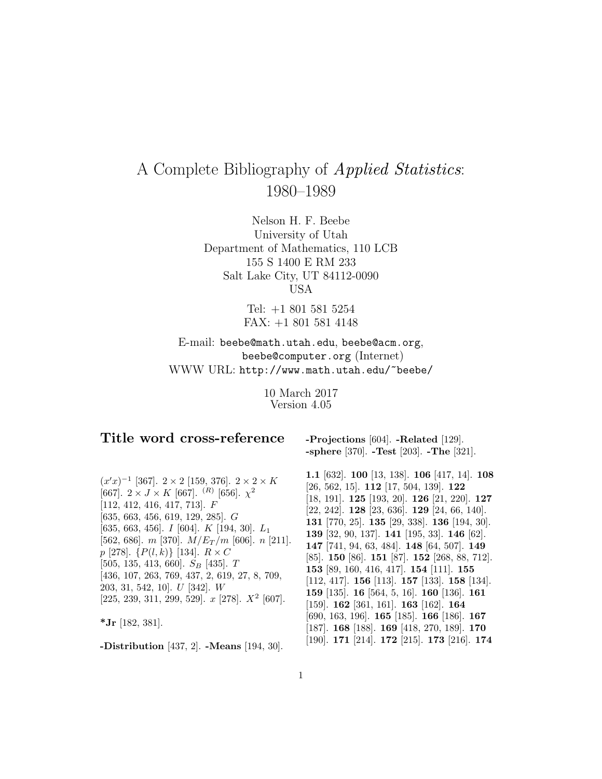# A Complete Bibliography of Applied Statistics: 1980–1989

Nelson H. F. Beebe University of Utah Department of Mathematics, 110 LCB 155 S 1400 E RM 233 Salt Lake City, UT 84112-0090 USA

> Tel: +1 801 581 5254 FAX: +1 801 581 4148

E-mail: beebe@math.utah.edu, beebe@acm.org, beebe@computer.org (Internet) WWW URL: http://www.math.utah.edu/~beebe/

> 10 March 2017 Version 4.05

# **Title word cross-reference**

**-Projections** [604]. **-Related** [129]. **-sphere** [370]. **-Test** [203]. **-The** [321].

 $(x'x)^{-1}$  [367]. 2 × 2 [159, 376]. 2 × 2 × K [667].  $2 \times J \times K$  [667]. <sup>(R)</sup> [656].  $\chi^2$ [112, 412, 416, 417, 713]. F [635, 663, 456, 619, 129, 285]. G [635, 663, 456]. I [604]. K [194, 30]. L<sup>1</sup> [562, 686]. m [370].  $M/E_T/m$  [606]. n [211].  $p$  [278].  $\{P(l,k)\}\$  [134].  $R \times C$  $[505, 135, 413, 660]$ .  $S_B$   $[435]$ . T [436, 107, 263, 769, 437, 2, 619, 27, 8, 709, 203, 31, 542, 10]. U [342]. W [225, 239, 311, 299, 529].  $x$  [278].  $X^2$  [607].

**\*Jr** [182, 381].

**-Distribution** [437, 2]. **-Means** [194, 30].

**1.1** [632]. **100** [13, 138]. **106** [417, 14]. **108** [26, 562, 15]. **112** [17, 504, 139]. **122** [18, 191]. **125** [193, 20]. **126** [21, 220]. **127** [22, 242]. **128** [23, 636]. **129** [24, 66, 140]. **131** [770, 25]. **135** [29, 338]. **136** [194, 30]. **139** [32, 90, 137]. **141** [195, 33]. **146** [62]. **147** [741, 94, 63, 484]. **148** [64, 507]. **149** [85]. **150** [86]. **151** [87]. **152** [268, 88, 712]. **153** [89, 160, 416, 417]. **154** [111]. **155** [112, 417]. **156** [113]. **157** [133]. **158** [134]. **159** [135]. **16** [564, 5, 16]. **160** [136]. **161** [159]. **162** [361, 161]. **163** [162]. **164** [690, 163, 196]. **165** [185]. **166** [186]. **167** [187]. **168** [188]. **169** [418, 270, 189]. **170** [190]. **171** [214]. **172** [215]. **173** [216]. **174**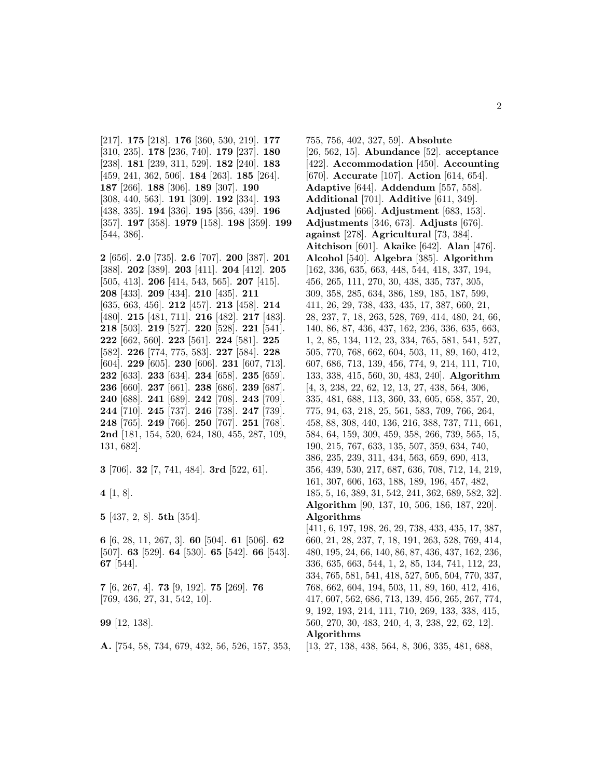[217]. **175** [218]. **176** [360, 530, 219]. **177** [310, 235]. **178** [236, 740]. **179** [237]. **180** [238]. **181** [239, 311, 529]. **182** [240]. **183** [459, 241, 362, 506]. **184** [263]. **185** [264]. **187** [266]. **188** [306]. **189** [307]. **190** [308, 440, 563]. **191** [309]. **192** [334]. **193** [438, 335]. **194** [336]. **195** [356, 439]. **196** [357]. **197** [358]. **1979** [158]. **198** [359]. **199** [544, 386].

**2** [656]. **2.0** [735]. **2.6** [707]. **200** [387]. **201** [388]. **202** [389]. **203** [411]. **204** [412]. **205** [505, 413]. **206** [414, 543, 565]. **207** [415]. **208** [433]. **209** [434]. **210** [435]. **211** [635, 663, 456]. **212** [457]. **213** [458]. **214** [480]. **215** [481, 711]. **216** [482]. **217** [483]. **218** [503]. **219** [527]. **220** [528]. **221** [541]. **222** [662, 560]. **223** [561]. **224** [581]. **225** [582]. **226** [774, 775, 583]. **227** [584]. **228** [604]. **229** [605]. **230** [606]. **231** [607, 713]. **232** [633]. **233** [634]. **234** [658]. **235** [659]. **236** [660]. **237** [661]. **238** [686]. **239** [687]. **240** [688]. **241** [689]. **242** [708]. **243** [709]. **244** [710]. **245** [737]. **246** [738]. **247** [739]. **248** [765]. **249** [766]. **250** [767]. **251** [768]. **2nd** [181, 154, 520, 624, 180, 455, 287, 109, 131, 682].

**3** [706]. **32** [7, 741, 484]. **3rd** [522, 61].

**4** [1, 8].

**5** [437, 2, 8]. **5th** [354].

**6** [6, 28, 11, 267, 3]. **60** [504]. **61** [506]. **62** [507]. **63** [529]. **64** [530]. **65** [542]. **66** [543]. **67** [544].

**7** [6, 267, 4]. **73** [9, 192]. **75** [269]. **76** [769, 436, 27, 31, 542, 10].

**99** [12, 138].

**A.** [754, 58, 734, 679, 432, 56, 526, 157, 353,

755, 756, 402, 327, 59]. **Absolute** [26, 562, 15]. **Abundance** [52]. **acceptance** [422]. **Accommodation** [450]. **Accounting** [670]. **Accurate** [107]. **Action** [614, 654]. **Adaptive** [644]. **Addendum** [557, 558]. **Additional** [701]. **Additive** [611, 349]. **Adjusted** [666]. **Adjustment** [683, 153]. **Adjustments** [346, 673]. **Adjusts** [676]. **against** [278]. **Agricultural** [73, 384]. **Aitchison** [601]. **Akaike** [642]. **Alan** [476]. **Alcohol** [540]. **Algebra** [385]. **Algorithm** [162, 336, 635, 663, 448, 544, 418, 337, 194, 456, 265, 111, 270, 30, 438, 335, 737, 305, 309, 358, 285, 634, 386, 189, 185, 187, 599, 411, 26, 29, 738, 433, 435, 17, 387, 660, 21, 28, 237, 7, 18, 263, 528, 769, 414, 480, 24, 66, 140, 86, 87, 436, 437, 162, 236, 336, 635, 663, 1, 2, 85, 134, 112, 23, 334, 765, 581, 541, 527, 505, 770, 768, 662, 604, 503, 11, 89, 160, 412, 607, 686, 713, 139, 456, 774, 9, 214, 111, 710, 133, 338, 415, 560, 30, 483, 240]. **Algorithm** [4, 3, 238, 22, 62, 12, 13, 27, 438, 564, 306, 335, 481, 688, 113, 360, 33, 605, 658, 357, 20, 775, 94, 63, 218, 25, 561, 583, 709, 766, 264, 458, 88, 308, 440, 136, 216, 388, 737, 711, 661, 584, 64, 159, 309, 459, 358, 266, 739, 565, 15, 190, 215, 767, 633, 135, 507, 359, 634, 740, 386, 235, 239, 311, 434, 563, 659, 690, 413, 356, 439, 530, 217, 687, 636, 708, 712, 14, 219, 161, 307, 606, 163, 188, 189, 196, 457, 482, 185, 5, 16, 389, 31, 542, 241, 362, 689, 582, 32]. **Algorithm** [90, 137, 10, 506, 186, 187, 220]. **Algorithms** [411, 6, 197, 198, 26, 29, 738, 433, 435, 17, 387, 660, 21, 28, 237, 7, 18, 191, 263, 528, 769, 414, 480, 195, 24, 66, 140, 86, 87, 436, 437, 162, 236, 336, 635, 663, 544, 1, 2, 85, 134, 741, 112, 23, 334, 765, 581, 541, 418, 527, 505, 504, 770, 337, 768, 662, 604, 194, 503, 11, 89, 160, 412, 416,

9, 192, 193, 214, 111, 710, 269, 133, 338, 415, 560, 270, 30, 483, 240, 4, 3, 238, 22, 62, 12]. **Algorithms**

[13, 27, 138, 438, 564, 8, 306, 335, 481, 688,

417, 607, 562, 686, 713, 139, 456, 265, 267, 774,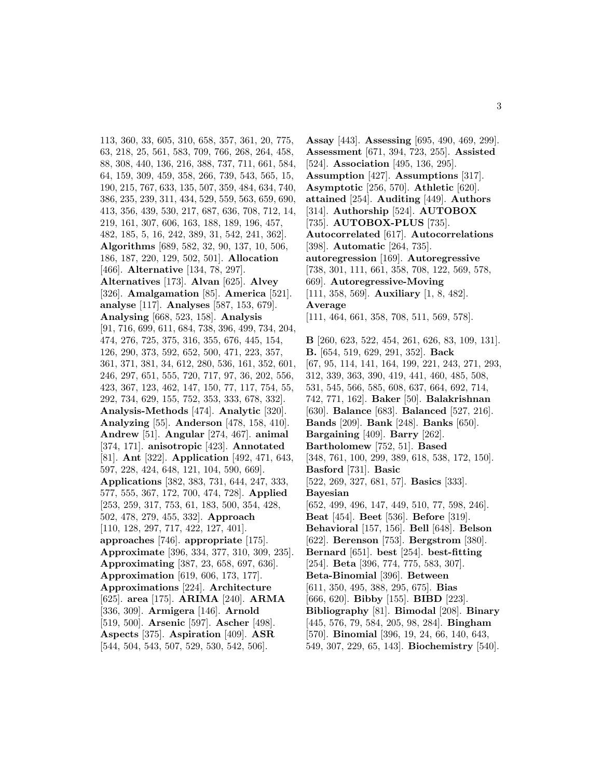113, 360, 33, 605, 310, 658, 357, 361, 20, 775, 63, 218, 25, 561, 583, 709, 766, 268, 264, 458, 88, 308, 440, 136, 216, 388, 737, 711, 661, 584, 64, 159, 309, 459, 358, 266, 739, 543, 565, 15, 190, 215, 767, 633, 135, 507, 359, 484, 634, 740, 386, 235, 239, 311, 434, 529, 559, 563, 659, 690, 413, 356, 439, 530, 217, 687, 636, 708, 712, 14, 219, 161, 307, 606, 163, 188, 189, 196, 457, 482, 185, 5, 16, 242, 389, 31, 542, 241, 362]. **Algorithms** [689, 582, 32, 90, 137, 10, 506, 186, 187, 220, 129, 502, 501]. **Allocation** [466]. **Alternative** [134, 78, 297]. **Alternatives** [173]. **Alvan** [625]. **Alvey** [326]. **Amalgamation** [85]. **America** [521]. **analyse** [117]. **Analyses** [587, 153, 679]. **Analysing** [668, 523, 158]. **Analysis** [91, 716, 699, 611, 684, 738, 396, 499, 734, 204, 474, 276, 725, 375, 316, 355, 676, 445, 154, 126, 290, 373, 592, 652, 500, 471, 223, 357, 361, 371, 381, 34, 612, 280, 536, 161, 352, 601, 246, 297, 651, 555, 720, 717, 97, 36, 202, 556, 423, 367, 123, 462, 147, 150, 77, 117, 754, 55, 292, 734, 629, 155, 752, 353, 333, 678, 332]. **Analysis-Methods** [474]. **Analytic** [320]. **Analyzing** [55]. **Anderson** [478, 158, 410]. **Andrew** [51]. **Angular** [274, 467]. **animal** [374, 171]. **anisotropic** [423]. **Annotated** [81]. **Ant** [322]. **Application** [492, 471, 643, 597, 228, 424, 648, 121, 104, 590, 669]. **Applications** [382, 383, 731, 644, 247, 333, 577, 555, 367, 172, 700, 474, 728]. **Applied** [253, 259, 317, 753, 61, 183, 500, 354, 428, 502, 478, 279, 455, 332]. **Approach** [110, 128, 297, 717, 422, 127, 401]. **approaches** [746]. **appropriate** [175]. **Approximate** [396, 334, 377, 310, 309, 235]. **Approximating** [387, 23, 658, 697, 636]. **Approximation** [619, 606, 173, 177]. **Approximations** [224]. **Architecture** [625]. **area** [175]. **ARIMA** [240]. **ARMA** [336, 309]. **Armigera** [146]. **Arnold** [519, 500]. **Arsenic** [597]. **Ascher** [498]. **Aspects** [375]. **Aspiration** [409]. **ASR** [544, 504, 543, 507, 529, 530, 542, 506].

**Assay** [443]. **Assessing** [695, 490, 469, 299]. **Assessment** [671, 394, 723, 255]. **Assisted** [524]. **Association** [495, 136, 295]. **Assumption** [427]. **Assumptions** [317]. **Asymptotic** [256, 570]. **Athletic** [620]. **attained** [254]. **Auditing** [449]. **Authors** [314]. **Authorship** [524]. **AUTOBOX** [735]. **AUTOBOX-PLUS** [735]. **Autocorrelated** [617]. **Autocorrelations** [398]. **Automatic** [264, 735]. **autoregression** [169]. **Autoregressive** [738, 301, 111, 661, 358, 708, 122, 569, 578, 669]. **Autoregressive-Moving** [111, 358, 569]. **Auxiliary** [1, 8, 482]. **Average** [111, 464, 661, 358, 708, 511, 569, 578]. **B** [260, 623, 522, 454, 261, 626, 83, 109, 131]. **B.** [654, 519, 629, 291, 352]. **Back** [67, 95, 114, 141, 164, 199, 221, 243, 271, 293, 312, 339, 363, 390, 419, 441, 460, 485, 508, 531, 545, 566, 585, 608, 637, 664, 692, 714, 742, 771, 162]. **Baker** [50]. **Balakrishnan** [630]. **Balance** [683]. **Balanced** [527, 216]. **Bands** [209]. **Bank** [248]. **Banks** [650]. **Bargaining** [409]. **Barry** [262]. **Bartholomew** [752, 51]. **Based** [348, 761, 100, 299, 389, 618, 538, 172, 150]. **Basford** [731]. **Basic** [522, 269, 327, 681, 57]. **Basics** [333]. **Bayesian** [652, 499, 496, 147, 449, 510, 77, 598, 246]. **Beat** [454]. **Beet** [536]. **Before** [319]. **Behavioral** [157, 156]. **Bell** [648]. **Belson** [622]. **Berenson** [753]. **Bergstrom** [380]. **Bernard** [651]. **best** [254]. **best-fitting** [254]. **Beta** [396, 774, 775, 583, 307]. **Beta-Binomial** [396]. **Between** [611, 350, 495, 388, 295, 675]. **Bias** [666, 620]. **Bibby** [155]. **BIBD** [223]. **Bibliography** [81]. **Bimodal** [208]. **Binary** [445, 576, 79, 584, 205, 98, 284]. **Bingham** [570]. **Binomial** [396, 19, 24, 66, 140, 643, 549, 307, 229, 65, 143]. **Biochemistry** [540].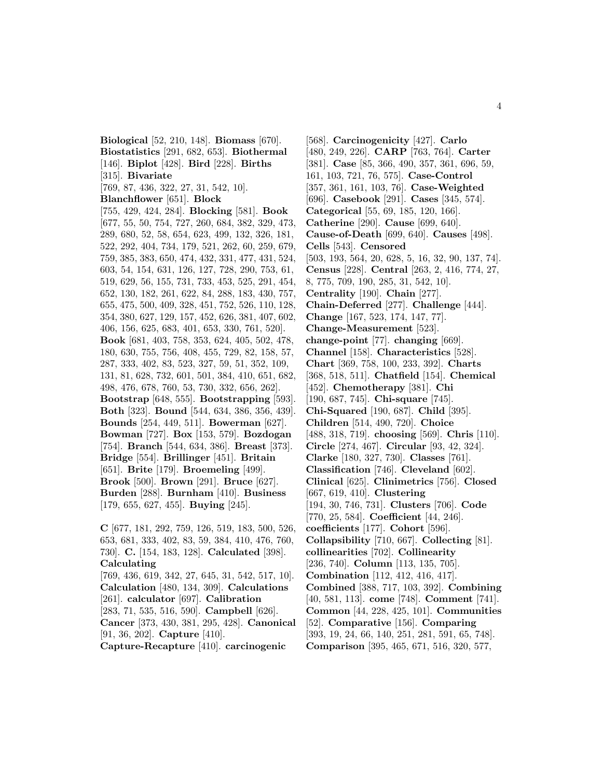**Biological** [52, 210, 148]. **Biomass** [670]. **Biostatistics** [291, 682, 653]. **Biothermal** [146]. **Biplot** [428]. **Bird** [228]. **Births** [315]. **Bivariate** [769, 87, 436, 322, 27, 31, 542, 10]. **Blanchflower** [651]. **Block** [755, 429, 424, 284]. **Blocking** [581]. **Book** [677, 55, 50, 754, 727, 260, 684, 382, 329, 473, 289, 680, 52, 58, 654, 623, 499, 132, 326, 181, 522, 292, 404, 734, 179, 521, 262, 60, 259, 679, 759, 385, 383, 650, 474, 432, 331, 477, 431, 524, 603, 54, 154, 631, 126, 127, 728, 290, 753, 61, 519, 629, 56, 155, 731, 733, 453, 525, 291, 454, 652, 130, 182, 261, 622, 84, 288, 183, 430, 757, 655, 475, 500, 409, 328, 451, 752, 526, 110, 128, 354, 380, 627, 129, 157, 452, 626, 381, 407, 602, 406, 156, 625, 683, 401, 653, 330, 761, 520]. **Book** [681, 403, 758, 353, 624, 405, 502, 478, 180, 630, 755, 756, 408, 455, 729, 82, 158, 57, 287, 333, 402, 83, 523, 327, 59, 51, 352, 109, 131, 81, 628, 732, 601, 501, 384, 410, 651, 682, 498, 476, 678, 760, 53, 730, 332, 656, 262]. **Bootstrap** [648, 555]. **Bootstrapping** [593]. **Both** [323]. **Bound** [544, 634, 386, 356, 439]. **Bounds** [254, 449, 511]. **Bowerman** [627]. **Bowman** [727]. **Box** [153, 579]. **Bozdogan** [754]. **Branch** [544, 634, 386]. **Breast** [373]. **Bridge** [554]. **Brillinger** [451]. **Britain** [651]. **Brite** [179]. **Broemeling** [499]. **Brook** [500]. **Brown** [291]. **Bruce** [627]. **Burden** [288]. **Burnham** [410]. **Business** [179, 655, 627, 455]. **Buying** [245].

**C** [677, 181, 292, 759, 126, 519, 183, 500, 526, 653, 681, 333, 402, 83, 59, 384, 410, 476, 760, 730]. **C.** [154, 183, 128]. **Calculated** [398]. **Calculating** [769, 436, 619, 342, 27, 645, 31, 542, 517, 10]. **Calculation** [480, 134, 309]. **Calculations** [261]. **calculator** [697]. **Calibration** [283, 71, 535, 516, 590]. **Campbell** [626]. **Cancer** [373, 430, 381, 295, 428]. **Canonical** [91, 36, 202]. **Capture** [410]. **Capture-Recapture** [410]. **carcinogenic**

[568]. **Carcinogenicity** [427]. **Carlo** [480, 249, 226]. **CARP** [763, 764]. **Carter** [381]. **Case** [85, 366, 490, 357, 361, 696, 59, 161, 103, 721, 76, 575]. **Case-Control** [357, 361, 161, 103, 76]. **Case-Weighted** [696]. **Casebook** [291]. **Cases** [345, 574]. **Categorical** [55, 69, 185, 120, 166]. **Catherine** [290]. **Cause** [699, 640]. **Cause-of-Death** [699, 640]. **Causes** [498]. **Cells** [543]. **Censored** [503, 193, 564, 20, 628, 5, 16, 32, 90, 137, 74]. **Census** [228]. **Central** [263, 2, 416, 774, 27, 8, 775, 709, 190, 285, 31, 542, 10]. **Centrality** [190]. **Chain** [277]. **Chain-Deferred** [277]. **Challenge** [444]. **Change** [167, 523, 174, 147, 77]. **Change-Measurement** [523]. **change-point** [77]. **changing** [669]. **Channel** [158]. **Characteristics** [528]. **Chart** [369, 758, 100, 233, 392]. **Charts** [368, 518, 511]. **Chatfield** [154]. **Chemical** [452]. **Chemotherapy** [381]. **Chi** [190, 687, 745]. **Chi-square** [745]. **Chi-Squared** [190, 687]. **Child** [395]. **Children** [514, 490, 720]. **Choice** [488, 318, 719]. **choosing** [569]. **Chris** [110]. **Circle** [274, 467]. **Circular** [93, 42, 324]. **Clarke** [180, 327, 730]. **Classes** [761]. **Classification** [746]. **Cleveland** [602]. **Clinical** [625]. **Clinimetrics** [756]. **Closed** [667, 619, 410]. **Clustering** [194, 30, 746, 731]. **Clusters** [706]. **Code** [770, 25, 584]. **Coefficient** [44, 246]. **coefficients** [177]. **Cohort** [596]. **Collapsibility** [710, 667]. **Collecting** [81]. **collinearities** [702]. **Collinearity** [236, 740]. **Column** [113, 135, 705]. **Combination** [112, 412, 416, 417]. **Combined** [388, 717, 103, 392]. **Combining** [40, 581, 113]. **come** [748]. **Comment** [741]. **Common** [44, 228, 425, 101]. **Communities** [52]. **Comparative** [156]. **Comparing** [393, 19, 24, 66, 140, 251, 281, 591, 65, 748]. **Comparison** [395, 465, 671, 516, 320, 577,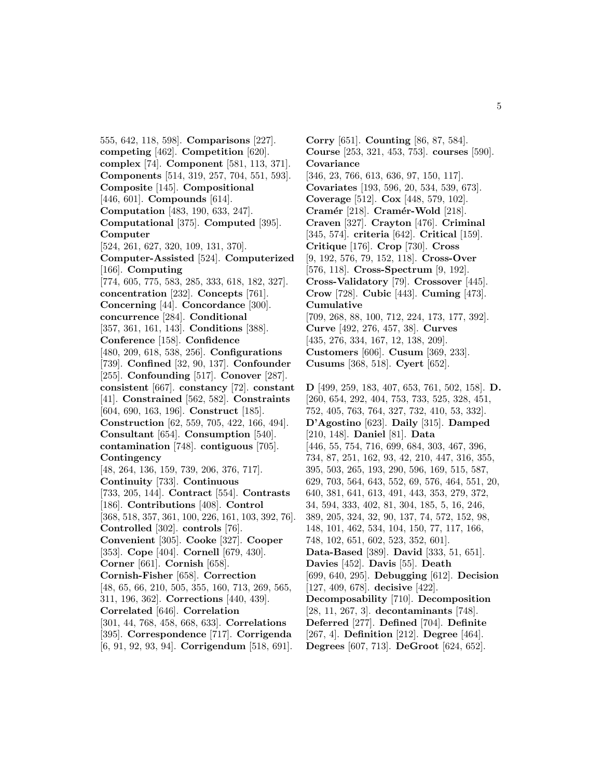555, 642, 118, 598]. **Comparisons** [227]. **competing** [462]. **Competition** [620]. **complex** [74]. **Component** [581, 113, 371]. **Components** [514, 319, 257, 704, 551, 593]. **Composite** [145]. **Compositional** [446, 601]. **Compounds** [614]. **Computation** [483, 190, 633, 247]. **Computational** [375]. **Computed** [395]. **Computer** [524, 261, 627, 320, 109, 131, 370]. **Computer-Assisted** [524]. **Computerized** [166]. **Computing** [774, 605, 775, 583, 285, 333, 618, 182, 327]. **concentration** [232]. **Concepts** [761]. **Concerning** [44]. **Concordance** [300]. **concurrence** [284]. **Conditional** [357, 361, 161, 143]. **Conditions** [388]. **Conference** [158]. **Confidence** [480, 209, 618, 538, 256]. **Configurations** [739]. **Confined** [32, 90, 137]. **Confounder** [255]. **Confounding** [517]. **Conover** [287]. **consistent** [667]. **constancy** [72]. **constant** [41]. **Constrained** [562, 582]. **Constraints** [604, 690, 163, 196]. **Construct** [185]. **Construction** [62, 559, 705, 422, 166, 494]. **Consultant** [654]. **Consumption** [540]. **contamination** [748]. **contiguous** [705]. **Contingency** [48, 264, 136, 159, 739, 206, 376, 717]. **Continuity** [733]. **Continuous** [733, 205, 144]. **Contract** [554]. **Contrasts** [186]. **Contributions** [408]. **Control** [368, 518, 357, 361, 100, 226, 161, 103, 392, 76]. **Controlled** [302]. **controls** [76]. **Convenient** [305]. **Cooke** [327]. **Cooper** [353]. **Cope** [404]. **Cornell** [679, 430]. **Corner** [661]. **Cornish** [658]. **Cornish-Fisher** [658]. **Correction** [48, 65, 66, 210, 505, 355, 160, 713, 269, 565, 311, 196, 362]. **Corrections** [440, 439]. **Correlated** [646]. **Correlation** [301, 44, 768, 458, 668, 633]. **Correlations** [395]. **Correspondence** [717]. **Corrigenda** [6, 91, 92, 93, 94]. **Corrigendum** [518, 691].

**Corry** [651]. **Counting** [86, 87, 584]. **Course** [253, 321, 453, 753]. **courses** [590]. **Covariance** [346, 23, 766, 613, 636, 97, 150, 117]. **Covariates** [193, 596, 20, 534, 539, 673]. **Coverage** [512]. **Cox** [448, 579, 102]. **Cram´er** [218]. **Cram´er-Wold** [218]. **Craven** [327]. **Crayton** [476]. **Criminal** [345, 574]. **criteria** [642]. **Critical** [159]. **Critique** [176]. **Crop** [730]. **Cross** [9, 192, 576, 79, 152, 118]. **Cross-Over** [576, 118]. **Cross-Spectrum** [9, 192]. **Cross-Validatory** [79]. **Crossover** [445]. **Crow** [728]. **Cubic** [443]. **Cuming** [473]. **Cumulative** [709, 268, 88, 100, 712, 224, 173, 177, 392]. **Curve** [492, 276, 457, 38]. **Curves** [435, 276, 334, 167, 12, 138, 209]. **Customers** [606]. **Cusum** [369, 233]. **Cusums** [368, 518]. **Cyert** [652]. **D** [499, 259, 183, 407, 653, 761, 502, 158]. **D.** [260, 654, 292, 404, 753, 733, 525, 328, 451, 752, 405, 763, 764, 327, 732, 410, 53, 332]. **D'Agostino** [623]. **Daily** [315]. **Damped** [210, 148]. **Daniel** [81]. **Data** [446, 55, 754, 716, 699, 684, 303, 467, 396, 734, 87, 251, 162, 93, 42, 210, 447, 316, 355, 395, 503, 265, 193, 290, 596, 169, 515, 587, 629, 703, 564, 643, 552, 69, 576, 464, 551, 20, 640, 381, 641, 613, 491, 443, 353, 279, 372, 34, 594, 333, 402, 81, 304, 185, 5, 16, 246, 389, 205, 324, 32, 90, 137, 74, 572, 152, 98, 148, 101, 462, 534, 104, 150, 77, 117, 166, 748, 102, 651, 602, 523, 352, 601]. **Data-Based** [389]. **David** [333, 51, 651]. **Davies** [452]. **Davis** [55]. **Death** [699, 640, 295]. **Debugging** [612]. **Decision** [127, 409, 678]. **decisive** [422]. **Decomposability** [710]. **Decomposition** [28, 11, 267, 3]. **decontaminants** [748].

**Deferred** [277]. **Defined** [704]. **Definite** [267, 4]. **Definition** [212]. **Degree** [464].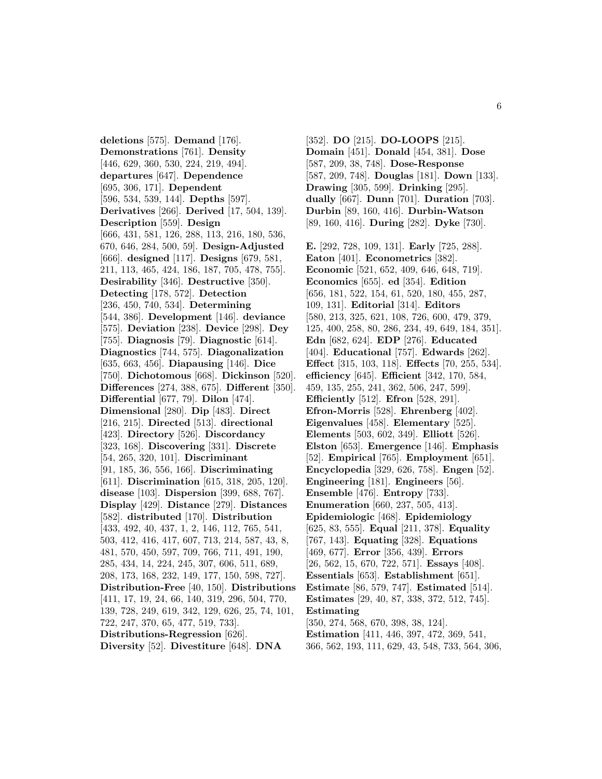**deletions** [575]. **Demand** [176]. **Demonstrations** [761]. **Density** [446, 629, 360, 530, 224, 219, 494]. **departures** [647]. **Dependence** [695, 306, 171]. **Dependent** [596, 534, 539, 144]. **Depths** [597]. **Derivatives** [266]. **Derived** [17, 504, 139]. **Description** [559]. **Design** [666, 431, 581, 126, 288, 113, 216, 180, 536, 670, 646, 284, 500, 59]. **Design-Adjusted** [666]. **designed** [117]. **Designs** [679, 581, 211, 113, 465, 424, 186, 187, 705, 478, 755]. **Desirability** [346]. **Destructive** [350]. **Detecting** [178, 572]. **Detection** [236, 450, 740, 534]. **Determining** [544, 386]. **Development** [146]. **deviance** [575]. **Deviation** [238]. **Device** [298]. **Dey** [755]. **Diagnosis** [79]. **Diagnostic** [614]. **Diagnostics** [744, 575]. **Diagonalization** [635, 663, 456]. **Diapausing** [146]. **Dice** [750]. **Dichotomous** [668]. **Dickinson** [520]. **Differences** [274, 388, 675]. **Different** [350]. **Differential** [677, 79]. **Dilon** [474]. **Dimensional** [280]. **Dip** [483]. **Direct** [216, 215]. **Directed** [513]. **directional** [423]. **Directory** [526]. **Discordancy** [323, 168]. **Discovering** [331]. **Discrete** [54, 265, 320, 101]. **Discriminant** [91, 185, 36, 556, 166]. **Discriminating** [611]. **Discrimination** [615, 318, 205, 120]. **disease** [103]. **Dispersion** [399, 688, 767]. **Display** [429]. **Distance** [279]. **Distances** [582]. **distributed** [170]. **Distribution** [433, 492, 40, 437, 1, 2, 146, 112, 765, 541, 503, 412, 416, 417, 607, 713, 214, 587, 43, 8, 481, 570, 450, 597, 709, 766, 711, 491, 190, 285, 434, 14, 224, 245, 307, 606, 511, 689, 208, 173, 168, 232, 149, 177, 150, 598, 727]. **Distribution-Free** [40, 150]. **Distributions** [411, 17, 19, 24, 66, 140, 319, 296, 504, 770, 139, 728, 249, 619, 342, 129, 626, 25, 74, 101, 722, 247, 370, 65, 477, 519, 733]. **Distributions-Regression** [626]. **Diversity** [52]. **Divestiture** [648]. **DNA**

[352]. **DO** [215]. **DO-LOOPS** [215]. **Domain** [451]. **Donald** [454, 381]. **Dose** [587, 209, 38, 748]. **Dose-Response** [587, 209, 748]. **Douglas** [181]. **Down** [133]. **Drawing** [305, 599]. **Drinking** [295]. **dually** [667]. **Dunn** [701]. **Duration** [703]. **Durbin** [89, 160, 416]. **Durbin-Watson** [89, 160, 416]. **During** [282]. **Dyke** [730]. **E.** [292, 728, 109, 131]. **Early** [725, 288]. **Eaton** [401]. **Econometrics** [382]. **Economic** [521, 652, 409, 646, 648, 719]. **Economics** [655]. **ed** [354]. **Edition** [656, 181, 522, 154, 61, 520, 180, 455, 287, 109, 131]. **Editorial** [314]. **Editors** [580, 213, 325, 621, 108, 726, 600, 479, 379, 125, 400, 258, 80, 286, 234, 49, 649, 184, 351]. **Edn** [682, 624]. **EDP** [276]. **Educated** [404]. **Educational** [757]. **Edwards** [262]. **Effect** [315, 103, 118]. **Effects** [70, 255, 534]. **efficiency** [645]. **Efficient** [342, 170, 584, 459, 135, 255, 241, 362, 506, 247, 599]. **Efficiently** [512]. **Efron** [528, 291]. **Efron-Morris** [528]. **Ehrenberg** [402]. **Eigenvalues** [458]. **Elementary** [525]. **Elements** [503, 602, 349]. **Elliott** [526]. **Elston** [653]. **Emergence** [146]. **Emphasis** [52]. **Empirical** [765]. **Employment** [651]. **Encyclopedia** [329, 626, 758]. **Engen** [52]. **Engineering** [181]. **Engineers** [56]. **Ensemble** [476]. **Entropy** [733]. **Enumeration** [660, 237, 505, 413]. **Epidemiologic** [468]. **Epidemiology** [625, 83, 555]. **Equal** [211, 378]. **Equality** [767, 143]. **Equating** [328]. **Equations** [469, 677]. **Error** [356, 439]. **Errors** [26, 562, 15, 670, 722, 571]. **Essays** [408]. **Essentials** [653]. **Establishment** [651]. **Estimate** [86, 579, 747]. **Estimated** [514]. **Estimates** [29, 40, 87, 338, 372, 512, 745]. **Estimating** [350, 274, 568, 670, 398, 38, 124]. **Estimation** [411, 446, 397, 472, 369, 541, 366, 562, 193, 111, 629, 43, 548, 733, 564, 306,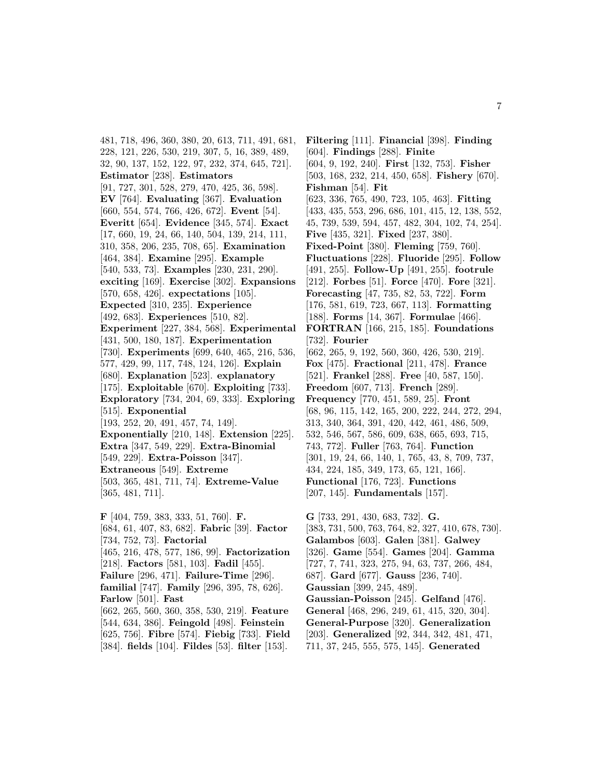481, 718, 496, 360, 380, 20, 613, 711, 491, 681, 228, 121, 226, 530, 219, 307, 5, 16, 389, 489, 32, 90, 137, 152, 122, 97, 232, 374, 645, 721]. **Estimator** [238]. **Estimators** [91, 727, 301, 528, 279, 470, 425, 36, 598]. **EV** [764]. **Evaluating** [367]. **Evaluation** [660, 554, 574, 766, 426, 672]. **Event** [54]. **Everitt** [654]. **Evidence** [345, 574]. **Exact** [17, 660, 19, 24, 66, 140, 504, 139, 214, 111, 310, 358, 206, 235, 708, 65]. **Examination** [464, 384]. **Examine** [295]. **Example** [540, 533, 73]. **Examples** [230, 231, 290]. **exciting** [169]. **Exercise** [302]. **Expansions** [570, 658, 426]. **expectations** [105]. **Expected** [310, 235]. **Experience** [492, 683]. **Experiences** [510, 82]. **Experiment** [227, 384, 568]. **Experimental** [431, 500, 180, 187]. **Experimentation** [730]. **Experiments** [699, 640, 465, 216, 536, 577, 429, 99, 117, 748, 124, 126]. **Explain** [680]. **Explanation** [523]. **explanatory** [175]. **Exploitable** [670]. **Exploiting** [733]. **Exploratory** [734, 204, 69, 333]. **Exploring** [515]. **Exponential** [193, 252, 20, 491, 457, 74, 149]. **Exponentially** [210, 148]. **Extension** [225]. **Extra** [347, 549, 229]. **Extra-Binomial** [549, 229]. **Extra-Poisson** [347]. **Extraneous** [549]. **Extreme** [503, 365, 481, 711, 74]. **Extreme-Value** [365, 481, 711]. **F** [404, 759, 383, 333, 51, 760]. **F.** [684, 61, 407, 83, 682]. **Fabric** [39]. **Factor** [734, 752, 73]. **Factorial** [465, 216, 478, 577, 186, 99]. **Factorization** [218]. **Factors** [581, 103]. **Fadil** [455].

**Failure** [296, 471]. **Failure-Time** [296]. **familial** [747]. **Family** [296, 395, 78, 626].

**Farlow** [501]. **Fast**

[604]. **Findings** [288]. **Finite** [604, 9, 192, 240]. **First** [132, 753]. **Fisher** [503, 168, 232, 214, 450, 658]. **Fishery** [670]. **Fishman** [54]. **Fit** [623, 336, 765, 490, 723, 105, 463]. **Fitting** [433, 435, 553, 296, 686, 101, 415, 12, 138, 552, 45, 739, 539, 594, 457, 482, 304, 102, 74, 254]. **Five** [435, 321]. **Fixed** [237, 380]. **Fixed-Point** [380]. **Fleming** [759, 760]. **Fluctuations** [228]. **Fluoride** [295]. **Follow** [491, 255]. **Follow-Up** [491, 255]. **footrule** [212]. **Forbes** [51]. **Force** [470]. **Fore** [321]. **Forecasting** [47, 735, 82, 53, 722]. **Form** [176, 581, 619, 723, 667, 113]. **Formatting** [188]. **Forms** [14, 367]. **Formulae** [466]. **FORTRAN** [166, 215, 185]. **Foundations** [732]. **Fourier** [662, 265, 9, 192, 560, 360, 426, 530, 219]. **Fox** [475]. **Fractional** [211, 478]. **France** [521]. **Frankel** [288]. **Free** [40, 587, 150]. **Freedom** [607, 713]. **French** [289]. **Frequency** [770, 451, 589, 25]. **Front** [68, 96, 115, 142, 165, 200, 222, 244, 272, 294, 313, 340, 364, 391, 420, 442, 461, 486, 509, 532, 546, 567, 586, 609, 638, 665, 693, 715, 743, 772]. **Fuller** [763, 764]. **Function** [301, 19, 24, 66, 140, 1, 765, 43, 8, 709, 737, 434, 224, 185, 349, 173, 65, 121, 166]. **Functional** [176, 723]. **Functions** [207, 145]. **Fundamentals** [157]. **G** [733, 291, 430, 683, 732]. **G.** [383, 731, 500, 763, 764, 82, 327, 410, 678, 730]. **Galambos** [603]. **Galen** [381]. **Galwey** [326]. **Game** [554]. **Games** [204]. **Gamma** [727, 7, 741, 323, 275, 94, 63, 737, 266, 484, 687]. **Gard** [677]. **Gauss** [236, 740]. **Gaussian** [399, 245, 489].

**Filtering** [111]. **Financial** [398]. **Finding**

[662, 265, 560, 360, 358, 530, 219]. **Feature** [544, 634, 386]. **Feingold** [498]. **Feinstein** [625, 756]. **Fibre** [574]. **Fiebig** [733]. **Field** [384]. **fields** [104]. **Fildes** [53]. **filter** [153]. **Gaussian-Poisson** [245]. **Gelfand** [476]. **General** [468, 296, 249, 61, 415, 320, 304]. **General-Purpose** [320]. **Generalization** [203]. **Generalized** [92, 344, 342, 481, 471, 711, 37, 245, 555, 575, 145]. **Generated**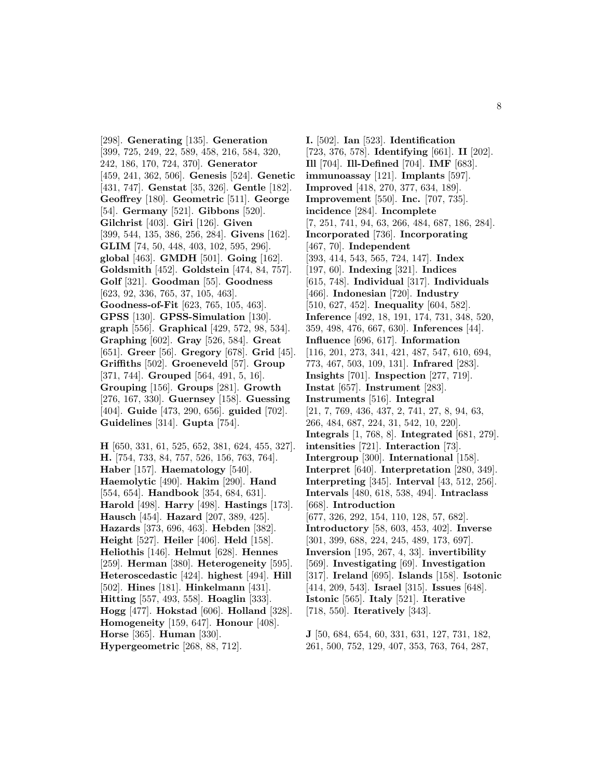[298]. **Generating** [135]. **Generation** [399, 725, 249, 22, 589, 458, 216, 584, 320, 242, 186, 170, 724, 370]. **Generator** [459, 241, 362, 506]. **Genesis** [524]. **Genetic** [431, 747]. **Genstat** [35, 326]. **Gentle** [182]. **Geoffrey** [180]. **Geometric** [511]. **George** [54]. **Germany** [521]. **Gibbons** [520]. **Gilchrist** [403]. **Giri** [126]. **Given** [399, 544, 135, 386, 256, 284]. **Givens** [162]. **GLIM** [74, 50, 448, 403, 102, 595, 296]. **global** [463]. **GMDH** [501]. **Going** [162]. **Goldsmith** [452]. **Goldstein** [474, 84, 757]. **Golf** [321]. **Goodman** [55]. **Goodness** [623, 92, 336, 765, 37, 105, 463]. **Goodness-of-Fit** [623, 765, 105, 463]. **GPSS** [130]. **GPSS-Simulation** [130]. **graph** [556]. **Graphical** [429, 572, 98, 534]. **Graphing** [602]. **Gray** [526, 584]. **Great** [651]. **Greer** [56]. **Gregory** [678]. **Grid** [45]. **Griffiths** [502]. **Groeneveld** [57]. **Group** [371, 744]. **Grouped** [564, 491, 5, 16]. **Grouping** [156]. **Groups** [281]. **Growth** [276, 167, 330]. **Guernsey** [158]. **Guessing** [404]. **Guide** [473, 290, 656]. **guided** [702]. **Guidelines** [314]. **Gupta** [754].

**H** [650, 331, 61, 525, 652, 381, 624, 455, 327]. **H.** [754, 733, 84, 757, 526, 156, 763, 764]. **Haber** [157]. **Haematology** [540]. **Haemolytic** [490]. **Hakim** [290]. **Hand** [554, 654]. **Handbook** [354, 684, 631]. **Harold** [498]. **Harry** [498]. **Hastings** [173]. **Hausch** [454]. **Hazard** [207, 389, 425]. **Hazards** [373, 696, 463]. **Hebden** [382]. **Height** [527]. **Heiler** [406]. **Held** [158]. **Heliothis** [146]. **Helmut** [628]. **Hennes** [259]. **Herman** [380]. **Heterogeneity** [595]. **Heteroscedastic** [424]. **highest** [494]. **Hill** [502]. **Hines** [181]. **Hinkelmann** [431]. **Hitting** [557, 493, 558]. **Hoaglin** [333]. **Hogg** [477]. **Hokstad** [606]. **Holland** [328]. **Homogeneity** [159, 647]. **Honour** [408]. **Horse** [365]. **Human** [330]. **Hypergeometric** [268, 88, 712].

**I.** [502]. **Ian** [523]. **Identification** [723, 376, 578]. **Identifying** [661]. **II** [202]. **Ill** [704]. **Ill-Defined** [704]. **IMF** [683]. **immunoassay** [121]. **Implants** [597]. **Improved** [418, 270, 377, 634, 189]. **Improvement** [550]. **Inc.** [707, 735]. **incidence** [284]. **Incomplete** [7, 251, 741, 94, 63, 266, 484, 687, 186, 284]. **Incorporated** [736]. **Incorporating** [467, 70]. **Independent** [393, 414, 543, 565, 724, 147]. **Index** [197, 60]. **Indexing** [321]. **Indices** [615, 748]. **Individual** [317]. **Individuals** [466]. **Indonesian** [720]. **Industry** [510, 627, 452]. **Inequality** [604, 582]. **Inference** [492, 18, 191, 174, 731, 348, 520, 359, 498, 476, 667, 630]. **Inferences** [44]. **Influence** [696, 617]. **Information** [116, 201, 273, 341, 421, 487, 547, 610, 694, 773, 467, 503, 109, 131]. **Infrared** [283]. **Insights** [701]. **Inspection** [277, 719]. **Instat** [657]. **Instrument** [283]. **Instruments** [516]. **Integral** [21, 7, 769, 436, 437, 2, 741, 27, 8, 94, 63, 266, 484, 687, 224, 31, 542, 10, 220]. **Integrals** [1, 768, 8]. **Integrated** [681, 279]. **intensities** [721]. **Interaction** [73]. **Intergroup** [300]. **International** [158]. **Interpret** [640]. **Interpretation** [280, 349]. **Interpreting** [345]. **Interval** [43, 512, 256]. **Intervals** [480, 618, 538, 494]. **Intraclass** [668]. **Introduction** [677, 326, 292, 154, 110, 128, 57, 682]. **Introductory** [58, 603, 453, 402]. **Inverse** [301, 399, 688, 224, 245, 489, 173, 697]. **Inversion** [195, 267, 4, 33]. **invertibility** [569]. **Investigating** [69]. **Investigation** [317]. **Ireland** [695]. **Islands** [158]. **Isotonic** [414, 209, 543]. **Israel** [315]. **Issues** [648]. **Istonic** [565]. **Italy** [521]. **Iterative** [718, 550]. **Iteratively** [343].

**J** [50, 684, 654, 60, 331, 631, 127, 731, 182, 261, 500, 752, 129, 407, 353, 763, 764, 287,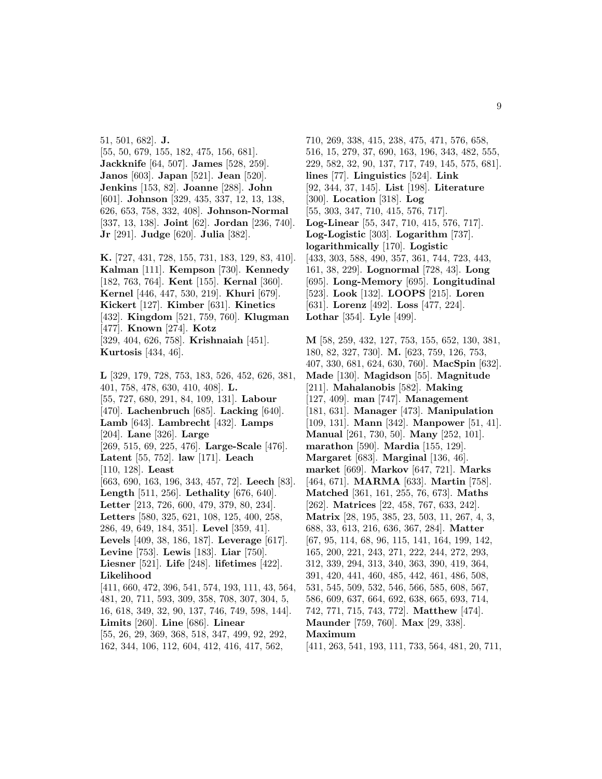51, 501, 682]. **J.** [55, 50, 679, 155, 182, 475, 156, 681]. **Jackknife** [64, 507]. **James** [528, 259]. **Janos** [603]. **Japan** [521]. **Jean** [520]. **Jenkins** [153, 82]. **Joanne** [288]. **John** [601]. **Johnson** [329, 435, 337, 12, 13, 138, 626, 653, 758, 332, 408]. **Johnson-Normal** [337, 13, 138]. **Joint** [62]. **Jordan** [236, 740]. **Jr** [291]. **Judge** [620]. **Julia** [382].

**K.** [727, 431, 728, 155, 731, 183, 129, 83, 410]. **Kalman** [111]. **Kempson** [730]. **Kennedy** [182, 763, 764]. **Kent** [155]. **Kernal** [360]. **Kernel** [446, 447, 530, 219]. **Khuri** [679]. **Kickert** [127]. **Kimber** [631]. **Kinetics** [432]. **Kingdom** [521, 759, 760]. **Klugman** [477]. **Known** [274]. **Kotz** [329, 404, 626, 758]. **Krishnaiah** [451]. **Kurtosis** [434, 46].

**L** [329, 179, 728, 753, 183, 526, 452, 626, 381, 401, 758, 478, 630, 410, 408]. **L.** [55, 727, 680, 291, 84, 109, 131]. **Labour** [470]. **Lachenbruch** [685]. **Lacking** [640]. **Lamb** [643]. **Lambrecht** [432]. **Lamps** [204]. **Lane** [326]. **Large** [269, 515, 69, 225, 476]. **Large-Scale** [476]. **Latent** [55, 752]. **law** [171]. **Leach** [110, 128]. **Least** [663, 690, 163, 196, 343, 457, 72]. **Leech** [83]. **Length** [511, 256]. **Lethality** [676, 640]. **Letter** [213, 726, 600, 479, 379, 80, 234]. **Letters** [580, 325, 621, 108, 125, 400, 258, 286, 49, 649, 184, 351]. **Level** [359, 41]. **Levels** [409, 38, 186, 187]. **Leverage** [617]. **Levine** [753]. **Lewis** [183]. **Liar** [750]. **Liesner** [521]. **Life** [248]. **lifetimes** [422]. **Likelihood** [411, 660, 472, 396, 541, 574, 193, 111, 43, 564, 481, 20, 711, 593, 309, 358, 708, 307, 304, 5, 16, 618, 349, 32, 90, 137, 746, 749, 598, 144]. **Limits** [260]. **Line** [686]. **Linear** [55, 26, 29, 369, 368, 518, 347, 499, 92, 292,

162, 344, 106, 112, 604, 412, 416, 417, 562,

710, 269, 338, 415, 238, 475, 471, 576, 658, 516, 15, 279, 37, 690, 163, 196, 343, 482, 555, 229, 582, 32, 90, 137, 717, 749, 145, 575, 681]. **lines** [77]. **Linguistics** [524]. **Link** [92, 344, 37, 145]. **List** [198]. **Literature** [300]. **Location** [318]. **Log** [55, 303, 347, 710, 415, 576, 717]. **Log-Linear** [55, 347, 710, 415, 576, 717]. **Log-Logistic** [303]. **Logarithm** [737]. **logarithmically** [170]. **Logistic** [433, 303, 588, 490, 357, 361, 744, 723, 443, 161, 38, 229]. **Lognormal** [728, 43]. **Long** [695]. **Long-Memory** [695]. **Longitudinal** [523]. **Look** [132]. **LOOPS** [215]. **Loren** [631]. **Lorenz** [492]. **Loss** [477, 224]. **Lothar** [354]. **Lyle** [499].

**M** [58, 259, 432, 127, 753, 155, 652, 130, 381, 180, 82, 327, 730]. **M.** [623, 759, 126, 753, 407, 330, 681, 624, 630, 760]. **MacSpin** [632]. **Made** [130]. **Magidson** [55]. **Magnitude** [211]. **Mahalanobis** [582]. **Making** [127, 409]. **man** [747]. **Management** [181, 631]. **Manager** [473]. **Manipulation** [109, 131]. **Mann** [342]. **Manpower** [51, 41]. **Manual** [261, 730, 50]. **Many** [252, 101]. **marathon** [590]. **Mardia** [155, 129]. **Margaret** [683]. **Marginal** [136, 46]. **market** [669]. **Markov** [647, 721]. **Marks** [464, 671]. **MARMA** [633]. **Martin** [758]. **Matched** [361, 161, 255, 76, 673]. **Maths** [262]. **Matrices** [22, 458, 767, 633, 242]. **Matrix** [28, 195, 385, 23, 503, 11, 267, 4, 3, 688, 33, 613, 216, 636, 367, 284]. **Matter** [67, 95, 114, 68, 96, 115, 141, 164, 199, 142, 165, 200, 221, 243, 271, 222, 244, 272, 293, 312, 339, 294, 313, 340, 363, 390, 419, 364, 391, 420, 441, 460, 485, 442, 461, 486, 508, 531, 545, 509, 532, 546, 566, 585, 608, 567, 586, 609, 637, 664, 692, 638, 665, 693, 714, 742, 771, 715, 743, 772]. **Matthew** [474]. **Maunder** [759, 760]. **Max** [29, 338]. **Maximum**

[411, 263, 541, 193, 111, 733, 564, 481, 20, 711,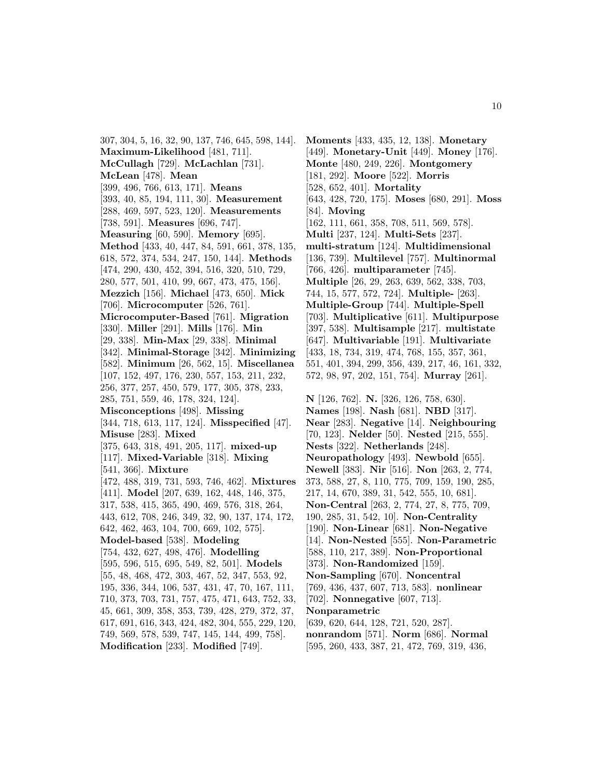307, 304, 5, 16, 32, 90, 137, 746, 645, 598, 144]. **Maximum-Likelihood** [481, 711]. **McCullagh** [729]. **McLachlan** [731]. **McLean** [478]. **Mean** [399, 496, 766, 613, 171]. **Means** [393, 40, 85, 194, 111, 30]. **Measurement** [288, 469, 597, 523, 120]. **Measurements** [738, 591]. **Measures** [696, 747]. **Measuring** [60, 590]. **Memory** [695]. **Method** [433, 40, 447, 84, 591, 661, 378, 135, 618, 572, 374, 534, 247, 150, 144]. **Methods** [474, 290, 430, 452, 394, 516, 320, 510, 729, 280, 577, 501, 410, 99, 667, 473, 475, 156]. **Mezzich** [156]. **Michael** [473, 650]. **Mick** [706]. **Microcomputer** [526, 761]. **Microcomputer-Based** [761]. **Migration** [330]. **Miller** [291]. **Mills** [176]. **Min** [29, 338]. **Min-Max** [29, 338]. **Minimal** [342]. **Minimal-Storage** [342]. **Minimizing** [582]. **Minimum** [26, 562, 15]. **Miscellanea** [107, 152, 497, 176, 230, 557, 153, 211, 232, 256, 377, 257, 450, 579, 177, 305, 378, 233, 285, 751, 559, 46, 178, 324, 124]. **Misconceptions** [498]. **Missing** [344, 718, 613, 117, 124]. **Misspecified** [47]. **Misuse** [283]. **Mixed** [375, 643, 318, 491, 205, 117]. **mixed-up** [117]. **Mixed-Variable** [318]. **Mixing** [541, 366]. **Mixture** [472, 488, 319, 731, 593, 746, 462]. **Mixtures** [411]. **Model** [207, 639, 162, 448, 146, 375, 317, 538, 415, 365, 490, 469, 576, 318, 264, 443, 612, 708, 246, 349, 32, 90, 137, 174, 172, 642, 462, 463, 104, 700, 669, 102, 575]. **Model-based** [538]. **Modeling** [754, 432, 627, 498, 476]. **Modelling** [595, 596, 515, 695, 549, 82, 501]. **Models** [55, 48, 468, 472, 303, 467, 52, 347, 553, 92, 195, 336, 344, 106, 537, 431, 47, 70, 167, 111, 710, 373, 703, 731, 757, 475, 471, 643, 752, 33, 45, 661, 309, 358, 353, 739, 428, 279, 372, 37, 617, 691, 616, 343, 424, 482, 304, 555, 229, 120, 749, 569, 578, 539, 747, 145, 144, 499, 758]. **Modification** [233]. **Modified** [749].

**Moments** [433, 435, 12, 138]. **Monetary** [449]. **Monetary-Unit** [449]. **Money** [176]. **Monte** [480, 249, 226]. **Montgomery** [181, 292]. **Moore** [522]. **Morris** [528, 652, 401]. **Mortality** [643, 428, 720, 175]. **Moses** [680, 291]. **Moss** [84]. **Moving** [162, 111, 661, 358, 708, 511, 569, 578]. **Multi** [237, 124]. **Multi-Sets** [237]. **multi-stratum** [124]. **Multidimensional** [136, 739]. **Multilevel** [757]. **Multinormal** [766, 426]. **multiparameter** [745]. **Multiple** [26, 29, 263, 639, 562, 338, 703, 744, 15, 577, 572, 724]. **Multiple-** [263]. **Multiple-Group** [744]. **Multiple-Spell** [703]. **Multiplicative** [611]. **Multipurpose** [397, 538]. **Multisample** [217]. **multistate** [647]. **Multivariable** [191]. **Multivariate** [433, 18, 734, 319, 474, 768, 155, 357, 361, 551, 401, 394, 299, 356, 439, 217, 46, 161, 332, 572, 98, 97, 202, 151, 754]. **Murray** [261]. **N** [126, 762]. **N.** [326, 126, 758, 630]. **Names** [198]. **Nash** [681]. **NBD** [317]. **Near** [283]. **Negative** [14]. **Neighbouring** [70, 123]. **Nelder** [50]. **Nested** [215, 555]. **Nests** [322]. **Netherlands** [248]. **Neuropathology** [493]. **Newbold** [655]. **Newell** [383]. **Nir** [516]. **Non** [263, 2, 774, 373, 588, 27, 8, 110, 775, 709, 159, 190, 285, 217, 14, 670, 389, 31, 542, 555, 10, 681]. **Non-Central** [263, 2, 774, 27, 8, 775, 709, 190, 285, 31, 542, 10]. **Non-Centrality** [190]. **Non-Linear** [681]. **Non-Negative** [14]. **Non-Nested** [555]. **Non-Parametric** [588, 110, 217, 389]. **Non-Proportional** [373]. **Non-Randomized** [159]. **Non-Sampling** [670]. **Noncentral** [769, 436, 437, 607, 713, 583]. **nonlinear** [702]. **Nonnegative** [607, 713]. **Nonparametric** [639, 620, 644, 128, 721, 520, 287].

- **nonrandom** [571]. **Norm** [686]. **Normal**
- [595, 260, 433, 387, 21, 472, 769, 319, 436,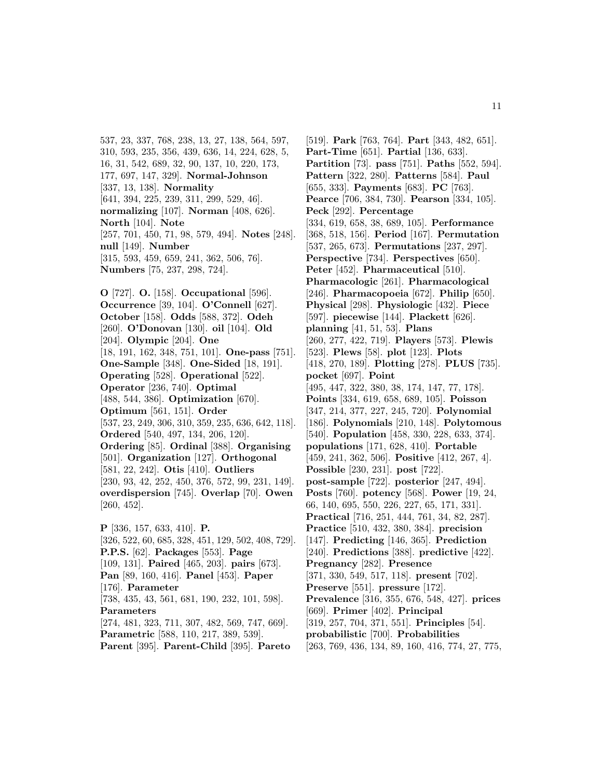537, 23, 337, 768, 238, 13, 27, 138, 564, 597, 310, 593, 235, 356, 439, 636, 14, 224, 628, 5, 16, 31, 542, 689, 32, 90, 137, 10, 220, 173, 177, 697, 147, 329]. **Normal-Johnson** [337, 13, 138]. **Normality** [641, 394, 225, 239, 311, 299, 529, 46]. **normalizing** [107]. **Norman** [408, 626]. **North** [104]. **Note** [257, 701, 450, 71, 98, 579, 494]. **Notes** [248]. **null** [149]. **Number** [315, 593, 459, 659, 241, 362, 506, 76]. **Numbers** [75, 237, 298, 724].

**O** [727]. **O.** [158]. **Occupational** [596]. **Occurrence** [39, 104]. **O'Connell** [627]. **October** [158]. **Odds** [588, 372]. **Odeh** [260]. **O'Donovan** [130]. **oil** [104]. **Old** [204]. **Olympic** [204]. **One** [18, 191, 162, 348, 751, 101]. **One-pass** [751]. **One-Sample** [348]. **One-Sided** [18, 191]. **Operating** [528]. **Operational** [522]. **Operator** [236, 740]. **Optimal** [488, 544, 386]. **Optimization** [670]. **Optimum** [561, 151]. **Order** [537, 23, 249, 306, 310, 359, 235, 636, 642, 118]. **Ordered** [540, 497, 134, 206, 120]. **Ordering** [85]. **Ordinal** [388]. **Organising** [501]. **Organization** [127]. **Orthogonal** [581, 22, 242]. **Otis** [410]. **Outliers** [230, 93, 42, 252, 450, 376, 572, 99, 231, 149]. **overdispersion** [745]. **Overlap** [70]. **Owen** [260, 452]. **P** [336, 157, 633, 410]. **P.** [326, 522, 60, 685, 328, 451, 129, 502, 408, 729].

**P.P.S.** [62]. **Packages** [553]. **Page** [109, 131]. **Paired** [465, 203]. **pairs** [673]. **Pan** [89, 160, 416]. **Panel** [453]. **Paper** [176]. **Parameter** [738, 435, 43, 561, 681, 190, 232, 101, 598]. **Parameters** [274, 481, 323, 711, 307, 482, 569, 747, 669]. **Parametric** [588, 110, 217, 389, 539].

**Parent** [395]. **Parent-Child** [395]. **Pareto**

[519]. **Park** [763, 764]. **Part** [343, 482, 651]. **Part-Time** [651]. **Partial** [136, 633]. **Partition** [73]. **pass** [751]. **Paths** [552, 594]. **Pattern** [322, 280]. **Patterns** [584]. **Paul** [655, 333]. **Payments** [683]. **PC** [763]. **Pearce** [706, 384, 730]. **Pearson** [334, 105]. **Peck** [292]. **Percentage** [334, 619, 658, 38, 689, 105]. **Performance** [368, 518, 156]. **Period** [167]. **Permutation** [537, 265, 673]. **Permutations** [237, 297]. **Perspective** [734]. **Perspectives** [650]. **Peter** [452]. **Pharmaceutical** [510]. **Pharmacologic** [261]. **Pharmacological** [246]. **Pharmacopoeia** [672]. **Philip** [650]. **Physical** [298]. **Physiologic** [432]. **Piece** [597]. **piecewise** [144]. **Plackett** [626]. **planning** [41, 51, 53]. **Plans** [260, 277, 422, 719]. **Players** [573]. **Plewis** [523]. **Plews** [58]. **plot** [123]. **Plots** [418, 270, 189]. **Plotting** [278]. **PLUS** [735]. **pocket** [697]. **Point** [495, 447, 322, 380, 38, 174, 147, 77, 178]. **Points** [334, 619, 658, 689, 105]. **Poisson** [347, 214, 377, 227, 245, 720]. **Polynomial** [186]. **Polynomials** [210, 148]. **Polytomous** [540]. **Population** [458, 330, 228, 633, 374]. **populations** [171, 628, 410]. **Portable** [459, 241, 362, 506]. **Positive** [412, 267, 4]. **Possible** [230, 231]. **post** [722]. **post-sample** [722]. **posterior** [247, 494]. **Posts** [760]. **potency** [568]. **Power** [19, 24, 66, 140, 695, 550, 226, 227, 65, 171, 331]. **Practical** [716, 251, 444, 761, 34, 82, 287]. **Practice** [510, 432, 380, 384]. **precision** [147]. **Predicting** [146, 365]. **Prediction** [240]. **Predictions** [388]. **predictive** [422]. **Pregnancy** [282]. **Presence** [371, 330, 549, 517, 118]. **present** [702]. **Preserve** [551]. **pressure** [172]. **Prevalence** [316, 355, 676, 548, 427]. **prices** [669]. **Primer** [402]. **Principal** [319, 257, 704, 371, 551]. **Principles** [54]. **probabilistic** [700]. **Probabilities** [263, 769, 436, 134, 89, 160, 416, 774, 27, 775,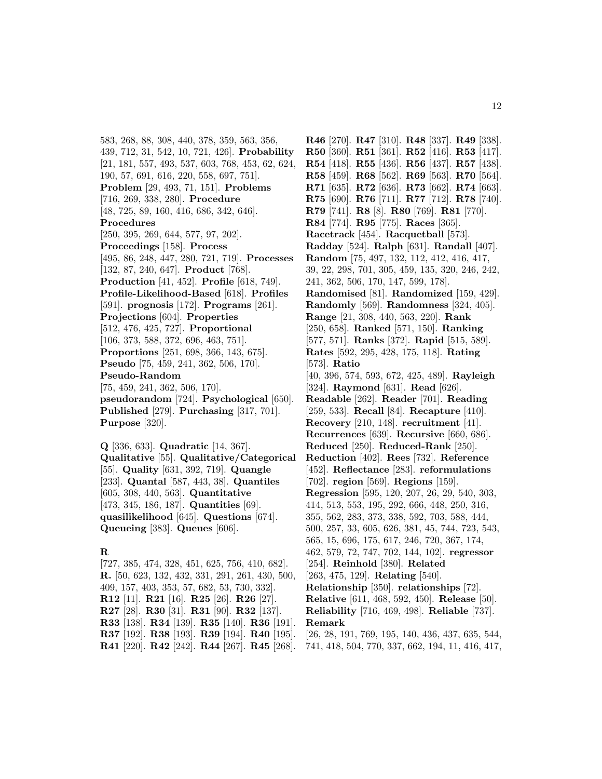583, 268, 88, 308, 440, 378, 359, 563, 356, 439, 712, 31, 542, 10, 721, 426]. **Probability** [21, 181, 557, 493, 537, 603, 768, 453, 62, 624, 190, 57, 691, 616, 220, 558, 697, 751]. **Problem** [29, 493, 71, 151]. **Problems** [716, 269, 338, 280]. **Procedure** [48, 725, 89, 160, 416, 686, 342, 646]. **Procedures** [250, 395, 269, 644, 577, 97, 202]. **Proceedings** [158]. **Process** [495, 86, 248, 447, 280, 721, 719]. **Processes** [132, 87, 240, 647]. **Product** [768]. **Production** [41, 452]. **Profile** [618, 749]. **Profile-Likelihood-Based** [618]. **Profiles** [591]. **prognosis** [172]. **Programs** [261]. **Projections** [604]. **Properties** [512, 476, 425, 727]. **Proportional** [106, 373, 588, 372, 696, 463, 751]. **Proportions** [251, 698, 366, 143, 675]. **Pseudo** [75, 459, 241, 362, 506, 170]. **Pseudo-Random** [75, 459, 241, 362, 506, 170]. **pseudorandom** [724]. **Psychological** [650]. **Published** [279]. **Purchasing** [317, 701]. **Purpose** [320].

**Q** [336, 633]. **Quadratic** [14, 367]. **Qualitative** [55]. **Qualitative/Categorical** [55]. **Quality** [631, 392, 719]. **Quangle** [233]. **Quantal** [587, 443, 38]. **Quantiles** [605, 308, 440, 563]. **Quantitative** [473, 345, 186, 187]. **Quantities** [69]. **quasilikelihood** [645]. **Questions** [674]. **Queueing** [383]. **Queues** [606].

### **R**

[727, 385, 474, 328, 451, 625, 756, 410, 682]. **R.** [50, 623, 132, 432, 331, 291, 261, 430, 500, 409, 157, 403, 353, 57, 682, 53, 730, 332]. **R12** [11]. **R21** [16]. **R25** [26]. **R26** [27]. **R27** [28]. **R30** [31]. **R31** [90]. **R32** [137]. **R33** [138]. **R34** [139]. **R35** [140]. **R36** [191]. **R37** [192]. **R38** [193]. **R39** [194]. **R40** [195]. **R41** [220]. **R42** [242]. **R44** [267]. **R45** [268].

**R46** [270]. **R47** [310]. **R48** [337]. **R49** [338]. **R50** [360]. **R51** [361]. **R52** [416]. **R53** [417]. **R54** [418]. **R55** [436]. **R56** [437]. **R57** [438]. **R58** [459]. **R68** [562]. **R69** [563]. **R70** [564]. **R71** [635]. **R72** [636]. **R73** [662]. **R74** [663]. **R75** [690]. **R76** [711]. **R77** [712]. **R78** [740]. **R79** [741]. **R8** [8]. **R80** [769]. **R81** [770]. **R84** [774]. **R95** [775]. **Races** [365]. **Racetrack** [454]. **Racquetball** [573]. **Radday** [524]. **Ralph** [631]. **Randall** [407]. **Random** [75, 497, 132, 112, 412, 416, 417, 39, 22, 298, 701, 305, 459, 135, 320, 246, 242, 241, 362, 506, 170, 147, 599, 178]. **Randomised** [81]. **Randomized** [159, 429]. **Randomly** [569]. **Randomness** [324, 405]. **Range** [21, 308, 440, 563, 220]. **Rank** [250, 658]. **Ranked** [571, 150]. **Ranking** [577, 571]. **Ranks** [372]. **Rapid** [515, 589]. **Rates** [592, 295, 428, 175, 118]. **Rating** [573]. **Ratio** [40, 396, 574, 593, 672, 425, 489]. **Rayleigh** [324]. **Raymond** [631]. **Read** [626]. **Readable** [262]. **Reader** [701]. **Reading** [259, 533]. **Recall** [84]. **Recapture** [410]. **Recovery** [210, 148]. **recruitment** [41]. **Recurrences** [639]. **Recursive** [660, 686]. **Reduced** [250]. **Reduced-Rank** [250]. **Reduction** [402]. **Rees** [732]. **Reference** [452]. **Reflectance** [283]. **reformulations** [702]. **region** [569]. **Regions** [159]. **Regression** [595, 120, 207, 26, 29, 540, 303, 414, 513, 553, 195, 292, 666, 448, 250, 316, 355, 562, 283, 373, 338, 592, 703, 588, 444, 500, 257, 33, 605, 626, 381, 45, 744, 723, 543, 565, 15, 696, 175, 617, 246, 720, 367, 174, 462, 579, 72, 747, 702, 144, 102]. **regressor** [254]. **Reinhold** [380]. **Related** [263, 475, 129]. **Relating** [540]. **Relationship** [350]. **relationships** [72]. **Relative** [611, 468, 592, 450]. **Release** [50]. **Reliability** [716, 469, 498]. **Reliable** [737]. **Remark** [26, 28, 191, 769, 195, 140, 436, 437, 635, 544, 741, 418, 504, 770, 337, 662, 194, 11, 416, 417,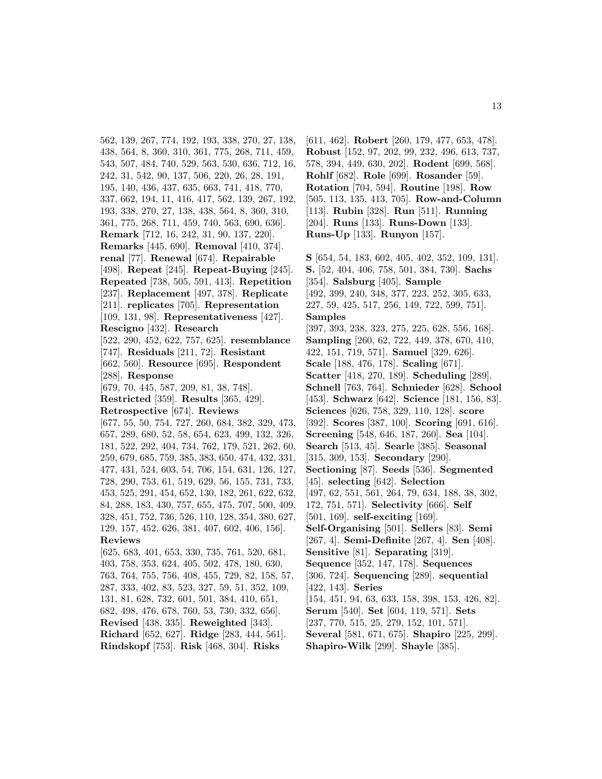562, 139, 267, 774, 192, 193, 338, 270, 27, 138, 438, 564, 8, 360, 310, 361, 775, 268, 711, 459, 543, 507, 484, 740, 529, 563, 530, 636, 712, 16, 242, 31, 542, 90, 137, 506, 220, 26, 28, 191, 195, 140, 436, 437, 635, 663, 741, 418, 770, 337, 662, 194, 11, 416, 417, 562, 139, 267, 192, 193, 338, 270, 27, 138, 438, 564, 8, 360, 310, 361, 775, 268, 711, 459, 740, 563, 690, 636]. **Remark** [712, 16, 242, 31, 90, 137, 220]. **Remarks** [445, 690]. **Removal** [410, 374]. **renal** [77]. **Renewal** [674]. **Repairable** [498]. **Repeat** [245]. **Repeat-Buying** [245]. **Repeated** [738, 505, 591, 413]. **Repetition** [237]. **Replacement** [497, 378]. **Replicate** [211]. **replicates** [705]. **Representation** [109, 131, 98]. **Representativeness** [427]. **Rescigno** [432]. **Research** [522, 290, 452, 622, 757, 625]. **resemblance** [747]. **Residuals** [211, 72]. **Resistant** [662, 560]. **Resource** [695]. **Respondent** [288]. **Response** [679, 70, 445, 587, 209, 81, 38, 748]. **Restricted** [359]. **Results** [365, 429]. **Retrospective** [674]. **Reviews** [677, 55, 50, 754, 727, 260, 684, 382, 329, 473, 657, 289, 680, 52, 58, 654, 623, 499, 132, 326, 181, 522, 292, 404, 734, 762, 179, 521, 262, 60, 259, 679, 685, 759, 385, 383, 650, 474, 432, 331, 477, 431, 524, 603, 54, 706, 154, 631, 126, 127, 728, 290, 753, 61, 519, 629, 56, 155, 731, 733, 453, 525, 291, 454, 652, 130, 182, 261, 622, 632, 84, 288, 183, 430, 757, 655, 475, 707, 500, 409, 328, 451, 752, 736, 526, 110, 128, 354, 380, 627, 129, 157, 452, 626, 381, 407, 602, 406, 156]. **Reviews** [625, 683, 401, 653, 330, 735, 761, 520, 681, 403, 758, 353, 624, 405, 502, 478, 180, 630, 763, 764, 755, 756, 408, 455, 729, 82, 158, 57, 287, 333, 402, 83, 523, 327, 59, 51, 352, 109, 131, 81, 628, 732, 601, 501, 384, 410, 651, 682, 498, 476, 678, 760, 53, 730, 332, 656]. **Revised** [438, 335]. **Reweighted** [343]. **Richard** [652, 627]. **Ridge** [283, 444, 561].

**Rindskopf** [753]. **Risk** [468, 304]. **Risks**

[611, 462]. **Robert** [260, 179, 477, 653, 478]. **Robust** [152, 97, 202, 99, 232, 496, 613, 737, 578, 394, 449, 630, 202]. **Rodent** [699, 568]. **Rohlf** [682]. **Role** [699]. **Rosander** [59]. **Rotation** [704, 594]. **Routine** [198]. **Row** [505, 113, 135, 413, 705]. **Row-and-Column** [113]. **Rubin** [328]. **Run** [511]. **Running** [204]. **Runs** [133]. **Runs-Down** [133]. **Runs-Up** [133]. **Runyon** [157].

**S** [654, 54, 183, 602, 405, 402, 352, 109, 131]. **S.** [52, 404, 406, 758, 501, 384, 730]. **Sachs** [354]. **Salsburg** [405]. **Sample** [492, 399, 240, 348, 377, 223, 252, 305, 633, 227, 59, 425, 517, 256, 149, 722, 599, 751]. **Samples** [397, 393, 238, 323, 275, 225, 628, 556, 168]. **Sampling** [260, 62, 722, 449, 378, 670, 410, 422, 151, 719, 571]. **Samuel** [329, 626]. **Scale** [188, 476, 178]. **Scaling** [671]. **Scatter** [418, 270, 189]. **Scheduling** [289]. **Schnell** [763, 764]. **Schnieder** [628]. **School** [453]. **Schwarz** [642]. **Science** [181, 156, 83]. **Sciences** [626, 758, 329, 110, 128]. **score** [392]. **Scores** [387, 100]. **Scoring** [691, 616]. **Screening** [548, 646, 187, 260]. **Sea** [104]. **Search** [513, 45]. **Searle** [385]. **Seasonal** [315, 309, 153]. **Secondary** [290]. **Sectioning** [87]. **Seeds** [536]. **Segmented** [45]. **selecting** [642]. **Selection** [497, 62, 551, 561, 264, 79, 634, 188, 38, 302, 172, 751, 571]. **Selectivity** [666]. **Self** [501, 169]. **self-exciting** [169]. **Self-Organising** [501]. **Sellers** [83]. **Semi** [267, 4]. **Semi-Definite** [267, 4]. **Sen** [408]. **Sensitive** [81]. **Separating** [319]. **Sequence** [352, 147, 178]. **Sequences** [306, 724]. **Sequencing** [289]. **sequential** [422, 143]. **Series** [154, 451, 94, 63, 633, 158, 398, 153, 426, 82]. **Serum** [540]. **Set** [604, 119, 571]. **Sets** [237, 770, 515, 25, 279, 152, 101, 571]. **Several** [581, 671, 675]. **Shapiro** [225, 299].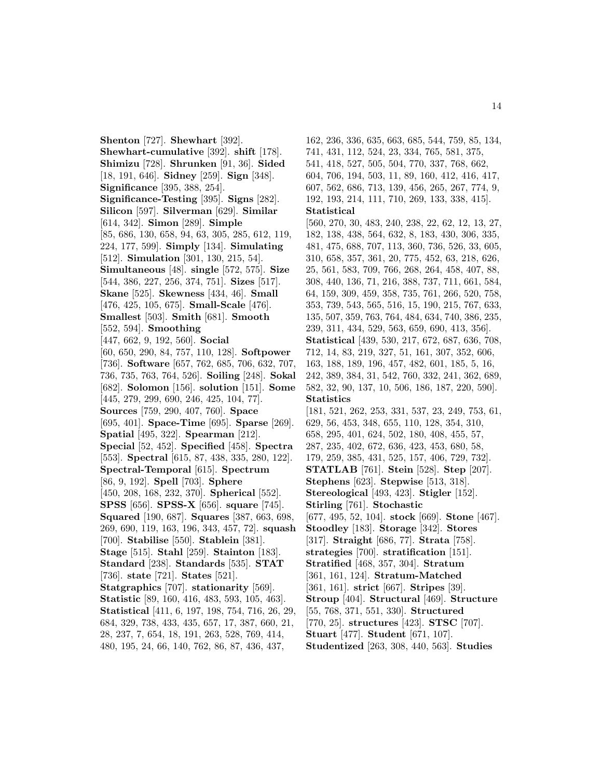**Shenton** [727]. **Shewhart** [392]. **Shewhart-cumulative** [392]. **shift** [178]. **Shimizu** [728]. **Shrunken** [91, 36]. **Sided** [18, 191, 646]. **Sidney** [259]. **Sign** [348]. **Significance** [395, 388, 254]. **Significance-Testing** [395]. **Signs** [282]. **Silicon** [597]. **Silverman** [629]. **Similar** [614, 342]. **Simon** [289]. **Simple** [85, 686, 130, 658, 94, 63, 305, 285, 612, 119, 224, 177, 599]. **Simply** [134]. **Simulating** [512]. **Simulation** [301, 130, 215, 54]. **Simultaneous** [48]. **single** [572, 575]. **Size** [544, 386, 227, 256, 374, 751]. **Sizes** [517]. **Skane** [525]. **Skewness** [434, 46]. **Small** [476, 425, 105, 675]. **Small-Scale** [476]. **Smallest** [503]. **Smith** [681]. **Smooth** [552, 594]. **Smoothing** [447, 662, 9, 192, 560]. **Social** [60, 650, 290, 84, 757, 110, 128]. **Softpower** [736]. **Software** [657, 762, 685, 706, 632, 707, 736, 735, 763, 764, 526]. **Soiling** [248]. **Sokal** [682]. **Solomon** [156]. **solution** [151]. **Some** [445, 279, 299, 690, 246, 425, 104, 77]. **Sources** [759, 290, 407, 760]. **Space** [695, 401]. **Space-Time** [695]. **Sparse** [269]. **Spatial** [495, 322]. **Spearman** [212]. **Special** [52, 452]. **Specified** [458]. **Spectra** [553]. **Spectral** [615, 87, 438, 335, 280, 122]. **Spectral-Temporal** [615]. **Spectrum** [86, 9, 192]. **Spell** [703]. **Sphere** [450, 208, 168, 232, 370]. **Spherical** [552]. **SPSS** [656]. **SPSS-X** [656]. **square** [745]. **Squared** [190, 687]. **Squares** [387, 663, 698, 269, 690, 119, 163, 196, 343, 457, 72]. **squash** [700]. **Stabilise** [550]. **Stablein** [381]. **Stage** [515]. **Stahl** [259]. **Stainton** [183]. **Standard** [238]. **Standards** [535]. **STAT** [736]. **state** [721]. **States** [521]. **Statgraphics** [707]. **stationarity** [569]. **Statistic** [89, 160, 416, 483, 593, 105, 463]. **Statistical** [411, 6, 197, 198, 754, 716, 26, 29, 684, 329, 738, 433, 435, 657, 17, 387, 660, 21, 28, 237, 7, 654, 18, 191, 263, 528, 769, 414, 480, 195, 24, 66, 140, 762, 86, 87, 436, 437,

162, 236, 336, 635, 663, 685, 544, 759, 85, 134, 741, 431, 112, 524, 23, 334, 765, 581, 375, 541, 418, 527, 505, 504, 770, 337, 768, 662, 604, 706, 194, 503, 11, 89, 160, 412, 416, 417, 607, 562, 686, 713, 139, 456, 265, 267, 774, 9, 192, 193, 214, 111, 710, 269, 133, 338, 415]. **Statistical** [560, 270, 30, 483, 240, 238, 22, 62, 12, 13, 27, 182, 138, 438, 564, 632, 8, 183, 430, 306, 335, 481, 475, 688, 707, 113, 360, 736, 526, 33, 605, 310, 658, 357, 361, 20, 775, 452, 63, 218, 626, 25, 561, 583, 709, 766, 268, 264, 458, 407, 88, 308, 440, 136, 71, 216, 388, 737, 711, 661, 584, 64, 159, 309, 459, 358, 735, 761, 266, 520, 758, 353, 739, 543, 565, 516, 15, 190, 215, 767, 633, 135, 507, 359, 763, 764, 484, 634, 740, 386, 235, 239, 311, 434, 529, 563, 659, 690, 413, 356]. **Statistical** [439, 530, 217, 672, 687, 636, 708, 712, 14, 83, 219, 327, 51, 161, 307, 352, 606, 163, 188, 189, 196, 457, 482, 601, 185, 5, 16, 242, 389, 384, 31, 542, 760, 332, 241, 362, 689, 582, 32, 90, 137, 10, 506, 186, 187, 220, 590]. **Statistics** [181, 521, 262, 253, 331, 537, 23, 249, 753, 61, 629, 56, 453, 348, 655, 110, 128, 354, 310, 658, 295, 401, 624, 502, 180, 408, 455, 57, 287, 235, 402, 672, 636, 423, 453, 680, 58, 179, 259, 385, 431, 525, 157, 406, 729, 732]. **STATLAB** [761]. **Stein** [528]. **Step** [207]. **Stephens** [623]. **Stepwise** [513, 318]. **Stereological** [493, 423]. **Stigler** [152]. **Stirling** [761]. **Stochastic** [677, 495, 52, 104]. **stock** [669]. **Stone** [467]. **Stoodley** [183]. **Storage** [342]. **Stores** [317]. **Straight** [686, 77]. **Strata** [758]. **strategies** [700]. **stratification** [151]. **Stratified** [468, 357, 304]. **Stratum** [361, 161, 124]. **Stratum-Matched** [361, 161]. **strict** [667]. **Stripes** [39]. **Stroup** [404]. **Structural** [469]. **Structure** [55, 768, 371, 551, 330]. **Structured** [770, 25]. **structures** [423]. **STSC** [707]. **Stuart** [477]. **Student** [671, 107]. **Studentized** [263, 308, 440, 563]. **Studies**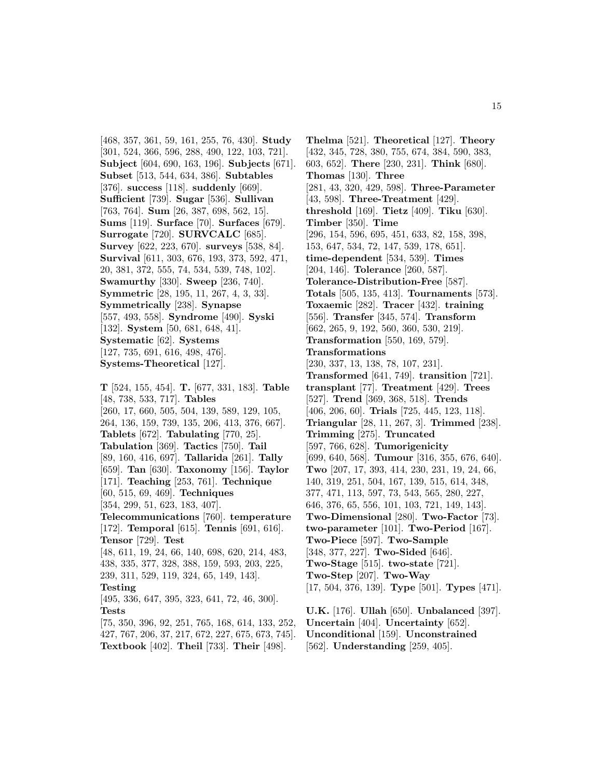[468, 357, 361, 59, 161, 255, 76, 430]. **Study** [301, 524, 366, 596, 288, 490, 122, 103, 721]. **Subject** [604, 690, 163, 196]. **Subjects** [671]. **Subset** [513, 544, 634, 386]. **Subtables** [376]. **success** [118]. **suddenly** [669]. **Sufficient** [739]. **Sugar** [536]. **Sullivan** [763, 764]. **Sum** [26, 387, 698, 562, 15]. **Sums** [119]. **Surface** [70]. **Surfaces** [679]. **Surrogate** [720]. **SURVCALC** [685]. **Survey** [622, 223, 670]. **surveys** [538, 84]. **Survival** [611, 303, 676, 193, 373, 592, 471, 20, 381, 372, 555, 74, 534, 539, 748, 102]. **Swamurthy** [330]. **Sweep** [236, 740]. **Symmetric** [28, 195, 11, 267, 4, 3, 33]. **Symmetrically** [238]. **Synapse** [557, 493, 558]. **Syndrome** [490]. **Syski** [132]. **System** [50, 681, 648, 41]. **Systematic** [62]. **Systems** [127, 735, 691, 616, 498, 476]. **Systems-Theoretical** [127].

**T** [524, 155, 454]. **T.** [677, 331, 183]. **Table** [48, 738, 533, 717]. **Tables** [260, 17, 660, 505, 504, 139, 589, 129, 105, 264, 136, 159, 739, 135, 206, 413, 376, 667]. **Tablets** [672]. **Tabulating** [770, 25]. **Tabulation** [369]. **Tactics** [750]. **Tail** [89, 160, 416, 697]. **Tallarida** [261]. **Tally** [659]. **Tan** [630]. **Taxonomy** [156]. **Taylor** [171]. **Teaching** [253, 761]. **Technique** [60, 515, 69, 469]. **Techniques** [354, 299, 51, 623, 183, 407]. **Telecommunications** [760]. **temperature** [172]. **Temporal** [615]. **Tennis** [691, 616]. **Tensor** [729]. **Test** [48, 611, 19, 24, 66, 140, 698, 620, 214, 483, 438, 335, 377, 328, 388, 159, 593, 203, 225, 239, 311, 529, 119, 324, 65, 149, 143]. **Testing** [495, 336, 647, 395, 323, 641, 72, 46, 300]. **Tests** [75, 350, 396, 92, 251, 765, 168, 614, 133, 252, 427, 767, 206, 37, 217, 672, 227, 675, 673, 745].

**Textbook** [402]. **Theil** [733]. **Their** [498].

**Thelma** [521]. **Theoretical** [127]. **Theory** [432, 345, 728, 380, 755, 674, 384, 590, 383, 603, 652]. **There** [230, 231]. **Think** [680]. **Thomas** [130]. **Three** [281, 43, 320, 429, 598]. **Three-Parameter** [43, 598]. **Three-Treatment** [429]. **threshold** [169]. **Tietz** [409]. **Tiku** [630]. **Timber** [350]. **Time** [296, 154, 596, 695, 451, 633, 82, 158, 398, 153, 647, 534, 72, 147, 539, 178, 651]. **time-dependent** [534, 539]. **Times** [204, 146]. **Tolerance** [260, 587]. **Tolerance-Distribution-Free** [587]. **Totals** [505, 135, 413]. **Tournaments** [573]. **Toxaemic** [282]. **Tracer** [432]. **training** [556]. **Transfer** [345, 574]. **Transform** [662, 265, 9, 192, 560, 360, 530, 219]. **Transformation** [550, 169, 579]. **Transformations** [230, 337, 13, 138, 78, 107, 231]. **Transformed** [641, 749]. **transition** [721]. **transplant** [77]. **Treatment** [429]. **Trees** [527]. **Trend** [369, 368, 518]. **Trends** [406, 206, 60]. **Trials** [725, 445, 123, 118]. **Triangular** [28, 11, 267, 3]. **Trimmed** [238]. **Trimming** [275]. **Truncated** [597, 766, 628]. **Tumorigenicity** [699, 640, 568]. **Tumour** [316, 355, 676, 640]. **Two** [207, 17, 393, 414, 230, 231, 19, 24, 66, 140, 319, 251, 504, 167, 139, 515, 614, 348, 377, 471, 113, 597, 73, 543, 565, 280, 227, 646, 376, 65, 556, 101, 103, 721, 149, 143]. **Two-Dimensional** [280]. **Two-Factor** [73]. **two-parameter** [101]. **Two-Period** [167]. **Two-Piece** [597]. **Two-Sample** [348, 377, 227]. **Two-Sided** [646]. **Two-Stage** [515]. **two-state** [721]. **Two-Step** [207]. **Two-Way** [17, 504, 376, 139]. **Type** [501]. **Types** [471]. **U.K.** [176]. **Ullah** [650]. **Unbalanced** [397]. **Uncertain** [404]. **Uncertainty** [652].

**Unconditional** [159]. **Unconstrained**

[562]. **Understanding** [259, 405].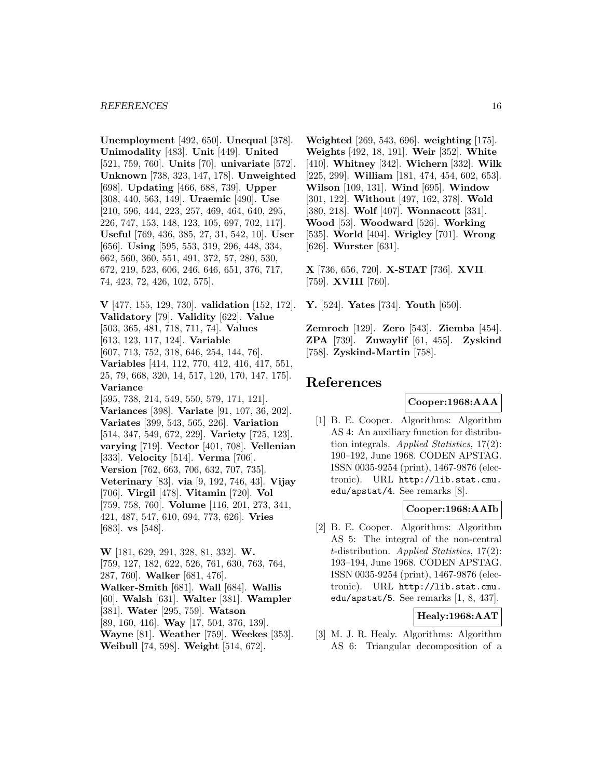**Unemployment** [492, 650]. **Unequal** [378]. **Unimodality** [483]. **Unit** [449]. **United** [521, 759, 760]. **Units** [70]. **univariate** [572]. **Unknown** [738, 323, 147, 178]. **Unweighted** [698]. **Updating** [466, 688, 739]. **Upper** [308, 440, 563, 149]. **Uraemic** [490]. **Use** [210, 596, 444, 223, 257, 469, 464, 640, 295, 226, 747, 153, 148, 123, 105, 697, 702, 117]. **Useful** [769, 436, 385, 27, 31, 542, 10]. **User** [656]. **Using** [595, 553, 319, 296, 448, 334, 662, 560, 360, 551, 491, 372, 57, 280, 530, 672, 219, 523, 606, 246, 646, 651, 376, 717, 74, 423, 72, 426, 102, 575].

**V** [477, 155, 129, 730]. **validation** [152, 172]. **Validatory** [79]. **Validity** [622]. **Value** [503, 365, 481, 718, 711, 74]. **Values** [613, 123, 117, 124]. **Variable** [607, 713, 752, 318, 646, 254, 144, 76]. **Variables** [414, 112, 770, 412, 416, 417, 551, 25, 79, 668, 320, 14, 517, 120, 170, 147, 175]. **Variance** [595, 738, 214, 549, 550, 579, 171, 121]. **Variances** [398]. **Variate** [91, 107, 36, 202]. **Variates** [399, 543, 565, 226]. **Variation** [514, 347, 549, 672, 229]. **Variety** [725, 123]. **varying** [719]. **Vector** [401, 708]. **Vellenian** [333]. **Velocity** [514]. **Verma** [706]. **Version** [762, 663, 706, 632, 707, 735]. **Veterinary** [83]. **via** [9, 192, 746, 43]. **Vijay** [706]. **Virgil** [478]. **Vitamin** [720]. **Vol** [759, 758, 760]. **Volume** [116, 201, 273, 341, 421, 487, 547, 610, 694, 773, 626]. **Vries** [683]. **vs** [548].

**W** [181, 629, 291, 328, 81, 332]. **W.** [759, 127, 182, 622, 526, 761, 630, 763, 764, 287, 760]. **Walker** [681, 476]. **Walker-Smith** [681]. **Wall** [684]. **Wallis** [60]. **Walsh** [631]. **Walter** [381]. **Wampler** [381]. **Water** [295, 759]. **Watson** [89, 160, 416]. **Way** [17, 504, 376, 139]. **Wayne** [81]. **Weather** [759]. **Weekes** [353]. **Weibull** [74, 598]. **Weight** [514, 672].

**Weighted** [269, 543, 696]. **weighting** [175]. **Weights** [492, 18, 191]. **Weir** [352]. **White** [410]. **Whitney** [342]. **Wichern** [332]. **Wilk** [225, 299]. **William** [181, 474, 454, 602, 653]. **Wilson** [109, 131]. **Wind** [695]. **Window** [301, 122]. **Without** [497, 162, 378]. **Wold** [380, 218]. **Wolf** [407]. **Wonnacott** [331]. **Wood** [53]. **Woodward** [526]. **Working** [535]. **World** [404]. **Wrigley** [701]. **Wrong** [626]. **Wurster** [631].

**X** [736, 656, 720]. **X-STAT** [736]. **XVII** [759]. **XVIII** [760].

**Y.** [524]. **Yates** [734]. **Youth** [650].

**Zemroch** [129]. **Zero** [543]. **Ziemba** [454]. **ZPA** [739]. **Zuwaylif** [61, 455]. **Zyskind** [758]. **Zyskind-Martin** [758].

# **References**

### **Cooper:1968:AAA**

[1] B. E. Cooper. Algorithms: Algorithm AS 4: An auxiliary function for distribution integrals. Applied Statistics,  $17(2)$ : 190–192, June 1968. CODEN APSTAG. ISSN 0035-9254 (print), 1467-9876 (electronic). URL http://lib.stat.cmu. edu/apstat/4. See remarks [8].

# **Cooper:1968:AAIb**

[2] B. E. Cooper. Algorithms: Algorithm AS 5: The integral of the non-central  $t$ -distribution. Applied Statistics, 17(2): 193–194, June 1968. CODEN APSTAG. ISSN 0035-9254 (print), 1467-9876 (electronic). URL http://lib.stat.cmu. edu/apstat/5. See remarks [1, 8, 437].

# **Healy:1968:AAT**

[3] M. J. R. Healy. Algorithms: Algorithm AS 6: Triangular decomposition of a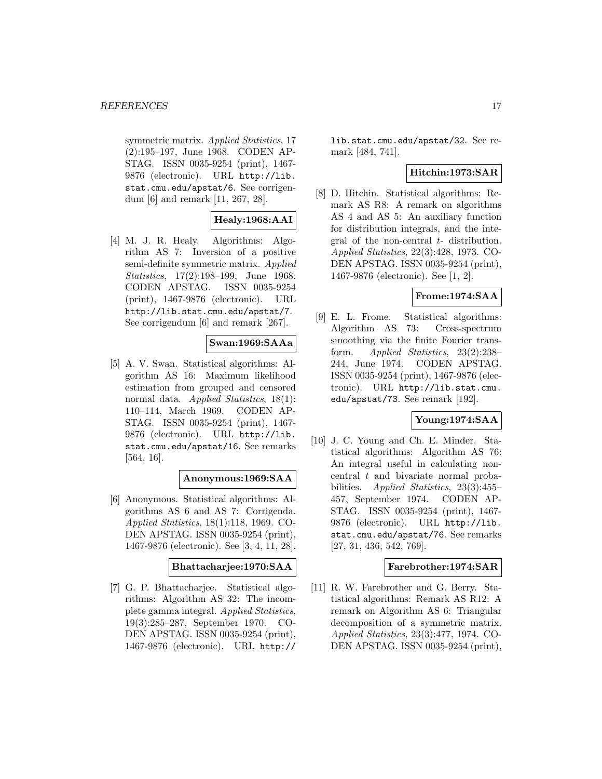symmetric matrix. Applied Statistics, 17 (2):195–197, June 1968. CODEN AP-STAG. ISSN 0035-9254 (print), 1467- 9876 (electronic). URL http://lib. stat.cmu.edu/apstat/6. See corrigendum [6] and remark [11, 267, 28].

# **Healy:1968:AAI**

[4] M. J. R. Healy. Algorithms: Algorithm AS 7: Inversion of a positive semi-definite symmetric matrix. Applied Statistics, 17(2):198–199, June 1968. CODEN APSTAG. ISSN 0035-9254 (print), 1467-9876 (electronic). URL http://lib.stat.cmu.edu/apstat/7. See corrigendum [6] and remark [267].

# **Swan:1969:SAAa**

[5] A. V. Swan. Statistical algorithms: Algorithm AS 16: Maximum likelihood estimation from grouped and censored normal data. *Applied Statistics*, 18(1): 110–114, March 1969. CODEN AP-STAG. ISSN 0035-9254 (print), 1467- 9876 (electronic). URL http://lib. stat.cmu.edu/apstat/16. See remarks [564, 16].

### **Anonymous:1969:SAA**

[6] Anonymous. Statistical algorithms: Algorithms AS 6 and AS 7: Corrigenda. Applied Statistics, 18(1):118, 1969. CO-DEN APSTAG. ISSN 0035-9254 (print), 1467-9876 (electronic). See [3, 4, 11, 28].

### **Bhattacharjee:1970:SAA**

[7] G. P. Bhattacharjee. Statistical algorithms: Algorithm AS 32: The incomplete gamma integral. Applied Statistics, 19(3):285–287, September 1970. CO-DEN APSTAG. ISSN 0035-9254 (print), 1467-9876 (electronic). URL http://

lib.stat.cmu.edu/apstat/32. See remark [484, 741].

# **Hitchin:1973:SAR**

[8] D. Hitchin. Statistical algorithms: Remark AS R8: A remark on algorithms AS 4 and AS 5: An auxiliary function for distribution integrals, and the integral of the non-central t- distribution. Applied Statistics, 22(3):428, 1973. CO-DEN APSTAG. ISSN 0035-9254 (print), 1467-9876 (electronic). See [1, 2].

### **Frome:1974:SAA**

[9] E. L. Frome. Statistical algorithms: Algorithm AS 73: Cross-spectrum smoothing via the finite Fourier transform. Applied Statistics, 23(2):238– 244, June 1974. CODEN APSTAG. ISSN 0035-9254 (print), 1467-9876 (electronic). URL http://lib.stat.cmu. edu/apstat/73. See remark [192].

### **Young:1974:SAA**

[10] J. C. Young and Ch. E. Minder. Statistical algorithms: Algorithm AS 76: An integral useful in calculating noncentral t and bivariate normal probabilities. Applied Statistics, 23(3):455– 457, September 1974. CODEN AP-STAG. ISSN 0035-9254 (print), 1467- 9876 (electronic). URL http://lib. stat.cmu.edu/apstat/76. See remarks [27, 31, 436, 542, 769].

### **Farebrother:1974:SAR**

[11] R. W. Farebrother and G. Berry. Statistical algorithms: Remark AS R12: A remark on Algorithm AS 6: Triangular decomposition of a symmetric matrix. Applied Statistics, 23(3):477, 1974. CO-DEN APSTAG. ISSN 0035-9254 (print),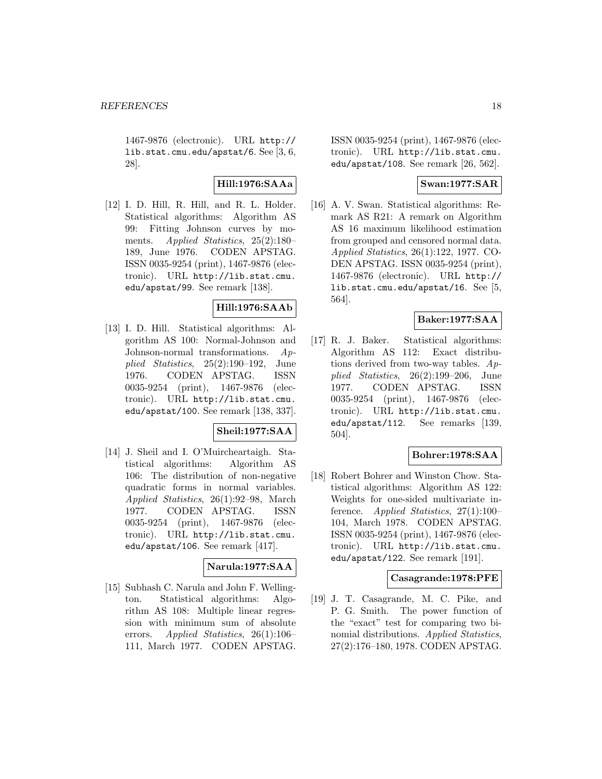1467-9876 (electronic). URL http:// lib.stat.cmu.edu/apstat/6. See [3, 6, 28].

**Hill:1976:SAAa**

[12] I. D. Hill, R. Hill, and R. L. Holder. Statistical algorithms: Algorithm AS 99: Fitting Johnson curves by moments. Applied Statistics, 25(2):180– 189, June 1976. CODEN APSTAG. ISSN 0035-9254 (print), 1467-9876 (electronic). URL http://lib.stat.cmu. edu/apstat/99. See remark [138].

# **Hill:1976:SAAb**

[13] I. D. Hill. Statistical algorithms: Algorithm AS 100: Normal-Johnson and Johnson-normal transformations. Applied Statistics, 25(2):190–192, June 1976. CODEN APSTAG. ISSN 0035-9254 (print), 1467-9876 (electronic). URL http://lib.stat.cmu. edu/apstat/100. See remark [138, 337].

### **Sheil:1977:SAA**

[14] J. Sheil and I. O'Muircheartaigh. Statistical algorithms: Algorithm AS 106: The distribution of non-negative quadratic forms in normal variables. Applied Statistics, 26(1):92–98, March 1977. CODEN APSTAG. ISSN 0035-9254 (print), 1467-9876 (electronic). URL http://lib.stat.cmu. edu/apstat/106. See remark [417].

# **Narula:1977:SAA**

[15] Subhash C. Narula and John F. Wellington. Statistical algorithms: Algorithm AS 108: Multiple linear regression with minimum sum of absolute errors. Applied Statistics, 26(1):106– 111, March 1977. CODEN APSTAG.

ISSN 0035-9254 (print), 1467-9876 (electronic). URL http://lib.stat.cmu. edu/apstat/108. See remark [26, 562].

# **Swan:1977:SAR**

[16] A. V. Swan. Statistical algorithms: Remark AS R21: A remark on Algorithm AS 16 maximum likelihood estimation from grouped and censored normal data. Applied Statistics, 26(1):122, 1977. CO-DEN APSTAG. ISSN 0035-9254 (print), 1467-9876 (electronic). URL http:// lib.stat.cmu.edu/apstat/16. See [5, 564].

# **Baker:1977:SAA**

[17] R. J. Baker. Statistical algorithms: Algorithm AS 112: Exact distributions derived from two-way tables. Applied Statistics, 26(2):199–206, June 1977. CODEN APSTAG. ISSN 0035-9254 (print), 1467-9876 (electronic). URL http://lib.stat.cmu. edu/apstat/112. See remarks [139, 504].

# **Bohrer:1978:SAA**

[18] Robert Bohrer and Winston Chow. Statistical algorithms: Algorithm AS 122: Weights for one-sided multivariate inference. Applied Statistics, 27(1):100– 104, March 1978. CODEN APSTAG. ISSN 0035-9254 (print), 1467-9876 (electronic). URL http://lib.stat.cmu. edu/apstat/122. See remark [191].

### **Casagrande:1978:PFE**

[19] J. T. Casagrande, M. C. Pike, and P. G. Smith. The power function of the "exact" test for comparing two binomial distributions. Applied Statistics, 27(2):176–180, 1978. CODEN APSTAG.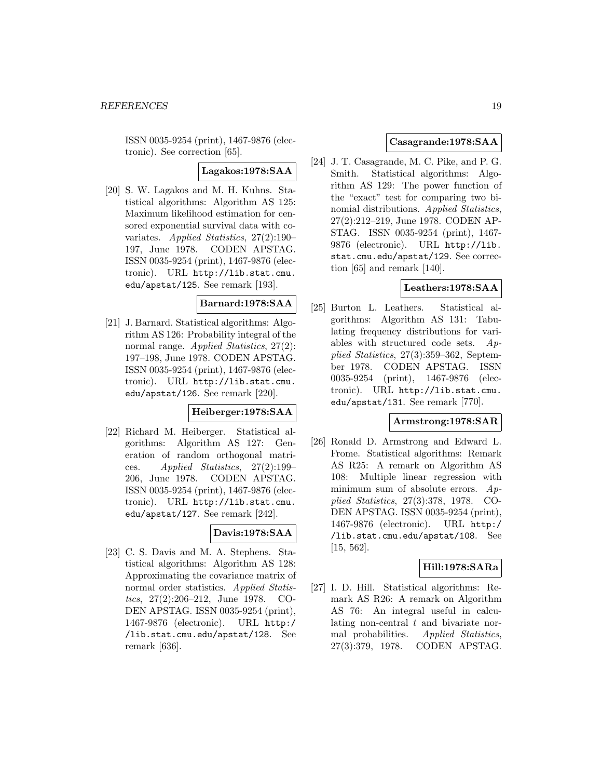ISSN 0035-9254 (print), 1467-9876 (electronic). See correction [65].

**Lagakos:1978:SAA**

[20] S. W. Lagakos and M. H. Kuhns. Statistical algorithms: Algorithm AS 125: Maximum likelihood estimation for censored exponential survival data with covariates. Applied Statistics, 27(2):190– 197, June 1978. CODEN APSTAG. ISSN 0035-9254 (print), 1467-9876 (electronic). URL http://lib.stat.cmu. edu/apstat/125. See remark [193].

# **Barnard:1978:SAA**

[21] J. Barnard. Statistical algorithms: Algorithm AS 126: Probability integral of the normal range. Applied Statistics, 27(2): 197–198, June 1978. CODEN APSTAG. ISSN 0035-9254 (print), 1467-9876 (electronic). URL http://lib.stat.cmu. edu/apstat/126. See remark [220].

### **Heiberger:1978:SAA**

[22] Richard M. Heiberger. Statistical algorithms: Algorithm AS 127: Generation of random orthogonal matrices. Applied Statistics,  $27(2):199-$ 206, June 1978. CODEN APSTAG. ISSN 0035-9254 (print), 1467-9876 (electronic). URL http://lib.stat.cmu. edu/apstat/127. See remark [242].

### **Davis:1978:SAA**

[23] C. S. Davis and M. A. Stephens. Statistical algorithms: Algorithm AS 128: Approximating the covariance matrix of normal order statistics. Applied Statistics, 27(2):206–212, June 1978. CO-DEN APSTAG. ISSN 0035-9254 (print), 1467-9876 (electronic). URL http:/ /lib.stat.cmu.edu/apstat/128. See remark [636].

### **Casagrande:1978:SAA**

[24] J. T. Casagrande, M. C. Pike, and P. G. Smith. Statistical algorithms: Algorithm AS 129: The power function of the "exact" test for comparing two binomial distributions. Applied Statistics, 27(2):212–219, June 1978. CODEN AP-STAG. ISSN 0035-9254 (print), 1467- 9876 (electronic). URL http://lib. stat.cmu.edu/apstat/129. See correction [65] and remark [140].

### **Leathers:1978:SAA**

[25] Burton L. Leathers. Statistical algorithms: Algorithm AS 131: Tabulating frequency distributions for variables with structured code sets. Applied Statistics, 27(3):359–362, September 1978. CODEN APSTAG. ISSN 0035-9254 (print), 1467-9876 (electronic). URL http://lib.stat.cmu. edu/apstat/131. See remark [770].

### **Armstrong:1978:SAR**

[26] Ronald D. Armstrong and Edward L. Frome. Statistical algorithms: Remark AS R25: A remark on Algorithm AS 108: Multiple linear regression with minimum sum of absolute errors. Applied Statistics, 27(3):378, 1978. CO-DEN APSTAG. ISSN 0035-9254 (print), 1467-9876 (electronic). URL http:/ /lib.stat.cmu.edu/apstat/108. See [15, 562].

# **Hill:1978:SARa**

[27] I. D. Hill. Statistical algorithms: Remark AS R26: A remark on Algorithm AS 76: An integral useful in calculating non-central  $t$  and bivariate normal probabilities. Applied Statistics, 27(3):379, 1978. CODEN APSTAG.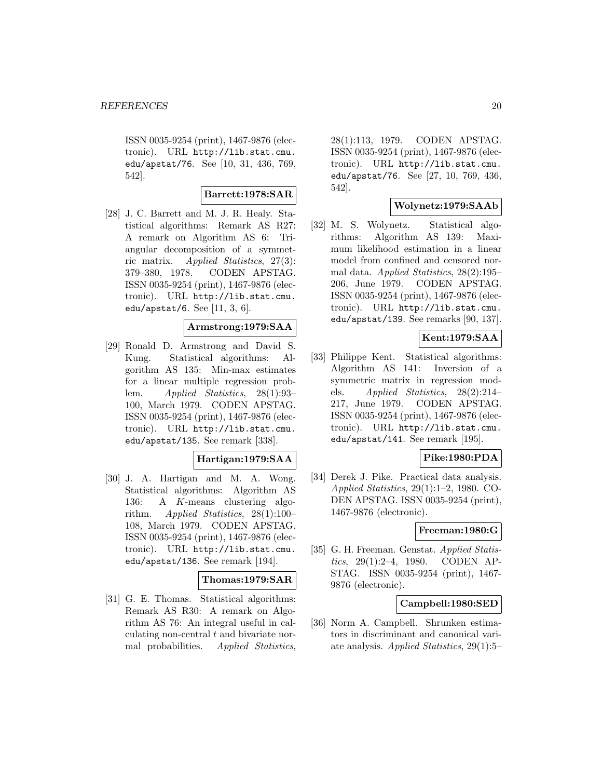ISSN 0035-9254 (print), 1467-9876 (electronic). URL http://lib.stat.cmu. edu/apstat/76. See [10, 31, 436, 769, 542].

# **Barrett:1978:SAR**

[28] J. C. Barrett and M. J. R. Healy. Statistical algorithms: Remark AS R27: A remark on Algorithm AS 6: Triangular decomposition of a symmetric matrix. Applied Statistics, 27(3): 379–380, 1978. CODEN APSTAG. ISSN 0035-9254 (print), 1467-9876 (electronic). URL http://lib.stat.cmu. edu/apstat/6. See [11, 3, 6].

# **Armstrong:1979:SAA**

[29] Ronald D. Armstrong and David S. Kung. Statistical algorithms: Algorithm AS 135: Min-max estimates for a linear multiple regression problem. Applied Statistics, 28(1):93– 100, March 1979. CODEN APSTAG. ISSN 0035-9254 (print), 1467-9876 (electronic). URL http://lib.stat.cmu. edu/apstat/135. See remark [338].

# **Hartigan:1979:SAA**

[30] J. A. Hartigan and M. A. Wong. Statistical algorithms: Algorithm AS 136: A K-means clustering algorithm. Applied Statistics, 28(1):100– 108, March 1979. CODEN APSTAG. ISSN 0035-9254 (print), 1467-9876 (electronic). URL http://lib.stat.cmu. edu/apstat/136. See remark [194].

### **Thomas:1979:SAR**

[31] G. E. Thomas. Statistical algorithms: Remark AS R30: A remark on Algorithm AS 76: An integral useful in calculating non-central t and bivariate normal probabilities. Applied Statistics,

28(1):113, 1979. CODEN APSTAG. ISSN 0035-9254 (print), 1467-9876 (electronic). URL http://lib.stat.cmu. edu/apstat/76. See [27, 10, 769, 436, 542].

### **Wolynetz:1979:SAAb**

[32] M. S. Wolynetz. Statistical algorithms: Algorithm AS 139: Maximum likelihood estimation in a linear model from confined and censored normal data. Applied Statistics, 28(2):195– 206, June 1979. CODEN APSTAG. ISSN 0035-9254 (print), 1467-9876 (electronic). URL http://lib.stat.cmu. edu/apstat/139. See remarks [90, 137].

# **Kent:1979:SAA**

[33] Philippe Kent. Statistical algorithms: Algorithm AS 141: Inversion of a symmetric matrix in regression models. Applied Statistics,  $28(2):214-$ 217, June 1979. CODEN APSTAG. ISSN 0035-9254 (print), 1467-9876 (electronic). URL http://lib.stat.cmu. edu/apstat/141. See remark [195].

# **Pike:1980:PDA**

[34] Derek J. Pike. Practical data analysis. Applied Statistics, 29(1):1–2, 1980. CO-DEN APSTAG. ISSN 0035-9254 (print), 1467-9876 (electronic).

### **Freeman:1980:G**

[35] G. H. Freeman. Genstat. Applied Statistics, 29(1):2–4, 1980. CODEN AP-STAG. ISSN 0035-9254 (print), 1467- 9876 (electronic).

#### **Campbell:1980:SED**

[36] Norm A. Campbell. Shrunken estimators in discriminant and canonical variate analysis. Applied Statistics, 29(1):5–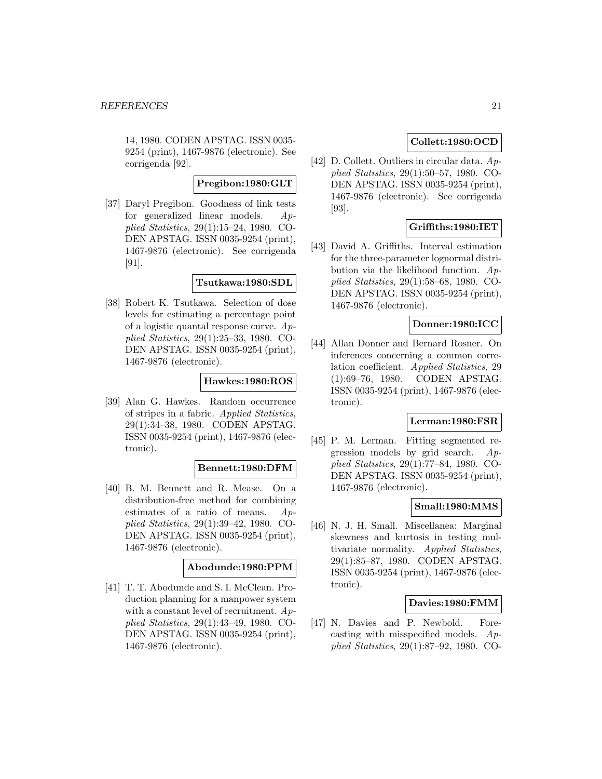14, 1980. CODEN APSTAG. ISSN 0035- 9254 (print), 1467-9876 (electronic). See corrigenda [92].

### **Pregibon:1980:GLT**

[37] Daryl Pregibon. Goodness of link tests for generalized linear models. Applied Statistics, 29(1):15–24, 1980. CO-DEN APSTAG. ISSN 0035-9254 (print), 1467-9876 (electronic). See corrigenda [91].

### **Tsutkawa:1980:SDL**

[38] Robert K. Tsutkawa. Selection of dose levels for estimating a percentage point of a logistic quantal response curve. Applied Statistics, 29(1):25–33, 1980. CO-DEN APSTAG. ISSN 0035-9254 (print), 1467-9876 (electronic).

### **Hawkes:1980:ROS**

[39] Alan G. Hawkes. Random occurrence of stripes in a fabric. Applied Statistics, 29(1):34–38, 1980. CODEN APSTAG. ISSN 0035-9254 (print), 1467-9876 (electronic).

### **Bennett:1980:DFM**

[40] B. M. Bennett and R. Mease. On a distribution-free method for combining estimates of a ratio of means. Applied Statistics, 29(1):39–42, 1980. CO-DEN APSTAG. ISSN 0035-9254 (print), 1467-9876 (electronic).

# **Abodunde:1980:PPM**

[41] T. T. Abodunde and S. I. McClean. Production planning for a manpower system with a constant level of recruitment.  $Ap$ plied Statistics, 29(1):43–49, 1980. CO-DEN APSTAG. ISSN 0035-9254 (print), 1467-9876 (electronic).

# **Collett:1980:OCD**

[42] D. Collett. Outliers in circular data. Applied Statistics, 29(1):50–57, 1980. CO-DEN APSTAG. ISSN 0035-9254 (print), 1467-9876 (electronic). See corrigenda [93].

# **Griffiths:1980:IET**

[43] David A. Griffiths. Interval estimation for the three-parameter lognormal distribution via the likelihood function.  $Ap$ plied Statistics, 29(1):58–68, 1980. CO-DEN APSTAG. ISSN 0035-9254 (print), 1467-9876 (electronic).

# **Donner:1980:ICC**

[44] Allan Donner and Bernard Rosner. On inferences concerning a common correlation coefficient. Applied Statistics, 29 (1):69–76, 1980. CODEN APSTAG. ISSN 0035-9254 (print), 1467-9876 (electronic).

# **Lerman:1980:FSR**

[45] P. M. Lerman. Fitting segmented regression models by grid search. Applied Statistics, 29(1):77–84, 1980. CO-DEN APSTAG. ISSN 0035-9254 (print), 1467-9876 (electronic).

### **Small:1980:MMS**

[46] N. J. H. Small. Miscellanea: Marginal skewness and kurtosis in testing multivariate normality. Applied Statistics, 29(1):85–87, 1980. CODEN APSTAG. ISSN 0035-9254 (print), 1467-9876 (electronic).

### **Davies:1980:FMM**

[47] N. Davies and P. Newbold. Forecasting with misspecified models. Applied Statistics, 29(1):87–92, 1980. CO-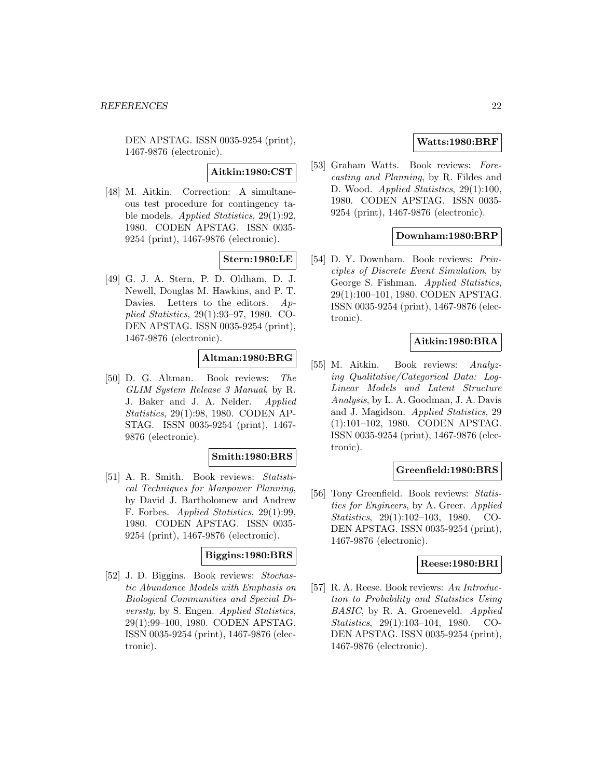DEN APSTAG. ISSN 0035-9254 (print), 1467-9876 (electronic).

**Aitkin:1980:CST**

[48] M. Aitkin. Correction: A simultaneous test procedure for contingency table models. Applied Statistics, 29(1):92, 1980. CODEN APSTAG. ISSN 0035- 9254 (print), 1467-9876 (electronic).

# **Stern:1980:LE**

[49] G. J. A. Stern, P. D. Oldham, D. J. Newell, Douglas M. Hawkins, and P. T. Davies. Letters to the editors. Applied Statistics, 29(1):93–97, 1980. CO-DEN APSTAG. ISSN 0035-9254 (print), 1467-9876 (electronic).

# **Altman:1980:BRG**

[50] D. G. Altman. Book reviews: The GLIM System Release 3 Manual, by R. J. Baker and J. A. Nelder. Applied Statistics, 29(1):98, 1980. CODEN AP-STAG. ISSN 0035-9254 (print), 1467- 9876 (electronic).

### **Smith:1980:BRS**

[51] A. R. Smith. Book reviews: Statistical Techniques for Manpower Planning, by David J. Bartholomew and Andrew F. Forbes. Applied Statistics, 29(1):99, 1980. CODEN APSTAG. ISSN 0035- 9254 (print), 1467-9876 (electronic).

### **Biggins:1980:BRS**

[52] J. D. Biggins. Book reviews: Stochastic Abundance Models with Emphasis on Biological Communities and Special Diversity, by S. Engen. Applied Statistics, 29(1):99–100, 1980. CODEN APSTAG. ISSN 0035-9254 (print), 1467-9876 (electronic).

### **Watts:1980:BRF**

[53] Graham Watts. Book reviews: Forecasting and Planning, by R. Fildes and D. Wood. Applied Statistics, 29(1):100, 1980. CODEN APSTAG. ISSN 0035- 9254 (print), 1467-9876 (electronic).

# **Downham:1980:BRP**

[54] D. Y. Downham. Book reviews: Principles of Discrete Event Simulation, by George S. Fishman. Applied Statistics, 29(1):100–101, 1980. CODEN APSTAG. ISSN 0035-9254 (print), 1467-9876 (electronic).

# **Aitkin:1980:BRA**

[55] M. Aitkin. Book reviews: Analyzing Qualitative/Categorical Data: Log-Linear Models and Latent Structure Analysis, by L. A. Goodman, J. A. Davis and J. Magidson. Applied Statistics, 29 (1):101–102, 1980. CODEN APSTAG. ISSN 0035-9254 (print), 1467-9876 (electronic).

# **Greenfield:1980:BRS**

[56] Tony Greenfield. Book reviews: Statistics for Engineers, by A. Greer. Applied Statistics, 29(1):102–103, 1980. CO-DEN APSTAG. ISSN 0035-9254 (print), 1467-9876 (electronic).

### **Reese:1980:BRI**

[57] R. A. Reese. Book reviews: An Introduction to Probability and Statistics Using BASIC, by R. A. Groeneveld. Applied Statistics, 29(1):103–104, 1980. CO-DEN APSTAG. ISSN 0035-9254 (print), 1467-9876 (electronic).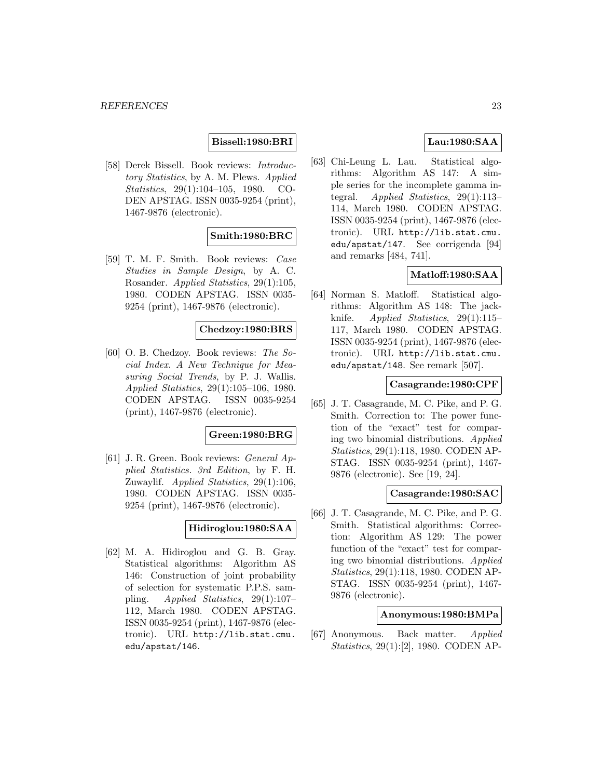# **Bissell:1980:BRI**

[58] Derek Bissell. Book reviews: Introductory Statistics, by A. M. Plews. Applied Statistics, 29(1):104–105, 1980. CO-DEN APSTAG. ISSN 0035-9254 (print), 1467-9876 (electronic).

# **Smith:1980:BRC**

[59] T. M. F. Smith. Book reviews: Case Studies in Sample Design, by A. C. Rosander. Applied Statistics, 29(1):105, 1980. CODEN APSTAG. ISSN 0035- 9254 (print), 1467-9876 (electronic).

### **Chedzoy:1980:BRS**

[60] O. B. Chedzoy. Book reviews: The Social Index. A New Technique for Measuring Social Trends, by P. J. Wallis. Applied Statistics, 29(1):105–106, 1980. CODEN APSTAG. ISSN 0035-9254 (print), 1467-9876 (electronic).

#### **Green:1980:BRG**

[61] J. R. Green. Book reviews: General Applied Statistics. 3rd Edition, by F. H. Zuwaylif. Applied Statistics, 29(1):106, 1980. CODEN APSTAG. ISSN 0035- 9254 (print), 1467-9876 (electronic).

### **Hidiroglou:1980:SAA**

[62] M. A. Hidiroglou and G. B. Gray. Statistical algorithms: Algorithm AS 146: Construction of joint probability of selection for systematic P.P.S. sampling. Applied Statistics, 29(1):107– 112, March 1980. CODEN APSTAG. ISSN 0035-9254 (print), 1467-9876 (electronic). URL http://lib.stat.cmu. edu/apstat/146.

# **Lau:1980:SAA**

[63] Chi-Leung L. Lau. Statistical algorithms: Algorithm AS 147: A simple series for the incomplete gamma integral. Applied Statistics, 29(1):113– 114, March 1980. CODEN APSTAG. ISSN 0035-9254 (print), 1467-9876 (electronic). URL http://lib.stat.cmu. edu/apstat/147. See corrigenda [94] and remarks [484, 741].

# **Matloff:1980:SAA**

[64] Norman S. Matloff. Statistical algorithms: Algorithm AS 148: The jackknife. Applied Statistics, 29(1):115– 117, March 1980. CODEN APSTAG. ISSN 0035-9254 (print), 1467-9876 (electronic). URL http://lib.stat.cmu. edu/apstat/148. See remark [507].

#### **Casagrande:1980:CPF**

[65] J. T. Casagrande, M. C. Pike, and P. G. Smith. Correction to: The power function of the "exact" test for comparing two binomial distributions. Applied Statistics, 29(1):118, 1980. CODEN AP-STAG. ISSN 0035-9254 (print), 1467- 9876 (electronic). See [19, 24].

#### **Casagrande:1980:SAC**

[66] J. T. Casagrande, M. C. Pike, and P. G. Smith. Statistical algorithms: Correction: Algorithm AS 129: The power function of the "exact" test for comparing two binomial distributions. Applied Statistics, 29(1):118, 1980. CODEN AP-STAG. ISSN 0035-9254 (print), 1467- 9876 (electronic).

#### **Anonymous:1980:BMPa**

[67] Anonymous. Back matter. Applied Statistics, 29(1):[2], 1980. CODEN AP-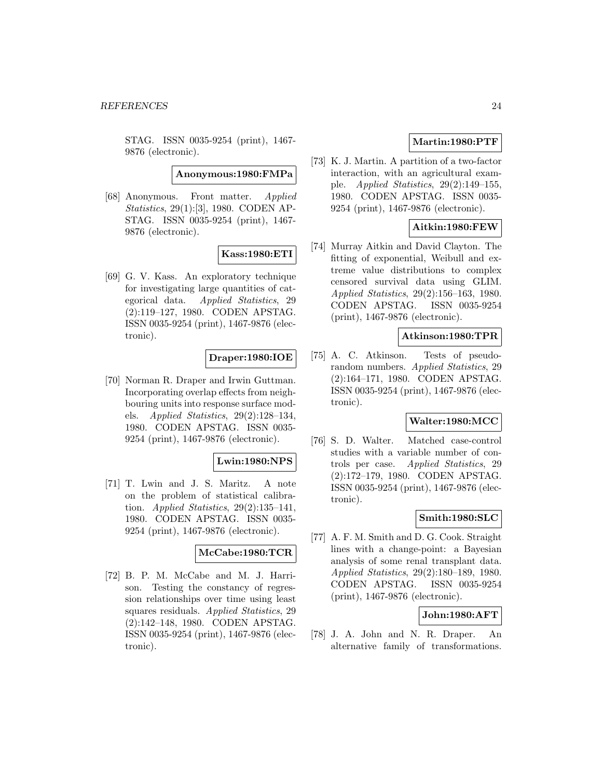STAG. ISSN 0035-9254 (print), 1467- 9876 (electronic).

**Anonymous:1980:FMPa**

[68] Anonymous. Front matter. Applied Statistics, 29(1):[3], 1980. CODEN AP-STAG. ISSN 0035-9254 (print), 1467- 9876 (electronic).

# **Kass:1980:ETI**

[69] G. V. Kass. An exploratory technique for investigating large quantities of categorical data. Applied Statistics, 29 (2):119–127, 1980. CODEN APSTAG. ISSN 0035-9254 (print), 1467-9876 (electronic).

# **Draper:1980:IOE**

[70] Norman R. Draper and Irwin Guttman. Incorporating overlap effects from neighbouring units into response surface models. Applied Statistics, 29(2):128–134, 1980. CODEN APSTAG. ISSN 0035- 9254 (print), 1467-9876 (electronic).

### **Lwin:1980:NPS**

[71] T. Lwin and J. S. Maritz. A note on the problem of statistical calibration. Applied Statistics,  $29(2):135-141$ , 1980. CODEN APSTAG. ISSN 0035- 9254 (print), 1467-9876 (electronic).

#### **McCabe:1980:TCR**

[72] B. P. M. McCabe and M. J. Harrison. Testing the constancy of regression relationships over time using least squares residuals. Applied Statistics, 29 (2):142–148, 1980. CODEN APSTAG. ISSN 0035-9254 (print), 1467-9876 (electronic).

# **Martin:1980:PTF**

[73] K. J. Martin. A partition of a two-factor interaction, with an agricultural example. Applied Statistics, 29(2):149–155, 1980. CODEN APSTAG. ISSN 0035- 9254 (print), 1467-9876 (electronic).

# **Aitkin:1980:FEW**

[74] Murray Aitkin and David Clayton. The fitting of exponential, Weibull and extreme value distributions to complex censored survival data using GLIM. Applied Statistics, 29(2):156–163, 1980. CODEN APSTAG. ISSN 0035-9254 (print), 1467-9876 (electronic).

### **Atkinson:1980:TPR**

[75] A. C. Atkinson. Tests of pseudorandom numbers. Applied Statistics, 29 (2):164–171, 1980. CODEN APSTAG. ISSN 0035-9254 (print), 1467-9876 (electronic).

### **Walter:1980:MCC**

[76] S. D. Walter. Matched case-control studies with a variable number of controls per case. Applied Statistics, 29 (2):172–179, 1980. CODEN APSTAG. ISSN 0035-9254 (print), 1467-9876 (electronic).

### **Smith:1980:SLC**

[77] A. F. M. Smith and D. G. Cook. Straight lines with a change-point: a Bayesian analysis of some renal transplant data. Applied Statistics, 29(2):180–189, 1980. CODEN APSTAG. ISSN 0035-9254 (print), 1467-9876 (electronic).

### **John:1980:AFT**

[78] J. A. John and N. R. Draper. An alternative family of transformations.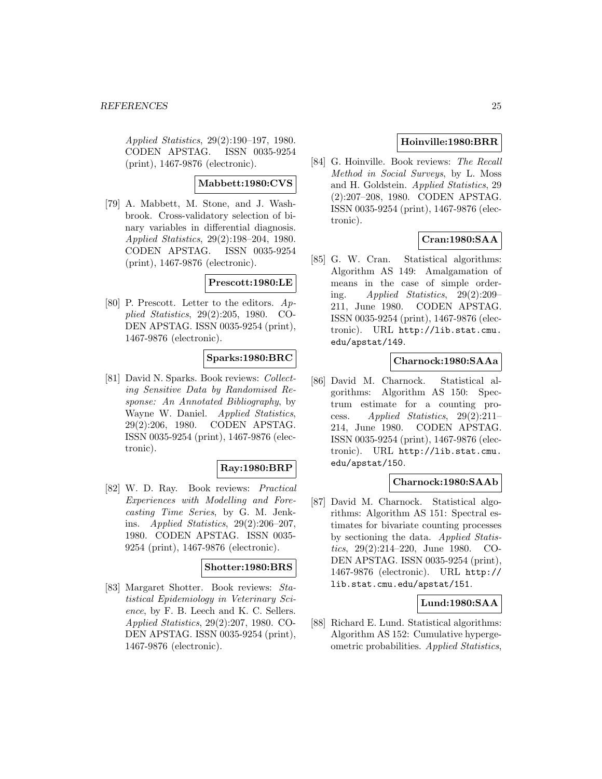Applied Statistics, 29(2):190–197, 1980. CODEN APSTAG. ISSN 0035-9254 (print), 1467-9876 (electronic).

### **Mabbett:1980:CVS**

[79] A. Mabbett, M. Stone, and J. Washbrook. Cross-validatory selection of binary variables in differential diagnosis. Applied Statistics, 29(2):198–204, 1980. CODEN APSTAG. ISSN 0035-9254 (print), 1467-9876 (electronic).

### **Prescott:1980:LE**

[80] P. Prescott. Letter to the editors. Applied Statistics, 29(2):205, 1980. CO-DEN APSTAG. ISSN 0035-9254 (print), 1467-9876 (electronic).

# **Sparks:1980:BRC**

[81] David N. Sparks. Book reviews: Collecting Sensitive Data by Randomised Response: An Annotated Bibliography, by Wayne W. Daniel. Applied Statistics, 29(2):206, 1980. CODEN APSTAG. ISSN 0035-9254 (print), 1467-9876 (electronic).

#### **Ray:1980:BRP**

[82] W. D. Ray. Book reviews: Practical Experiences with Modelling and Forecasting Time Series, by G. M. Jenkins. Applied Statistics, 29(2):206–207, 1980. CODEN APSTAG. ISSN 0035- 9254 (print), 1467-9876 (electronic).

### **Shotter:1980:BRS**

[83] Margaret Shotter. Book reviews: Statistical Epidemiology in Veterinary Science, by F. B. Leech and K. C. Sellers. Applied Statistics, 29(2):207, 1980. CO-DEN APSTAG. ISSN 0035-9254 (print), 1467-9876 (electronic).

# **Hoinville:1980:BRR**

[84] G. Hoinville. Book reviews: The Recall Method in Social Surveys, by L. Moss and H. Goldstein. Applied Statistics, 29 (2):207–208, 1980. CODEN APSTAG. ISSN 0035-9254 (print), 1467-9876 (electronic).

# **Cran:1980:SAA**

[85] G. W. Cran. Statistical algorithms: Algorithm AS 149: Amalgamation of means in the case of simple ordering. Applied Statistics, 29(2):209– 211, June 1980. CODEN APSTAG. ISSN 0035-9254 (print), 1467-9876 (electronic). URL http://lib.stat.cmu. edu/apstat/149.

### **Charnock:1980:SAAa**

[86] David M. Charnock. Statistical algorithms: Algorithm AS 150: Spectrum estimate for a counting process. Applied Statistics, 29(2):211– 214, June 1980. CODEN APSTAG. ISSN 0035-9254 (print), 1467-9876 (electronic). URL http://lib.stat.cmu. edu/apstat/150.

### **Charnock:1980:SAAb**

[87] David M. Charnock. Statistical algorithms: Algorithm AS 151: Spectral estimates for bivariate counting processes by sectioning the data. Applied Statistics, 29(2):214–220, June 1980. CO-DEN APSTAG. ISSN 0035-9254 (print), 1467-9876 (electronic). URL http:// lib.stat.cmu.edu/apstat/151.

# **Lund:1980:SAA**

[88] Richard E. Lund. Statistical algorithms: Algorithm AS 152: Cumulative hypergeometric probabilities. Applied Statistics,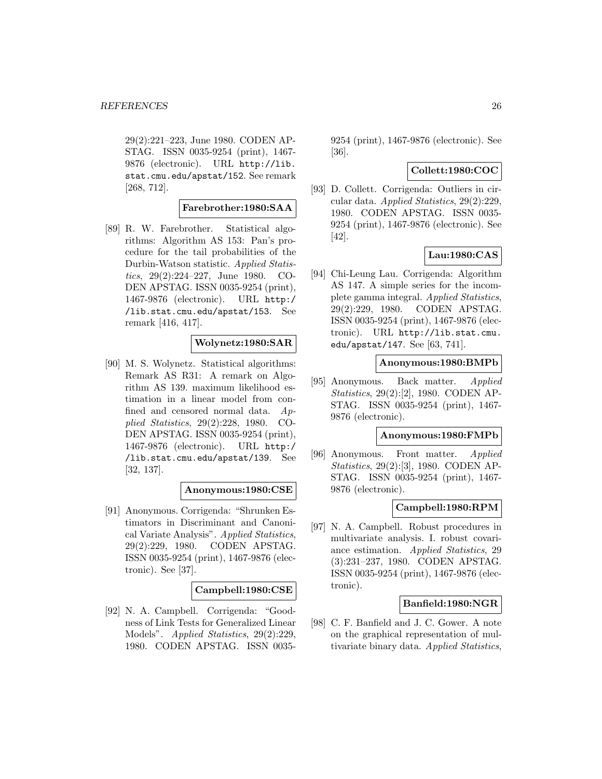29(2):221–223, June 1980. CODEN AP-STAG. ISSN 0035-9254 (print), 1467- 9876 (electronic). URL http://lib. stat.cmu.edu/apstat/152. See remark [268, 712].

### **Farebrother:1980:SAA**

[89] R. W. Farebrother. Statistical algorithms: Algorithm AS 153: Pan's procedure for the tail probabilities of the Durbin-Watson statistic. Applied Statistics, 29(2):224–227, June 1980. CO-DEN APSTAG. ISSN 0035-9254 (print), 1467-9876 (electronic). URL http:/ /lib.stat.cmu.edu/apstat/153. See remark [416, 417].

### **Wolynetz:1980:SAR**

[90] M. S. Wolynetz. Statistical algorithms: Remark AS R31: A remark on Algorithm AS 139. maximum likelihood estimation in a linear model from confined and censored normal data. Applied Statistics, 29(2):228, 1980. CO-DEN APSTAG. ISSN 0035-9254 (print), 1467-9876 (electronic). URL http:/ /lib.stat.cmu.edu/apstat/139. See [32, 137].

### **Anonymous:1980:CSE**

[91] Anonymous. Corrigenda: "Shrunken Estimators in Discriminant and Canonical Variate Analysis". Applied Statistics, 29(2):229, 1980. CODEN APSTAG. ISSN 0035-9254 (print), 1467-9876 (electronic). See [37].

### **Campbell:1980:CSE**

[92] N. A. Campbell. Corrigenda: "Goodness of Link Tests for Generalized Linear Models". *Applied Statistics*, 29(2):229, 1980. CODEN APSTAG. ISSN 00359254 (print), 1467-9876 (electronic). See [36].

### **Collett:1980:COC**

[93] D. Collett. Corrigenda: Outliers in circular data. Applied Statistics, 29(2):229, 1980. CODEN APSTAG. ISSN 0035- 9254 (print), 1467-9876 (electronic). See [42].

### **Lau:1980:CAS**

[94] Chi-Leung Lau. Corrigenda: Algorithm AS 147. A simple series for the incomplete gamma integral. Applied Statistics, 29(2):229, 1980. CODEN APSTAG. ISSN 0035-9254 (print), 1467-9876 (electronic). URL http://lib.stat.cmu. edu/apstat/147. See [63, 741].

### **Anonymous:1980:BMPb**

[95] Anonymous. Back matter. Applied Statistics, 29(2):[2], 1980. CODEN AP-STAG. ISSN 0035-9254 (print), 1467- 9876 (electronic).

#### **Anonymous:1980:FMPb**

[96] Anonymous. Front matter. Applied Statistics, 29(2):[3], 1980. CODEN AP-STAG. ISSN 0035-9254 (print), 1467- 9876 (electronic).

### **Campbell:1980:RPM**

[97] N. A. Campbell. Robust procedures in multivariate analysis. I. robust covariance estimation. Applied Statistics, 29 (3):231–237, 1980. CODEN APSTAG. ISSN 0035-9254 (print), 1467-9876 (electronic).

#### **Banfield:1980:NGR**

[98] C. F. Banfield and J. C. Gower. A note on the graphical representation of multivariate binary data. Applied Statistics,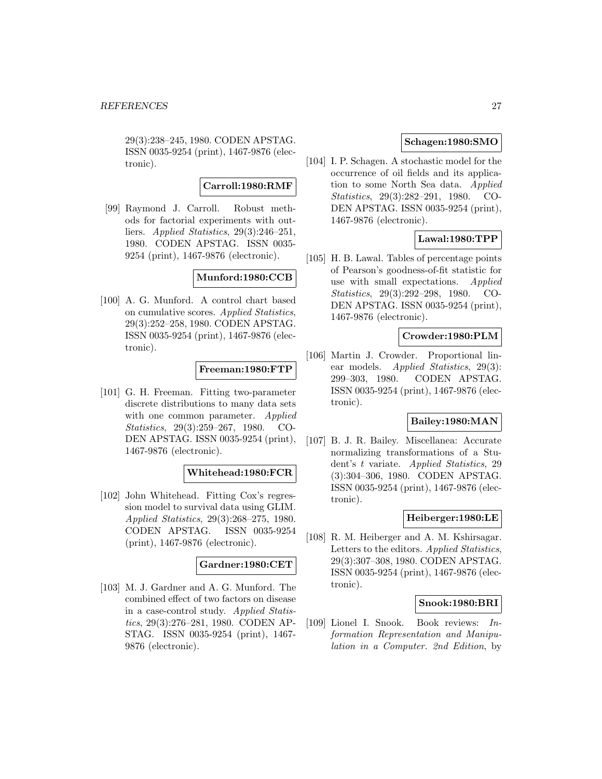29(3):238–245, 1980. CODEN APSTAG. ISSN 0035-9254 (print), 1467-9876 (electronic).

#### **Carroll:1980:RMF**

[99] Raymond J. Carroll. Robust methods for factorial experiments with outliers. Applied Statistics, 29(3):246–251, 1980. CODEN APSTAG. ISSN 0035- 9254 (print), 1467-9876 (electronic).

### **Munford:1980:CCB**

[100] A. G. Munford. A control chart based on cumulative scores. Applied Statistics, 29(3):252–258, 1980. CODEN APSTAG. ISSN 0035-9254 (print), 1467-9876 (electronic).

### **Freeman:1980:FTP**

[101] G. H. Freeman. Fitting two-parameter discrete distributions to many data sets with one common parameter. *Applied* Statistics, 29(3):259–267, 1980. CO-DEN APSTAG. ISSN 0035-9254 (print), 1467-9876 (electronic).

### **Whitehead:1980:FCR**

[102] John Whitehead. Fitting Cox's regression model to survival data using GLIM. Applied Statistics, 29(3):268–275, 1980. CODEN APSTAG. ISSN 0035-9254 (print), 1467-9876 (electronic).

### **Gardner:1980:CET**

[103] M. J. Gardner and A. G. Munford. The combined effect of two factors on disease in a case-control study. Applied Statistics, 29(3):276–281, 1980. CODEN AP-STAG. ISSN 0035-9254 (print), 1467- 9876 (electronic).

# **Schagen:1980:SMO**

[104] I. P. Schagen. A stochastic model for the occurrence of oil fields and its application to some North Sea data. Applied Statistics, 29(3):282–291, 1980. CO-DEN APSTAG. ISSN 0035-9254 (print), 1467-9876 (electronic).

# **Lawal:1980:TPP**

[105] H. B. Lawal. Tables of percentage points of Pearson's goodness-of-fit statistic for use with small expectations. Applied Statistics, 29(3):292–298, 1980. CO-DEN APSTAG. ISSN 0035-9254 (print), 1467-9876 (electronic).

### **Crowder:1980:PLM**

[106] Martin J. Crowder. Proportional linear models. Applied Statistics, 29(3): 299–303, 1980. CODEN APSTAG. ISSN 0035-9254 (print), 1467-9876 (electronic).

# **Bailey:1980:MAN**

[107] B. J. R. Bailey. Miscellanea: Accurate normalizing transformations of a Student's t variate. Applied Statistics, 29 (3):304–306, 1980. CODEN APSTAG. ISSN 0035-9254 (print), 1467-9876 (electronic).

### **Heiberger:1980:LE**

[108] R. M. Heiberger and A. M. Kshirsagar. Letters to the editors. Applied Statistics, 29(3):307–308, 1980. CODEN APSTAG. ISSN 0035-9254 (print), 1467-9876 (electronic).

### **Snook:1980:BRI**

[109] Lionel I. Snook. Book reviews: Information Representation and Manipulation in a Computer. 2nd Edition, by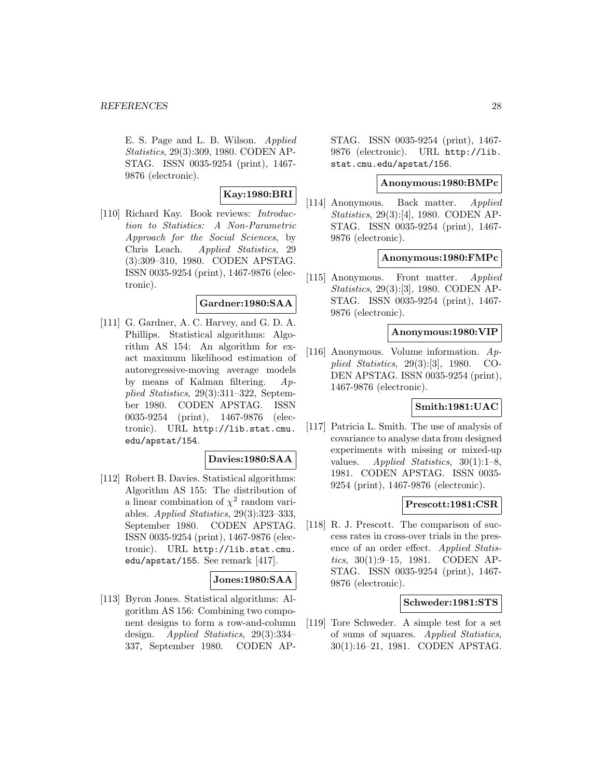E. S. Page and L. B. Wilson. Applied Statistics, 29(3):309, 1980. CODEN AP-STAG. ISSN 0035-9254 (print), 1467- 9876 (electronic).

# **Kay:1980:BRI**

[110] Richard Kay. Book reviews: Introduction to Statistics: A Non-Parametric Approach for the Social Sciences, by Chris Leach. Applied Statistics, 29 (3):309–310, 1980. CODEN APSTAG. ISSN 0035-9254 (print), 1467-9876 (electronic).

# **Gardner:1980:SAA**

[111] G. Gardner, A. C. Harvey, and G. D. A. Phillips. Statistical algorithms: Algorithm AS 154: An algorithm for exact maximum likelihood estimation of autoregressive-moving average models by means of Kalman filtering. Applied Statistics, 29(3):311–322, September 1980. CODEN APSTAG. ISSN 0035-9254 (print), 1467-9876 (electronic). URL http://lib.stat.cmu. edu/apstat/154.

### **Davies:1980:SAA**

[112] Robert B. Davies. Statistical algorithms: Algorithm AS 155: The distribution of a linear combination of  $\chi^2$  random variables. Applied Statistics, 29(3):323–333, September 1980. CODEN APSTAG. ISSN 0035-9254 (print), 1467-9876 (electronic). URL http://lib.stat.cmu. edu/apstat/155. See remark [417].

### **Jones:1980:SAA**

[113] Byron Jones. Statistical algorithms: Algorithm AS 156: Combining two component designs to form a row-and-column design. Applied Statistics, 29(3):334– 337, September 1980. CODEN AP-

STAG. ISSN 0035-9254 (print), 1467- 9876 (electronic). URL http://lib. stat.cmu.edu/apstat/156.

# **Anonymous:1980:BMPc**

[114] Anonymous. Back matter. Applied Statistics, 29(3):[4], 1980. CODEN AP-STAG. ISSN 0035-9254 (print), 1467- 9876 (electronic).

### **Anonymous:1980:FMPc**

[115] Anonymous. Front matter. Applied Statistics, 29(3):[3], 1980. CODEN AP-STAG. ISSN 0035-9254 (print), 1467- 9876 (electronic).

#### **Anonymous:1980:VIP**

[116] Anonymous. Volume information. Applied Statistics, 29(3):[3], 1980. CO-DEN APSTAG. ISSN 0035-9254 (print), 1467-9876 (electronic).

#### **Smith:1981:UAC**

[117] Patricia L. Smith. The use of analysis of covariance to analyse data from designed experiments with missing or mixed-up values. Applied Statistics,  $30(1):1-8$ , 1981. CODEN APSTAG. ISSN 0035- 9254 (print), 1467-9876 (electronic).

# **Prescott:1981:CSR**

[118] R. J. Prescott. The comparison of success rates in cross-over trials in the presence of an order effect. Applied Statistics, 30(1):9–15, 1981. CODEN AP-STAG. ISSN 0035-9254 (print), 1467- 9876 (electronic).

#### **Schweder:1981:STS**

[119] Tore Schweder. A simple test for a set of sums of squares. Applied Statistics, 30(1):16–21, 1981. CODEN APSTAG.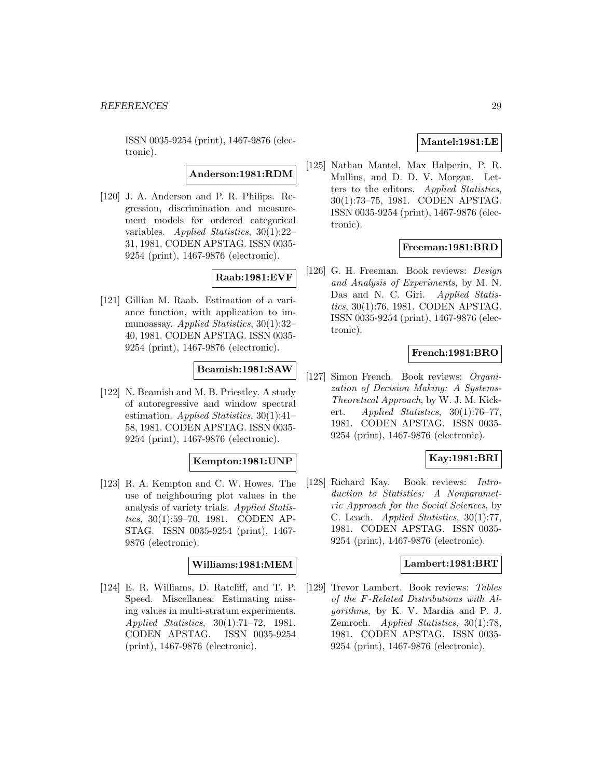ISSN 0035-9254 (print), 1467-9876 (electronic).

**Anderson:1981:RDM**

[120] J. A. Anderson and P. R. Philips. Regression, discrimination and measurement models for ordered categorical variables. Applied Statistics, 30(1):22– 31, 1981. CODEN APSTAG. ISSN 0035- 9254 (print), 1467-9876 (electronic).

# **Raab:1981:EVF**

[121] Gillian M. Raab. Estimation of a variance function, with application to immunoassay. Applied Statistics, 30(1):32– 40, 1981. CODEN APSTAG. ISSN 0035- 9254 (print), 1467-9876 (electronic).

# **Beamish:1981:SAW**

[122] N. Beamish and M. B. Priestley. A study of autoregressive and window spectral estimation. Applied Statistics, 30(1):41– 58, 1981. CODEN APSTAG. ISSN 0035- 9254 (print), 1467-9876 (electronic).

#### **Kempton:1981:UNP**

[123] R. A. Kempton and C. W. Howes. The use of neighbouring plot values in the analysis of variety trials. Applied Statistics, 30(1):59–70, 1981. CODEN AP-STAG. ISSN 0035-9254 (print), 1467- 9876 (electronic).

### **Williams:1981:MEM**

[124] E. R. Williams, D. Ratcliff, and T. P. Speed. Miscellanea: Estimating missing values in multi-stratum experiments. Applied Statistics, 30(1):71–72, 1981. CODEN APSTAG. ISSN 0035-9254 (print), 1467-9876 (electronic).

# **Mantel:1981:LE**

[125] Nathan Mantel, Max Halperin, P. R. Mullins, and D. D. V. Morgan. Letters to the editors. Applied Statistics, 30(1):73–75, 1981. CODEN APSTAG. ISSN 0035-9254 (print), 1467-9876 (electronic).

### **Freeman:1981:BRD**

[126] G. H. Freeman. Book reviews: Design and Analysis of Experiments, by M. N. Das and N. C. Giri. Applied Statistics, 30(1):76, 1981. CODEN APSTAG. ISSN 0035-9254 (print), 1467-9876 (electronic).

# **French:1981:BRO**

[127] Simon French. Book reviews: Organization of Decision Making: A Systems-Theoretical Approach, by W. J. M. Kickert. Applied Statistics, 30(1):76–77, 1981. CODEN APSTAG. ISSN 0035- 9254 (print), 1467-9876 (electronic).

#### **Kay:1981:BRI**

[128] Richard Kay. Book reviews: Introduction to Statistics: A Nonparametric Approach for the Social Sciences, by C. Leach. Applied Statistics, 30(1):77, 1981. CODEN APSTAG. ISSN 0035- 9254 (print), 1467-9876 (electronic).

#### **Lambert:1981:BRT**

[129] Trevor Lambert. Book reviews: Tables of the F-Related Distributions with Algorithms, by K. V. Mardia and P. J. Zemroch. Applied Statistics, 30(1):78, 1981. CODEN APSTAG. ISSN 0035- 9254 (print), 1467-9876 (electronic).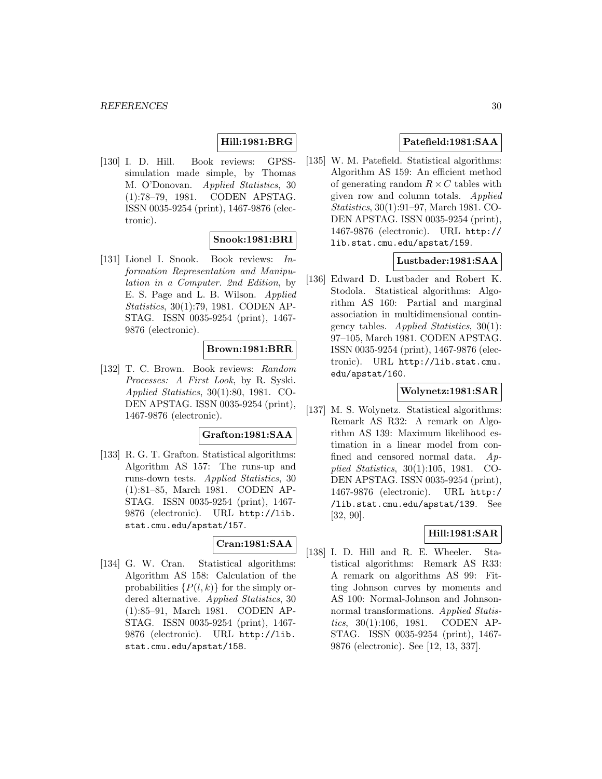# **Hill:1981:BRG**

[130] I. D. Hill. Book reviews: GPSSsimulation made simple, by Thomas M. O'Donovan. Applied Statistics, 30 (1):78–79, 1981. CODEN APSTAG. ISSN 0035-9254 (print), 1467-9876 (electronic).

### **Snook:1981:BRI**

[131] Lionel I. Snook. Book reviews: Information Representation and Manipulation in a Computer. 2nd Edition, by E. S. Page and L. B. Wilson. Applied Statistics, 30(1):79, 1981. CODEN AP-STAG. ISSN 0035-9254 (print), 1467- 9876 (electronic).

# **Brown:1981:BRR**

[132] T. C. Brown. Book reviews: Random Processes: A First Look, by R. Syski. Applied Statistics, 30(1):80, 1981. CO-DEN APSTAG. ISSN 0035-9254 (print), 1467-9876 (electronic).

### **Grafton:1981:SAA**

[133] R. G. T. Grafton. Statistical algorithms: Algorithm AS 157: The runs-up and runs-down tests. Applied Statistics, 30 (1):81–85, March 1981. CODEN AP-STAG. ISSN 0035-9254 (print), 1467- 9876 (electronic). URL http://lib. stat.cmu.edu/apstat/157.

# **Cran:1981:SAA**

[134] G. W. Cran. Statistical algorithms: Algorithm AS 158: Calculation of the probabilities  $\{P(l,k)\}\$ for the simply ordered alternative. Applied Statistics, 30 (1):85–91, March 1981. CODEN AP-STAG. ISSN 0035-9254 (print), 1467- 9876 (electronic). URL http://lib. stat.cmu.edu/apstat/158.

# **Patefield:1981:SAA**

[135] W. M. Patefield. Statistical algorithms: Algorithm AS 159: An efficient method of generating random  $R \times C$  tables with given row and column totals. Applied Statistics, 30(1):91–97, March 1981. CO-DEN APSTAG. ISSN 0035-9254 (print), 1467-9876 (electronic). URL http:// lib.stat.cmu.edu/apstat/159.

# **Lustbader:1981:SAA**

[136] Edward D. Lustbader and Robert K. Stodola. Statistical algorithms: Algorithm AS 160: Partial and marginal association in multidimensional contingency tables. Applied Statistics,  $30(1)$ : 97–105, March 1981. CODEN APSTAG. ISSN 0035-9254 (print), 1467-9876 (electronic). URL http://lib.stat.cmu. edu/apstat/160.

### **Wolynetz:1981:SAR**

[137] M. S. Wolynetz. Statistical algorithms: Remark AS R32: A remark on Algorithm AS 139: Maximum likelihood estimation in a linear model from confined and censored normal data. Applied Statistics, 30(1):105, 1981. CO-DEN APSTAG. ISSN 0035-9254 (print), 1467-9876 (electronic). URL http:/ /lib.stat.cmu.edu/apstat/139. See [32, 90].

# **Hill:1981:SAR**

[138] I. D. Hill and R. E. Wheeler. Statistical algorithms: Remark AS R33: A remark on algorithms AS 99: Fitting Johnson curves by moments and AS 100: Normal-Johnson and Johnsonnormal transformations. Applied Statistics, 30(1):106, 1981. CODEN AP-STAG. ISSN 0035-9254 (print), 1467- 9876 (electronic). See [12, 13, 337].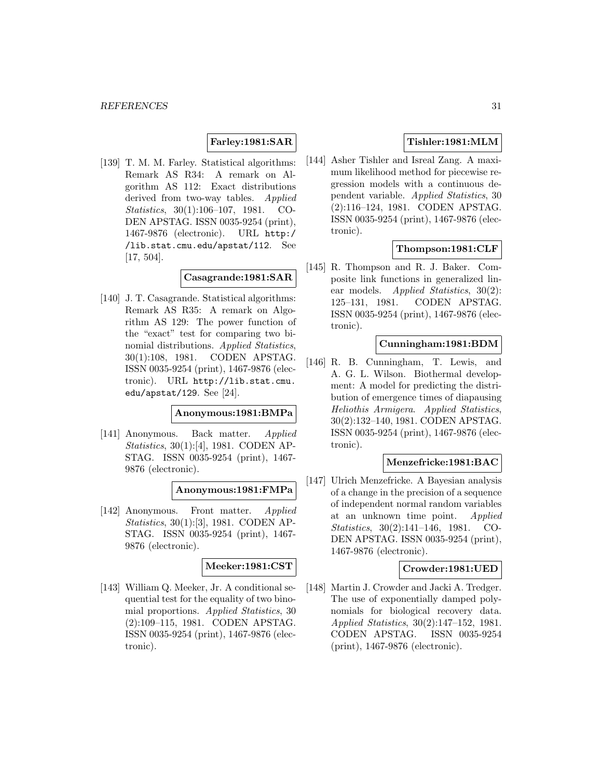# **Farley:1981:SAR**

[139] T. M. M. Farley. Statistical algorithms: Remark AS R34: A remark on Algorithm AS 112: Exact distributions derived from two-way tables. Applied Statistics, 30(1):106–107, 1981. CO-DEN APSTAG. ISSN 0035-9254 (print), 1467-9876 (electronic). URL http:/ /lib.stat.cmu.edu/apstat/112. See [17, 504].

### **Casagrande:1981:SAR**

[140] J. T. Casagrande. Statistical algorithms: Remark AS R35: A remark on Algorithm AS 129: The power function of the "exact" test for comparing two binomial distributions. Applied Statistics, 30(1):108, 1981. CODEN APSTAG. ISSN 0035-9254 (print), 1467-9876 (electronic). URL http://lib.stat.cmu. edu/apstat/129. See [24].

#### **Anonymous:1981:BMPa**

[141] Anonymous. Back matter. Applied Statistics, 30(1):[4], 1981. CODEN AP-STAG. ISSN 0035-9254 (print), 1467- 9876 (electronic).

#### **Anonymous:1981:FMPa**

[142] Anonymous. Front matter. Applied Statistics, 30(1):[3], 1981. CODEN AP-STAG. ISSN 0035-9254 (print), 1467- 9876 (electronic).

### **Meeker:1981:CST**

[143] William Q. Meeker, Jr. A conditional sequential test for the equality of two binomial proportions. Applied Statistics, 30 (2):109–115, 1981. CODEN APSTAG. ISSN 0035-9254 (print), 1467-9876 (electronic).

# **Tishler:1981:MLM**

[144] Asher Tishler and Isreal Zang. A maximum likelihood method for piecewise regression models with a continuous dependent variable. Applied Statistics, 30 (2):116–124, 1981. CODEN APSTAG. ISSN 0035-9254 (print), 1467-9876 (electronic).

### **Thompson:1981:CLF**

[145] R. Thompson and R. J. Baker. Composite link functions in generalized linear models. *Applied Statistics*, 30(2): 125–131, 1981. CODEN APSTAG. ISSN 0035-9254 (print), 1467-9876 (electronic).

### **Cunningham:1981:BDM**

[146] R. B. Cunningham, T. Lewis, and A. G. L. Wilson. Biothermal development: A model for predicting the distribution of emergence times of diapausing Heliothis Armigera. Applied Statistics, 30(2):132–140, 1981. CODEN APSTAG. ISSN 0035-9254 (print), 1467-9876 (electronic).

#### **Menzefricke:1981:BAC**

[147] Ulrich Menzefricke. A Bayesian analysis of a change in the precision of a sequence of independent normal random variables at an unknown time point. *Applied* Statistics, 30(2):141–146, 1981. CO-DEN APSTAG. ISSN 0035-9254 (print), 1467-9876 (electronic).

### **Crowder:1981:UED**

[148] Martin J. Crowder and Jacki A. Tredger. The use of exponentially damped polynomials for biological recovery data. Applied Statistics, 30(2):147–152, 1981. CODEN APSTAG. ISSN 0035-9254 (print), 1467-9876 (electronic).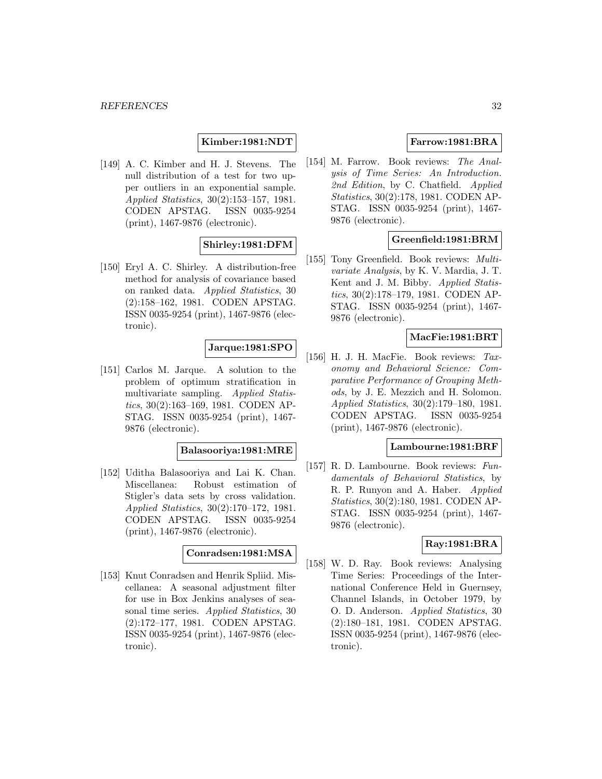### **Kimber:1981:NDT**

[149] A. C. Kimber and H. J. Stevens. The null distribution of a test for two upper outliers in an exponential sample. Applied Statistics, 30(2):153–157, 1981. CODEN APSTAG. ISSN 0035-9254 (print), 1467-9876 (electronic).

### **Shirley:1981:DFM**

[150] Eryl A. C. Shirley. A distribution-free method for analysis of covariance based on ranked data. Applied Statistics, 30 (2):158–162, 1981. CODEN APSTAG. ISSN 0035-9254 (print), 1467-9876 (electronic).

# **Jarque:1981:SPO**

[151] Carlos M. Jarque. A solution to the problem of optimum stratification in multivariate sampling. Applied Statistics, 30(2):163–169, 1981. CODEN AP-STAG. ISSN 0035-9254 (print), 1467- 9876 (electronic).

#### **Balasooriya:1981:MRE**

[152] Uditha Balasooriya and Lai K. Chan. Miscellanea: Robust estimation of Stigler's data sets by cross validation. Applied Statistics, 30(2):170–172, 1981. CODEN APSTAG. ISSN 0035-9254 (print), 1467-9876 (electronic).

# **Conradsen:1981:MSA**

[153] Knut Conradsen and Henrik Spliid. Miscellanea: A seasonal adjustment filter for use in Box Jenkins analyses of seasonal time series. Applied Statistics, 30 (2):172–177, 1981. CODEN APSTAG. ISSN 0035-9254 (print), 1467-9876 (electronic).

# **Farrow:1981:BRA**

[154] M. Farrow. Book reviews: The Analysis of Time Series: An Introduction. 2nd Edition, by C. Chatfield. Applied Statistics, 30(2):178, 1981. CODEN AP-STAG. ISSN 0035-9254 (print), 1467- 9876 (electronic).

### **Greenfield:1981:BRM**

[155] Tony Greenfield. Book reviews: *Multi*variate Analysis, by K. V. Mardia, J. T. Kent and J. M. Bibby. Applied Statistics, 30(2):178–179, 1981. CODEN AP-STAG. ISSN 0035-9254 (print), 1467- 9876 (electronic).

### **MacFie:1981:BRT**

[156] H. J. H. MacFie. Book reviews: Taxonomy and Behavioral Science: Comparative Performance of Grouping Methods, by J. E. Mezzich and H. Solomon. Applied Statistics, 30(2):179–180, 1981. CODEN APSTAG. ISSN 0035-9254 (print), 1467-9876 (electronic).

### **Lambourne:1981:BRF**

[157] R. D. Lambourne. Book reviews: Fundamentals of Behavioral Statistics, by R. P. Runyon and A. Haber. *Applied* Statistics, 30(2):180, 1981. CODEN AP-STAG. ISSN 0035-9254 (print), 1467- 9876 (electronic).

### **Ray:1981:BRA**

[158] W. D. Ray. Book reviews: Analysing Time Series: Proceedings of the International Conference Held in Guernsey, Channel Islands, in October 1979, by O. D. Anderson. Applied Statistics, 30 (2):180–181, 1981. CODEN APSTAG. ISSN 0035-9254 (print), 1467-9876 (electronic).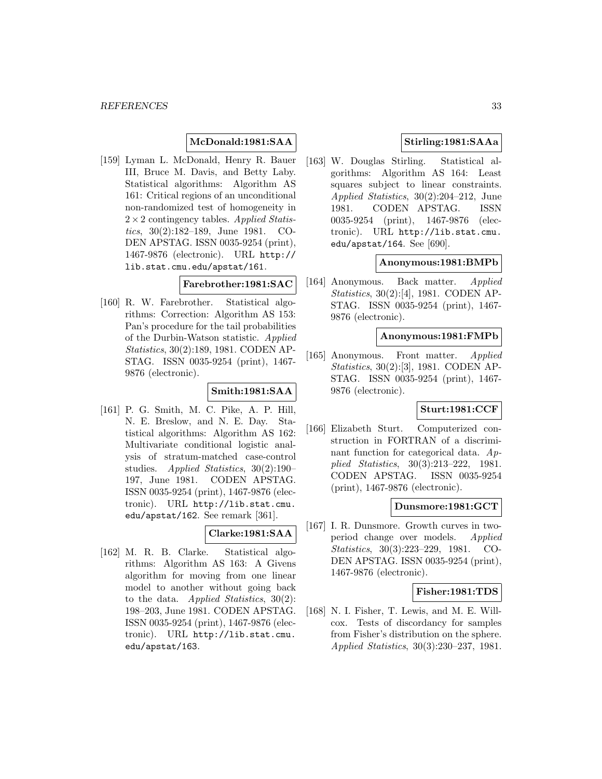# **McDonald:1981:SAA**

[159] Lyman L. McDonald, Henry R. Bauer III, Bruce M. Davis, and Betty Laby. Statistical algorithms: Algorithm AS 161: Critical regions of an unconditional non-randomized test of homogeneity in  $2 \times 2$  contingency tables. Applied Statistics, 30(2):182–189, June 1981. CO-DEN APSTAG. ISSN 0035-9254 (print), 1467-9876 (electronic). URL http:// lib.stat.cmu.edu/apstat/161.

# **Farebrother:1981:SAC**

[160] R. W. Farebrother. Statistical algorithms: Correction: Algorithm AS 153: Pan's procedure for the tail probabilities of the Durbin-Watson statistic. Applied Statistics, 30(2):189, 1981. CODEN AP-STAG. ISSN 0035-9254 (print), 1467- 9876 (electronic).

#### **Smith:1981:SAA**

[161] P. G. Smith, M. C. Pike, A. P. Hill, N. E. Breslow, and N. E. Day. Statistical algorithms: Algorithm AS 162: Multivariate conditional logistic analysis of stratum-matched case-control studies. Applied Statistics, 30(2):190– 197, June 1981. CODEN APSTAG. ISSN 0035-9254 (print), 1467-9876 (electronic). URL http://lib.stat.cmu. edu/apstat/162. See remark [361].

### **Clarke:1981:SAA**

[162] M. R. B. Clarke. Statistical algorithms: Algorithm AS 163: A Givens algorithm for moving from one linear model to another without going back to the data. Applied Statistics,  $30(2)$ : 198–203, June 1981. CODEN APSTAG. ISSN 0035-9254 (print), 1467-9876 (electronic). URL http://lib.stat.cmu. edu/apstat/163.

# **Stirling:1981:SAAa**

[163] W. Douglas Stirling. Statistical algorithms: Algorithm AS 164: Least squares subject to linear constraints. Applied Statistics, 30(2):204–212, June 1981. CODEN APSTAG. ISSN 0035-9254 (print), 1467-9876 (electronic). URL http://lib.stat.cmu. edu/apstat/164. See [690].

# **Anonymous:1981:BMPb**

[164] Anonymous. Back matter. Applied Statistics, 30(2):[4], 1981. CODEN AP-STAG. ISSN 0035-9254 (print), 1467- 9876 (electronic).

### **Anonymous:1981:FMPb**

[165] Anonymous. Front matter. Applied Statistics, 30(2):[3], 1981. CODEN AP-STAG. ISSN 0035-9254 (print), 1467- 9876 (electronic).

### **Sturt:1981:CCF**

[166] Elizabeth Sturt. Computerized construction in FORTRAN of a discriminant function for categorical data. Applied Statistics, 30(3):213–222, 1981. CODEN APSTAG. ISSN 0035-9254 (print), 1467-9876 (electronic).

### **Dunsmore:1981:GCT**

[167] I. R. Dunsmore. Growth curves in twoperiod change over models. Applied Statistics, 30(3):223–229, 1981. CO-DEN APSTAG. ISSN 0035-9254 (print), 1467-9876 (electronic).

#### **Fisher:1981:TDS**

[168] N. I. Fisher, T. Lewis, and M. E. Willcox. Tests of discordancy for samples from Fisher's distribution on the sphere. Applied Statistics, 30(3):230–237, 1981.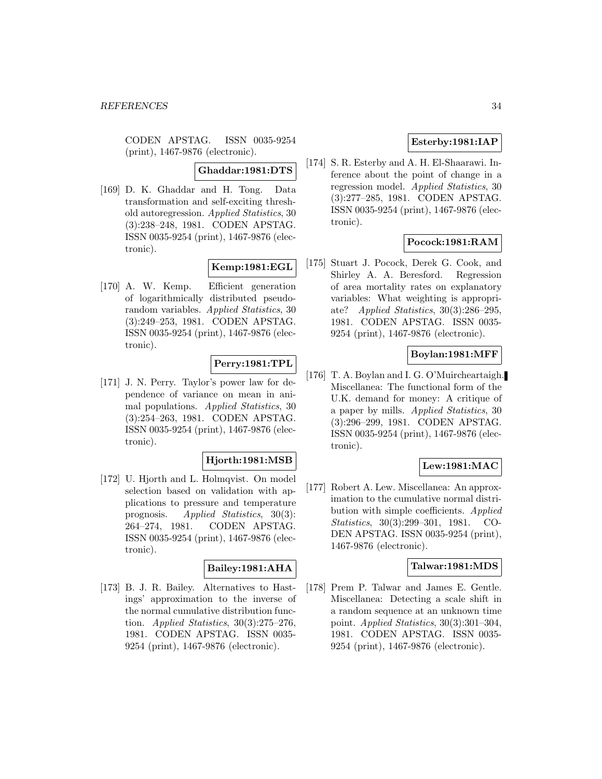CODEN APSTAG. ISSN 0035-9254 (print), 1467-9876 (electronic).

**Ghaddar:1981:DTS**

[169] D. K. Ghaddar and H. Tong. Data transformation and self-exciting threshold autoregression. Applied Statistics, 30 (3):238–248, 1981. CODEN APSTAG. ISSN 0035-9254 (print), 1467-9876 (electronic).

# **Kemp:1981:EGL**

[170] A. W. Kemp. Efficient generation of logarithmically distributed pseudorandom variables. Applied Statistics, 30 (3):249–253, 1981. CODEN APSTAG. ISSN 0035-9254 (print), 1467-9876 (electronic).

### **Perry:1981:TPL**

[171] J. N. Perry. Taylor's power law for dependence of variance on mean in animal populations. Applied Statistics, 30 (3):254–263, 1981. CODEN APSTAG. ISSN 0035-9254 (print), 1467-9876 (electronic).

### **Hjorth:1981:MSB**

[172] U. Hjorth and L. Holmqvist. On model selection based on validation with applications to pressure and temperature prognosis. Applied Statistics, 30(3): 264–274, 1981. CODEN APSTAG. ISSN 0035-9254 (print), 1467-9876 (electronic).

# **Bailey:1981:AHA**

[173] B. J. R. Bailey. Alternatives to Hastings' approximation to the inverse of the normal cumulative distribution function. Applied Statistics, 30(3):275–276, 1981. CODEN APSTAG. ISSN 0035- 9254 (print), 1467-9876 (electronic).

# **Esterby:1981:IAP**

[174] S. R. Esterby and A. H. El-Shaarawi. Inference about the point of change in a regression model. Applied Statistics, 30 (3):277–285, 1981. CODEN APSTAG. ISSN 0035-9254 (print), 1467-9876 (electronic).

# **Pocock:1981:RAM**

[175] Stuart J. Pocock, Derek G. Cook, and Shirley A. A. Beresford. Regression of area mortality rates on explanatory variables: What weighting is appropriate? Applied Statistics, 30(3):286–295, 1981. CODEN APSTAG. ISSN 0035- 9254 (print), 1467-9876 (electronic).

# **Boylan:1981:MFF**

[176] T. A. Boylan and I. G. O'Muircheartaigh. Miscellanea: The functional form of the U.K. demand for money: A critique of a paper by mills. Applied Statistics, 30 (3):296–299, 1981. CODEN APSTAG. ISSN 0035-9254 (print), 1467-9876 (electronic).

### **Lew:1981:MAC**

[177] Robert A. Lew. Miscellanea: An approximation to the cumulative normal distribution with simple coefficients. Applied Statistics, 30(3):299–301, 1981. CO-DEN APSTAG. ISSN 0035-9254 (print), 1467-9876 (electronic).

### **Talwar:1981:MDS**

[178] Prem P. Talwar and James E. Gentle. Miscellanea: Detecting a scale shift in a random sequence at an unknown time point. Applied Statistics, 30(3):301–304, 1981. CODEN APSTAG. ISSN 0035- 9254 (print), 1467-9876 (electronic).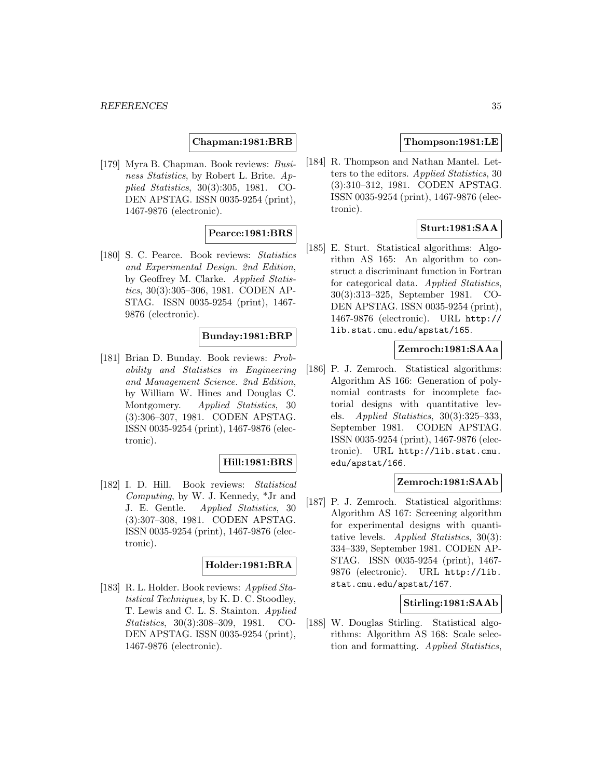### **Chapman:1981:BRB**

[179] Myra B. Chapman. Book reviews: Business Statistics, by Robert L. Brite. Applied Statistics, 30(3):305, 1981. CO-DEN APSTAG. ISSN 0035-9254 (print), 1467-9876 (electronic).

#### **Pearce:1981:BRS**

[180] S. C. Pearce. Book reviews: Statistics and Experimental Design. 2nd Edition, by Geoffrey M. Clarke. Applied Statistics, 30(3):305–306, 1981. CODEN AP-STAG. ISSN 0035-9254 (print), 1467- 9876 (electronic).

### **Bunday:1981:BRP**

[181] Brian D. Bunday. Book reviews: Probability and Statistics in Engineering and Management Science. 2nd Edition, by William W. Hines and Douglas C. Montgomery. Applied Statistics, 30 (3):306–307, 1981. CODEN APSTAG. ISSN 0035-9254 (print), 1467-9876 (electronic).

#### **Hill:1981:BRS**

[182] I. D. Hill. Book reviews: Statistical Computing, by W. J. Kennedy, \*Jr and J. E. Gentle. Applied Statistics, 30 (3):307–308, 1981. CODEN APSTAG. ISSN 0035-9254 (print), 1467-9876 (electronic).

### **Holder:1981:BRA**

[183] R. L. Holder. Book reviews: Applied Statistical Techniques, by K. D. C. Stoodley, T. Lewis and C. L. S. Stainton. Applied Statistics, 30(3):308–309, 1981. CO-DEN APSTAG. ISSN 0035-9254 (print), 1467-9876 (electronic).

### **Thompson:1981:LE**

[184] R. Thompson and Nathan Mantel. Letters to the editors. Applied Statistics, 30 (3):310–312, 1981. CODEN APSTAG. ISSN 0035-9254 (print), 1467-9876 (electronic).

### **Sturt:1981:SAA**

[185] E. Sturt. Statistical algorithms: Algorithm AS 165: An algorithm to construct a discriminant function in Fortran for categorical data. Applied Statistics, 30(3):313–325, September 1981. CO-DEN APSTAG. ISSN 0035-9254 (print), 1467-9876 (electronic). URL http:// lib.stat.cmu.edu/apstat/165.

#### **Zemroch:1981:SAAa**

[186] P. J. Zemroch. Statistical algorithms: Algorithm AS 166: Generation of polynomial contrasts for incomplete factorial designs with quantitative levels. Applied Statistics, 30(3):325–333, September 1981. CODEN APSTAG. ISSN 0035-9254 (print), 1467-9876 (electronic). URL http://lib.stat.cmu. edu/apstat/166.

#### **Zemroch:1981:SAAb**

[187] P. J. Zemroch. Statistical algorithms: Algorithm AS 167: Screening algorithm for experimental designs with quantitative levels. Applied Statistics, 30(3): 334–339, September 1981. CODEN AP-STAG. ISSN 0035-9254 (print), 1467- 9876 (electronic). URL http://lib. stat.cmu.edu/apstat/167.

### **Stirling:1981:SAAb**

[188] W. Douglas Stirling. Statistical algorithms: Algorithm AS 168: Scale selection and formatting. Applied Statistics,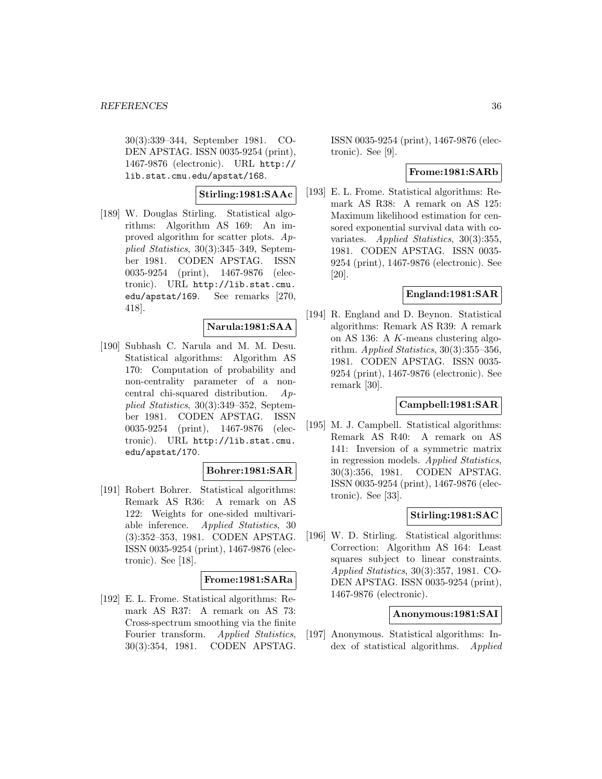30(3):339–344, September 1981. CO-DEN APSTAG. ISSN 0035-9254 (print), 1467-9876 (electronic). URL http:// lib.stat.cmu.edu/apstat/168.

**Stirling:1981:SAAc**

[189] W. Douglas Stirling. Statistical algorithms: Algorithm AS 169: An improved algorithm for scatter plots.  $Ap$ plied Statistics, 30(3):345–349, September 1981. CODEN APSTAG. ISSN 0035-9254 (print), 1467-9876 (electronic). URL http://lib.stat.cmu. edu/apstat/169. See remarks [270, 418].

# **Narula:1981:SAA**

[190] Subhash C. Narula and M. M. Desu. Statistical algorithms: Algorithm AS 170: Computation of probability and non-centrality parameter of a noncentral chi-squared distribution. Applied Statistics, 30(3):349–352, September 1981. CODEN APSTAG. ISSN 0035-9254 (print), 1467-9876 (electronic). URL http://lib.stat.cmu. edu/apstat/170.

### **Bohrer:1981:SAR**

[191] Robert Bohrer. Statistical algorithms: Remark AS R36: A remark on AS 122: Weights for one-sided multivariable inference. Applied Statistics, 30 (3):352–353, 1981. CODEN APSTAG. ISSN 0035-9254 (print), 1467-9876 (electronic). See [18].

### **Frome:1981:SARa**

[192] E. L. Frome. Statistical algorithms: Remark AS R37: A remark on AS 73: Cross-spectrum smoothing via the finite Fourier transform. Applied Statistics, 30(3):354, 1981. CODEN APSTAG.

ISSN 0035-9254 (print), 1467-9876 (electronic). See [9].

### **Frome:1981:SARb**

[193] E. L. Frome. Statistical algorithms: Remark AS R38: A remark on AS 125: Maximum likelihood estimation for censored exponential survival data with covariates. Applied Statistics, 30(3):355, 1981. CODEN APSTAG. ISSN 0035- 9254 (print), 1467-9876 (electronic). See [20].

### **England:1981:SAR**

[194] R. England and D. Beynon. Statistical algorithms: Remark AS R39: A remark on AS 136: A K-means clustering algorithm. Applied Statistics,  $30(3):355-356$ , 1981. CODEN APSTAG. ISSN 0035- 9254 (print), 1467-9876 (electronic). See remark [30].

### **Campbell:1981:SAR**

[195] M. J. Campbell. Statistical algorithms: Remark AS R40: A remark on AS 141: Inversion of a symmetric matrix in regression models. Applied Statistics, 30(3):356, 1981. CODEN APSTAG. ISSN 0035-9254 (print), 1467-9876 (electronic). See [33].

# **Stirling:1981:SAC**

[196] W. D. Stirling. Statistical algorithms: Correction: Algorithm AS 164: Least squares subject to linear constraints. Applied Statistics, 30(3):357, 1981. CO-DEN APSTAG. ISSN 0035-9254 (print), 1467-9876 (electronic).

#### **Anonymous:1981:SAI**

[197] Anonymous. Statistical algorithms: Index of statistical algorithms. Applied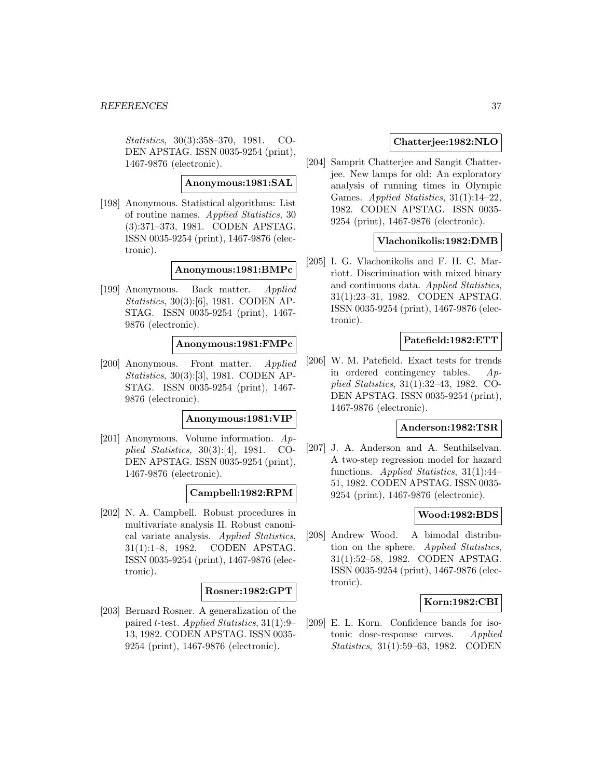Statistics, 30(3):358–370, 1981. CO-DEN APSTAG. ISSN 0035-9254 (print), 1467-9876 (electronic).

### **Anonymous:1981:SAL**

[198] Anonymous. Statistical algorithms: List of routine names. Applied Statistics, 30 (3):371–373, 1981. CODEN APSTAG. ISSN 0035-9254 (print), 1467-9876 (electronic).

## **Anonymous:1981:BMPc**

[199] Anonymous. Back matter. Applied Statistics, 30(3):[6], 1981. CODEN AP-STAG. ISSN 0035-9254 (print), 1467- 9876 (electronic).

## **Anonymous:1981:FMPc**

[200] Anonymous. Front matter. Applied Statistics, 30(3):[3], 1981. CODEN AP-STAG. ISSN 0035-9254 (print), 1467- 9876 (electronic).

#### **Anonymous:1981:VIP**

[201] Anonymous. Volume information. Applied Statistics, 30(3):[4], 1981. CO-DEN APSTAG. ISSN 0035-9254 (print), 1467-9876 (electronic).

## **Campbell:1982:RPM**

[202] N. A. Campbell. Robust procedures in multivariate analysis II. Robust canonical variate analysis. Applied Statistics, 31(1):1–8, 1982. CODEN APSTAG. ISSN 0035-9254 (print), 1467-9876 (electronic).

#### **Rosner:1982:GPT**

[203] Bernard Rosner. A generalization of the paired t-test. Applied Statistics, 31(1):9– 13, 1982. CODEN APSTAG. ISSN 0035- 9254 (print), 1467-9876 (electronic).

# **Chatterjee:1982:NLO**

[204] Samprit Chatterjee and Sangit Chatterjee. New lamps for old: An exploratory analysis of running times in Olympic Games. Applied Statistics, 31(1):14–22, 1982. CODEN APSTAG. ISSN 0035- 9254 (print), 1467-9876 (electronic).

### **Vlachonikolis:1982:DMB**

[205] I. G. Vlachonikolis and F. H. C. Marriott. Discrimination with mixed binary and continuous data. Applied Statistics, 31(1):23–31, 1982. CODEN APSTAG. ISSN 0035-9254 (print), 1467-9876 (electronic).

### **Patefield:1982:ETT**

[206] W. M. Patefield. Exact tests for trends in ordered contingency tables. Applied Statistics, 31(1):32–43, 1982. CO-DEN APSTAG. ISSN 0035-9254 (print), 1467-9876 (electronic).

#### **Anderson:1982:TSR**

[207] J. A. Anderson and A. Senthilselvan. A two-step regression model for hazard functions. Applied Statistics, 31(1):44– 51, 1982. CODEN APSTAG. ISSN 0035- 9254 (print), 1467-9876 (electronic).

#### **Wood:1982:BDS**

[208] Andrew Wood. A bimodal distribution on the sphere. Applied Statistics, 31(1):52–58, 1982. CODEN APSTAG. ISSN 0035-9254 (print), 1467-9876 (electronic).

## **Korn:1982:CBI**

[209] E. L. Korn. Confidence bands for isotonic dose-response curves. Applied Statistics, 31(1):59–63, 1982. CODEN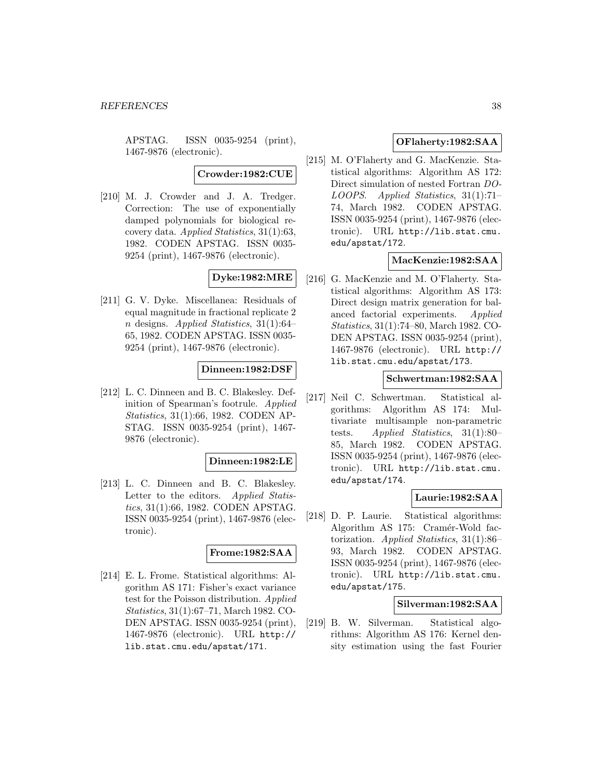APSTAG. ISSN 0035-9254 (print), 1467-9876 (electronic).

**Crowder:1982:CUE**

[210] M. J. Crowder and J. A. Tredger. Correction: The use of exponentially damped polynomials for biological recovery data. Applied Statistics, 31(1):63, 1982. CODEN APSTAG. ISSN 0035- 9254 (print), 1467-9876 (electronic).

# **Dyke:1982:MRE**

[211] G. V. Dyke. Miscellanea: Residuals of equal magnitude in fractional replicate 2 n designs. Applied Statistics, 31(1):64– 65, 1982. CODEN APSTAG. ISSN 0035- 9254 (print), 1467-9876 (electronic).

### **Dinneen:1982:DSF**

[212] L. C. Dinneen and B. C. Blakesley. Definition of Spearman's footrule. Applied Statistics, 31(1):66, 1982. CODEN AP-STAG. ISSN 0035-9254 (print), 1467- 9876 (electronic).

#### **Dinneen:1982:LE**

[213] L. C. Dinneen and B. C. Blakesley. Letter to the editors. Applied Statistics, 31(1):66, 1982. CODEN APSTAG. ISSN 0035-9254 (print), 1467-9876 (electronic).

#### **Frome:1982:SAA**

[214] E. L. Frome. Statistical algorithms: Algorithm AS 171: Fisher's exact variance test for the Poisson distribution. Applied Statistics, 31(1):67–71, March 1982. CO-DEN APSTAG. ISSN 0035-9254 (print), 1467-9876 (electronic). URL http:// lib.stat.cmu.edu/apstat/171.

# **OFlaherty:1982:SAA**

[215] M. O'Flaherty and G. MacKenzie. Statistical algorithms: Algorithm AS 172: Direct simulation of nested Fortran DO-LOOPS. Applied Statistics, 31(1):71– 74, March 1982. CODEN APSTAG. ISSN 0035-9254 (print), 1467-9876 (electronic). URL http://lib.stat.cmu. edu/apstat/172.

# **MacKenzie:1982:SAA**

[216] G. MacKenzie and M. O'Flaherty. Statistical algorithms: Algorithm AS 173: Direct design matrix generation for balanced factorial experiments. Applied Statistics, 31(1):74–80, March 1982. CO-DEN APSTAG. ISSN 0035-9254 (print), 1467-9876 (electronic). URL http:// lib.stat.cmu.edu/apstat/173.

## **Schwertman:1982:SAA**

[217] Neil C. Schwertman. Statistical algorithms: Algorithm AS 174: Multivariate multisample non-parametric tests. Applied Statistics, 31(1):80– 85, March 1982. CODEN APSTAG. ISSN 0035-9254 (print), 1467-9876 (electronic). URL http://lib.stat.cmu. edu/apstat/174.

## **Laurie:1982:SAA**

[218] D. P. Laurie. Statistical algorithms: Algorithm AS 175: Cramér-Wold factorization. Applied Statistics, 31(1):86– 93, March 1982. CODEN APSTAG. ISSN 0035-9254 (print), 1467-9876 (electronic). URL http://lib.stat.cmu. edu/apstat/175.

#### **Silverman:1982:SAA**

[219] B. W. Silverman. Statistical algorithms: Algorithm AS 176: Kernel density estimation using the fast Fourier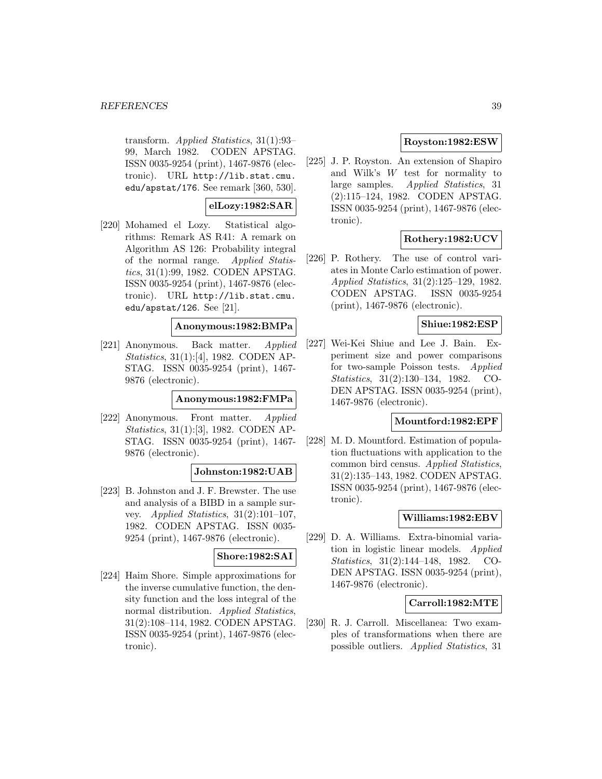transform. Applied Statistics, 31(1):93– 99, March 1982. CODEN APSTAG. ISSN 0035-9254 (print), 1467-9876 (electronic). URL http://lib.stat.cmu. edu/apstat/176. See remark [360, 530].

## **elLozy:1982:SAR**

[220] Mohamed el Lozy. Statistical algorithms: Remark AS R41: A remark on Algorithm AS 126: Probability integral of the normal range. Applied Statistics, 31(1):99, 1982. CODEN APSTAG. ISSN 0035-9254 (print), 1467-9876 (electronic). URL http://lib.stat.cmu. edu/apstat/126. See [21].

# **Anonymous:1982:BMPa**

[221] Anonymous. Back matter. Applied Statistics, 31(1):[4], 1982. CODEN AP-STAG. ISSN 0035-9254 (print), 1467- 9876 (electronic).

### **Anonymous:1982:FMPa**

[222] Anonymous. Front matter. Applied Statistics, 31(1):[3], 1982. CODEN AP-STAG. ISSN 0035-9254 (print), 1467- 9876 (electronic).

### **Johnston:1982:UAB**

[223] B. Johnston and J. F. Brewster. The use and analysis of a BIBD in a sample survey. Applied Statistics, 31(2):101–107, 1982. CODEN APSTAG. ISSN 0035- 9254 (print), 1467-9876 (electronic).

### **Shore:1982:SAI**

[224] Haim Shore. Simple approximations for the inverse cumulative function, the density function and the loss integral of the normal distribution. Applied Statistics, 31(2):108–114, 1982. CODEN APSTAG. ISSN 0035-9254 (print), 1467-9876 (electronic).

### **Royston:1982:ESW**

[225] J. P. Royston. An extension of Shapiro and Wilk's W test for normality to large samples. Applied Statistics, 31 (2):115–124, 1982. CODEN APSTAG. ISSN 0035-9254 (print), 1467-9876 (electronic).

## **Rothery:1982:UCV**

[226] P. Rothery. The use of control variates in Monte Carlo estimation of power. Applied Statistics, 31(2):125–129, 1982. CODEN APSTAG. ISSN 0035-9254 (print), 1467-9876 (electronic).

# **Shiue:1982:ESP**

[227] Wei-Kei Shiue and Lee J. Bain. Experiment size and power comparisons for two-sample Poisson tests. Applied Statistics, 31(2):130–134, 1982. CO-DEN APSTAG. ISSN 0035-9254 (print), 1467-9876 (electronic).

# **Mountford:1982:EPF**

[228] M. D. Mountford. Estimation of population fluctuations with application to the common bird census. Applied Statistics, 31(2):135–143, 1982. CODEN APSTAG. ISSN 0035-9254 (print), 1467-9876 (electronic).

## **Williams:1982:EBV**

[229] D. A. Williams. Extra-binomial variation in logistic linear models. Applied Statistics, 31(2):144–148, 1982. CO-DEN APSTAG. ISSN 0035-9254 (print), 1467-9876 (electronic).

# **Carroll:1982:MTE**

[230] R. J. Carroll. Miscellanea: Two examples of transformations when there are possible outliers. Applied Statistics, 31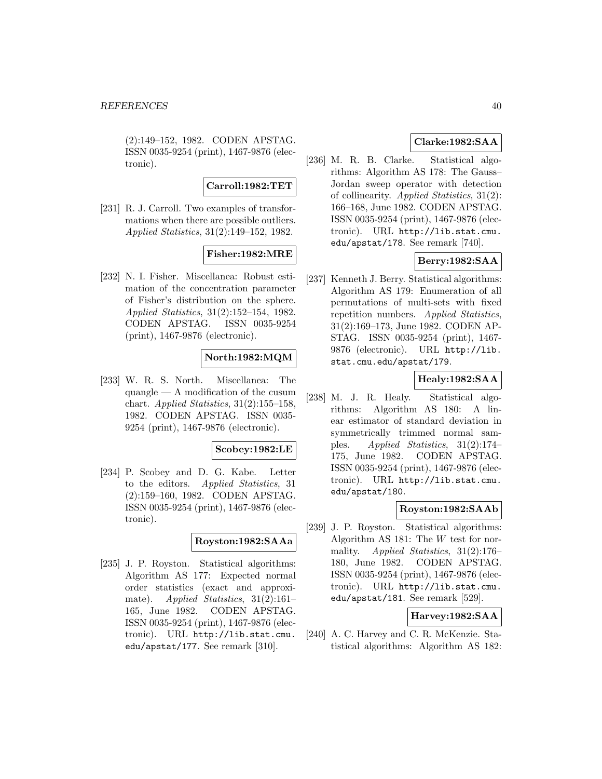(2):149–152, 1982. CODEN APSTAG. ISSN 0035-9254 (print), 1467-9876 (electronic).

**Carroll:1982:TET**

[231] R. J. Carroll. Two examples of transformations when there are possible outliers. Applied Statistics, 31(2):149–152, 1982.

# **Fisher:1982:MRE**

[232] N. I. Fisher. Miscellanea: Robust estimation of the concentration parameter of Fisher's distribution on the sphere. Applied Statistics, 31(2):152–154, 1982. CODEN APSTAG. ISSN 0035-9254 (print), 1467-9876 (electronic).

# **North:1982:MQM**

[233] W. R. S. North. Miscellanea: The quangle — A modification of the cusum chart. Applied Statistics, 31(2):155–158, 1982. CODEN APSTAG. ISSN 0035- 9254 (print), 1467-9876 (electronic).

## **Scobey:1982:LE**

[234] P. Scobey and D. G. Kabe. Letter to the editors. Applied Statistics, 31 (2):159–160, 1982. CODEN APSTAG. ISSN 0035-9254 (print), 1467-9876 (electronic).

## **Royston:1982:SAAa**

[235] J. P. Royston. Statistical algorithms: Algorithm AS 177: Expected normal order statistics (exact and approximate). Applied Statistics, 31(2):161– 165, June 1982. CODEN APSTAG. ISSN 0035-9254 (print), 1467-9876 (electronic). URL http://lib.stat.cmu. edu/apstat/177. See remark [310].

# **Clarke:1982:SAA**

[236] M. R. B. Clarke. Statistical algorithms: Algorithm AS 178: The Gauss– Jordan sweep operator with detection of collinearity. Applied Statistics, 31(2): 166–168, June 1982. CODEN APSTAG. ISSN 0035-9254 (print), 1467-9876 (electronic). URL http://lib.stat.cmu. edu/apstat/178. See remark [740].

# **Berry:1982:SAA**

[237] Kenneth J. Berry. Statistical algorithms: Algorithm AS 179: Enumeration of all permutations of multi-sets with fixed repetition numbers. Applied Statistics, 31(2):169–173, June 1982. CODEN AP-STAG. ISSN 0035-9254 (print), 1467- 9876 (electronic). URL http://lib. stat.cmu.edu/apstat/179.

# **Healy:1982:SAA**

[238] M. J. R. Healy. Statistical algorithms: Algorithm AS 180: A linear estimator of standard deviation in symmetrically trimmed normal samples. Applied Statistics, 31(2):174– 175, June 1982. CODEN APSTAG. ISSN 0035-9254 (print), 1467-9876 (electronic). URL http://lib.stat.cmu. edu/apstat/180.

## **Royston:1982:SAAb**

[239] J. P. Royston. Statistical algorithms: Algorithm AS 181: The W test for normality. Applied Statistics, 31(2):176– 180, June 1982. CODEN APSTAG. ISSN 0035-9254 (print), 1467-9876 (electronic). URL http://lib.stat.cmu. edu/apstat/181. See remark [529].

# **Harvey:1982:SAA**

[240] A. C. Harvey and C. R. McKenzie. Statistical algorithms: Algorithm AS 182: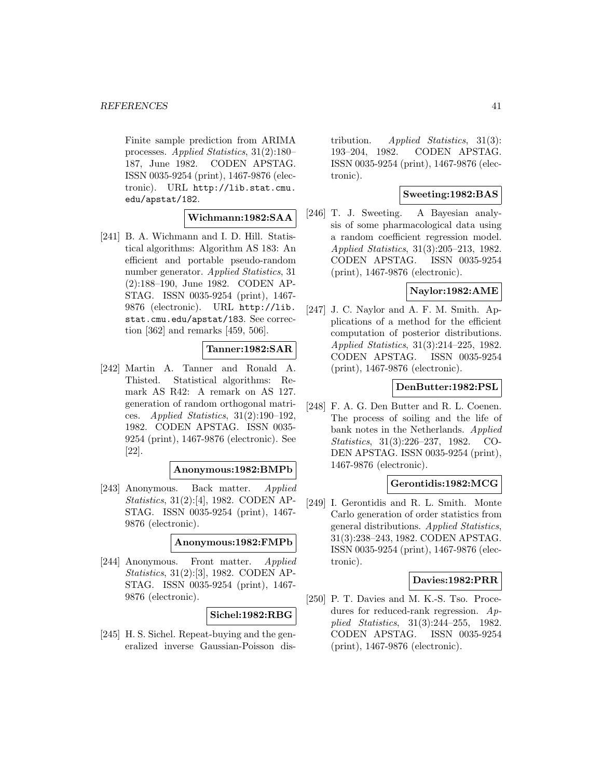Finite sample prediction from ARIMA processes. Applied Statistics, 31(2):180– 187, June 1982. CODEN APSTAG. ISSN 0035-9254 (print), 1467-9876 (electronic). URL http://lib.stat.cmu. edu/apstat/182.

### **Wichmann:1982:SAA**

[241] B. A. Wichmann and I. D. Hill. Statistical algorithms: Algorithm AS 183: An efficient and portable pseudo-random number generator. Applied Statistics, 31 (2):188–190, June 1982. CODEN AP-STAG. ISSN 0035-9254 (print), 1467- 9876 (electronic). URL http://lib. stat.cmu.edu/apstat/183. See correction [362] and remarks [459, 506].

## **Tanner:1982:SAR**

[242] Martin A. Tanner and Ronald A. Thisted. Statistical algorithms: Remark AS R42: A remark on AS 127. generation of random orthogonal matrices. Applied Statistics, 31(2):190–192, 1982. CODEN APSTAG. ISSN 0035- 9254 (print), 1467-9876 (electronic). See [22].

### **Anonymous:1982:BMPb**

[243] Anonymous. Back matter. Applied Statistics, 31(2):[4], 1982. CODEN AP-STAG. ISSN 0035-9254 (print), 1467- 9876 (electronic).

### **Anonymous:1982:FMPb**

[244] Anonymous. Front matter. Applied Statistics, 31(2):[3], 1982. CODEN AP-STAG. ISSN 0035-9254 (print), 1467- 9876 (electronic).

## **Sichel:1982:RBG**

[245] H. S. Sichel. Repeat-buying and the generalized inverse Gaussian-Poisson distribution. *Applied Statistics*, 31(3): 193–204, 1982. CODEN APSTAG. ISSN 0035-9254 (print), 1467-9876 (electronic).

## **Sweeting:1982:BAS**

[246] T. J. Sweeting. A Bayesian analysis of some pharmacological data using a random coefficient regression model. Applied Statistics, 31(3):205–213, 1982. CODEN APSTAG. ISSN 0035-9254 (print), 1467-9876 (electronic).

# **Naylor:1982:AME**

[247] J. C. Naylor and A. F. M. Smith. Applications of a method for the efficient computation of posterior distributions. Applied Statistics, 31(3):214–225, 1982. CODEN APSTAG. ISSN 0035-9254 (print), 1467-9876 (electronic).

## **DenButter:1982:PSL**

[248] F. A. G. Den Butter and R. L. Coenen. The process of soiling and the life of bank notes in the Netherlands. Applied Statistics, 31(3):226–237, 1982. CO-DEN APSTAG. ISSN 0035-9254 (print), 1467-9876 (electronic).

### **Gerontidis:1982:MCG**

[249] I. Gerontidis and R. L. Smith. Monte Carlo generation of order statistics from general distributions. Applied Statistics, 31(3):238–243, 1982. CODEN APSTAG. ISSN 0035-9254 (print), 1467-9876 (electronic).

#### **Davies:1982:PRR**

[250] P. T. Davies and M. K.-S. Tso. Procedures for reduced-rank regression. Applied Statistics, 31(3):244–255, 1982. CODEN APSTAG. ISSN 0035-9254 (print), 1467-9876 (electronic).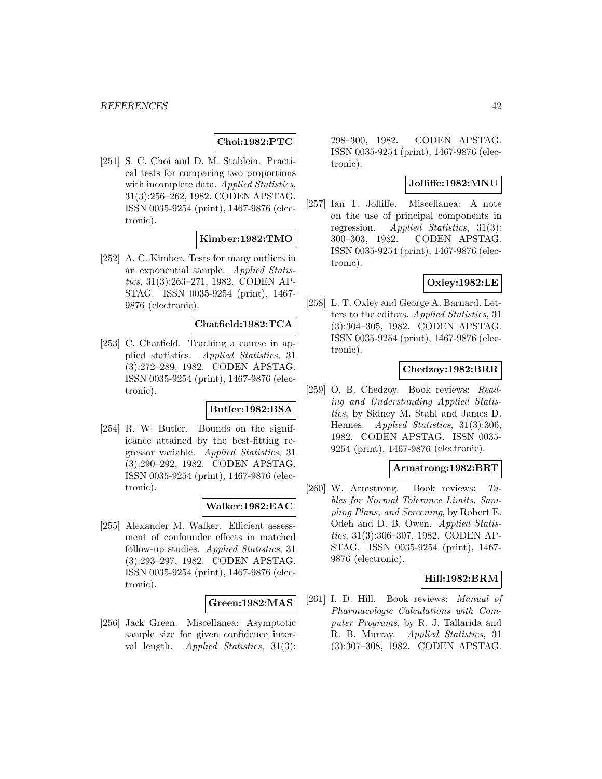# **Choi:1982:PTC**

[251] S. C. Choi and D. M. Stablein. Practical tests for comparing two proportions with incomplete data. Applied Statistics, 31(3):256–262, 1982. CODEN APSTAG. ISSN 0035-9254 (print), 1467-9876 (electronic).

## **Kimber:1982:TMO**

[252] A. C. Kimber. Tests for many outliers in an exponential sample. Applied Statistics, 31(3):263–271, 1982. CODEN AP-STAG. ISSN 0035-9254 (print), 1467- 9876 (electronic).

### **Chatfield:1982:TCA**

[253] C. Chatfield. Teaching a course in applied statistics. Applied Statistics, 31 (3):272–289, 1982. CODEN APSTAG. ISSN 0035-9254 (print), 1467-9876 (electronic).

#### **Butler:1982:BSA**

[254] R. W. Butler. Bounds on the significance attained by the best-fitting regressor variable. Applied Statistics, 31 (3):290–292, 1982. CODEN APSTAG. ISSN 0035-9254 (print), 1467-9876 (electronic).

## **Walker:1982:EAC**

[255] Alexander M. Walker. Efficient assessment of confounder effects in matched follow-up studies. Applied Statistics, 31 (3):293–297, 1982. CODEN APSTAG. ISSN 0035-9254 (print), 1467-9876 (electronic).

#### **Green:1982:MAS**

[256] Jack Green. Miscellanea: Asymptotic sample size for given confidence interval length. *Applied Statistics*, 31(3):

298–300, 1982. CODEN APSTAG. ISSN 0035-9254 (print), 1467-9876 (electronic).

## **Jolliffe:1982:MNU**

[257] Ian T. Jolliffe. Miscellanea: A note on the use of principal components in regression. Applied Statistics, 31(3): 300–303, 1982. CODEN APSTAG. ISSN 0035-9254 (print), 1467-9876 (electronic).

### **Oxley:1982:LE**

[258] L. T. Oxley and George A. Barnard. Letters to the editors. Applied Statistics, 31 (3):304–305, 1982. CODEN APSTAG. ISSN 0035-9254 (print), 1467-9876 (electronic).

## **Chedzoy:1982:BRR**

[259] O. B. Chedzoy. Book reviews: Reading and Understanding Applied Statistics, by Sidney M. Stahl and James D. Hennes. *Applied Statistics*, 31(3):306, 1982. CODEN APSTAG. ISSN 0035- 9254 (print), 1467-9876 (electronic).

#### **Armstrong:1982:BRT**

[260] W. Armstrong. Book reviews: Tables for Normal Tolerance Limits, Sampling Plans, and Screening, by Robert E. Odeh and D. B. Owen. Applied Statistics, 31(3):306–307, 1982. CODEN AP-STAG. ISSN 0035-9254 (print), 1467- 9876 (electronic).

## **Hill:1982:BRM**

[261] I. D. Hill. Book reviews: Manual of Pharmacologic Calculations with Computer Programs, by R. J. Tallarida and R. B. Murray. Applied Statistics, 31 (3):307–308, 1982. CODEN APSTAG.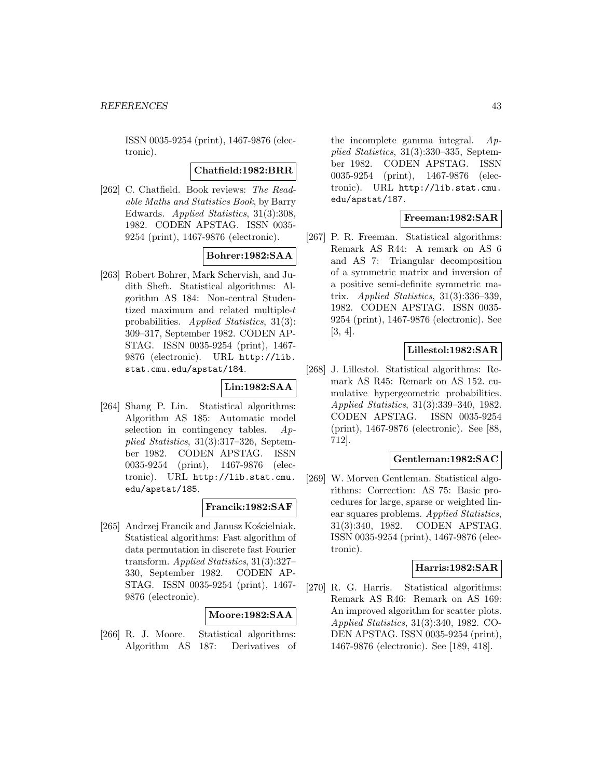ISSN 0035-9254 (print), 1467-9876 (electronic).

### **Chatfield:1982:BRR**

[262] C. Chatfield. Book reviews: The Readable Maths and Statistics Book, by Barry Edwards. Applied Statistics, 31(3):308, 1982. CODEN APSTAG. ISSN 0035- 9254 (print), 1467-9876 (electronic).

# **Bohrer:1982:SAA**

[263] Robert Bohrer, Mark Schervish, and Judith Sheft. Statistical algorithms: Algorithm AS 184: Non-central Studentized maximum and related multiple-t probabilities. Applied Statistics, 31(3): 309–317, September 1982. CODEN AP-STAG. ISSN 0035-9254 (print), 1467- 9876 (electronic). URL http://lib. stat.cmu.edu/apstat/184.

# **Lin:1982:SAA**

[264] Shang P. Lin. Statistical algorithms: Algorithm AS 185: Automatic model selection in contingency tables.  $Ap$ plied Statistics, 31(3):317–326, September 1982. CODEN APSTAG. ISSN 0035-9254 (print), 1467-9876 (electronic). URL http://lib.stat.cmu. edu/apstat/185.

## **Francik:1982:SAF**

[265] Andrzej Francik and Janusz Kościelniak. Statistical algorithms: Fast algorithm of data permutation in discrete fast Fourier transform. Applied Statistics, 31(3):327– 330, September 1982. CODEN AP-STAG. ISSN 0035-9254 (print), 1467- 9876 (electronic).

## **Moore:1982:SAA**

[266] R. J. Moore. Statistical algorithms: Algorithm AS 187: Derivatives of the incomplete gamma integral.  $Ap$ plied Statistics, 31(3):330–335, September 1982. CODEN APSTAG. ISSN 0035-9254 (print), 1467-9876 (electronic). URL http://lib.stat.cmu. edu/apstat/187.

### **Freeman:1982:SAR**

[267] P. R. Freeman. Statistical algorithms: Remark AS R44: A remark on AS 6 and AS 7: Triangular decomposition of a symmetric matrix and inversion of a positive semi-definite symmetric matrix. Applied Statistics,  $31(3):336-339$ , 1982. CODEN APSTAG. ISSN 0035- 9254 (print), 1467-9876 (electronic). See [3, 4].

# **Lillestol:1982:SAR**

[268] J. Lillestol. Statistical algorithms: Remark AS R45: Remark on AS 152. cumulative hypergeometric probabilities. Applied Statistics, 31(3):339–340, 1982. CODEN APSTAG. ISSN 0035-9254 (print), 1467-9876 (electronic). See [88, 712].

### **Gentleman:1982:SAC**

[269] W. Morven Gentleman. Statistical algorithms: Correction: AS 75: Basic procedures for large, sparse or weighted linear squares problems. Applied Statistics, 31(3):340, 1982. CODEN APSTAG. ISSN 0035-9254 (print), 1467-9876 (electronic).

### **Harris:1982:SAR**

[270] R. G. Harris. Statistical algorithms: Remark AS R46: Remark on AS 169: An improved algorithm for scatter plots. Applied Statistics, 31(3):340, 1982. CO-DEN APSTAG. ISSN 0035-9254 (print), 1467-9876 (electronic). See [189, 418].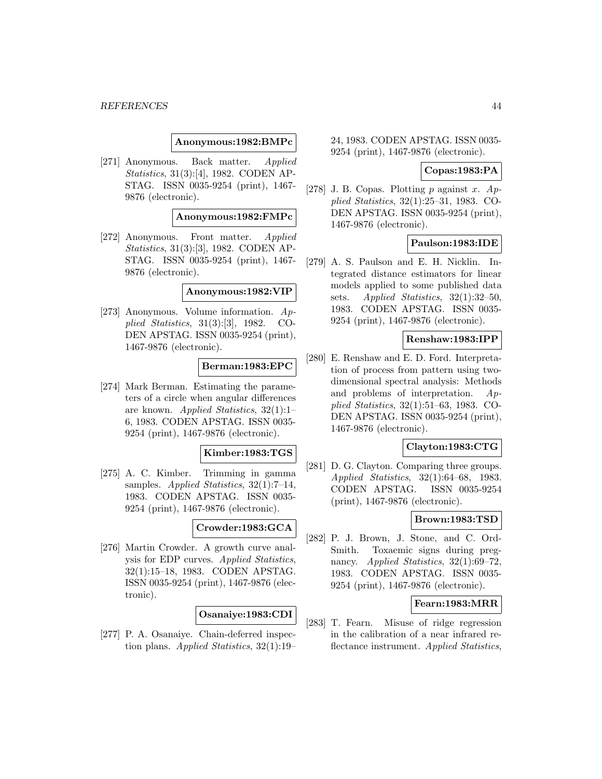### **Anonymous:1982:BMPc**

[271] Anonymous. Back matter. Applied Statistics, 31(3):[4], 1982. CODEN AP-STAG. ISSN 0035-9254 (print), 1467- 9876 (electronic).

### **Anonymous:1982:FMPc**

[272] Anonymous. Front matter. Applied Statistics, 31(3):[3], 1982. CODEN AP-STAG. ISSN 0035-9254 (print), 1467- 9876 (electronic).

## **Anonymous:1982:VIP**

[273] Anonymous. Volume information. Applied Statistics, 31(3):[3], 1982. CO-DEN APSTAG. ISSN 0035-9254 (print), 1467-9876 (electronic).

#### **Berman:1983:EPC**

[274] Mark Berman. Estimating the parameters of a circle when angular differences are known. Applied Statistics, 32(1):1– 6, 1983. CODEN APSTAG. ISSN 0035- 9254 (print), 1467-9876 (electronic).

#### **Kimber:1983:TGS**

[275] A. C. Kimber. Trimming in gamma samples. Applied Statistics, 32(1):7–14, 1983. CODEN APSTAG. ISSN 0035- 9254 (print), 1467-9876 (electronic).

# **Crowder:1983:GCA**

[276] Martin Crowder. A growth curve analysis for EDP curves. Applied Statistics, 32(1):15–18, 1983. CODEN APSTAG. ISSN 0035-9254 (print), 1467-9876 (electronic).

## **Osanaiye:1983:CDI**

[277] P. A. Osanaiye. Chain-deferred inspection plans. Applied Statistics, 32(1):19–

24, 1983. CODEN APSTAG. ISSN 0035- 9254 (print), 1467-9876 (electronic).

### **Copas:1983:PA**

[278] J. B. Copas. Plotting  $p$  against  $x$ .  $Ap$ plied Statistics, 32(1):25–31, 1983. CO-DEN APSTAG. ISSN 0035-9254 (print), 1467-9876 (electronic).

## **Paulson:1983:IDE**

[279] A. S. Paulson and E. H. Nicklin. Integrated distance estimators for linear models applied to some published data sets. Applied Statistics, 32(1):32–50, 1983. CODEN APSTAG. ISSN 0035- 9254 (print), 1467-9876 (electronic).

## **Renshaw:1983:IPP**

[280] E. Renshaw and E. D. Ford. Interpretation of process from pattern using twodimensional spectral analysis: Methods and problems of interpretation. Applied Statistics, 32(1):51–63, 1983. CO-DEN APSTAG. ISSN 0035-9254 (print), 1467-9876 (electronic).

### **Clayton:1983:CTG**

[281] D. G. Clayton. Comparing three groups. Applied Statistics, 32(1):64–68, 1983. CODEN APSTAG. ISSN 0035-9254 (print), 1467-9876 (electronic).

# **Brown:1983:TSD**

[282] P. J. Brown, J. Stone, and C. Ord-Smith. Toxaemic signs during pregnancy. Applied Statistics, 32(1):69–72, 1983. CODEN APSTAG. ISSN 0035- 9254 (print), 1467-9876 (electronic).

#### **Fearn:1983:MRR**

[283] T. Fearn. Misuse of ridge regression in the calibration of a near infrared reflectance instrument. Applied Statistics,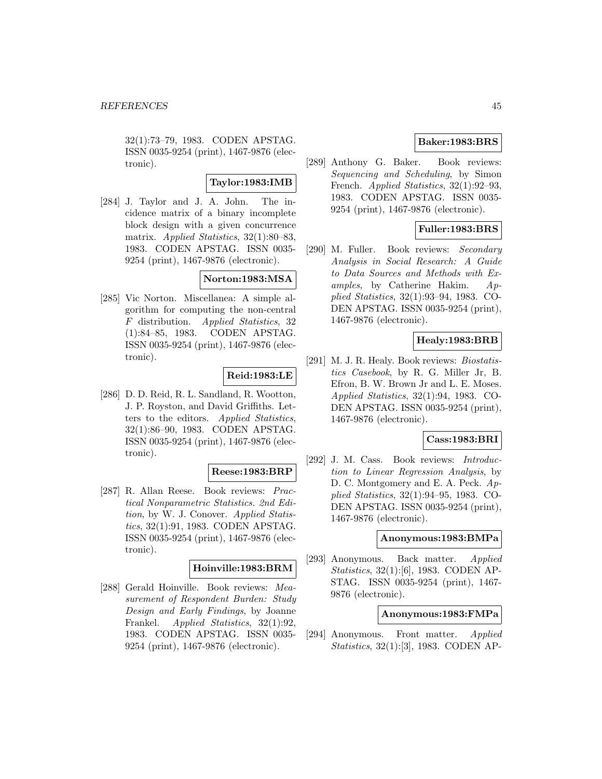32(1):73–79, 1983. CODEN APSTAG. ISSN 0035-9254 (print), 1467-9876 (electronic).

## **Taylor:1983:IMB**

[284] J. Taylor and J. A. John. The incidence matrix of a binary incomplete block design with a given concurrence matrix. Applied Statistics, 32(1):80–83, 1983. CODEN APSTAG. ISSN 0035- 9254 (print), 1467-9876 (electronic).

## **Norton:1983:MSA**

[285] Vic Norton. Miscellanea: A simple algorithm for computing the non-central F distribution. Applied Statistics, 32 (1):84–85, 1983. CODEN APSTAG. ISSN 0035-9254 (print), 1467-9876 (electronic).

# **Reid:1983:LE**

[286] D. D. Reid, R. L. Sandland, R. Wootton, J. P. Royston, and David Griffiths. Letters to the editors. Applied Statistics, 32(1):86–90, 1983. CODEN APSTAG. ISSN 0035-9254 (print), 1467-9876 (electronic).

## **Reese:1983:BRP**

[287] R. Allan Reese. Book reviews: Practical Nonparametric Statistics. 2nd Edition, by W. J. Conover. Applied Statistics, 32(1):91, 1983. CODEN APSTAG. ISSN 0035-9254 (print), 1467-9876 (electronic).

## **Hoinville:1983:BRM**

[288] Gerald Hoinville. Book reviews: Measurement of Respondent Burden: Study Design and Early Findings, by Joanne Frankel. Applied Statistics, 32(1):92, 1983. CODEN APSTAG. ISSN 0035- 9254 (print), 1467-9876 (electronic).

# **Baker:1983:BRS**

[289] Anthony G. Baker. Book reviews: Sequencing and Scheduling, by Simon French. *Applied Statistics*, 32(1):92–93, 1983. CODEN APSTAG. ISSN 0035- 9254 (print), 1467-9876 (electronic).

# **Fuller:1983:BRS**

[290] M. Fuller. Book reviews: Secondary Analysis in Social Research: A Guide to Data Sources and Methods with Examples, by Catherine Hakim. Applied Statistics, 32(1):93–94, 1983. CO-DEN APSTAG. ISSN 0035-9254 (print), 1467-9876 (electronic).

## **Healy:1983:BRB**

[291] M. J. R. Healy. Book reviews: *Biostatis*tics Casebook, by R. G. Miller Jr, B. Efron, B. W. Brown Jr and L. E. Moses. Applied Statistics, 32(1):94, 1983. CO-DEN APSTAG. ISSN 0035-9254 (print), 1467-9876 (electronic).

## **Cass:1983:BRI**

[292] J. M. Cass. Book reviews: Introduction to Linear Regression Analysis, by D. C. Montgomery and E. A. Peck.  $Ap$ plied Statistics, 32(1):94–95, 1983. CO-DEN APSTAG. ISSN 0035-9254 (print), 1467-9876 (electronic).

#### **Anonymous:1983:BMPa**

[293] Anonymous. Back matter. Applied Statistics, 32(1):[6], 1983. CODEN AP-STAG. ISSN 0035-9254 (print), 1467- 9876 (electronic).

# **Anonymous:1983:FMPa**

[294] Anonymous. Front matter. Applied Statistics, 32(1):[3], 1983. CODEN AP-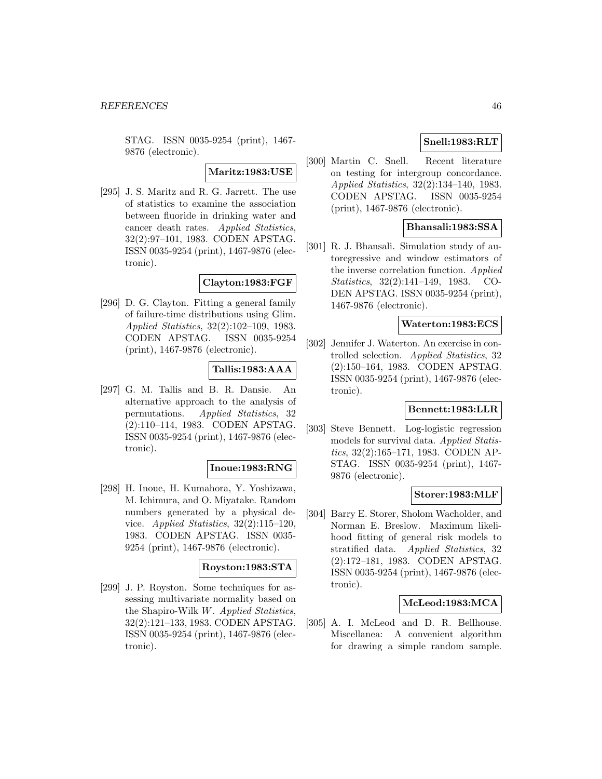STAG. ISSN 0035-9254 (print), 1467- 9876 (electronic).

# **Maritz:1983:USE**

[295] J. S. Maritz and R. G. Jarrett. The use of statistics to examine the association between fluoride in drinking water and cancer death rates. Applied Statistics, 32(2):97–101, 1983. CODEN APSTAG. ISSN 0035-9254 (print), 1467-9876 (electronic).

## **Clayton:1983:FGF**

[296] D. G. Clayton. Fitting a general family of failure-time distributions using Glim. Applied Statistics, 32(2):102–109, 1983. CODEN APSTAG. ISSN 0035-9254 (print), 1467-9876 (electronic).

# **Tallis:1983:AAA**

[297] G. M. Tallis and B. R. Dansie. An alternative approach to the analysis of permutations. Applied Statistics, 32 (2):110–114, 1983. CODEN APSTAG. ISSN 0035-9254 (print), 1467-9876 (electronic).

## **Inoue:1983:RNG**

[298] H. Inoue, H. Kumahora, Y. Yoshizawa, M. Ichimura, and O. Miyatake. Random numbers generated by a physical device. Applied Statistics, 32(2):115–120, 1983. CODEN APSTAG. ISSN 0035- 9254 (print), 1467-9876 (electronic).

### **Royston:1983:STA**

[299] J. P. Royston. Some techniques for assessing multivariate normality based on the Shapiro-Wilk W. Applied Statistics, 32(2):121–133, 1983. CODEN APSTAG. ISSN 0035-9254 (print), 1467-9876 (electronic).

# **Snell:1983:RLT**

[300] Martin C. Snell. Recent literature on testing for intergroup concordance. Applied Statistics, 32(2):134–140, 1983. CODEN APSTAG. ISSN 0035-9254 (print), 1467-9876 (electronic).

# **Bhansali:1983:SSA**

[301] R. J. Bhansali. Simulation study of autoregressive and window estimators of the inverse correlation function. Applied Statistics, 32(2):141–149, 1983. CO-DEN APSTAG. ISSN 0035-9254 (print), 1467-9876 (electronic).

## **Waterton:1983:ECS**

[302] Jennifer J. Waterton. An exercise in controlled selection. Applied Statistics, 32 (2):150–164, 1983. CODEN APSTAG. ISSN 0035-9254 (print), 1467-9876 (electronic).

## **Bennett:1983:LLR**

[303] Steve Bennett. Log-logistic regression models for survival data. Applied Statistics, 32(2):165–171, 1983. CODEN AP-STAG. ISSN 0035-9254 (print), 1467- 9876 (electronic).

#### **Storer:1983:MLF**

[304] Barry E. Storer, Sholom Wacholder, and Norman E. Breslow. Maximum likelihood fitting of general risk models to stratified data. Applied Statistics, 32 (2):172–181, 1983. CODEN APSTAG. ISSN 0035-9254 (print), 1467-9876 (electronic).

# **McLeod:1983:MCA**

[305] A. I. McLeod and D. R. Bellhouse. Miscellanea: A convenient algorithm for drawing a simple random sample.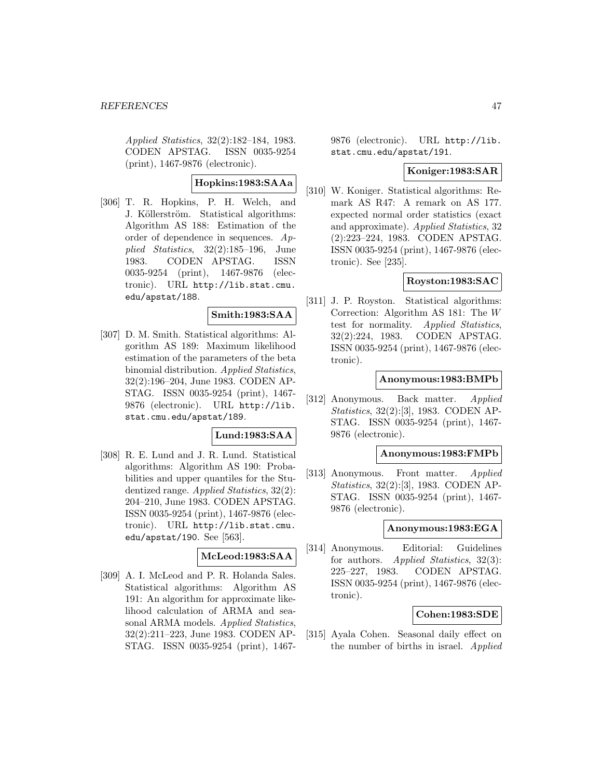Applied Statistics, 32(2):182–184, 1983. CODEN APSTAG. ISSN 0035-9254 (print), 1467-9876 (electronic).

# **Hopkins:1983:SAAa**

[306] T. R. Hopkins, P. H. Welch, and J. Köllerström. Statistical algorithms: Algorithm AS 188: Estimation of the order of dependence in sequences. Applied Statistics, 32(2):185–196, June 1983. CODEN APSTAG. ISSN 0035-9254 (print), 1467-9876 (electronic). URL http://lib.stat.cmu. edu/apstat/188.

# **Smith:1983:SAA**

[307] D. M. Smith. Statistical algorithms: Algorithm AS 189: Maximum likelihood estimation of the parameters of the beta binomial distribution. Applied Statistics, 32(2):196–204, June 1983. CODEN AP-STAG. ISSN 0035-9254 (print), 1467- 9876 (electronic). URL http://lib. stat.cmu.edu/apstat/189.

## **Lund:1983:SAA**

[308] R. E. Lund and J. R. Lund. Statistical algorithms: Algorithm AS 190: Probabilities and upper quantiles for the Studentized range. Applied Statistics, 32(2): 204–210, June 1983. CODEN APSTAG. ISSN 0035-9254 (print), 1467-9876 (electronic). URL http://lib.stat.cmu. edu/apstat/190. See [563].

## **McLeod:1983:SAA**

[309] A. I. McLeod and P. R. Holanda Sales. Statistical algorithms: Algorithm AS 191: An algorithm for approximate likelihood calculation of ARMA and seasonal ARMA models. Applied Statistics, 32(2):211–223, June 1983. CODEN AP-STAG. ISSN 0035-9254 (print), 14679876 (electronic). URL http://lib. stat.cmu.edu/apstat/191.

### **Koniger:1983:SAR**

[310] W. Koniger. Statistical algorithms: Remark AS R47: A remark on AS 177. expected normal order statistics (exact and approximate). Applied Statistics, 32 (2):223–224, 1983. CODEN APSTAG. ISSN 0035-9254 (print), 1467-9876 (electronic). See [235].

## **Royston:1983:SAC**

[311] J. P. Royston. Statistical algorithms: Correction: Algorithm AS 181: The W test for normality. Applied Statistics, 32(2):224, 1983. CODEN APSTAG. ISSN 0035-9254 (print), 1467-9876 (electronic).

## **Anonymous:1983:BMPb**

[312] Anonymous. Back matter. Applied Statistics, 32(2):[3], 1983. CODEN AP-STAG. ISSN 0035-9254 (print), 1467- 9876 (electronic).

## **Anonymous:1983:FMPb**

[313] Anonymous. Front matter. Applied Statistics, 32(2):[3], 1983. CODEN AP-STAG. ISSN 0035-9254 (print), 1467- 9876 (electronic).

#### **Anonymous:1983:EGA**

[314] Anonymous. Editorial: Guidelines for authors. *Applied Statistics*, 32(3): 225–227, 1983. CODEN APSTAG. ISSN 0035-9254 (print), 1467-9876 (electronic).

#### **Cohen:1983:SDE**

[315] Ayala Cohen. Seasonal daily effect on the number of births in israel. Applied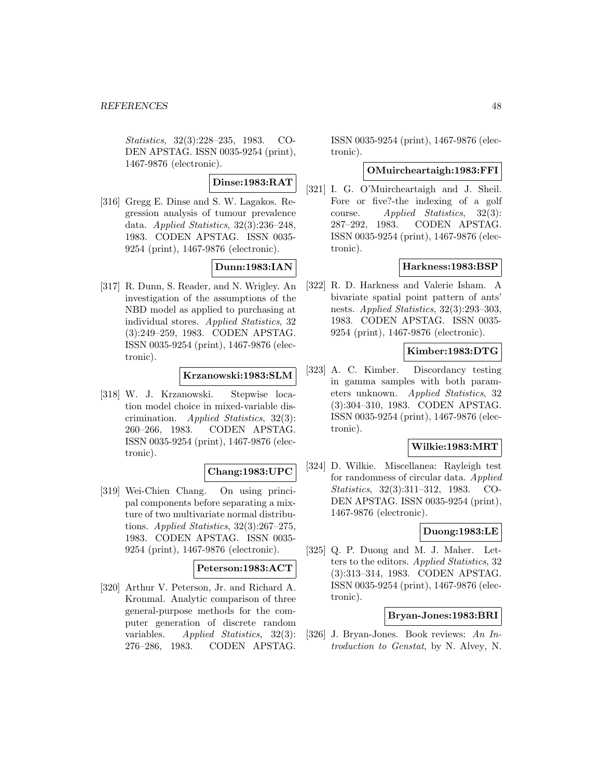Statistics, 32(3):228–235, 1983. CO-DEN APSTAG. ISSN 0035-9254 (print), 1467-9876 (electronic).

# **Dinse:1983:RAT**

[316] Gregg E. Dinse and S. W. Lagakos. Regression analysis of tumour prevalence data. Applied Statistics, 32(3):236–248, 1983. CODEN APSTAG. ISSN 0035- 9254 (print), 1467-9876 (electronic).

# **Dunn:1983:IAN**

[317] R. Dunn, S. Reader, and N. Wrigley. An investigation of the assumptions of the NBD model as applied to purchasing at individual stores. Applied Statistics, 32 (3):249–259, 1983. CODEN APSTAG. ISSN 0035-9254 (print), 1467-9876 (electronic).

## **Krzanowski:1983:SLM**

[318] W. J. Krzanowski. Stepwise location model choice in mixed-variable discrimination. Applied Statistics, 32(3): 260–266, 1983. CODEN APSTAG. ISSN 0035-9254 (print), 1467-9876 (electronic).

# **Chang:1983:UPC**

[319] Wei-Chien Chang. On using principal components before separating a mixture of two multivariate normal distributions. Applied Statistics, 32(3):267–275, 1983. CODEN APSTAG. ISSN 0035- 9254 (print), 1467-9876 (electronic).

## **Peterson:1983:ACT**

[320] Arthur V. Peterson, Jr. and Richard A. Kronmal. Analytic comparison of three general-purpose methods for the computer generation of discrete random variables. Applied Statistics, 32(3): 276–286, 1983. CODEN APSTAG.

ISSN 0035-9254 (print), 1467-9876 (electronic).

# **OMuircheartaigh:1983:FFI**

[321] I. G. O'Muircheartaigh and J. Sheil. Fore or five?-the indexing of a golf course. Applied Statistics, 32(3): 287–292, 1983. CODEN APSTAG. ISSN 0035-9254 (print), 1467-9876 (electronic).

### **Harkness:1983:BSP**

[322] R. D. Harkness and Valerie Isham. A bivariate spatial point pattern of ants' nests. Applied Statistics, 32(3):293–303, 1983. CODEN APSTAG. ISSN 0035- 9254 (print), 1467-9876 (electronic).

# **Kimber:1983:DTG**

[323] A. C. Kimber. Discordancy testing in gamma samples with both parameters unknown. Applied Statistics, 32 (3):304–310, 1983. CODEN APSTAG. ISSN 0035-9254 (print), 1467-9876 (electronic).

## **Wilkie:1983:MRT**

[324] D. Wilkie. Miscellanea: Rayleigh test for randomness of circular data. Applied Statistics, 32(3):311–312, 1983. CO-DEN APSTAG. ISSN 0035-9254 (print), 1467-9876 (electronic).

# **Duong:1983:LE**

[325] Q. P. Duong and M. J. Maher. Letters to the editors. Applied Statistics, 32 (3):313–314, 1983. CODEN APSTAG. ISSN 0035-9254 (print), 1467-9876 (electronic).

# **Bryan-Jones:1983:BRI**

[326] J. Bryan-Jones. Book reviews: An Introduction to Genstat, by N. Alvey, N.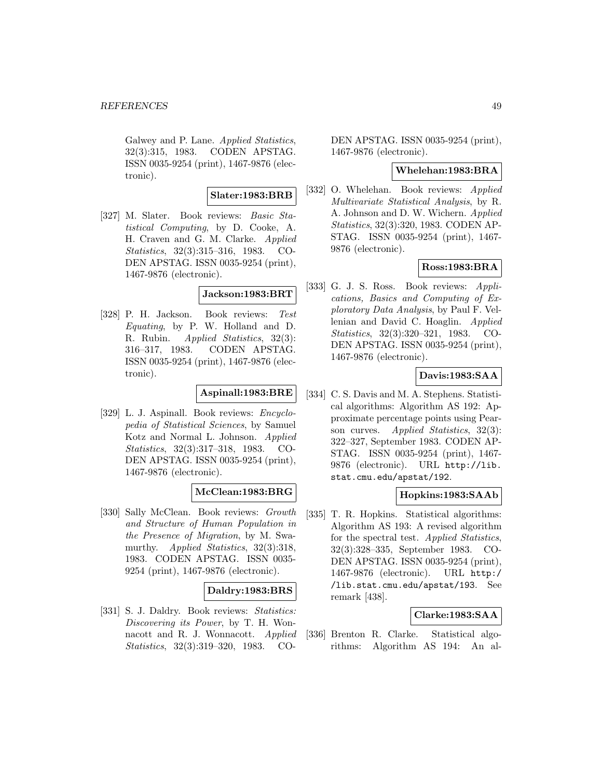Galwey and P. Lane. Applied Statistics, 32(3):315, 1983. CODEN APSTAG. ISSN 0035-9254 (print), 1467-9876 (electronic).

## **Slater:1983:BRB**

[327] M. Slater. Book reviews: Basic Statistical Computing, by D. Cooke, A. H. Craven and G. M. Clarke. Applied Statistics, 32(3):315–316, 1983. CO-DEN APSTAG. ISSN 0035-9254 (print), 1467-9876 (electronic).

### **Jackson:1983:BRT**

[328] P. H. Jackson. Book reviews: Test Equating, by P. W. Holland and D. R. Rubin. Applied Statistics, 32(3): 316–317, 1983. CODEN APSTAG. ISSN 0035-9254 (print), 1467-9876 (electronic).

# **Aspinall:1983:BRE**

[329] L. J. Aspinall. Book reviews: Encyclopedia of Statistical Sciences, by Samuel Kotz and Normal L. Johnson. Applied Statistics, 32(3):317–318, 1983. CO-DEN APSTAG. ISSN 0035-9254 (print), 1467-9876 (electronic).

# **McClean:1983:BRG**

[330] Sally McClean. Book reviews: Growth and Structure of Human Population in the Presence of Migration, by M. Swamurthy. Applied Statistics, 32(3):318, 1983. CODEN APSTAG. ISSN 0035- 9254 (print), 1467-9876 (electronic).

# **Daldry:1983:BRS**

[331] S. J. Daldry. Book reviews: Statistics: Discovering its Power, by T. H. Wonnacott and R. J. Wonnacott. Applied Statistics, 32(3):319–320, 1983. CO-

DEN APSTAG. ISSN 0035-9254 (print), 1467-9876 (electronic).

### **Whelehan:1983:BRA**

[332] O. Whelehan. Book reviews: Applied Multivariate Statistical Analysis, by R. A. Johnson and D. W. Wichern. Applied Statistics, 32(3):320, 1983. CODEN AP-STAG. ISSN 0035-9254 (print), 1467- 9876 (electronic).

# **Ross:1983:BRA**

[333] G. J. S. Ross. Book reviews: Applications, Basics and Computing of Exploratory Data Analysis, by Paul F. Vellenian and David C. Hoaglin. Applied Statistics, 32(3):320–321, 1983. CO-DEN APSTAG. ISSN 0035-9254 (print), 1467-9876 (electronic).

# **Davis:1983:SAA**

[334] C. S. Davis and M. A. Stephens. Statistical algorithms: Algorithm AS 192: Approximate percentage points using Pearson curves. Applied Statistics, 32(3): 322–327, September 1983. CODEN AP-STAG. ISSN 0035-9254 (print), 1467- 9876 (electronic). URL http://lib. stat.cmu.edu/apstat/192.

## **Hopkins:1983:SAAb**

[335] T. R. Hopkins. Statistical algorithms: Algorithm AS 193: A revised algorithm for the spectral test. Applied Statistics, 32(3):328–335, September 1983. CO-DEN APSTAG. ISSN 0035-9254 (print), 1467-9876 (electronic). URL http:/ /lib.stat.cmu.edu/apstat/193. See remark [438].

## **Clarke:1983:SAA**

[336] Brenton R. Clarke. Statistical algorithms: Algorithm AS 194: An al-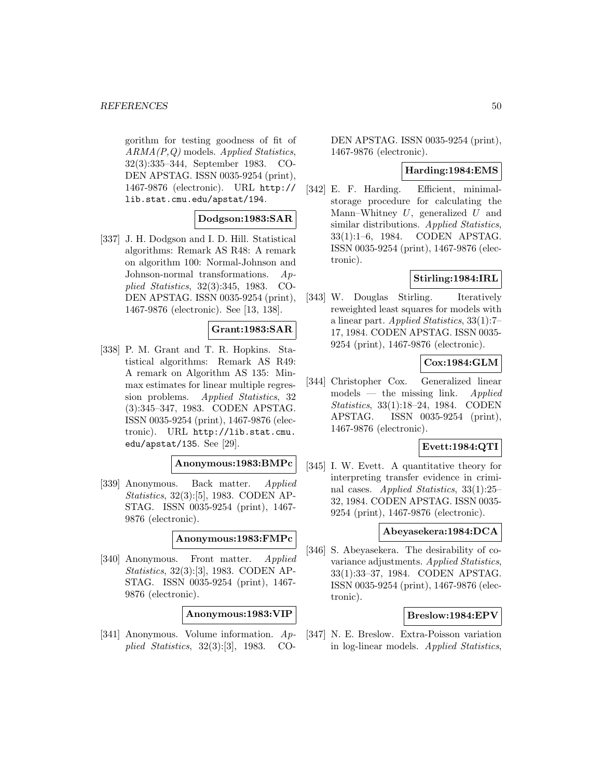#### **REFERENCES** 50

gorithm for testing goodness of fit of ARMA(P,Q) models. Applied Statistics, 32(3):335–344, September 1983. CO-DEN APSTAG. ISSN 0035-9254 (print), 1467-9876 (electronic). URL http:// lib.stat.cmu.edu/apstat/194.

## **Dodgson:1983:SAR**

[337] J. H. Dodgson and I. D. Hill. Statistical algorithms: Remark AS R48: A remark on algorithm 100: Normal-Johnson and Johnson-normal transformations. Applied Statistics, 32(3):345, 1983. CO-DEN APSTAG. ISSN 0035-9254 (print), 1467-9876 (electronic). See [13, 138].

## **Grant:1983:SAR**

[338] P. M. Grant and T. R. Hopkins. Statistical algorithms: Remark AS R49: A remark on Algorithm AS 135: Minmax estimates for linear multiple regression problems. Applied Statistics, 32 (3):345–347, 1983. CODEN APSTAG. ISSN 0035-9254 (print), 1467-9876 (electronic). URL http://lib.stat.cmu. edu/apstat/135. See [29].

# **Anonymous:1983:BMPc**

[339] Anonymous. Back matter. Applied Statistics, 32(3):[5], 1983. CODEN AP-STAG. ISSN 0035-9254 (print), 1467- 9876 (electronic).

**Anonymous:1983:FMPc**

[340] Anonymous. Front matter. Applied Statistics, 32(3):[3], 1983. CODEN AP-STAG. ISSN 0035-9254 (print), 1467- 9876 (electronic).

**Anonymous:1983:VIP**

[341] Anonymous. Volume information. Applied Statistics, 32(3):[3], 1983. CO-

DEN APSTAG. ISSN 0035-9254 (print), 1467-9876 (electronic).

#### **Harding:1984:EMS**

[342] E. F. Harding. Efficient, minimalstorage procedure for calculating the Mann–Whitney  $U$ , generalized  $U$  and similar distributions. Applied Statistics, 33(1):1–6, 1984. CODEN APSTAG. ISSN 0035-9254 (print), 1467-9876 (electronic).

# **Stirling:1984:IRL**

[343] W. Douglas Stirling. Iteratively reweighted least squares for models with a linear part. Applied Statistics, 33(1):7– 17, 1984. CODEN APSTAG. ISSN 0035- 9254 (print), 1467-9876 (electronic).

# **Cox:1984:GLM**

[344] Christopher Cox. Generalized linear  $models$  — the missing link. *Applied* Statistics, 33(1):18–24, 1984. CODEN APSTAG. ISSN 0035-9254 (print), 1467-9876 (electronic).

### **Evett:1984:QTI**

[345] I. W. Evett. A quantitative theory for interpreting transfer evidence in criminal cases. Applied Statistics, 33(1):25– 32, 1984. CODEN APSTAG. ISSN 0035- 9254 (print), 1467-9876 (electronic).

### **Abeyasekera:1984:DCA**

[346] S. Abeyasekera. The desirability of covariance adjustments. Applied Statistics, 33(1):33–37, 1984. CODEN APSTAG. ISSN 0035-9254 (print), 1467-9876 (electronic).

## **Breslow:1984:EPV**

[347] N. E. Breslow. Extra-Poisson variation in log-linear models. Applied Statistics,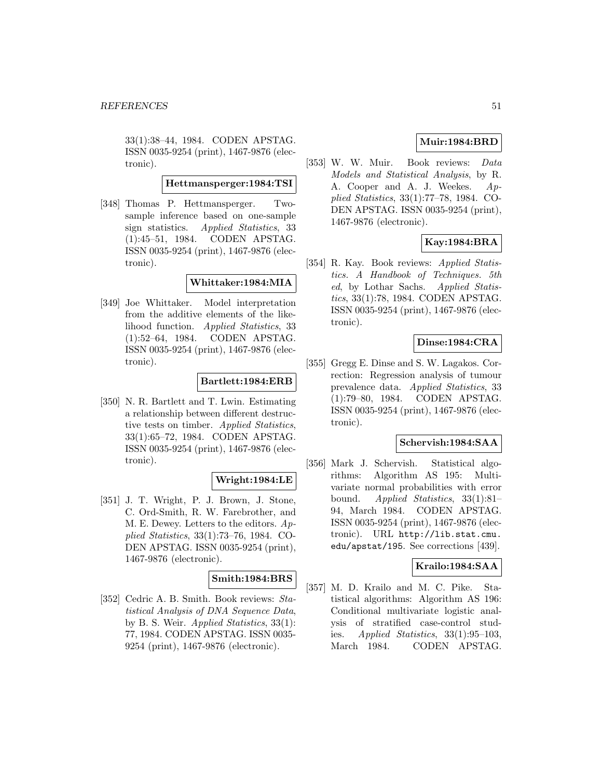33(1):38–44, 1984. CODEN APSTAG. ISSN 0035-9254 (print), 1467-9876 (electronic).

### **Hettmansperger:1984:TSI**

[348] Thomas P. Hettmansperger. Twosample inference based on one-sample sign statistics. Applied Statistics, 33 (1):45–51, 1984. CODEN APSTAG. ISSN 0035-9254 (print), 1467-9876 (electronic).

### **Whittaker:1984:MIA**

[349] Joe Whittaker. Model interpretation from the additive elements of the likelihood function. Applied Statistics, 33 (1):52–64, 1984. CODEN APSTAG. ISSN 0035-9254 (print), 1467-9876 (electronic).

## **Bartlett:1984:ERB**

[350] N. R. Bartlett and T. Lwin. Estimating a relationship between different destructive tests on timber. Applied Statistics, 33(1):65–72, 1984. CODEN APSTAG. ISSN 0035-9254 (print), 1467-9876 (electronic).

#### **Wright:1984:LE**

[351] J. T. Wright, P. J. Brown, J. Stone, C. Ord-Smith, R. W. Farebrother, and M. E. Dewey. Letters to the editors. Applied Statistics, 33(1):73–76, 1984. CO-DEN APSTAG. ISSN 0035-9254 (print), 1467-9876 (electronic).

## **Smith:1984:BRS**

[352] Cedric A. B. Smith. Book reviews: Statistical Analysis of DNA Sequence Data, by B. S. Weir. Applied Statistics, 33(1): 77, 1984. CODEN APSTAG. ISSN 0035- 9254 (print), 1467-9876 (electronic).

# **Muir:1984:BRD**

[353] W. W. Muir. Book reviews: Data Models and Statistical Analysis, by R. A. Cooper and A. J. Weekes. Applied Statistics, 33(1):77–78, 1984. CO-DEN APSTAG. ISSN 0035-9254 (print), 1467-9876 (electronic).

# **Kay:1984:BRA**

[354] R. Kay. Book reviews: *Applied Statis*tics. A Handbook of Techniques. 5th ed, by Lothar Sachs. Applied Statistics, 33(1):78, 1984. CODEN APSTAG. ISSN 0035-9254 (print), 1467-9876 (electronic).

## **Dinse:1984:CRA**

[355] Gregg E. Dinse and S. W. Lagakos. Correction: Regression analysis of tumour prevalence data. Applied Statistics, 33 (1):79–80, 1984. CODEN APSTAG. ISSN 0035-9254 (print), 1467-9876 (electronic).

## **Schervish:1984:SAA**

[356] Mark J. Schervish. Statistical algorithms: Algorithm AS 195: Multivariate normal probabilities with error bound. Applied Statistics, 33(1):81– 94, March 1984. CODEN APSTAG. ISSN 0035-9254 (print), 1467-9876 (electronic). URL http://lib.stat.cmu. edu/apstat/195. See corrections [439].

#### **Krailo:1984:SAA**

[357] M. D. Krailo and M. C. Pike. Statistical algorithms: Algorithm AS 196: Conditional multivariate logistic analysis of stratified case-control studies. Applied Statistics,  $33(1):95-103$ , March 1984. CODEN APSTAG.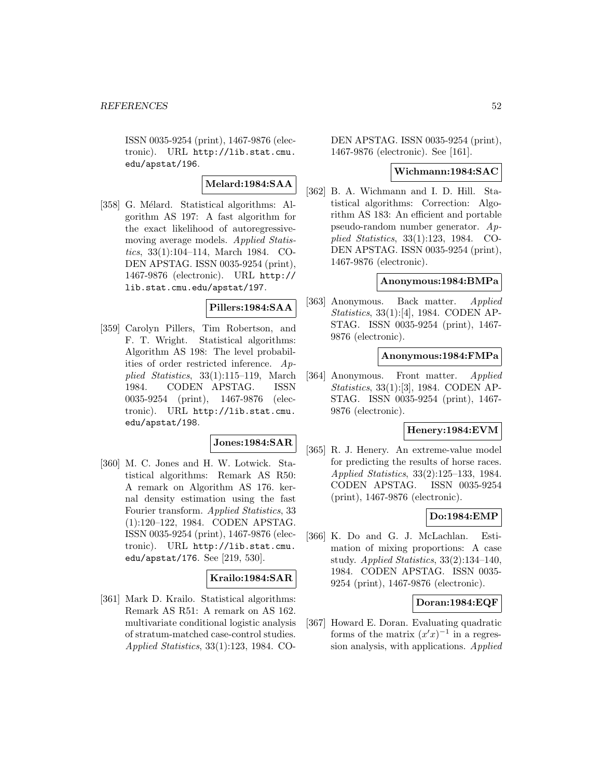ISSN 0035-9254 (print), 1467-9876 (electronic). URL http://lib.stat.cmu. edu/apstat/196.

# **Melard:1984:SAA**

[358] G. Mélard. Statistical algorithms: Algorithm AS 197: A fast algorithm for the exact likelihood of autoregressivemoving average models. Applied Statistics, 33(1):104–114, March 1984. CO-DEN APSTAG. ISSN 0035-9254 (print), 1467-9876 (electronic). URL http:// lib.stat.cmu.edu/apstat/197.

# **Pillers:1984:SAA**

[359] Carolyn Pillers, Tim Robertson, and F. T. Wright. Statistical algorithms: Algorithm AS 198: The level probabilities of order restricted inference. Applied Statistics, 33(1):115–119, March 1984. CODEN APSTAG. ISSN 0035-9254 (print), 1467-9876 (electronic). URL http://lib.stat.cmu. edu/apstat/198.

# **Jones:1984:SAR**

[360] M. C. Jones and H. W. Lotwick. Statistical algorithms: Remark AS R50: A remark on Algorithm AS 176. kernal density estimation using the fast Fourier transform. Applied Statistics, 33 (1):120–122, 1984. CODEN APSTAG. ISSN 0035-9254 (print), 1467-9876 (electronic). URL http://lib.stat.cmu. edu/apstat/176. See [219, 530].

# **Krailo:1984:SAR**

[361] Mark D. Krailo. Statistical algorithms: Remark AS R51: A remark on AS 162. multivariate conditional logistic analysis of stratum-matched case-control studies. Applied Statistics, 33(1):123, 1984. CO-

DEN APSTAG. ISSN 0035-9254 (print), 1467-9876 (electronic). See [161].

### **Wichmann:1984:SAC**

[362] B. A. Wichmann and I. D. Hill. Statistical algorithms: Correction: Algorithm AS 183: An efficient and portable pseudo-random number generator. Applied Statistics, 33(1):123, 1984. CO-DEN APSTAG. ISSN 0035-9254 (print), 1467-9876 (electronic).

### **Anonymous:1984:BMPa**

[363] Anonymous. Back matter. Applied Statistics, 33(1):[4], 1984. CODEN AP-STAG. ISSN 0035-9254 (print), 1467- 9876 (electronic).

## **Anonymous:1984:FMPa**

[364] Anonymous. Front matter. Applied Statistics, 33(1):[3], 1984. CODEN AP-STAG. ISSN 0035-9254 (print), 1467- 9876 (electronic).

#### **Henery:1984:EVM**

[365] R. J. Henery. An extreme-value model for predicting the results of horse races. Applied Statistics, 33(2):125–133, 1984. CODEN APSTAG. ISSN 0035-9254 (print), 1467-9876 (electronic).

## **Do:1984:EMP**

[366] K. Do and G. J. McLachlan. Estimation of mixing proportions: A case study. Applied Statistics, 33(2):134–140, 1984. CODEN APSTAG. ISSN 0035- 9254 (print), 1467-9876 (electronic).

### **Doran:1984:EQF**

[367] Howard E. Doran. Evaluating quadratic forms of the matrix  $(x'x)^{-1}$  in a regression analysis, with applications. Applied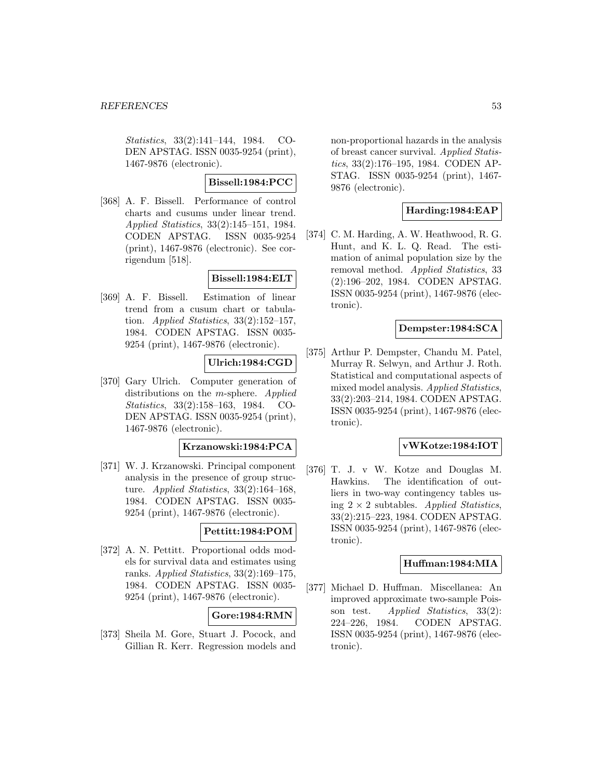Statistics, 33(2):141–144, 1984. CO-DEN APSTAG. ISSN 0035-9254 (print), 1467-9876 (electronic).

## **Bissell:1984:PCC**

[368] A. F. Bissell. Performance of control charts and cusums under linear trend. Applied Statistics, 33(2):145–151, 1984. CODEN APSTAG. ISSN 0035-9254 (print), 1467-9876 (electronic). See corrigendum [518].

# **Bissell:1984:ELT**

[369] A. F. Bissell. Estimation of linear trend from a cusum chart or tabulation. Applied Statistics,  $33(2):152-157$ , 1984. CODEN APSTAG. ISSN 0035- 9254 (print), 1467-9876 (electronic).

## **Ulrich:1984:CGD**

[370] Gary Ulrich. Computer generation of distributions on the *m*-sphere. Applied Statistics, 33(2):158–163, 1984. CO-DEN APSTAG. ISSN 0035-9254 (print), 1467-9876 (electronic).

## **Krzanowski:1984:PCA**

[371] W. J. Krzanowski. Principal component analysis in the presence of group structure. Applied Statistics, 33(2):164–168, 1984. CODEN APSTAG. ISSN 0035- 9254 (print), 1467-9876 (electronic).

# **Pettitt:1984:POM**

[372] A. N. Pettitt. Proportional odds models for survival data and estimates using ranks. Applied Statistics, 33(2):169–175, 1984. CODEN APSTAG. ISSN 0035- 9254 (print), 1467-9876 (electronic).

# **Gore:1984:RMN**

[373] Sheila M. Gore, Stuart J. Pocock, and Gillian R. Kerr. Regression models and

non-proportional hazards in the analysis of breast cancer survival. Applied Statistics, 33(2):176–195, 1984. CODEN AP-STAG. ISSN 0035-9254 (print), 1467- 9876 (electronic).

# **Harding:1984:EAP**

[374] C. M. Harding, A. W. Heathwood, R. G. Hunt, and K. L. Q. Read. The estimation of animal population size by the removal method. Applied Statistics, 33 (2):196–202, 1984. CODEN APSTAG. ISSN 0035-9254 (print), 1467-9876 (electronic).

## **Dempster:1984:SCA**

[375] Arthur P. Dempster, Chandu M. Patel, Murray R. Selwyn, and Arthur J. Roth. Statistical and computational aspects of mixed model analysis. Applied Statistics, 33(2):203–214, 1984. CODEN APSTAG. ISSN 0035-9254 (print), 1467-9876 (electronic).

## **vWKotze:1984:IOT**

[376] T. J. v W. Kotze and Douglas M. Hawkins. The identification of outliers in two-way contingency tables using  $2 \times 2$  subtables. Applied Statistics, 33(2):215–223, 1984. CODEN APSTAG. ISSN 0035-9254 (print), 1467-9876 (electronic).

### **Huffman:1984:MIA**

[377] Michael D. Huffman. Miscellanea: An improved approximate two-sample Poisson test. Applied Statistics, 33(2): 224–226, 1984. CODEN APSTAG. ISSN 0035-9254 (print), 1467-9876 (electronic).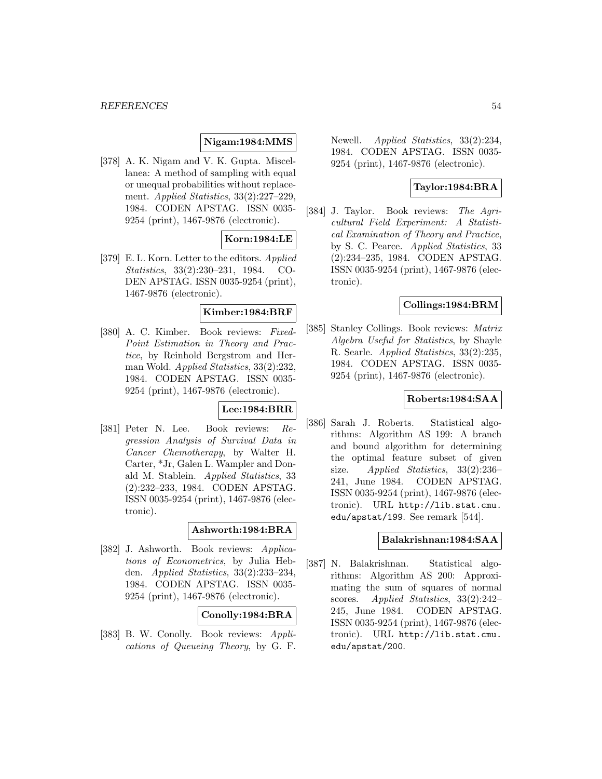#### **REFERENCES** 54

# **Nigam:1984:MMS**

[378] A. K. Nigam and V. K. Gupta. Miscellanea: A method of sampling with equal or unequal probabilities without replacement. Applied Statistics, 33(2):227–229, 1984. CODEN APSTAG. ISSN 0035- 9254 (print), 1467-9876 (electronic).

# **Korn:1984:LE**

[379] E. L. Korn. Letter to the editors. Applied Statistics, 33(2):230–231, 1984. CO-DEN APSTAG. ISSN 0035-9254 (print), 1467-9876 (electronic).

# **Kimber:1984:BRF**

[380] A. C. Kimber. Book reviews: Fixed-Point Estimation in Theory and Practice, by Reinhold Bergstrom and Herman Wold. Applied Statistics, 33(2):232, 1984. CODEN APSTAG. ISSN 0035- 9254 (print), 1467-9876 (electronic).

# **Lee:1984:BRR**

[381] Peter N. Lee. Book reviews: Regression Analysis of Survival Data in Cancer Chemotherapy, by Walter H. Carter, \*Jr, Galen L. Wampler and Donald M. Stablein. Applied Statistics, 33 (2):232–233, 1984. CODEN APSTAG. ISSN 0035-9254 (print), 1467-9876 (electronic).

## **Ashworth:1984:BRA**

[382] J. Ashworth. Book reviews: Applications of Econometrics, by Julia Hebden. Applied Statistics, 33(2):233–234, 1984. CODEN APSTAG. ISSN 0035- 9254 (print), 1467-9876 (electronic).

## **Conolly:1984:BRA**

[383] B. W. Conolly. Book reviews: Applications of Queueing Theory, by G. F.

Newell. Applied Statistics, 33(2):234, 1984. CODEN APSTAG. ISSN 0035- 9254 (print), 1467-9876 (electronic).

# **Taylor:1984:BRA**

[384] J. Taylor. Book reviews: The Agricultural Field Experiment: A Statistical Examination of Theory and Practice, by S. C. Pearce. Applied Statistics, 33 (2):234–235, 1984. CODEN APSTAG. ISSN 0035-9254 (print), 1467-9876 (electronic).

### **Collings:1984:BRM**

[385] Stanley Collings. Book reviews: Matrix Algebra Useful for Statistics, by Shayle R. Searle. Applied Statistics, 33(2):235, 1984. CODEN APSTAG. ISSN 0035- 9254 (print), 1467-9876 (electronic).

### **Roberts:1984:SAA**

[386] Sarah J. Roberts. Statistical algorithms: Algorithm AS 199: A branch and bound algorithm for determining the optimal feature subset of given size. Applied Statistics, 33(2):236– 241, June 1984. CODEN APSTAG. ISSN 0035-9254 (print), 1467-9876 (electronic). URL http://lib.stat.cmu. edu/apstat/199. See remark [544].

## **Balakrishnan:1984:SAA**

[387] N. Balakrishnan. Statistical algorithms: Algorithm AS 200: Approximating the sum of squares of normal scores. Applied Statistics, 33(2):242– 245, June 1984. CODEN APSTAG. ISSN 0035-9254 (print), 1467-9876 (electronic). URL http://lib.stat.cmu. edu/apstat/200.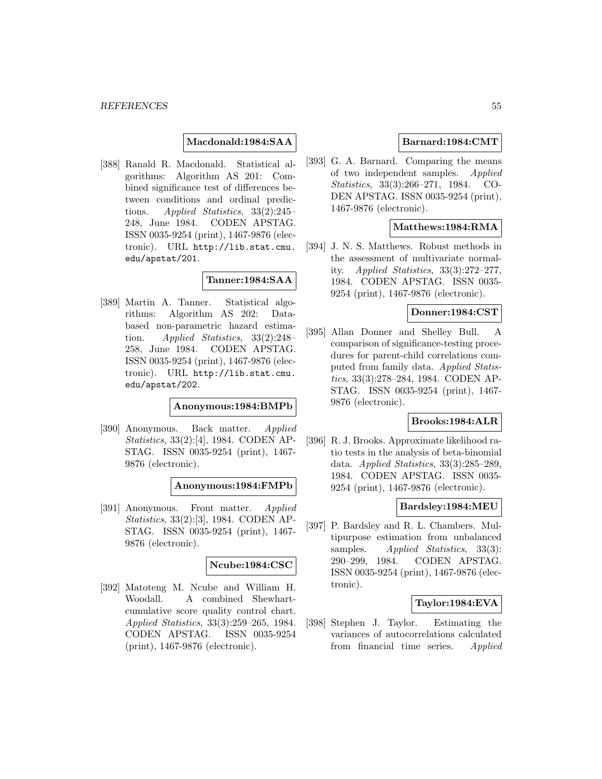## **Macdonald:1984:SAA**

[388] Ranald R. Macdonald. Statistical algorithms: Algorithm AS 201: Combined significance test of differences between conditions and ordinal predictions. Applied Statistics, 33(2):245– 248, June 1984. CODEN APSTAG. ISSN 0035-9254 (print), 1467-9876 (electronic). URL http://lib.stat.cmu. edu/apstat/201.

# **Tanner:1984:SAA**

[389] Martin A. Tanner. Statistical algorithms: Algorithm AS 202: Databased non-parametric hazard estimation. Applied Statistics, 33(2):248– 258, June 1984. CODEN APSTAG. ISSN 0035-9254 (print), 1467-9876 (electronic). URL http://lib.stat.cmu. edu/apstat/202.

**Anonymous:1984:BMPb**

[390] Anonymous. Back matter. Applied Statistics, 33(2):[4], 1984. CODEN AP-STAG. ISSN 0035-9254 (print), 1467- 9876 (electronic).

**Anonymous:1984:FMPb**

[391] Anonymous. Front matter. Applied Statistics, 33(2):[3], 1984. CODEN AP-STAG. ISSN 0035-9254 (print), 1467- 9876 (electronic).

#### **Ncube:1984:CSC**

[392] Matoteng M. Ncube and William H. Woodall. A combined Shewhartcumulative score quality control chart. Applied Statistics, 33(3):259–265, 1984. CODEN APSTAG. ISSN 0035-9254 (print), 1467-9876 (electronic).

## **Barnard:1984:CMT**

[393] G. A. Barnard. Comparing the means of two independent samples. Applied Statistics, 33(3):266–271, 1984. CO-DEN APSTAG. ISSN 0035-9254 (print), 1467-9876 (electronic).

## **Matthews:1984:RMA**

[394] J. N. S. Matthews. Robust methods in the assessment of multivariate normality. Applied Statistics, 33(3):272–277, 1984. CODEN APSTAG. ISSN 0035- 9254 (print), 1467-9876 (electronic).

# **Donner:1984:CST**

[395] Allan Donner and Shelley Bull. A comparison of significance-testing procedures for parent-child correlations computed from family data. Applied Statistics, 33(3):278–284, 1984. CODEN AP-STAG. ISSN 0035-9254 (print), 1467- 9876 (electronic).

# **Brooks:1984:ALR**

[396] R. J. Brooks. Approximate likelihood ratio tests in the analysis of beta-binomial data. Applied Statistics, 33(3):285–289, 1984. CODEN APSTAG. ISSN 0035- 9254 (print), 1467-9876 (electronic).

# **Bardsley:1984:MEU**

[397] P. Bardsley and R. L. Chambers. Multipurpose estimation from unbalanced samples. Applied Statistics, 33(3): 290–299, 1984. CODEN APSTAG. ISSN 0035-9254 (print), 1467-9876 (electronic).

## **Taylor:1984:EVA**

[398] Stephen J. Taylor. Estimating the variances of autocorrelations calculated from financial time series. Applied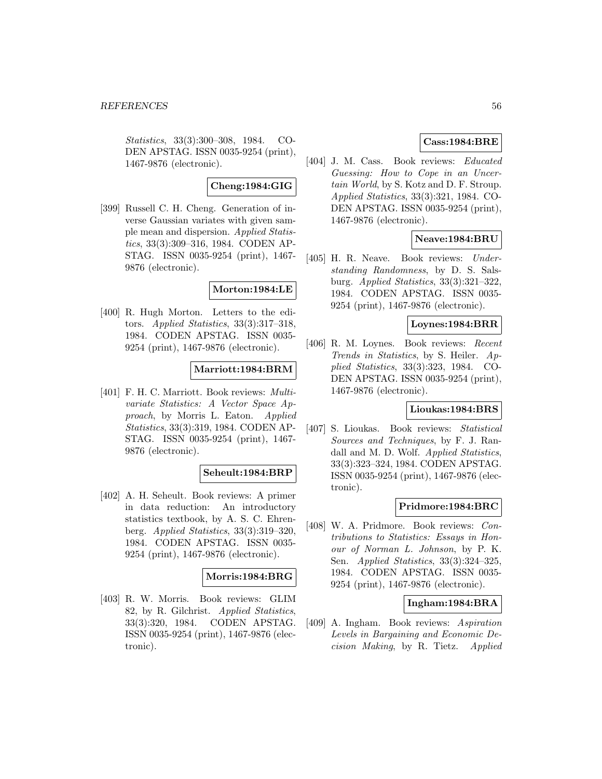Statistics, 33(3):300–308, 1984. CO-DEN APSTAG. ISSN 0035-9254 (print), 1467-9876 (electronic).

### **Cheng:1984:GIG**

[399] Russell C. H. Cheng. Generation of inverse Gaussian variates with given sample mean and dispersion. Applied Statistics, 33(3):309–316, 1984. CODEN AP-STAG. ISSN 0035-9254 (print), 1467- 9876 (electronic).

### **Morton:1984:LE**

[400] R. Hugh Morton. Letters to the editors. Applied Statistics, 33(3):317–318, 1984. CODEN APSTAG. ISSN 0035- 9254 (print), 1467-9876 (electronic).

### **Marriott:1984:BRM**

[401] F. H. C. Marriott. Book reviews: Multivariate Statistics: A Vector Space Approach, by Morris L. Eaton. Applied Statistics, 33(3):319, 1984. CODEN AP-STAG. ISSN 0035-9254 (print), 1467- 9876 (electronic).

### **Seheult:1984:BRP**

[402] A. H. Seheult. Book reviews: A primer in data reduction: An introductory statistics textbook, by A. S. C. Ehrenberg. Applied Statistics, 33(3):319–320, 1984. CODEN APSTAG. ISSN 0035- 9254 (print), 1467-9876 (electronic).

#### **Morris:1984:BRG**

[403] R. W. Morris. Book reviews: GLIM 82, by R. Gilchrist. Applied Statistics, 33(3):320, 1984. CODEN APSTAG. ISSN 0035-9254 (print), 1467-9876 (electronic).

# **Cass:1984:BRE**

[404] J. M. Cass. Book reviews: Educated Guessing: How to Cope in an Uncertain World, by S. Kotz and D. F. Stroup. Applied Statistics, 33(3):321, 1984. CO-DEN APSTAG. ISSN 0035-9254 (print), 1467-9876 (electronic).

## **Neave:1984:BRU**

[405] H. R. Neave. Book reviews: Understanding Randomness, by D. S. Salsburg. Applied Statistics, 33(3):321–322, 1984. CODEN APSTAG. ISSN 0035- 9254 (print), 1467-9876 (electronic).

## **Loynes:1984:BRR**

[406] R. M. Loynes. Book reviews: Recent Trends in Statistics, by S. Heiler. Applied Statistics, 33(3):323, 1984. CO-DEN APSTAG. ISSN 0035-9254 (print), 1467-9876 (electronic).

## **Lioukas:1984:BRS**

[407] S. Lioukas. Book reviews: Statistical Sources and Techniques, by F. J. Randall and M. D. Wolf. Applied Statistics, 33(3):323–324, 1984. CODEN APSTAG. ISSN 0035-9254 (print), 1467-9876 (electronic).

## **Pridmore:1984:BRC**

[408] W. A. Pridmore. Book reviews: Contributions to Statistics: Essays in Honour of Norman L. Johnson, by P. K. Sen. Applied Statistics, 33(3):324–325, 1984. CODEN APSTAG. ISSN 0035- 9254 (print), 1467-9876 (electronic).

## **Ingham:1984:BRA**

[409] A. Ingham. Book reviews: Aspiration Levels in Bargaining and Economic Decision Making, by R. Tietz. Applied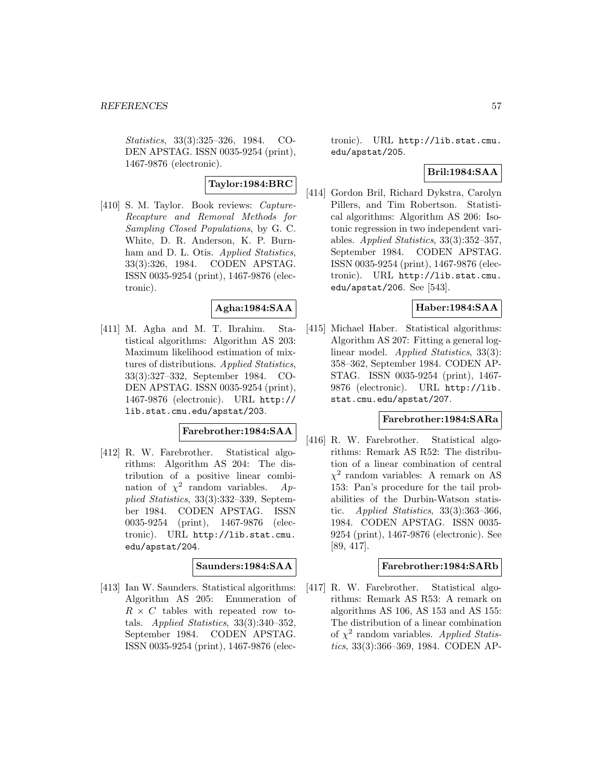Statistics, 33(3):325–326, 1984. CO-DEN APSTAG. ISSN 0035-9254 (print), 1467-9876 (electronic).

# **Taylor:1984:BRC**

[410] S. M. Taylor. Book reviews: Capture-Recapture and Removal Methods for Sampling Closed Populations, by G. C. White, D. R. Anderson, K. P. Burnham and D. L. Otis. *Applied Statistics*, 33(3):326, 1984. CODEN APSTAG. ISSN 0035-9254 (print), 1467-9876 (electronic).

# **Agha:1984:SAA**

[411] M. Agha and M. T. Ibrahim. Statistical algorithms: Algorithm AS 203: Maximum likelihood estimation of mixtures of distributions. Applied Statistics, 33(3):327–332, September 1984. CO-DEN APSTAG. ISSN 0035-9254 (print), 1467-9876 (electronic). URL http:// lib.stat.cmu.edu/apstat/203.

## **Farebrother:1984:SAA**

[412] R. W. Farebrother. Statistical algorithms: Algorithm AS 204: The distribution of a positive linear combination of  $\chi^2$  random variables. Applied Statistics, 33(3):332–339, September 1984. CODEN APSTAG. ISSN 0035-9254 (print), 1467-9876 (electronic). URL http://lib.stat.cmu. edu/apstat/204.

## **Saunders:1984:SAA**

[413] Ian W. Saunders. Statistical algorithms: Algorithm AS 205: Enumeration of  $R \times C$  tables with repeated row totals. Applied Statistics, 33(3):340–352, September 1984. CODEN APSTAG. ISSN 0035-9254 (print), 1467-9876 (electronic). URL http://lib.stat.cmu. edu/apstat/205.

# **Bril:1984:SAA**

[414] Gordon Bril, Richard Dykstra, Carolyn Pillers, and Tim Robertson. Statistical algorithms: Algorithm AS 206: Isotonic regression in two independent variables. Applied Statistics,  $33(3):352-357$ , September 1984. CODEN APSTAG. ISSN 0035-9254 (print), 1467-9876 (electronic). URL http://lib.stat.cmu. edu/apstat/206. See [543].

# **Haber:1984:SAA**

[415] Michael Haber. Statistical algorithms: Algorithm AS 207: Fitting a general loglinear model. Applied Statistics, 33(3): 358–362, September 1984. CODEN AP-STAG. ISSN 0035-9254 (print), 1467- 9876 (electronic). URL http://lib. stat.cmu.edu/apstat/207.

#### **Farebrother:1984:SARa**

[416] R. W. Farebrother. Statistical algorithms: Remark AS R52: The distribution of a linear combination of central  $\chi^2$  random variables: A remark on AS 153: Pan's procedure for the tail probabilities of the Durbin-Watson statistic. *Applied Statistics*,  $33(3):363-366$ , 1984. CODEN APSTAG. ISSN 0035- 9254 (print), 1467-9876 (electronic). See [89, 417].

### **Farebrother:1984:SARb**

[417] R. W. Farebrother. Statistical algorithms: Remark AS R53: A remark on algorithms AS 106, AS 153 and AS 155: The distribution of a linear combination of  $\chi^2$  random variables. Applied Statistics, 33(3):366–369, 1984. CODEN AP-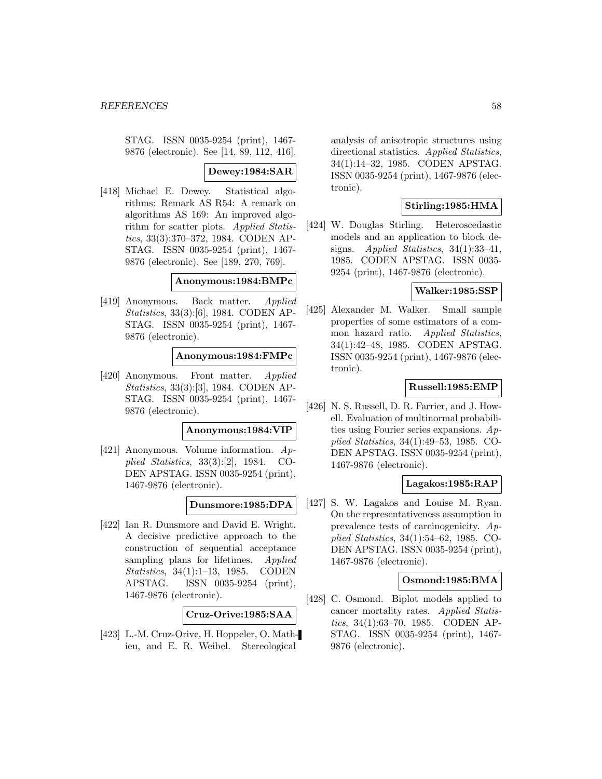STAG. ISSN 0035-9254 (print), 1467- 9876 (electronic). See [14, 89, 112, 416].

### **Dewey:1984:SAR**

[418] Michael E. Dewey. Statistical algorithms: Remark AS R54: A remark on algorithms AS 169: An improved algorithm for scatter plots. Applied Statistics, 33(3):370–372, 1984. CODEN AP-STAG. ISSN 0035-9254 (print), 1467- 9876 (electronic). See [189, 270, 769].

**Anonymous:1984:BMPc**

[419] Anonymous. Back matter. Applied Statistics, 33(3):[6], 1984. CODEN AP-STAG. ISSN 0035-9254 (print), 1467- 9876 (electronic).

**Anonymous:1984:FMPc**

[420] Anonymous. Front matter. Applied Statistics, 33(3):[3], 1984. CODEN AP-STAG. ISSN 0035-9254 (print), 1467- 9876 (electronic).

#### **Anonymous:1984:VIP**

[421] Anonymous. Volume information. Applied Statistics, 33(3):[2], 1984. CO-DEN APSTAG. ISSN 0035-9254 (print), 1467-9876 (electronic).

#### **Dunsmore:1985:DPA**

[422] Ian R. Dunsmore and David E. Wright. A decisive predictive approach to the construction of sequential acceptance sampling plans for lifetimes. Applied Statistics, 34(1):1–13, 1985. CODEN APSTAG. ISSN 0035-9254 (print), 1467-9876 (electronic).

**Cruz-Orive:1985:SAA**

[423] L.-M. Cruz-Orive, H. Hoppeler, O. Mathieu, and E. R. Weibel. Stereological

analysis of anisotropic structures using directional statistics. Applied Statistics, 34(1):14–32, 1985. CODEN APSTAG. ISSN 0035-9254 (print), 1467-9876 (electronic).

# **Stirling:1985:HMA**

[424] W. Douglas Stirling. Heteroscedastic models and an application to block designs. Applied Statistics, 34(1):33–41, 1985. CODEN APSTAG. ISSN 0035- 9254 (print), 1467-9876 (electronic).

#### **Walker:1985:SSP**

[425] Alexander M. Walker. Small sample properties of some estimators of a common hazard ratio. Applied Statistics, 34(1):42–48, 1985. CODEN APSTAG. ISSN 0035-9254 (print), 1467-9876 (electronic).

### **Russell:1985:EMP**

[426] N. S. Russell, D. R. Farrier, and J. Howell. Evaluation of multinormal probabilities using Fourier series expansions. Applied Statistics, 34(1):49–53, 1985. CO-DEN APSTAG. ISSN 0035-9254 (print), 1467-9876 (electronic).

## **Lagakos:1985:RAP**

[427] S. W. Lagakos and Louise M. Ryan. On the representativeness assumption in prevalence tests of carcinogenicity. Applied Statistics, 34(1):54–62, 1985. CO-DEN APSTAG. ISSN 0035-9254 (print), 1467-9876 (electronic).

#### **Osmond:1985:BMA**

[428] C. Osmond. Biplot models applied to cancer mortality rates. Applied Statistics, 34(1):63–70, 1985. CODEN AP-STAG. ISSN 0035-9254 (print), 1467- 9876 (electronic).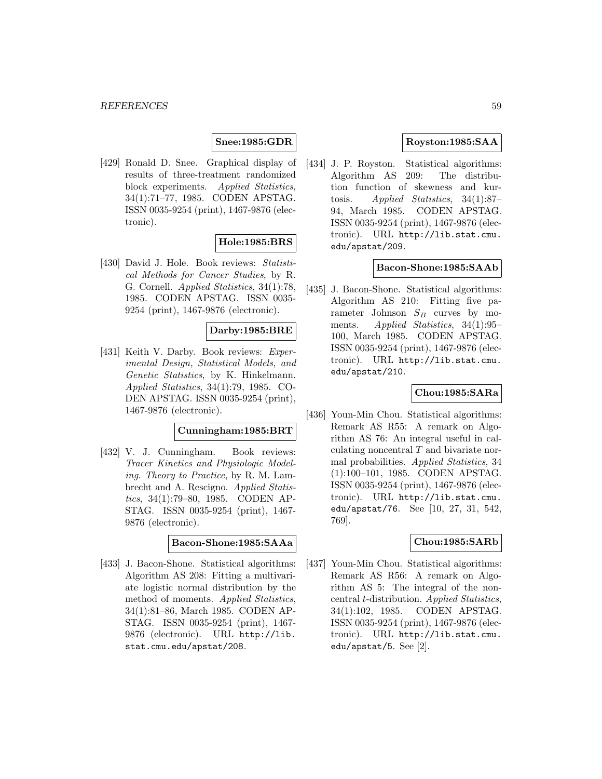## **Snee:1985:GDR**

[429] Ronald D. Snee. Graphical display of results of three-treatment randomized block experiments. Applied Statistics, 34(1):71–77, 1985. CODEN APSTAG. ISSN 0035-9254 (print), 1467-9876 (electronic).

# **Hole:1985:BRS**

[430] David J. Hole. Book reviews: Statistical Methods for Cancer Studies, by R. G. Cornell. Applied Statistics, 34(1):78, 1985. CODEN APSTAG. ISSN 0035- 9254 (print), 1467-9876 (electronic).

### **Darby:1985:BRE**

[431] Keith V. Darby. Book reviews: Experimental Design, Statistical Models, and Genetic Statistics, by K. Hinkelmann. Applied Statistics, 34(1):79, 1985. CO-DEN APSTAG. ISSN 0035-9254 (print), 1467-9876 (electronic).

#### **Cunningham:1985:BRT**

[432] V. J. Cunningham. Book reviews: Tracer Kinetics and Physiologic Modeling. Theory to Practice, by R. M. Lambrecht and A. Rescigno. Applied Statistics, 34(1):79–80, 1985. CODEN AP-STAG. ISSN 0035-9254 (print), 1467- 9876 (electronic).

### **Bacon-Shone:1985:SAAa**

[433] J. Bacon-Shone. Statistical algorithms: Algorithm AS 208: Fitting a multivariate logistic normal distribution by the method of moments. Applied Statistics, 34(1):81–86, March 1985. CODEN AP-STAG. ISSN 0035-9254 (print), 1467- 9876 (electronic). URL http://lib. stat.cmu.edu/apstat/208.

# **Royston:1985:SAA**

[434] J. P. Royston. Statistical algorithms: Algorithm AS 209: The distribution function of skewness and kurtosis. Applied Statistics, 34(1):87– 94, March 1985. CODEN APSTAG. ISSN 0035-9254 (print), 1467-9876 (electronic). URL http://lib.stat.cmu. edu/apstat/209.

### **Bacon-Shone:1985:SAAb**

[435] J. Bacon-Shone. Statistical algorithms: Algorithm AS 210: Fitting five parameter Johnson  $S_B$  curves by moments. *Applied Statistics*, 34(1):95– 100, March 1985. CODEN APSTAG. ISSN 0035-9254 (print), 1467-9876 (electronic). URL http://lib.stat.cmu. edu/apstat/210.

## **Chou:1985:SARa**

[436] Youn-Min Chou. Statistical algorithms: Remark AS R55: A remark on Algorithm AS 76: An integral useful in calculating noncentral  $T$  and bivariate normal probabilities. Applied Statistics, 34 (1):100–101, 1985. CODEN APSTAG. ISSN 0035-9254 (print), 1467-9876 (electronic). URL http://lib.stat.cmu. edu/apstat/76. See [10, 27, 31, 542, 769].

### **Chou:1985:SARb**

[437] Youn-Min Chou. Statistical algorithms: Remark AS R56: A remark on Algorithm AS 5: The integral of the noncentral t-distribution. Applied Statistics, 34(1):102, 1985. CODEN APSTAG. ISSN 0035-9254 (print), 1467-9876 (electronic). URL http://lib.stat.cmu. edu/apstat/5. See [2].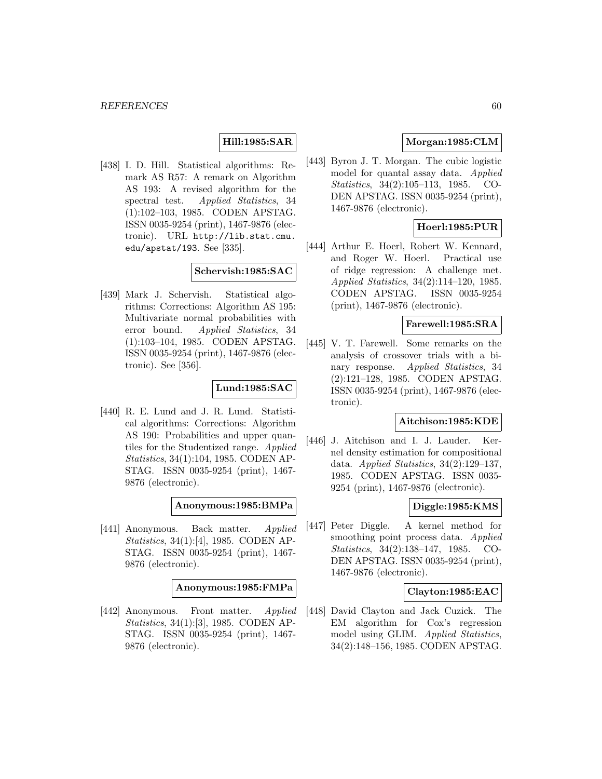# **Hill:1985:SAR**

[438] I. D. Hill. Statistical algorithms: Remark AS R57: A remark on Algorithm AS 193: A revised algorithm for the spectral test. Applied Statistics, 34 (1):102–103, 1985. CODEN APSTAG. ISSN 0035-9254 (print), 1467-9876 (electronic). URL http://lib.stat.cmu. edu/apstat/193. See [335].

## **Schervish:1985:SAC**

[439] Mark J. Schervish. Statistical algorithms: Corrections: Algorithm AS 195: Multivariate normal probabilities with error bound. Applied Statistics, 34 (1):103–104, 1985. CODEN APSTAG. ISSN 0035-9254 (print), 1467-9876 (electronic). See [356].

### **Lund:1985:SAC**

[440] R. E. Lund and J. R. Lund. Statistical algorithms: Corrections: Algorithm AS 190: Probabilities and upper quantiles for the Studentized range. Applied Statistics, 34(1):104, 1985. CODEN AP-STAG. ISSN 0035-9254 (print), 1467- 9876 (electronic).

**Anonymous:1985:BMPa**

[441] Anonymous. Back matter. Applied Statistics, 34(1):[4], 1985. CODEN AP-STAG. ISSN 0035-9254 (print), 1467- 9876 (electronic).

**Anonymous:1985:FMPa**

[442] Anonymous. Front matter. Applied Statistics, 34(1):[3], 1985. CODEN AP-STAG. ISSN 0035-9254 (print), 1467- 9876 (electronic).

# **Morgan:1985:CLM**

[443] Byron J. T. Morgan. The cubic logistic model for quantal assay data. Applied Statistics, 34(2):105–113, 1985. CO-DEN APSTAG. ISSN 0035-9254 (print), 1467-9876 (electronic).

# **Hoerl:1985:PUR**

[444] Arthur E. Hoerl, Robert W. Kennard, and Roger W. Hoerl. Practical use of ridge regression: A challenge met. Applied Statistics, 34(2):114–120, 1985. CODEN APSTAG. ISSN 0035-9254 (print), 1467-9876 (electronic).

# **Farewell:1985:SRA**

[445] V. T. Farewell. Some remarks on the analysis of crossover trials with a binary response. Applied Statistics, 34 (2):121–128, 1985. CODEN APSTAG. ISSN 0035-9254 (print), 1467-9876 (electronic).

### **Aitchison:1985:KDE**

[446] J. Aitchison and I. J. Lauder. Kernel density estimation for compositional data. Applied Statistics,  $34(2):129-137$ , 1985. CODEN APSTAG. ISSN 0035- 9254 (print), 1467-9876 (electronic).

## **Diggle:1985:KMS**

[447] Peter Diggle. A kernel method for smoothing point process data. Applied Statistics, 34(2):138–147, 1985. CO-DEN APSTAG. ISSN 0035-9254 (print), 1467-9876 (electronic).

#### **Clayton:1985:EAC**

[448] David Clayton and Jack Cuzick. The EM algorithm for Cox's regression model using GLIM. Applied Statistics, 34(2):148–156, 1985. CODEN APSTAG.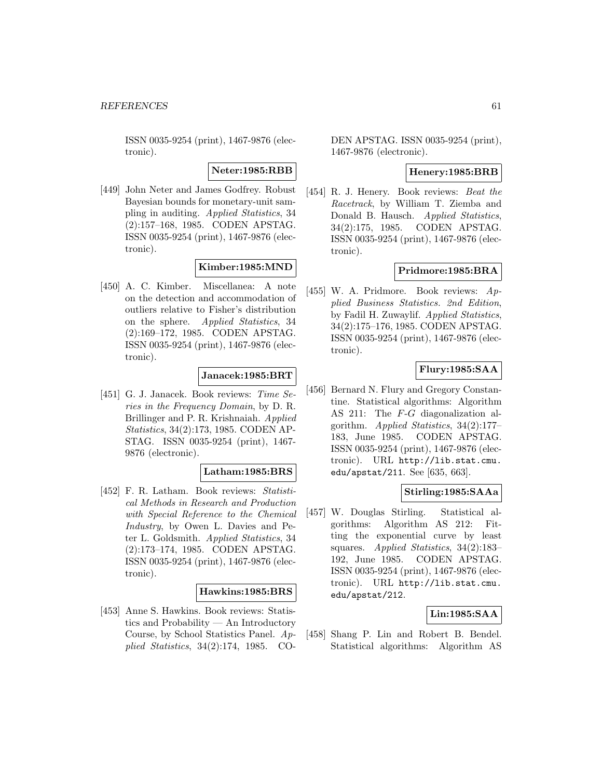ISSN 0035-9254 (print), 1467-9876 (electronic).

**Neter:1985:RBB**

[449] John Neter and James Godfrey. Robust Bayesian bounds for monetary-unit sampling in auditing. Applied Statistics, 34 (2):157–168, 1985. CODEN APSTAG. ISSN 0035-9254 (print), 1467-9876 (electronic).

# **Kimber:1985:MND**

[450] A. C. Kimber. Miscellanea: A note on the detection and accommodation of outliers relative to Fisher's distribution on the sphere. Applied Statistics, 34 (2):169–172, 1985. CODEN APSTAG. ISSN 0035-9254 (print), 1467-9876 (electronic).

# **Janacek:1985:BRT**

[451] G. J. Janacek. Book reviews: Time Series in the Frequency Domain, by D. R. Brillinger and P. R. Krishnaiah. Applied Statistics, 34(2):173, 1985. CODEN AP-STAG. ISSN 0035-9254 (print), 1467- 9876 (electronic).

## **Latham:1985:BRS**

[452] F. R. Latham. Book reviews: Statistical Methods in Research and Production with Special Reference to the Chemical Industry, by Owen L. Davies and Peter L. Goldsmith. Applied Statistics, 34 (2):173–174, 1985. CODEN APSTAG. ISSN 0035-9254 (print), 1467-9876 (electronic).

## **Hawkins:1985:BRS**

[453] Anne S. Hawkins. Book reviews: Statistics and Probability — An Introductory Course, by School Statistics Panel. Applied Statistics, 34(2):174, 1985. CO-

DEN APSTAG. ISSN 0035-9254 (print), 1467-9876 (electronic).

## **Henery:1985:BRB**

[454] R. J. Henery. Book reviews: Beat the Racetrack, by William T. Ziemba and Donald B. Hausch. Applied Statistics, 34(2):175, 1985. CODEN APSTAG. ISSN 0035-9254 (print), 1467-9876 (electronic).

# **Pridmore:1985:BRA**

[455] W. A. Pridmore. Book reviews: Applied Business Statistics. 2nd Edition, by Fadil H. Zuwaylif. Applied Statistics, 34(2):175–176, 1985. CODEN APSTAG. ISSN 0035-9254 (print), 1467-9876 (electronic).

## **Flury:1985:SAA**

[456] Bernard N. Flury and Gregory Constantine. Statistical algorithms: Algorithm AS 211: The F-G diagonalization algorithm. Applied Statistics, 34(2):177– 183, June 1985. CODEN APSTAG. ISSN 0035-9254 (print), 1467-9876 (electronic). URL http://lib.stat.cmu. edu/apstat/211. See [635, 663].

## **Stirling:1985:SAAa**

[457] W. Douglas Stirling. Statistical algorithms: Algorithm AS 212: Fitting the exponential curve by least squares. Applied Statistics, 34(2):183– 192, June 1985. CODEN APSTAG. ISSN 0035-9254 (print), 1467-9876 (electronic). URL http://lib.stat.cmu. edu/apstat/212.

## **Lin:1985:SAA**

[458] Shang P. Lin and Robert B. Bendel. Statistical algorithms: Algorithm AS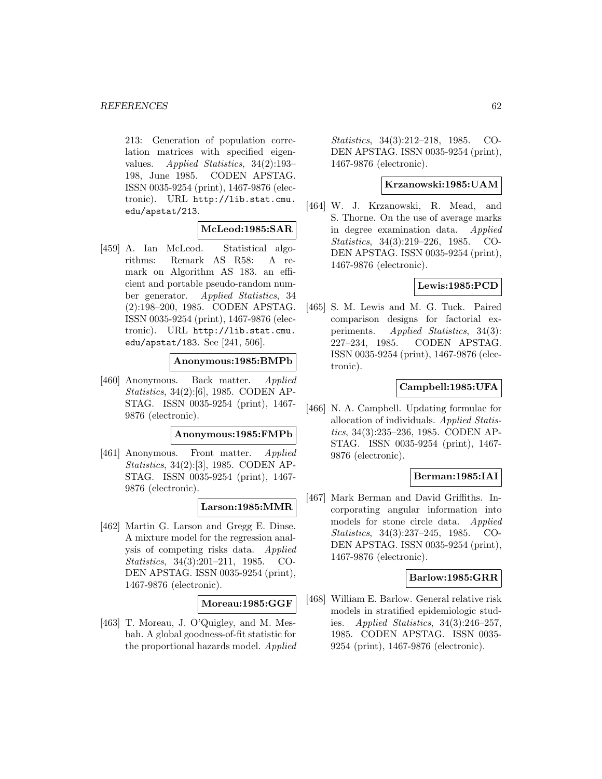213: Generation of population correlation matrices with specified eigenvalues. Applied Statistics, 34(2):193– 198, June 1985. CODEN APSTAG. ISSN 0035-9254 (print), 1467-9876 (electronic). URL http://lib.stat.cmu. edu/apstat/213.

### **McLeod:1985:SAR**

[459] A. Ian McLeod. Statistical algorithms: Remark AS R58: A remark on Algorithm AS 183. an efficient and portable pseudo-random number generator. Applied Statistics, 34 (2):198–200, 1985. CODEN APSTAG. ISSN 0035-9254 (print), 1467-9876 (electronic). URL http://lib.stat.cmu. edu/apstat/183. See [241, 506].

## **Anonymous:1985:BMPb**

[460] Anonymous. Back matter. Applied Statistics, 34(2):[6], 1985. CODEN AP-STAG. ISSN 0035-9254 (print), 1467- 9876 (electronic).

#### **Anonymous:1985:FMPb**

[461] Anonymous. Front matter. Applied Statistics, 34(2):[3], 1985. CODEN AP-STAG. ISSN 0035-9254 (print), 1467- 9876 (electronic).

## **Larson:1985:MMR**

[462] Martin G. Larson and Gregg E. Dinse. A mixture model for the regression analysis of competing risks data. Applied Statistics, 34(3):201–211, 1985. CO-DEN APSTAG. ISSN 0035-9254 (print), 1467-9876 (electronic).

## **Moreau:1985:GGF**

[463] T. Moreau, J. O'Quigley, and M. Mesbah. A global goodness-of-fit statistic for the proportional hazards model. Applied Statistics, 34(3):212–218, 1985. CO-DEN APSTAG. ISSN 0035-9254 (print), 1467-9876 (electronic).

### **Krzanowski:1985:UAM**

[464] W. J. Krzanowski, R. Mead, and S. Thorne. On the use of average marks in degree examination data. Applied Statistics, 34(3):219–226, 1985. CO-DEN APSTAG. ISSN 0035-9254 (print), 1467-9876 (electronic).

# **Lewis:1985:PCD**

[465] S. M. Lewis and M. G. Tuck. Paired comparison designs for factorial experiments. Applied Statistics, 34(3): 227–234, 1985. CODEN APSTAG. ISSN 0035-9254 (print), 1467-9876 (electronic).

## **Campbell:1985:UFA**

[466] N. A. Campbell. Updating formulae for allocation of individuals. Applied Statistics, 34(3):235–236, 1985. CODEN AP-STAG. ISSN 0035-9254 (print), 1467- 9876 (electronic).

## **Berman:1985:IAI**

[467] Mark Berman and David Griffiths. Incorporating angular information into models for stone circle data. Applied Statistics, 34(3):237–245, 1985. CO-DEN APSTAG. ISSN 0035-9254 (print), 1467-9876 (electronic).

### **Barlow:1985:GRR**

[468] William E. Barlow. General relative risk models in stratified epidemiologic studies. Applied Statistics, 34(3):246–257, 1985. CODEN APSTAG. ISSN 0035- 9254 (print), 1467-9876 (electronic).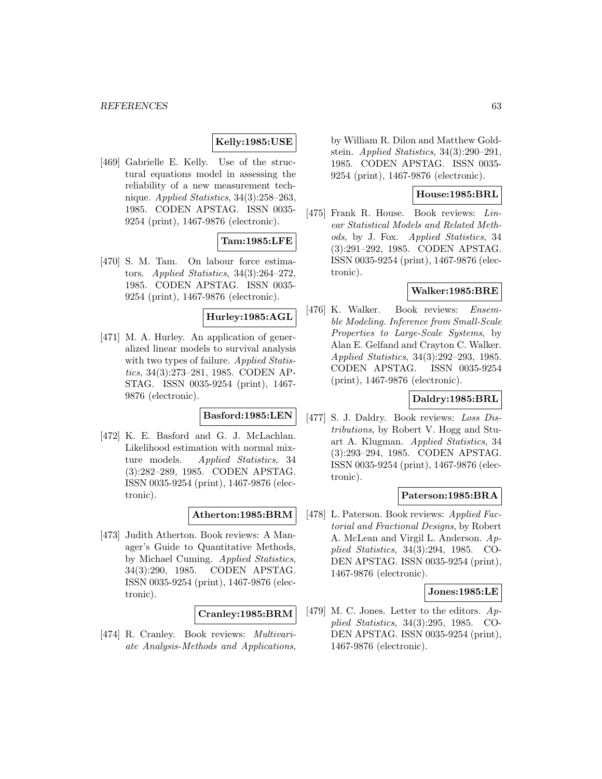## **Kelly:1985:USE**

[469] Gabrielle E. Kelly. Use of the structural equations model in assessing the reliability of a new measurement technique. Applied Statistics, 34(3):258–263, 1985. CODEN APSTAG. ISSN 0035- 9254 (print), 1467-9876 (electronic).

## **Tam:1985:LFE**

[470] S. M. Tam. On labour force estimators. Applied Statistics, 34(3):264–272, 1985. CODEN APSTAG. ISSN 0035- 9254 (print), 1467-9876 (electronic).

#### **Hurley:1985:AGL**

[471] M. A. Hurley. An application of generalized linear models to survival analysis with two types of failure. Applied Statistics, 34(3):273–281, 1985. CODEN AP-STAG. ISSN 0035-9254 (print), 1467- 9876 (electronic).

# **Basford:1985:LEN**

[472] K. E. Basford and G. J. McLachlan. Likelihood estimation with normal mixture models. Applied Statistics, 34 (3):282–289, 1985. CODEN APSTAG. ISSN 0035-9254 (print), 1467-9876 (electronic).

# **Atherton:1985:BRM**

[473] Judith Atherton. Book reviews: A Manager's Guide to Quantitative Methods, by Michael Cuming. Applied Statistics, 34(3):290, 1985. CODEN APSTAG. ISSN 0035-9254 (print), 1467-9876 (electronic).

### **Cranley:1985:BRM**

[474] R. Cranley. Book reviews: Multivariate Analysis-Methods and Applications,

by William R. Dilon and Matthew Goldstein. Applied Statistics, 34(3):290–291, 1985. CODEN APSTAG. ISSN 0035- 9254 (print), 1467-9876 (electronic).

## **House:1985:BRL**

[475] Frank R. House. Book reviews: Linear Statistical Models and Related Methods, by J. Fox. Applied Statistics, 34 (3):291–292, 1985. CODEN APSTAG. ISSN 0035-9254 (print), 1467-9876 (electronic).

### **Walker:1985:BRE**

[476] K. Walker. Book reviews: Ensemble Modeling. Inference from Small-Scale Properties to Large-Scale Systems, by Alan E. Gelfand and Crayton C. Walker. Applied Statistics, 34(3):292–293, 1985. CODEN APSTAG. ISSN 0035-9254 (print), 1467-9876 (electronic).

## **Daldry:1985:BRL**

[477] S. J. Daldry. Book reviews: Loss Distributions, by Robert V. Hogg and Stuart A. Klugman. Applied Statistics, 34 (3):293–294, 1985. CODEN APSTAG. ISSN 0035-9254 (print), 1467-9876 (electronic).

#### **Paterson:1985:BRA**

[478] L. Paterson. Book reviews: Applied Factorial and Fractional Designs, by Robert A. McLean and Virgil L. Anderson. Applied Statistics, 34(3):294, 1985. CO-DEN APSTAG. ISSN 0035-9254 (print), 1467-9876 (electronic).

### **Jones:1985:LE**

[479] M. C. Jones. Letter to the editors. Applied Statistics, 34(3):295, 1985. CO-DEN APSTAG. ISSN 0035-9254 (print), 1467-9876 (electronic).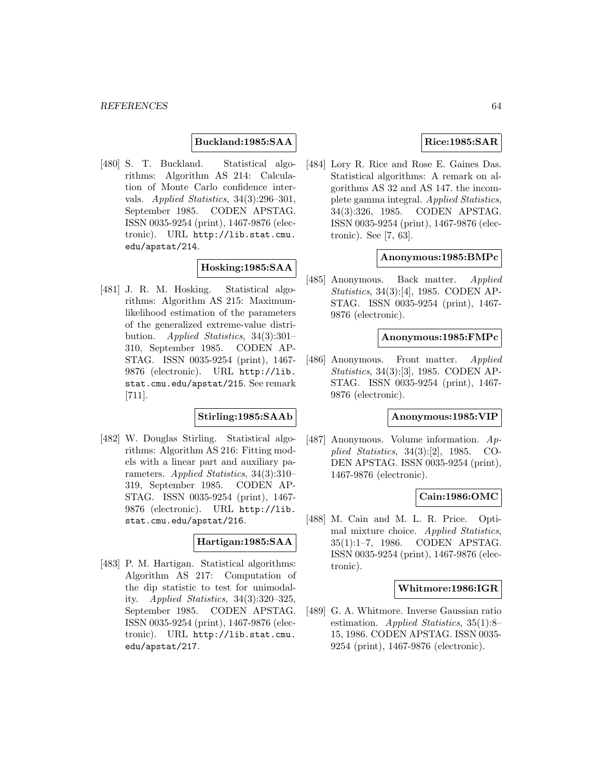## **Buckland:1985:SAA**

[480] S. T. Buckland. Statistical algorithms: Algorithm AS 214: Calculation of Monte Carlo confidence intervals. Applied Statistics, 34(3):296–301, September 1985. CODEN APSTAG. ISSN 0035-9254 (print), 1467-9876 (electronic). URL http://lib.stat.cmu. edu/apstat/214.

# **Hosking:1985:SAA**

[481] J. R. M. Hosking. Statistical algorithms: Algorithm AS 215: Maximumlikelihood estimation of the parameters of the generalized extreme-value distribution. Applied Statistics, 34(3):301– 310, September 1985. CODEN AP-STAG. ISSN 0035-9254 (print), 1467- 9876 (electronic). URL http://lib. stat.cmu.edu/apstat/215. See remark [711].

## **Stirling:1985:SAAb**

[482] W. Douglas Stirling. Statistical algorithms: Algorithm AS 216: Fitting models with a linear part and auxiliary parameters. Applied Statistics, 34(3):310– 319, September 1985. CODEN AP-STAG. ISSN 0035-9254 (print), 1467- 9876 (electronic). URL http://lib. stat.cmu.edu/apstat/216.

## **Hartigan:1985:SAA**

[483] P. M. Hartigan. Statistical algorithms: Algorithm AS 217: Computation of the dip statistic to test for unimodality. Applied Statistics, 34(3):320–325, September 1985. CODEN APSTAG. ISSN 0035-9254 (print), 1467-9876 (electronic). URL http://lib.stat.cmu. edu/apstat/217.

# **Rice:1985:SAR**

[484] Lory R. Rice and Rose E. Gaines Das. Statistical algorithms: A remark on algorithms AS 32 and AS 147. the incomplete gamma integral. Applied Statistics, 34(3):326, 1985. CODEN APSTAG. ISSN 0035-9254 (print), 1467-9876 (electronic). See [7, 63].

### **Anonymous:1985:BMPc**

[485] Anonymous. Back matter. Applied Statistics, 34(3):[4], 1985. CODEN AP-STAG. ISSN 0035-9254 (print), 1467- 9876 (electronic).

#### **Anonymous:1985:FMPc**

[486] Anonymous. Front matter. Applied Statistics, 34(3):[3], 1985. CODEN AP-STAG. ISSN 0035-9254 (print), 1467- 9876 (electronic).

## **Anonymous:1985:VIP**

[487] Anonymous. Volume information. Applied Statistics, 34(3):[2], 1985. CO-DEN APSTAG. ISSN 0035-9254 (print), 1467-9876 (electronic).

### **Cain:1986:OMC**

[488] M. Cain and M. L. R. Price. Optimal mixture choice. Applied Statistics, 35(1):1–7, 1986. CODEN APSTAG. ISSN 0035-9254 (print), 1467-9876 (electronic).

## **Whitmore:1986:IGR**

[489] G. A. Whitmore. Inverse Gaussian ratio estimation. Applied Statistics, 35(1):8– 15, 1986. CODEN APSTAG. ISSN 0035- 9254 (print), 1467-9876 (electronic).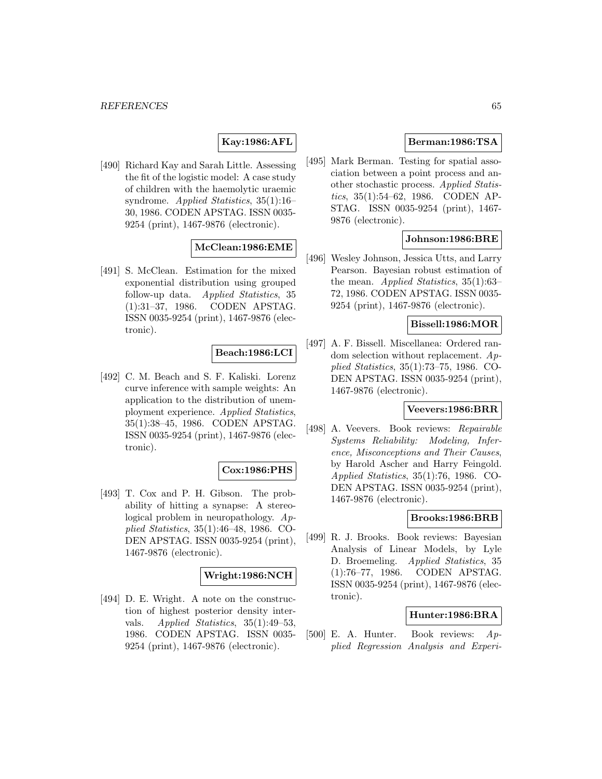# **Kay:1986:AFL**

[490] Richard Kay and Sarah Little. Assessing the fit of the logistic model: A case study of children with the haemolytic uraemic syndrome. Applied Statistics, 35(1):16– 30, 1986. CODEN APSTAG. ISSN 0035- 9254 (print), 1467-9876 (electronic).

## **McClean:1986:EME**

[491] S. McClean. Estimation for the mixed exponential distribution using grouped follow-up data. Applied Statistics, 35 (1):31–37, 1986. CODEN APSTAG. ISSN 0035-9254 (print), 1467-9876 (electronic).

### **Beach:1986:LCI**

[492] C. M. Beach and S. F. Kaliski. Lorenz curve inference with sample weights: An application to the distribution of unemployment experience. Applied Statistics, 35(1):38–45, 1986. CODEN APSTAG. ISSN 0035-9254 (print), 1467-9876 (electronic).

# **Cox:1986:PHS**

[493] T. Cox and P. H. Gibson. The probability of hitting a synapse: A stereological problem in neuropathology. Applied Statistics, 35(1):46–48, 1986. CO-DEN APSTAG. ISSN 0035-9254 (print), 1467-9876 (electronic).

## **Wright:1986:NCH**

[494] D. E. Wright. A note on the construction of highest posterior density intervals. Applied Statistics, 35(1):49–53, 1986. CODEN APSTAG. ISSN 0035- 9254 (print), 1467-9876 (electronic).

## **Berman:1986:TSA**

[495] Mark Berman. Testing for spatial association between a point process and another stochastic process. Applied Statistics, 35(1):54–62, 1986. CODEN AP-STAG. ISSN 0035-9254 (print), 1467- 9876 (electronic).

## **Johnson:1986:BRE**

[496] Wesley Johnson, Jessica Utts, and Larry Pearson. Bayesian robust estimation of the mean. *Applied Statistics*, 35(1):63– 72, 1986. CODEN APSTAG. ISSN 0035- 9254 (print), 1467-9876 (electronic).

## **Bissell:1986:MOR**

[497] A. F. Bissell. Miscellanea: Ordered random selection without replacement. Applied Statistics, 35(1):73–75, 1986. CO-DEN APSTAG. ISSN 0035-9254 (print), 1467-9876 (electronic).

### **Veevers:1986:BRR**

[498] A. Veevers. Book reviews: Repairable Systems Reliability: Modeling, Inference, Misconceptions and Their Causes, by Harold Ascher and Harry Feingold. Applied Statistics, 35(1):76, 1986. CO-DEN APSTAG. ISSN 0035-9254 (print), 1467-9876 (electronic).

## **Brooks:1986:BRB**

[499] R. J. Brooks. Book reviews: Bayesian Analysis of Linear Models, by Lyle D. Broemeling. *Applied Statistics*, 35 (1):76–77, 1986. CODEN APSTAG. ISSN 0035-9254 (print), 1467-9876 (electronic).

# **Hunter:1986:BRA**

[500] E. A. Hunter. Book reviews: Applied Regression Analysis and Experi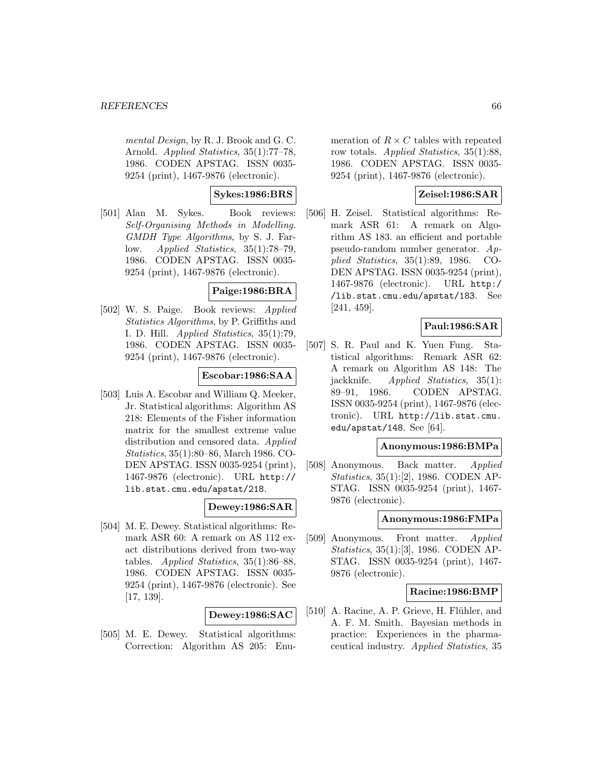mental Design, by R. J. Brook and G. C. Arnold. Applied Statistics, 35(1):77–78, 1986. CODEN APSTAG. ISSN 0035- 9254 (print), 1467-9876 (electronic).

# **Sykes:1986:BRS**

[501] Alan M. Sykes. Book reviews: Self-Organising Methods in Modelling. GMDH Type Algorithms, by S. J. Farlow. Applied Statistics, 35(1):78–79, 1986. CODEN APSTAG. ISSN 0035- 9254 (print), 1467-9876 (electronic).

# **Paige:1986:BRA**

[502] W. S. Paige. Book reviews: Applied Statistics Algorithms, by P. Griffiths and I. D. Hill. Applied Statistics, 35(1):79, 1986. CODEN APSTAG. ISSN 0035- 9254 (print), 1467-9876 (electronic).

## **Escobar:1986:SAA**

[503] Luis A. Escobar and William Q. Meeker, Jr. Statistical algorithms: Algorithm AS 218: Elements of the Fisher information matrix for the smallest extreme value distribution and censored data. Applied Statistics, 35(1):80–86, March 1986. CO-DEN APSTAG. ISSN 0035-9254 (print), 1467-9876 (electronic). URL http:// lib.stat.cmu.edu/apstat/218.

## **Dewey:1986:SAR**

[504] M. E. Dewey. Statistical algorithms: Remark ASR 60: A remark on AS 112 exact distributions derived from two-way tables. Applied Statistics, 35(1):86–88, 1986. CODEN APSTAG. ISSN 0035- 9254 (print), 1467-9876 (electronic). See [17, 139].

## **Dewey:1986:SAC**

[505] M. E. Dewey. Statistical algorithms: Correction: Algorithm AS 205: Enumeration of  $R \times C$  tables with repeated row totals. Applied Statistics, 35(1):88, 1986. CODEN APSTAG. ISSN 0035- 9254 (print), 1467-9876 (electronic).

## **Zeisel:1986:SAR**

[506] H. Zeisel. Statistical algorithms: Remark ASR 61: A remark on Algorithm AS 183. an efficient and portable pseudo-random number generator. Applied Statistics, 35(1):89, 1986. CO-DEN APSTAG. ISSN 0035-9254 (print), 1467-9876 (electronic). URL http:/ /lib.stat.cmu.edu/apstat/183. See [241, 459].

# **Paul:1986:SAR**

[507] S. R. Paul and K. Yuen Fung. Statistical algorithms: Remark ASR 62: A remark on Algorithm AS 148: The jackknife. Applied Statistics, 35(1): 89–91, 1986. CODEN APSTAG. ISSN 0035-9254 (print), 1467-9876 (electronic). URL http://lib.stat.cmu. edu/apstat/148. See  $[64]$ .

#### **Anonymous:1986:BMPa**

[508] Anonymous. Back matter. Applied Statistics, 35(1):[2], 1986. CODEN AP-STAG. ISSN 0035-9254 (print), 1467- 9876 (electronic).

## **Anonymous:1986:FMPa**

[509] Anonymous. Front matter. Applied Statistics, 35(1):[3], 1986. CODEN AP-STAG. ISSN 0035-9254 (print), 1467- 9876 (electronic).

### **Racine:1986:BMP**

[510] A. Racine, A. P. Grieve, H. Flühler, and A. F. M. Smith. Bayesian methods in practice: Experiences in the pharmaceutical industry. Applied Statistics, 35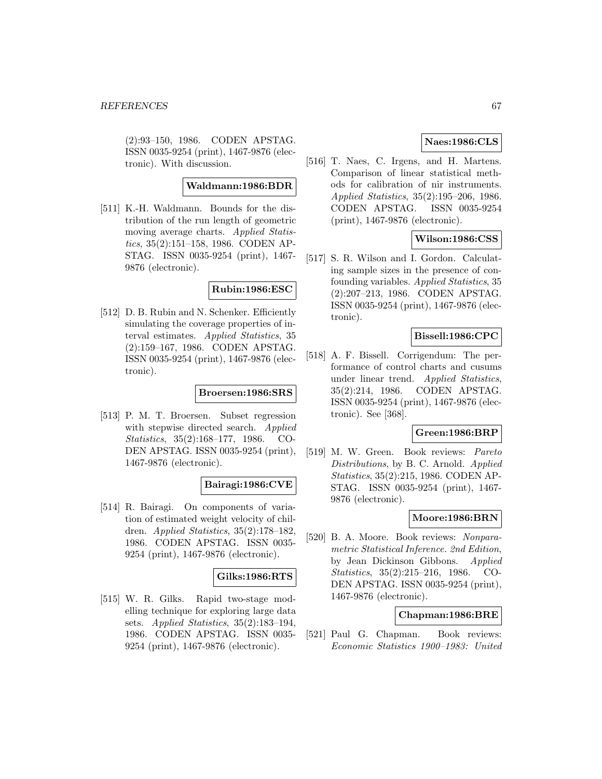(2):93–150, 1986. CODEN APSTAG. ISSN 0035-9254 (print), 1467-9876 (electronic). With discussion.

### **Waldmann:1986:BDR**

[511] K.-H. Waldmann. Bounds for the distribution of the run length of geometric moving average charts. Applied Statistics, 35(2):151–158, 1986. CODEN AP-STAG. ISSN 0035-9254 (print), 1467- 9876 (electronic).

## **Rubin:1986:ESC**

[512] D. B. Rubin and N. Schenker. Efficiently simulating the coverage properties of interval estimates. Applied Statistics, 35 (2):159–167, 1986. CODEN APSTAG. ISSN 0035-9254 (print), 1467-9876 (electronic).

## **Broersen:1986:SRS**

[513] P. M. T. Broersen. Subset regression with stepwise directed search. Applied Statistics, 35(2):168–177, 1986. CO-DEN APSTAG. ISSN 0035-9254 (print), 1467-9876 (electronic).

## **Bairagi:1986:CVE**

[514] R. Bairagi. On components of variation of estimated weight velocity of children. Applied Statistics, 35(2):178–182, 1986. CODEN APSTAG. ISSN 0035- 9254 (print), 1467-9876 (electronic).

#### **Gilks:1986:RTS**

[515] W. R. Gilks. Rapid two-stage modelling technique for exploring large data sets. Applied Statistics, 35(2):183–194, 1986. CODEN APSTAG. ISSN 0035- 9254 (print), 1467-9876 (electronic).

# **Naes:1986:CLS**

[516] T. Naes, C. Irgens, and H. Martens. Comparison of linear statistical methods for calibration of nir instruments. Applied Statistics, 35(2):195–206, 1986. CODEN APSTAG. ISSN 0035-9254 (print), 1467-9876 (electronic).

## **Wilson:1986:CSS**

[517] S. R. Wilson and I. Gordon. Calculating sample sizes in the presence of confounding variables. Applied Statistics, 35 (2):207–213, 1986. CODEN APSTAG. ISSN 0035-9254 (print), 1467-9876 (electronic).

# **Bissell:1986:CPC**

[518] A. F. Bissell. Corrigendum: The performance of control charts and cusums under linear trend. Applied Statistics, 35(2):214, 1986. CODEN APSTAG. ISSN 0035-9254 (print), 1467-9876 (electronic). See [368].

#### **Green:1986:BRP**

[519] M. W. Green. Book reviews: Pareto Distributions, by B. C. Arnold. Applied Statistics, 35(2):215, 1986. CODEN AP-STAG. ISSN 0035-9254 (print), 1467- 9876 (electronic).

## **Moore:1986:BRN**

[520] B. A. Moore. Book reviews: Nonparametric Statistical Inference. 2nd Edition, by Jean Dickinson Gibbons. Applied Statistics, 35(2):215–216, 1986. CO-DEN APSTAG. ISSN 0035-9254 (print), 1467-9876 (electronic).

## **Chapman:1986:BRE**

[521] Paul G. Chapman. Book reviews: Economic Statistics 1900–1983: United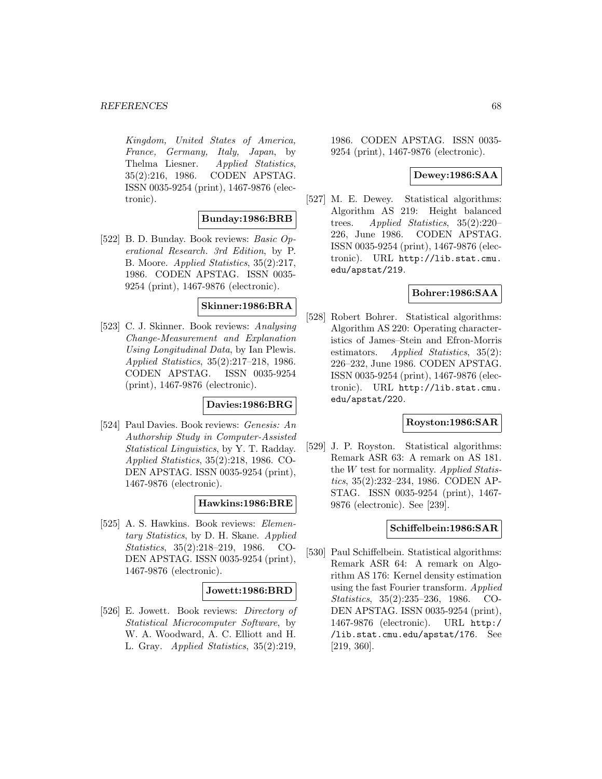Kingdom, United States of America, France, Germany, Italy, Japan, by Thelma Liesner. Applied Statistics, 35(2):216, 1986. CODEN APSTAG. ISSN 0035-9254 (print), 1467-9876 (electronic).

### **Bunday:1986:BRB**

[522] B. D. Bunday. Book reviews: Basic Operational Research. 3rd Edition, by P. B. Moore. Applied Statistics, 35(2):217, 1986. CODEN APSTAG. ISSN 0035- 9254 (print), 1467-9876 (electronic).

#### **Skinner:1986:BRA**

[523] C. J. Skinner. Book reviews: Analysing Change-Measurement and Explanation Using Longitudinal Data, by Ian Plewis. Applied Statistics, 35(2):217–218, 1986. CODEN APSTAG. ISSN 0035-9254 (print), 1467-9876 (electronic).

### **Davies:1986:BRG**

[524] Paul Davies. Book reviews: *Genesis: An* Authorship Study in Computer-Assisted Statistical Linguistics, by Y. T. Radday. Applied Statistics, 35(2):218, 1986. CO-DEN APSTAG. ISSN 0035-9254 (print), 1467-9876 (electronic).

## **Hawkins:1986:BRE**

[525] A. S. Hawkins. Book reviews: Elementary Statistics, by D. H. Skane. Applied Statistics, 35(2):218–219, 1986. CO-DEN APSTAG. ISSN 0035-9254 (print), 1467-9876 (electronic).

#### **Jowett:1986:BRD**

[526] E. Jowett. Book reviews: Directory of Statistical Microcomputer Software, by W. A. Woodward, A. C. Elliott and H. L. Gray. Applied Statistics, 35(2):219,

1986. CODEN APSTAG. ISSN 0035- 9254 (print), 1467-9876 (electronic).

# **Dewey:1986:SAA**

[527] M. E. Dewey. Statistical algorithms: Algorithm AS 219: Height balanced trees. Applied Statistics, 35(2):220– 226, June 1986. CODEN APSTAG. ISSN 0035-9254 (print), 1467-9876 (electronic). URL http://lib.stat.cmu. edu/apstat/219.

## **Bohrer:1986:SAA**

[528] Robert Bohrer. Statistical algorithms: Algorithm AS 220: Operating characteristics of James–Stein and Efron-Morris estimators. Applied Statistics, 35(2): 226–232, June 1986. CODEN APSTAG. ISSN 0035-9254 (print), 1467-9876 (electronic). URL http://lib.stat.cmu. edu/apstat/220.

### **Royston:1986:SAR**

[529] J. P. Royston. Statistical algorithms: Remark ASR 63: A remark on AS 181. the  $W$  test for normality. Applied Statistics, 35(2):232–234, 1986. CODEN AP-STAG. ISSN 0035-9254 (print), 1467- 9876 (electronic). See [239].

### **Schiffelbein:1986:SAR**

[530] Paul Schiffelbein. Statistical algorithms: Remark ASR 64: A remark on Algorithm AS 176: Kernel density estimation using the fast Fourier transform. Applied Statistics, 35(2):235–236, 1986. CO-DEN APSTAG. ISSN 0035-9254 (print), 1467-9876 (electronic). URL http:/ /lib.stat.cmu.edu/apstat/176. See [219, 360].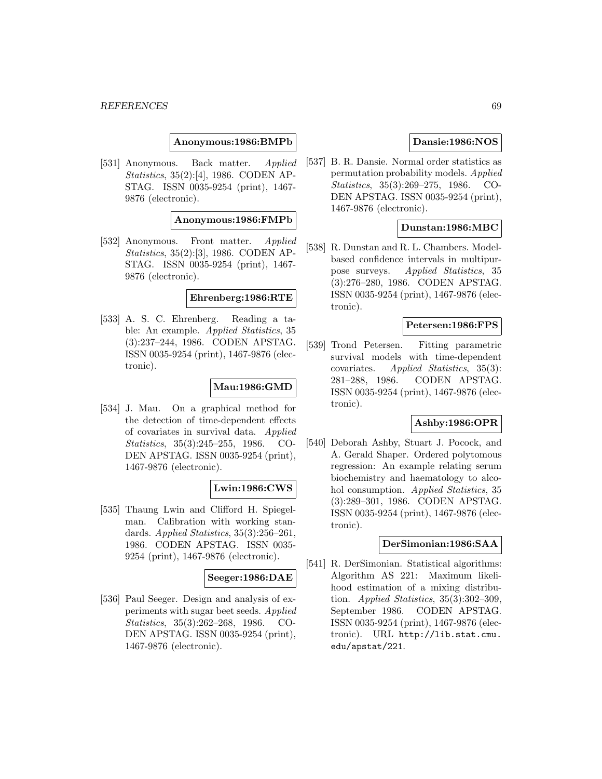**Anonymous:1986:BMPb**

[531] Anonymous. Back matter. *Applied* Statistics, 35(2):[4], 1986. CODEN AP-STAG. ISSN 0035-9254 (print), 1467- 9876 (electronic).

#### **Anonymous:1986:FMPb**

[532] Anonymous. Front matter. *Applied* Statistics, 35(2):[3], 1986. CODEN AP-STAG. ISSN 0035-9254 (print), 1467- 9876 (electronic).

#### **Ehrenberg:1986:RTE**

[533] A. S. C. Ehrenberg. Reading a table: An example. Applied Statistics, 35 (3):237–244, 1986. CODEN APSTAG. ISSN 0035-9254 (print), 1467-9876 (electronic).

### **Mau:1986:GMD**

[534] J. Mau. On a graphical method for the detection of time-dependent effects of covariates in survival data. Applied Statistics, 35(3):245–255, 1986. CO-DEN APSTAG. ISSN 0035-9254 (print), 1467-9876 (electronic).

### **Lwin:1986:CWS**

[535] Thaung Lwin and Clifford H. Spiegelman. Calibration with working standards. Applied Statistics, 35(3):256-261, 1986. CODEN APSTAG. ISSN 0035- 9254 (print), 1467-9876 (electronic).

### **Seeger:1986:DAE**

[536] Paul Seeger. Design and analysis of experiments with sugar beet seeds. Applied Statistics, 35(3):262–268, 1986. CO-DEN APSTAG. ISSN 0035-9254 (print), 1467-9876 (electronic).

# **Dansie:1986:NOS**

[537] B. R. Dansie. Normal order statistics as permutation probability models. Applied Statistics, 35(3):269–275, 1986. CO-DEN APSTAG. ISSN 0035-9254 (print), 1467-9876 (electronic).

## **Dunstan:1986:MBC**

[538] R. Dunstan and R. L. Chambers. Modelbased confidence intervals in multipurpose surveys. Applied Statistics, 35 (3):276–280, 1986. CODEN APSTAG. ISSN 0035-9254 (print), 1467-9876 (electronic).

## **Petersen:1986:FPS**

[539] Trond Petersen. Fitting parametric survival models with time-dependent covariates. Applied Statistics, 35(3): 281–288, 1986. CODEN APSTAG. ISSN 0035-9254 (print), 1467-9876 (electronic).

### **Ashby:1986:OPR**

[540] Deborah Ashby, Stuart J. Pocock, and A. Gerald Shaper. Ordered polytomous regression: An example relating serum biochemistry and haematology to alcohol consumption. Applied Statistics, 35 (3):289–301, 1986. CODEN APSTAG. ISSN 0035-9254 (print), 1467-9876 (electronic).

#### **DerSimonian:1986:SAA**

[541] R. DerSimonian. Statistical algorithms: Algorithm AS 221: Maximum likelihood estimation of a mixing distribution. Applied Statistics,  $35(3):302-309$ , September 1986. CODEN APSTAG. ISSN 0035-9254 (print), 1467-9876 (electronic). URL http://lib.stat.cmu. edu/apstat/221.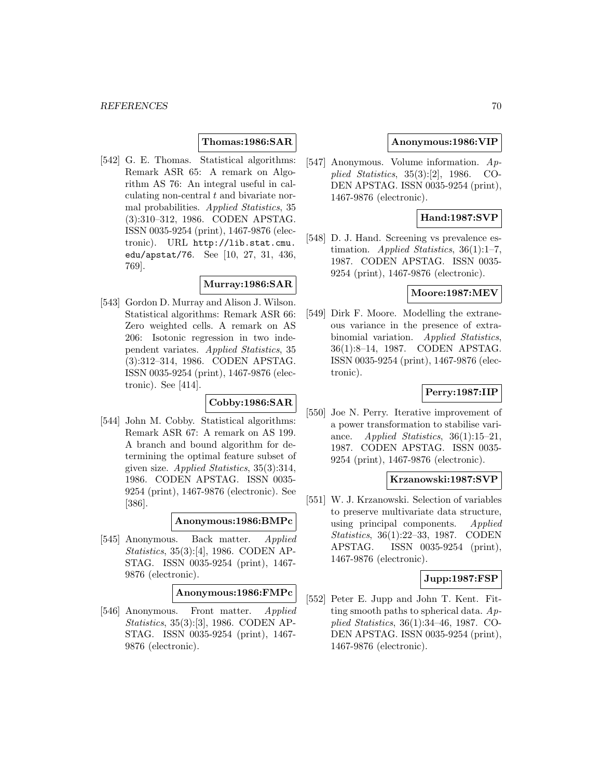## **Thomas:1986:SAR**

[542] G. E. Thomas. Statistical algorithms: Remark ASR 65: A remark on Algorithm AS 76: An integral useful in calculating non-central t and bivariate normal probabilities. Applied Statistics, 35 (3):310–312, 1986. CODEN APSTAG. ISSN 0035-9254 (print), 1467-9876 (electronic). URL http://lib.stat.cmu. edu/apstat/76. See [10, 27, 31, 436, 769].

#### **Murray:1986:SAR**

[543] Gordon D. Murray and Alison J. Wilson. Statistical algorithms: Remark ASR 66: Zero weighted cells. A remark on AS 206: Isotonic regression in two independent variates. Applied Statistics, 35 (3):312–314, 1986. CODEN APSTAG. ISSN 0035-9254 (print), 1467-9876 (electronic). See [414].

#### **Cobby:1986:SAR**

[544] John M. Cobby. Statistical algorithms: Remark ASR 67: A remark on AS 199. A branch and bound algorithm for determining the optimal feature subset of given size. Applied Statistics, 35(3):314, 1986. CODEN APSTAG. ISSN 0035- 9254 (print), 1467-9876 (electronic). See [386].

#### **Anonymous:1986:BMPc**

[545] Anonymous. Back matter. Applied Statistics, 35(3):[4], 1986. CODEN AP-STAG. ISSN 0035-9254 (print), 1467- 9876 (electronic).

#### **Anonymous:1986:FMPc**

[546] Anonymous. Front matter. Applied Statistics, 35(3):[3], 1986. CODEN AP-STAG. ISSN 0035-9254 (print), 1467- 9876 (electronic).

### **Anonymous:1986:VIP**

[547] Anonymous. Volume information. Applied Statistics, 35(3):[2], 1986. CO-DEN APSTAG. ISSN 0035-9254 (print), 1467-9876 (electronic).

# **Hand:1987:SVP**

[548] D. J. Hand. Screening vs prevalence estimation. Applied Statistics,  $36(1):1-7$ , 1987. CODEN APSTAG. ISSN 0035- 9254 (print), 1467-9876 (electronic).

## **Moore:1987:MEV**

[549] Dirk F. Moore. Modelling the extraneous variance in the presence of extrabinomial variation. Applied Statistics, 36(1):8–14, 1987. CODEN APSTAG. ISSN 0035-9254 (print), 1467-9876 (electronic).

## **Perry:1987:IIP**

[550] Joe N. Perry. Iterative improvement of a power transformation to stabilise variance. Applied Statistics,  $36(1):15-21$ , 1987. CODEN APSTAG. ISSN 0035- 9254 (print), 1467-9876 (electronic).

### **Krzanowski:1987:SVP**

[551] W. J. Krzanowski. Selection of variables to preserve multivariate data structure, using principal components. Applied Statistics, 36(1):22–33, 1987. CODEN APSTAG. ISSN 0035-9254 (print), 1467-9876 (electronic).

# **Jupp:1987:FSP**

[552] Peter E. Jupp and John T. Kent. Fitting smooth paths to spherical data.  $Ap$ plied Statistics, 36(1):34–46, 1987. CO-DEN APSTAG. ISSN 0035-9254 (print), 1467-9876 (electronic).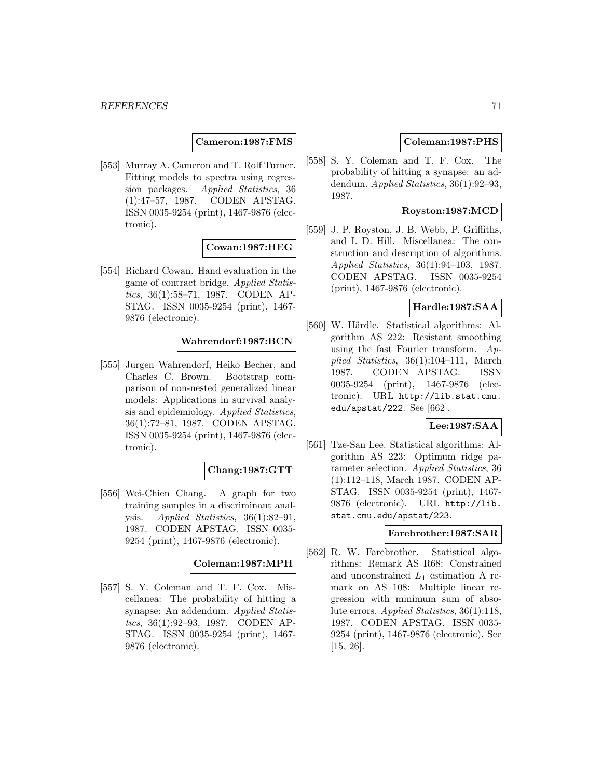### **Cameron:1987:FMS**

[553] Murray A. Cameron and T. Rolf Turner. Fitting models to spectra using regression packages. Applied Statistics, 36 (1):47–57, 1987. CODEN APSTAG. ISSN 0035-9254 (print), 1467-9876 (electronic).

# **Cowan:1987:HEG**

[554] Richard Cowan. Hand evaluation in the game of contract bridge. Applied Statistics, 36(1):58–71, 1987. CODEN AP-STAG. ISSN 0035-9254 (print), 1467- 9876 (electronic).

## **Wahrendorf:1987:BCN**

[555] Jurgen Wahrendorf, Heiko Becher, and Charles C. Brown. Bootstrap comparison of non-nested generalized linear models: Applications in survival analysis and epidemiology. Applied Statistics, 36(1):72–81, 1987. CODEN APSTAG. ISSN 0035-9254 (print), 1467-9876 (electronic).

# **Chang:1987:GTT**

[556] Wei-Chien Chang. A graph for two training samples in a discriminant analysis. Applied Statistics, 36(1):82–91, 1987. CODEN APSTAG. ISSN 0035- 9254 (print), 1467-9876 (electronic).

#### **Coleman:1987:MPH**

[557] S. Y. Coleman and T. F. Cox. Miscellanea: The probability of hitting a synapse: An addendum. Applied Statistics, 36(1):92–93, 1987. CODEN AP-STAG. ISSN 0035-9254 (print), 1467- 9876 (electronic).

### **Coleman:1987:PHS**

[558] S. Y. Coleman and T. F. Cox. The probability of hitting a synapse: an addendum. Applied Statistics, 36(1):92–93, 1987.

# **Royston:1987:MCD**

[559] J. P. Royston, J. B. Webb, P. Griffiths, and I. D. Hill. Miscellanea: The construction and description of algorithms. Applied Statistics, 36(1):94–103, 1987. CODEN APSTAG. ISSN 0035-9254 (print), 1467-9876 (electronic).

# **Hardle:1987:SAA**

[560] W. Härdle. Statistical algorithms: Algorithm AS 222: Resistant smoothing using the fast Fourier transform.  $Ap$ plied Statistics, 36(1):104–111, March 1987. CODEN APSTAG. ISSN 0035-9254 (print), 1467-9876 (electronic). URL http://lib.stat.cmu. edu/apstat/222. See [662].

### **Lee:1987:SAA**

[561] Tze-San Lee. Statistical algorithms: Algorithm AS 223: Optimum ridge parameter selection. Applied Statistics, 36 (1):112–118, March 1987. CODEN AP-STAG. ISSN 0035-9254 (print), 1467- 9876 (electronic). URL http://lib. stat.cmu.edu/apstat/223.

### **Farebrother:1987:SAR**

[562] R. W. Farebrother. Statistical algorithms: Remark AS R68: Constrained and unconstrained  $L_1$  estimation A remark on AS 108: Multiple linear regression with minimum sum of absolute errors. Applied Statistics, 36(1):118, 1987. CODEN APSTAG. ISSN 0035- 9254 (print), 1467-9876 (electronic). See [15, 26].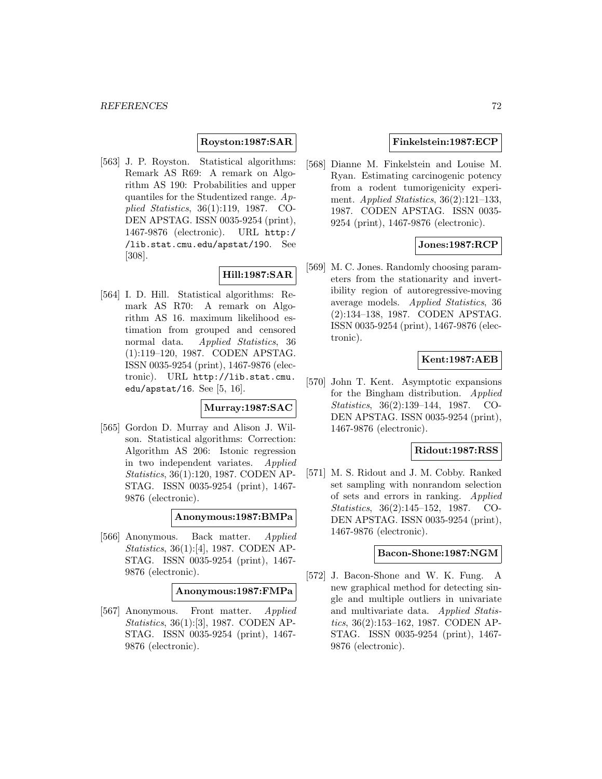## **Royston:1987:SAR**

[563] J. P. Royston. Statistical algorithms: Remark AS R69: A remark on Algorithm AS 190: Probabilities and upper quantiles for the Studentized range. Applied Statistics, 36(1):119, 1987. CO-DEN APSTAG. ISSN 0035-9254 (print), 1467-9876 (electronic). URL http:/ /lib.stat.cmu.edu/apstat/190. See [308].

# **Hill:1987:SAR**

[564] I. D. Hill. Statistical algorithms: Remark AS R70: A remark on Algorithm AS 16. maximum likelihood estimation from grouped and censored normal data. Applied Statistics, 36 (1):119–120, 1987. CODEN APSTAG. ISSN 0035-9254 (print), 1467-9876 (electronic). URL http://lib.stat.cmu. edu/apstat/16. See [5, 16].

## **Murray:1987:SAC**

[565] Gordon D. Murray and Alison J. Wilson. Statistical algorithms: Correction: Algorithm AS 206: Istonic regression in two independent variates. Applied Statistics, 36(1):120, 1987. CODEN AP-STAG. ISSN 0035-9254 (print), 1467- 9876 (electronic).

#### **Anonymous:1987:BMPa**

[566] Anonymous. Back matter. Applied Statistics, 36(1):[4], 1987. CODEN AP-STAG. ISSN 0035-9254 (print), 1467- 9876 (electronic).

#### **Anonymous:1987:FMPa**

[567] Anonymous. Front matter. Applied Statistics, 36(1):[3], 1987. CODEN AP-STAG. ISSN 0035-9254 (print), 1467- 9876 (electronic).

### **Finkelstein:1987:ECP**

[568] Dianne M. Finkelstein and Louise M. Ryan. Estimating carcinogenic potency from a rodent tumorigenicity experiment. Applied Statistics,  $36(2):121-133$ , 1987. CODEN APSTAG. ISSN 0035- 9254 (print), 1467-9876 (electronic).

## **Jones:1987:RCP**

[569] M. C. Jones. Randomly choosing parameters from the stationarity and invertibility region of autoregressive-moving average models. Applied Statistics, 36 (2):134–138, 1987. CODEN APSTAG. ISSN 0035-9254 (print), 1467-9876 (electronic).

# **Kent:1987:AEB**

[570] John T. Kent. Asymptotic expansions for the Bingham distribution. Applied Statistics, 36(2):139–144, 1987. CO-DEN APSTAG. ISSN 0035-9254 (print), 1467-9876 (electronic).

### **Ridout:1987:RSS**

[571] M. S. Ridout and J. M. Cobby. Ranked set sampling with nonrandom selection of sets and errors in ranking. Applied Statistics, 36(2):145–152, 1987. CO-DEN APSTAG. ISSN 0035-9254 (print), 1467-9876 (electronic).

# **Bacon-Shone:1987:NGM**

[572] J. Bacon-Shone and W. K. Fung. A new graphical method for detecting single and multiple outliers in univariate and multivariate data. Applied Statistics, 36(2):153–162, 1987. CODEN AP-STAG. ISSN 0035-9254 (print), 1467- 9876 (electronic).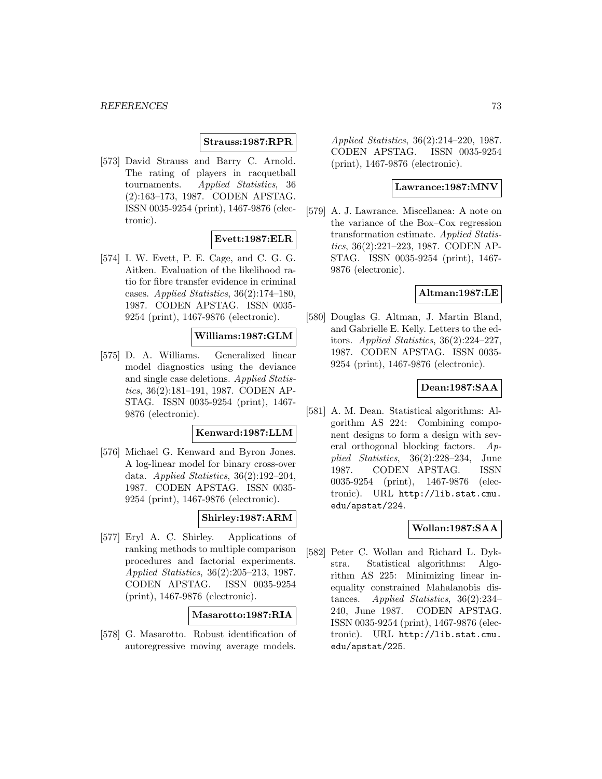#### **Strauss:1987:RPR**

[573] David Strauss and Barry C. Arnold. The rating of players in racquetball tournaments. Applied Statistics, 36 (2):163–173, 1987. CODEN APSTAG. ISSN 0035-9254 (print), 1467-9876 (electronic).

### **Evett:1987:ELR**

[574] I. W. Evett, P. E. Cage, and C. G. G. Aitken. Evaluation of the likelihood ratio for fibre transfer evidence in criminal cases. Applied Statistics, 36(2):174–180, 1987. CODEN APSTAG. ISSN 0035- 9254 (print), 1467-9876 (electronic).

### **Williams:1987:GLM**

[575] D. A. Williams. Generalized linear model diagnostics using the deviance and single case deletions. Applied Statistics, 36(2):181–191, 1987. CODEN AP-STAG. ISSN 0035-9254 (print), 1467- 9876 (electronic).

#### **Kenward:1987:LLM**

[576] Michael G. Kenward and Byron Jones. A log-linear model for binary cross-over data. Applied Statistics, 36(2):192–204, 1987. CODEN APSTAG. ISSN 0035- 9254 (print), 1467-9876 (electronic).

### **Shirley:1987:ARM**

[577] Eryl A. C. Shirley. Applications of ranking methods to multiple comparison procedures and factorial experiments. Applied Statistics, 36(2):205–213, 1987. CODEN APSTAG. ISSN 0035-9254 (print), 1467-9876 (electronic).

#### **Masarotto:1987:RIA**

[578] G. Masarotto. Robust identification of autoregressive moving average models.

Applied Statistics, 36(2):214–220, 1987. CODEN APSTAG. ISSN 0035-9254 (print), 1467-9876 (electronic).

### **Lawrance:1987:MNV**

[579] A. J. Lawrance. Miscellanea: A note on the variance of the Box–Cox regression transformation estimate. Applied Statistics, 36(2):221–223, 1987. CODEN AP-STAG. ISSN 0035-9254 (print), 1467- 9876 (electronic).

### **Altman:1987:LE**

[580] Douglas G. Altman, J. Martin Bland, and Gabrielle E. Kelly. Letters to the editors. Applied Statistics, 36(2):224–227, 1987. CODEN APSTAG. ISSN 0035- 9254 (print), 1467-9876 (electronic).

### **Dean:1987:SAA**

[581] A. M. Dean. Statistical algorithms: Algorithm AS 224: Combining component designs to form a design with several orthogonal blocking factors. Applied Statistics, 36(2):228–234, June 1987. CODEN APSTAG. ISSN 0035-9254 (print), 1467-9876 (electronic). URL http://lib.stat.cmu. edu/apstat/224.

### **Wollan:1987:SAA**

[582] Peter C. Wollan and Richard L. Dykstra. Statistical algorithms: Algorithm AS 225: Minimizing linear inequality constrained Mahalanobis distances. Applied Statistics, 36(2):234– 240, June 1987. CODEN APSTAG. ISSN 0035-9254 (print), 1467-9876 (electronic). URL http://lib.stat.cmu. edu/apstat/225.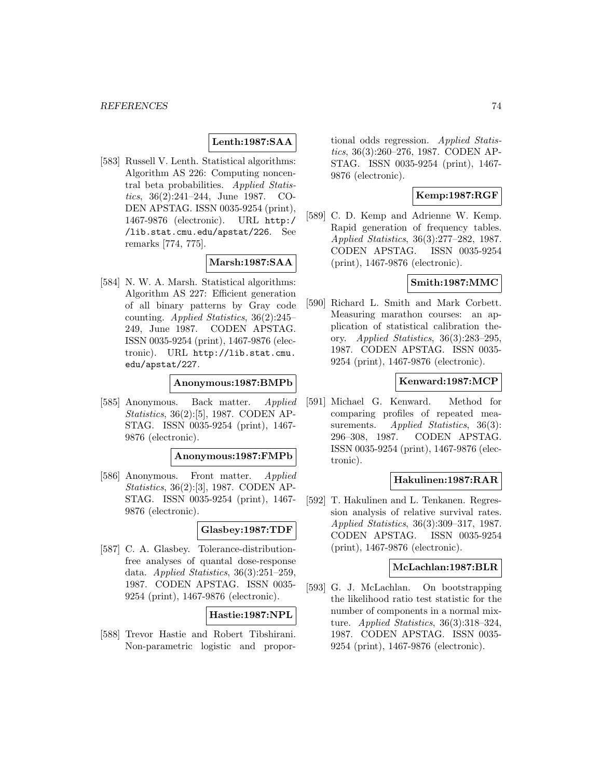# **Lenth:1987:SAA**

[583] Russell V. Lenth. Statistical algorithms: Algorithm AS 226: Computing noncentral beta probabilities. Applied Statistics, 36(2):241–244, June 1987. CO-DEN APSTAG. ISSN 0035-9254 (print), 1467-9876 (electronic). URL http:/ /lib.stat.cmu.edu/apstat/226. See remarks [774, 775].

### **Marsh:1987:SAA**

[584] N. W. A. Marsh. Statistical algorithms: Algorithm AS 227: Efficient generation of all binary patterns by Gray code counting. Applied Statistics, 36(2):245– 249, June 1987. CODEN APSTAG. ISSN 0035-9254 (print), 1467-9876 (electronic). URL http://lib.stat.cmu. edu/apstat/227.

### **Anonymous:1987:BMPb**

[585] Anonymous. Back matter. Applied Statistics, 36(2):[5], 1987. CODEN AP-STAG. ISSN 0035-9254 (print), 1467- 9876 (electronic).

#### **Anonymous:1987:FMPb**

[586] Anonymous. Front matter. Applied Statistics, 36(2):[3], 1987. CODEN AP-STAG. ISSN 0035-9254 (print), 1467- 9876 (electronic).

### **Glasbey:1987:TDF**

[587] C. A. Glasbey. Tolerance-distributionfree analyses of quantal dose-response data. Applied Statistics, 36(3):251–259, 1987. CODEN APSTAG. ISSN 0035- 9254 (print), 1467-9876 (electronic).

### **Hastie:1987:NPL**

[588] Trevor Hastie and Robert Tibshirani. Non-parametric logistic and proportional odds regression. Applied Statistics, 36(3):260–276, 1987. CODEN AP-STAG. ISSN 0035-9254 (print), 1467- 9876 (electronic).

# **Kemp:1987:RGF**

[589] C. D. Kemp and Adrienne W. Kemp. Rapid generation of frequency tables. Applied Statistics, 36(3):277–282, 1987. CODEN APSTAG. ISSN 0035-9254 (print), 1467-9876 (electronic).

### **Smith:1987:MMC**

[590] Richard L. Smith and Mark Corbett. Measuring marathon courses: an application of statistical calibration theory. Applied Statistics, 36(3):283–295, 1987. CODEN APSTAG. ISSN 0035- 9254 (print), 1467-9876 (electronic).

### **Kenward:1987:MCP**

[591] Michael G. Kenward. Method for comparing profiles of repeated measurements. Applied Statistics, 36(3): 296–308, 1987. CODEN APSTAG. ISSN 0035-9254 (print), 1467-9876 (electronic).

### **Hakulinen:1987:RAR**

[592] T. Hakulinen and L. Tenkanen. Regression analysis of relative survival rates. Applied Statistics, 36(3):309–317, 1987. CODEN APSTAG. ISSN 0035-9254 (print), 1467-9876 (electronic).

# **McLachlan:1987:BLR**

[593] G. J. McLachlan. On bootstrapping the likelihood ratio test statistic for the number of components in a normal mixture. Applied Statistics, 36(3):318–324, 1987. CODEN APSTAG. ISSN 0035- 9254 (print), 1467-9876 (electronic).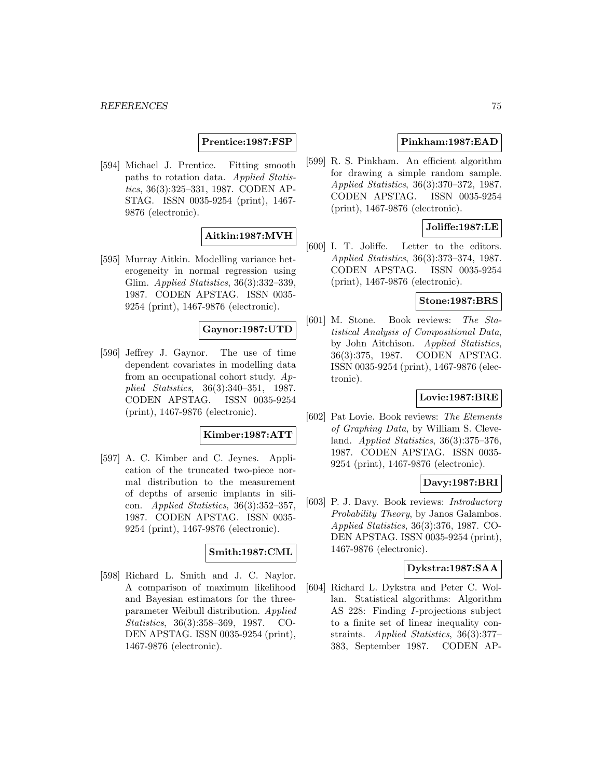### **Prentice:1987:FSP**

[594] Michael J. Prentice. Fitting smooth paths to rotation data. Applied Statistics, 36(3):325–331, 1987. CODEN AP-STAG. ISSN 0035-9254 (print), 1467- 9876 (electronic).

# **Aitkin:1987:MVH**

[595] Murray Aitkin. Modelling variance heterogeneity in normal regression using Glim. Applied Statistics, 36(3):332–339, 1987. CODEN APSTAG. ISSN 0035- 9254 (print), 1467-9876 (electronic).

### **Gaynor:1987:UTD**

[596] Jeffrey J. Gaynor. The use of time dependent covariates in modelling data from an occupational cohort study. Applied Statistics, 36(3):340–351, 1987. CODEN APSTAG. ISSN 0035-9254 (print), 1467-9876 (electronic).

#### **Kimber:1987:ATT**

[597] A. C. Kimber and C. Jeynes. Application of the truncated two-piece normal distribution to the measurement of depths of arsenic implants in silicon. Applied Statistics, 36(3):352–357, 1987. CODEN APSTAG. ISSN 0035- 9254 (print), 1467-9876 (electronic).

#### **Smith:1987:CML**

[598] Richard L. Smith and J. C. Naylor. A comparison of maximum likelihood and Bayesian estimators for the threeparameter Weibull distribution. Applied Statistics, 36(3):358–369, 1987. CO-DEN APSTAG. ISSN 0035-9254 (print), 1467-9876 (electronic).

### **Pinkham:1987:EAD**

[599] R. S. Pinkham. An efficient algorithm for drawing a simple random sample. Applied Statistics, 36(3):370–372, 1987. CODEN APSTAG. ISSN 0035-9254 (print), 1467-9876 (electronic).

# **Joliffe:1987:LE**

[600] I. T. Joliffe. Letter to the editors. Applied Statistics, 36(3):373–374, 1987. CODEN APSTAG. ISSN 0035-9254 (print), 1467-9876 (electronic).

#### **Stone:1987:BRS**

[601] M. Stone. Book reviews: The Statistical Analysis of Compositional Data, by John Aitchison. Applied Statistics, 36(3):375, 1987. CODEN APSTAG. ISSN 0035-9254 (print), 1467-9876 (electronic).

### **Lovie:1987:BRE**

[602] Pat Lovie. Book reviews: The Elements of Graphing Data, by William S. Cleveland. Applied Statistics, 36(3):375–376, 1987. CODEN APSTAG. ISSN 0035- 9254 (print), 1467-9876 (electronic).

### **Davy:1987:BRI**

[603] P. J. Davy. Book reviews: *Introductory* Probability Theory, by Janos Galambos. Applied Statistics, 36(3):376, 1987. CO-DEN APSTAG. ISSN 0035-9254 (print), 1467-9876 (electronic).

### **Dykstra:1987:SAA**

[604] Richard L. Dykstra and Peter C. Wollan. Statistical algorithms: Algorithm AS 228: Finding I-projections subject to a finite set of linear inequality constraints. Applied Statistics, 36(3):377– 383, September 1987. CODEN AP-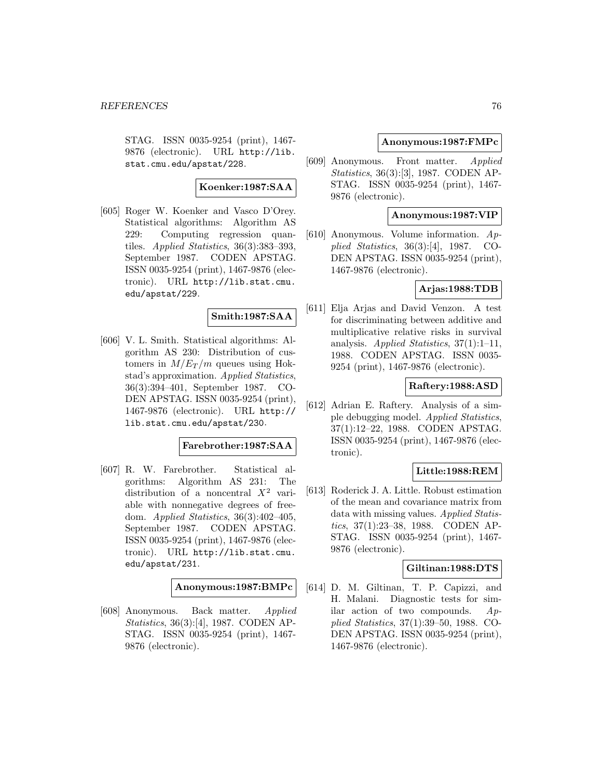STAG. ISSN 0035-9254 (print), 1467- 9876 (electronic). URL http://lib. stat.cmu.edu/apstat/228.

### **Koenker:1987:SAA**

[605] Roger W. Koenker and Vasco D'Orey. Statistical algorithms: Algorithm AS 229: Computing regression quantiles. Applied Statistics, 36(3):383–393, September 1987. CODEN APSTAG. ISSN 0035-9254 (print), 1467-9876 (electronic). URL http://lib.stat.cmu. edu/apstat/229.

# **Smith:1987:SAA**

[606] V. L. Smith. Statistical algorithms: Algorithm AS 230: Distribution of customers in  $M/E_T/m$  queues using Hokstad's approximation. Applied Statistics, 36(3):394–401, September 1987. CO-DEN APSTAG. ISSN 0035-9254 (print), 1467-9876 (electronic). URL http:// lib.stat.cmu.edu/apstat/230.

#### **Farebrother:1987:SAA**

[607] R. W. Farebrother. Statistical algorithms: Algorithm AS 231: The distribution of a noncentral  $X^2$  variable with nonnegative degrees of freedom. Applied Statistics, 36(3):402–405, September 1987. CODEN APSTAG. ISSN 0035-9254 (print), 1467-9876 (electronic). URL http://lib.stat.cmu. edu/apstat/231.

#### **Anonymous:1987:BMPc**

[608] Anonymous. Back matter. Applied Statistics, 36(3):[4], 1987. CODEN AP-STAG. ISSN 0035-9254 (print), 1467- 9876 (electronic).

### **Anonymous:1987:FMPc**

[609] Anonymous. Front matter. Applied Statistics, 36(3):[3], 1987. CODEN AP-STAG. ISSN 0035-9254 (print), 1467- 9876 (electronic).

### **Anonymous:1987:VIP**

[610] Anonymous. Volume information. Applied Statistics, 36(3):[4], 1987. CO-DEN APSTAG. ISSN 0035-9254 (print), 1467-9876 (electronic).

### **Arjas:1988:TDB**

[611] Elja Arjas and David Venzon. A test for discriminating between additive and multiplicative relative risks in survival analysis. Applied Statistics,  $37(1):1-11$ , 1988. CODEN APSTAG. ISSN 0035- 9254 (print), 1467-9876 (electronic).

### **Raftery:1988:ASD**

[612] Adrian E. Raftery. Analysis of a simple debugging model. Applied Statistics, 37(1):12–22, 1988. CODEN APSTAG. ISSN 0035-9254 (print), 1467-9876 (electronic).

### **Little:1988:REM**

[613] Roderick J. A. Little. Robust estimation of the mean and covariance matrix from data with missing values. Applied Statistics, 37(1):23–38, 1988. CODEN AP-STAG. ISSN 0035-9254 (print), 1467- 9876 (electronic).

### **Giltinan:1988:DTS**

[614] D. M. Giltinan, T. P. Capizzi, and H. Malani. Diagnostic tests for similar action of two compounds.  $Ap$ plied Statistics, 37(1):39–50, 1988. CO-DEN APSTAG. ISSN 0035-9254 (print), 1467-9876 (electronic).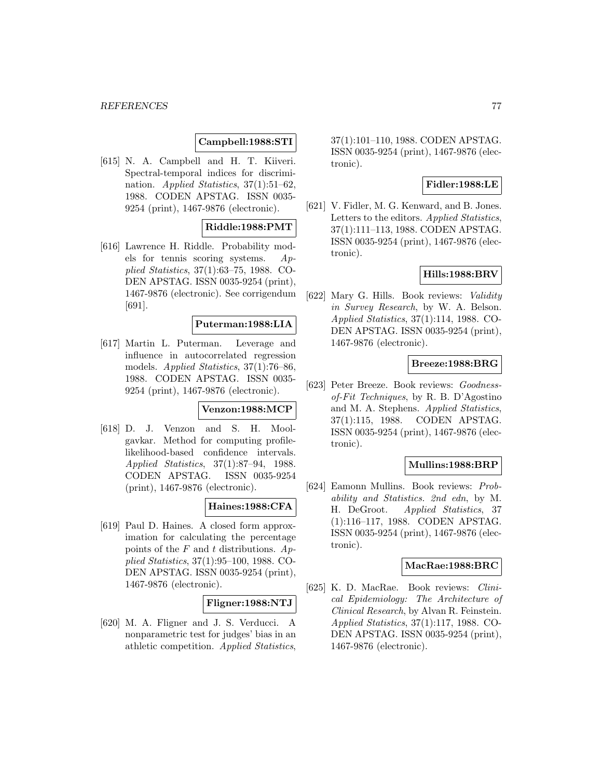### **Campbell:1988:STI**

[615] N. A. Campbell and H. T. Kiiveri. Spectral-temporal indices for discrimination. *Applied Statistics*, 37(1):51–62, 1988. CODEN APSTAG. ISSN 0035- 9254 (print), 1467-9876 (electronic).

### **Riddle:1988:PMT**

[616] Lawrence H. Riddle. Probability models for tennis scoring systems. Applied Statistics, 37(1):63–75, 1988. CO-DEN APSTAG. ISSN 0035-9254 (print), 1467-9876 (electronic). See corrigendum [691].

### **Puterman:1988:LIA**

[617] Martin L. Puterman. Leverage and influence in autocorrelated regression models. Applied Statistics, 37(1):76–86, 1988. CODEN APSTAG. ISSN 0035- 9254 (print), 1467-9876 (electronic).

# **Venzon:1988:MCP**

[618] D. J. Venzon and S. H. Moolgavkar. Method for computing profilelikelihood-based confidence intervals. Applied Statistics, 37(1):87–94, 1988. CODEN APSTAG. ISSN 0035-9254 (print), 1467-9876 (electronic).

### **Haines:1988:CFA**

[619] Paul D. Haines. A closed form approximation for calculating the percentage points of the F and t distributions.  $Ap$ plied Statistics, 37(1):95–100, 1988. CO-DEN APSTAG. ISSN 0035-9254 (print), 1467-9876 (electronic).

#### **Fligner:1988:NTJ**

[620] M. A. Fligner and J. S. Verducci. A nonparametric test for judges' bias in an athletic competition. Applied Statistics,

37(1):101–110, 1988. CODEN APSTAG. ISSN 0035-9254 (print), 1467-9876 (electronic).

### **Fidler:1988:LE**

[621] V. Fidler, M. G. Kenward, and B. Jones. Letters to the editors. Applied Statistics, 37(1):111–113, 1988. CODEN APSTAG. ISSN 0035-9254 (print), 1467-9876 (electronic).

# **Hills:1988:BRV**

[622] Mary G. Hills. Book reviews: Validity in Survey Research, by W. A. Belson. Applied Statistics, 37(1):114, 1988. CO-DEN APSTAG. ISSN 0035-9254 (print), 1467-9876 (electronic).

### **Breeze:1988:BRG**

[623] Peter Breeze. Book reviews: Goodnessof-Fit Techniques, by R. B. D'Agostino and M. A. Stephens. Applied Statistics, 37(1):115, 1988. CODEN APSTAG. ISSN 0035-9254 (print), 1467-9876 (electronic).

### **Mullins:1988:BRP**

[624] Eamonn Mullins. Book reviews: Probability and Statistics. 2nd edn, by M. H. DeGroot. Applied Statistics, 37 (1):116–117, 1988. CODEN APSTAG. ISSN 0035-9254 (print), 1467-9876 (electronic).

#### **MacRae:1988:BRC**

[625] K. D. MacRae. Book reviews: Clinical Epidemiology: The Architecture of Clinical Research, by Alvan R. Feinstein. Applied Statistics, 37(1):117, 1988. CO-DEN APSTAG. ISSN 0035-9254 (print), 1467-9876 (electronic).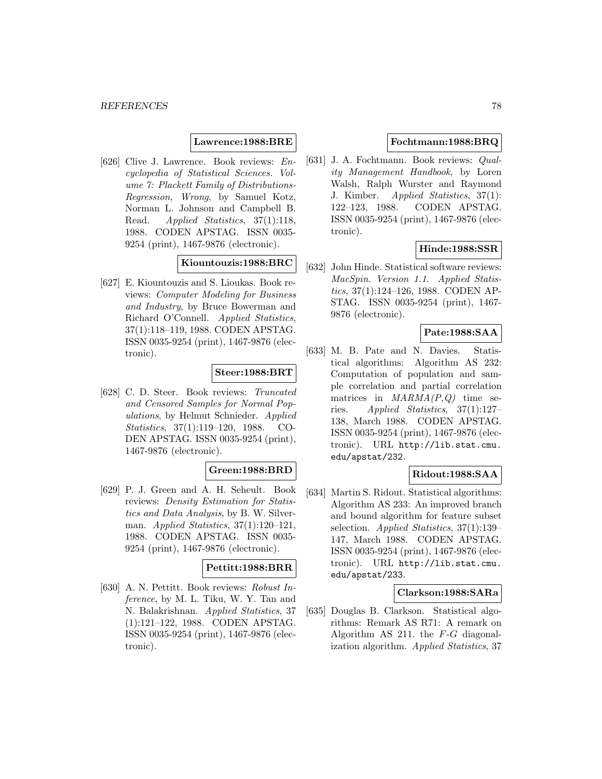### **Lawrence:1988:BRE**

[626] Clive J. Lawrence. Book reviews: Encyclopedia of Statistical Sciences. Volume 7: Plackett Family of Distributions-Regression, Wrong, by Samuel Kotz, Norman L. Johnson and Campbell B. Read. *Applied Statistics*, 37(1):118, 1988. CODEN APSTAG. ISSN 0035- 9254 (print), 1467-9876 (electronic).

## **Kiountouzis:1988:BRC**

[627] E. Kiountouzis and S. Lioukas. Book reviews: Computer Modeling for Business and Industry, by Bruce Bowerman and Richard O'Connell. Applied Statistics, 37(1):118–119, 1988. CODEN APSTAG. ISSN 0035-9254 (print), 1467-9876 (electronic).

## **Steer:1988:BRT**

[628] C. D. Steer. Book reviews: Truncated and Censored Samples for Normal Populations, by Helmut Schnieder. Applied Statistics, 37(1):119–120, 1988. CO-DEN APSTAG. ISSN 0035-9254 (print), 1467-9876 (electronic).

# **Green:1988:BRD**

[629] P. J. Green and A. H. Seheult. Book reviews: Density Estimation for Statistics and Data Analysis, by B. W. Silverman. Applied Statistics, 37(1):120–121, 1988. CODEN APSTAG. ISSN 0035- 9254 (print), 1467-9876 (electronic).

# **Pettitt:1988:BRR**

[630] A. N. Pettitt. Book reviews: Robust Inference, by M. L. Tiku, W. Y. Tan and N. Balakrishnan. Applied Statistics, 37 (1):121–122, 1988. CODEN APSTAG. ISSN 0035-9254 (print), 1467-9876 (electronic).

### **Fochtmann:1988:BRQ**

[631] J. A. Fochtmann. Book reviews: Quality Management Handbook, by Loren Walsh, Ralph Wurster and Raymond J. Kimber. Applied Statistics, 37(1): 122–123, 1988. CODEN APSTAG. ISSN 0035-9254 (print), 1467-9876 (electronic).

### **Hinde:1988:SSR**

[632] John Hinde. Statistical software reviews: MacSpin. Version 1.1. Applied Statistics, 37(1):124–126, 1988. CODEN AP-STAG. ISSN 0035-9254 (print), 1467- 9876 (electronic).

### **Pate:1988:SAA**

[633] M. B. Pate and N. Davies. Statistical algorithms: Algorithm AS 232: Computation of population and sample correlation and partial correlation matrices in  $MARMA(P,Q)$  time series. Applied Statistics,  $37(1):127-$ 138, March 1988. CODEN APSTAG. ISSN 0035-9254 (print), 1467-9876 (electronic). URL http://lib.stat.cmu. edu/apstat/232.

# **Ridout:1988:SAA**

[634] Martin S. Ridout. Statistical algorithms: Algorithm AS 233: An improved branch and bound algorithm for feature subset selection. Applied Statistics, 37(1):139– 147, March 1988. CODEN APSTAG. ISSN 0035-9254 (print), 1467-9876 (electronic). URL http://lib.stat.cmu. edu/apstat/233.

### **Clarkson:1988:SARa**

[635] Douglas B. Clarkson. Statistical algorithms: Remark AS R71: A remark on Algorithm AS 211. the  $F-G$  diagonalization algorithm. Applied Statistics, 37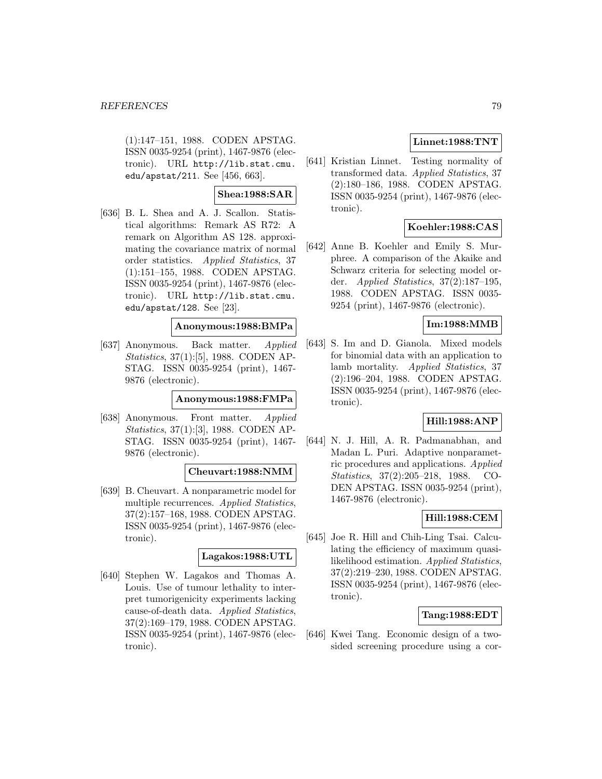(1):147–151, 1988. CODEN APSTAG. ISSN 0035-9254 (print), 1467-9876 (electronic). URL http://lib.stat.cmu. edu/apstat/211. See [456, 663].

# **Shea:1988:SAR**

[636] B. L. Shea and A. J. Scallon. Statistical algorithms: Remark AS R72: A remark on Algorithm AS 128. approximating the covariance matrix of normal order statistics. Applied Statistics, 37 (1):151–155, 1988. CODEN APSTAG. ISSN 0035-9254 (print), 1467-9876 (electronic). URL http://lib.stat.cmu. edu/apstat/128. See [23].

# **Anonymous:1988:BMPa**

[637] Anonymous. Back matter. Applied Statistics, 37(1):[5], 1988. CODEN AP-STAG. ISSN 0035-9254 (print), 1467- 9876 (electronic).

#### **Anonymous:1988:FMPa**

[638] Anonymous. Front matter. Applied Statistics, 37(1):[3], 1988. CODEN AP-STAG. ISSN 0035-9254 (print), 1467- 9876 (electronic).

#### **Cheuvart:1988:NMM**

[639] B. Cheuvart. A nonparametric model for multiple recurrences. Applied Statistics, 37(2):157–168, 1988. CODEN APSTAG. ISSN 0035-9254 (print), 1467-9876 (electronic).

### **Lagakos:1988:UTL**

[640] Stephen W. Lagakos and Thomas A. Louis. Use of tumour lethality to interpret tumorigenicity experiments lacking cause-of-death data. Applied Statistics, 37(2):169–179, 1988. CODEN APSTAG. ISSN 0035-9254 (print), 1467-9876 (electronic).

# **Linnet:1988:TNT**

[641] Kristian Linnet. Testing normality of transformed data. Applied Statistics, 37 (2):180–186, 1988. CODEN APSTAG. ISSN 0035-9254 (print), 1467-9876 (electronic).

# **Koehler:1988:CAS**

[642] Anne B. Koehler and Emily S. Murphree. A comparison of the Akaike and Schwarz criteria for selecting model order. Applied Statistics, 37(2):187–195, 1988. CODEN APSTAG. ISSN 0035- 9254 (print), 1467-9876 (electronic).

# **Im:1988:MMB**

[643] S. Im and D. Gianola. Mixed models for binomial data with an application to lamb mortality. Applied Statistics, 37 (2):196–204, 1988. CODEN APSTAG. ISSN 0035-9254 (print), 1467-9876 (electronic).

# **Hill:1988:ANP**

[644] N. J. Hill, A. R. Padmanabhan, and Madan L. Puri. Adaptive nonparametric procedures and applications. Applied Statistics, 37(2):205–218, 1988. CO-DEN APSTAG. ISSN 0035-9254 (print), 1467-9876 (electronic).

### **Hill:1988:CEM**

[645] Joe R. Hill and Chih-Ling Tsai. Calculating the efficiency of maximum quasilikelihood estimation. Applied Statistics, 37(2):219–230, 1988. CODEN APSTAG. ISSN 0035-9254 (print), 1467-9876 (electronic).

### **Tang:1988:EDT**

[646] Kwei Tang. Economic design of a twosided screening procedure using a cor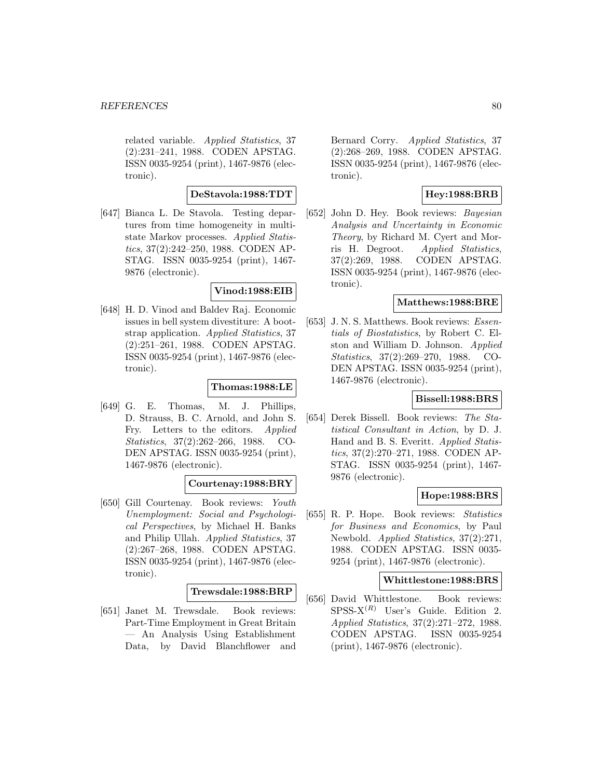related variable. Applied Statistics, 37 (2):231–241, 1988. CODEN APSTAG. ISSN 0035-9254 (print), 1467-9876 (electronic).

## **DeStavola:1988:TDT**

[647] Bianca L. De Stavola. Testing departures from time homogeneity in multistate Markov processes. Applied Statistics, 37(2):242–250, 1988. CODEN AP-STAG. ISSN 0035-9254 (print), 1467- 9876 (electronic).

### **Vinod:1988:EIB**

[648] H. D. Vinod and Baldev Raj. Economic issues in bell system divestiture: A bootstrap application. Applied Statistics, 37 (2):251–261, 1988. CODEN APSTAG. ISSN 0035-9254 (print), 1467-9876 (electronic).

### **Thomas:1988:LE**

[649] G. E. Thomas, M. J. Phillips, D. Strauss, B. C. Arnold, and John S. Fry. Letters to the editors. Applied Statistics, 37(2):262–266, 1988. CO-DEN APSTAG. ISSN 0035-9254 (print), 1467-9876 (electronic).

### **Courtenay:1988:BRY**

[650] Gill Courtenay. Book reviews: Youth Unemployment: Social and Psychological Perspectives, by Michael H. Banks and Philip Ullah. Applied Statistics, 37 (2):267–268, 1988. CODEN APSTAG. ISSN 0035-9254 (print), 1467-9876 (electronic).

#### **Trewsdale:1988:BRP**

[651] Janet M. Trewsdale. Book reviews: Part-Time Employment in Great Britain — An Analysis Using Establishment Data, by David Blanchflower and

Bernard Corry. Applied Statistics, 37 (2):268–269, 1988. CODEN APSTAG. ISSN 0035-9254 (print), 1467-9876 (electronic).

# **Hey:1988:BRB**

[652] John D. Hey. Book reviews: Bayesian Analysis and Uncertainty in Economic Theory, by Richard M. Cyert and Morris H. Degroot. Applied Statistics, 37(2):269, 1988. CODEN APSTAG. ISSN 0035-9254 (print), 1467-9876 (electronic).

# **Matthews:1988:BRE**

[653] J.N.S. Matthews. Book reviews: *Essen*tials of Biostatistics, by Robert C. Elston and William D. Johnson. Applied Statistics, 37(2):269–270, 1988. CO-DEN APSTAG. ISSN 0035-9254 (print), 1467-9876 (electronic).

### **Bissell:1988:BRS**

[654] Derek Bissell. Book reviews: The Statistical Consultant in Action, by D. J. Hand and B. S. Everitt. Applied Statistics, 37(2):270–271, 1988. CODEN AP-STAG. ISSN 0035-9254 (print), 1467- 9876 (electronic).

### **Hope:1988:BRS**

[655] R. P. Hope. Book reviews: Statistics for Business and Economics, by Paul Newbold. Applied Statistics, 37(2):271, 1988. CODEN APSTAG. ISSN 0035- 9254 (print), 1467-9876 (electronic).

#### **Whittlestone:1988:BRS**

[656] David Whittlestone. Book reviews:  $SPSS-X<sup>(R)</sup>$  User's Guide. Edition 2. Applied Statistics, 37(2):271–272, 1988. CODEN APSTAG. ISSN 0035-9254 (print), 1467-9876 (electronic).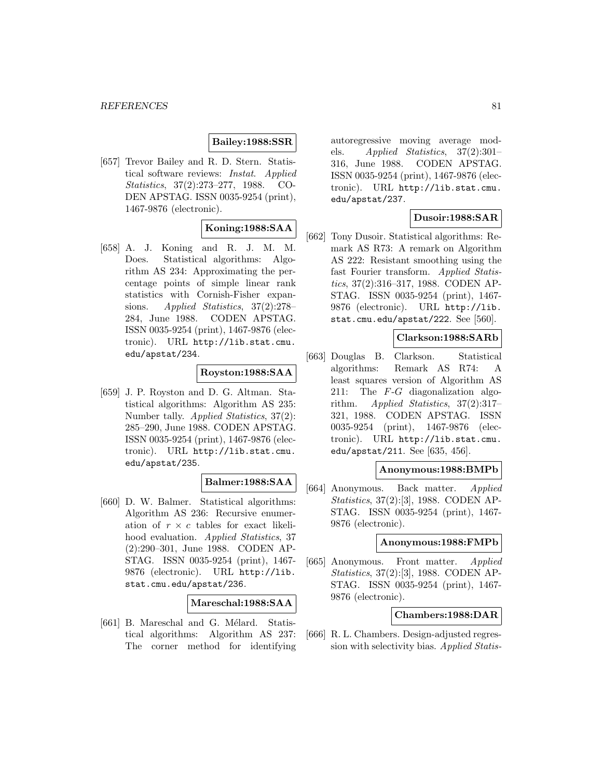### **Bailey:1988:SSR**

[657] Trevor Bailey and R. D. Stern. Statistical software reviews: Instat. Applied Statistics, 37(2):273–277, 1988. CO-DEN APSTAG. ISSN 0035-9254 (print), 1467-9876 (electronic).

# **Koning:1988:SAA**

[658] A. J. Koning and R. J. M. M. Does. Statistical algorithms: Algorithm AS 234: Approximating the percentage points of simple linear rank statistics with Cornish-Fisher expansions. Applied Statistics, 37(2):278– 284, June 1988. CODEN APSTAG. ISSN 0035-9254 (print), 1467-9876 (electronic). URL http://lib.stat.cmu. edu/apstat/234.

### **Royston:1988:SAA**

[659] J. P. Royston and D. G. Altman. Statistical algorithms: Algorithm AS 235: Number tally. Applied Statistics, 37(2): 285–290, June 1988. CODEN APSTAG. ISSN 0035-9254 (print), 1467-9876 (electronic). URL http://lib.stat.cmu. edu/apstat/235.

### **Balmer:1988:SAA**

[660] D. W. Balmer. Statistical algorithms: Algorithm AS 236: Recursive enumeration of  $r \times c$  tables for exact likelihood evaluation. Applied Statistics, 37 (2):290–301, June 1988. CODEN AP-STAG. ISSN 0035-9254 (print), 1467- 9876 (electronic). URL http://lib. stat.cmu.edu/apstat/236.

#### **Mareschal:1988:SAA**

[661] B. Mareschal and G. Mélard. Statistical algorithms: Algorithm AS 237: The corner method for identifying

autoregressive moving average models. Applied Statistics,  $37(2):301-$ 316, June 1988. CODEN APSTAG. ISSN 0035-9254 (print), 1467-9876 (electronic). URL http://lib.stat.cmu. edu/apstat/237.

### **Dusoir:1988:SAR**

[662] Tony Dusoir. Statistical algorithms: Remark AS R73: A remark on Algorithm AS 222: Resistant smoothing using the fast Fourier transform. Applied Statistics, 37(2):316–317, 1988. CODEN AP-STAG. ISSN 0035-9254 (print), 1467- 9876 (electronic). URL http://lib. stat.cmu.edu/apstat/222. See [560].

### **Clarkson:1988:SARb**

[663] Douglas B. Clarkson. Statistical algorithms: Remark AS R74: A least squares version of Algorithm AS 211: The  $F-G$  diagonalization algorithm. Applied Statistics, 37(2):317– 321, 1988. CODEN APSTAG. ISSN 0035-9254 (print), 1467-9876 (electronic). URL http://lib.stat.cmu. edu/apstat/211. See [635, 456].

### **Anonymous:1988:BMPb**

[664] Anonymous. Back matter. Applied Statistics, 37(2):[3], 1988. CODEN AP-STAG. ISSN 0035-9254 (print), 1467- 9876 (electronic).

#### **Anonymous:1988:FMPb**

[665] Anonymous. Front matter. Applied Statistics, 37(2):[3], 1988. CODEN AP-STAG. ISSN 0035-9254 (print), 1467- 9876 (electronic).

### **Chambers:1988:DAR**

[666] R. L. Chambers. Design-adjusted regression with selectivity bias. Applied Statis-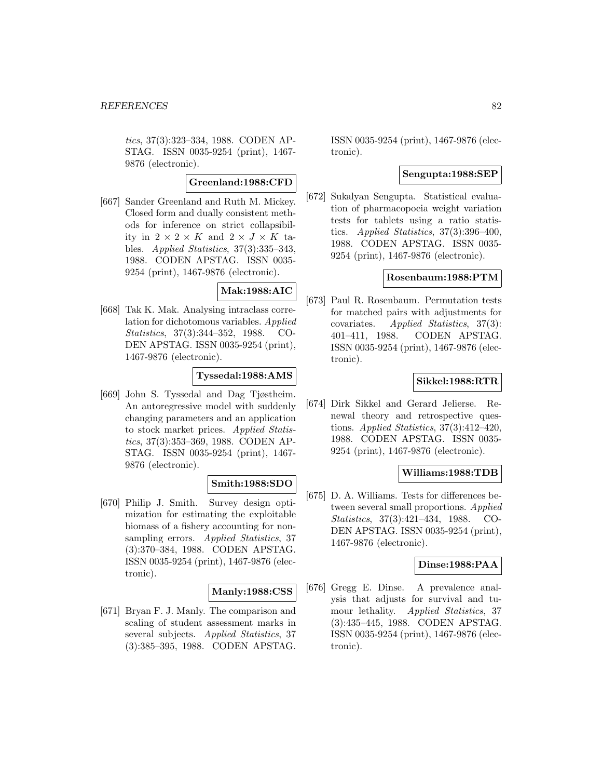tics, 37(3):323–334, 1988. CODEN AP-STAG. ISSN 0035-9254 (print), 1467- 9876 (electronic).

# **Greenland:1988:CFD**

[667] Sander Greenland and Ruth M. Mickey. Closed form and dually consistent methods for inference on strict collapsibility in  $2 \times 2 \times K$  and  $2 \times J \times K$  tables. Applied Statistics, 37(3):335–343, 1988. CODEN APSTAG. ISSN 0035- 9254 (print), 1467-9876 (electronic).

### **Mak:1988:AIC**

[668] Tak K. Mak. Analysing intraclass correlation for dichotomous variables. Applied Statistics, 37(3):344–352, 1988. CO-DEN APSTAG. ISSN 0035-9254 (print), 1467-9876 (electronic).

### **Tyssedal:1988:AMS**

[669] John S. Tyssedal and Dag Tjøstheim. An autoregressive model with suddenly changing parameters and an application to stock market prices. Applied Statistics, 37(3):353–369, 1988. CODEN AP-STAG. ISSN 0035-9254 (print), 1467- 9876 (electronic).

# **Smith:1988:SDO**

[670] Philip J. Smith. Survey design optimization for estimating the exploitable biomass of a fishery accounting for nonsampling errors. Applied Statistics, 37 (3):370–384, 1988. CODEN APSTAG. ISSN 0035-9254 (print), 1467-9876 (electronic).

#### **Manly:1988:CSS**

[671] Bryan F. J. Manly. The comparison and scaling of student assessment marks in several subjects. Applied Statistics, 37 (3):385–395, 1988. CODEN APSTAG. ISSN 0035-9254 (print), 1467-9876 (electronic).

### **Sengupta:1988:SEP**

[672] Sukalyan Sengupta. Statistical evaluation of pharmacopoeia weight variation tests for tablets using a ratio statistics. Applied Statistics, 37(3):396–400, 1988. CODEN APSTAG. ISSN 0035- 9254 (print), 1467-9876 (electronic).

### **Rosenbaum:1988:PTM**

[673] Paul R. Rosenbaum. Permutation tests for matched pairs with adjustments for covariates. Applied Statistics, 37(3): 401–411, 1988. CODEN APSTAG. ISSN 0035-9254 (print), 1467-9876 (electronic).

### **Sikkel:1988:RTR**

[674] Dirk Sikkel and Gerard Jelierse. Renewal theory and retrospective questions. Applied Statistics,  $37(3):412-420$ , 1988. CODEN APSTAG. ISSN 0035- 9254 (print), 1467-9876 (electronic).

### **Williams:1988:TDB**

[675] D. A. Williams. Tests for differences between several small proportions. Applied Statistics, 37(3):421–434, 1988. CO-DEN APSTAG. ISSN 0035-9254 (print), 1467-9876 (electronic).

#### **Dinse:1988:PAA**

[676] Gregg E. Dinse. A prevalence analysis that adjusts for survival and tumour lethality. Applied Statistics, 37 (3):435–445, 1988. CODEN APSTAG. ISSN 0035-9254 (print), 1467-9876 (electronic).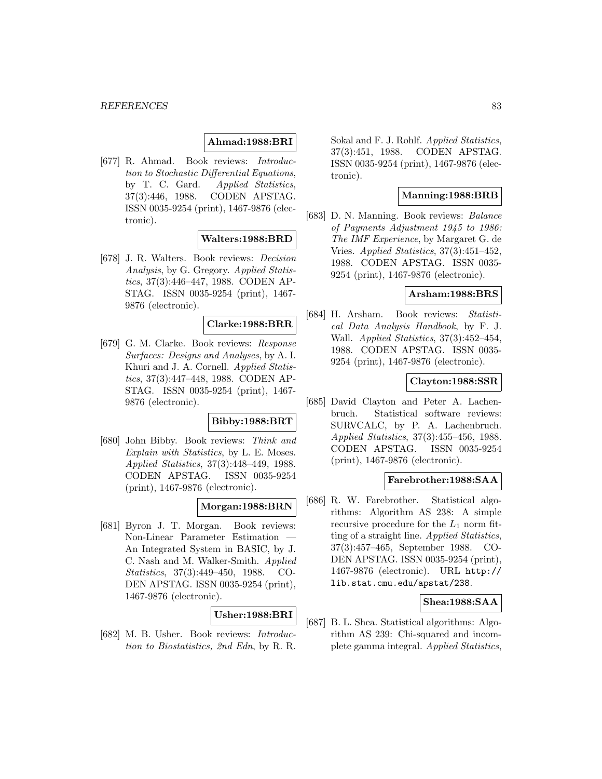# **Ahmad:1988:BRI**

[677] R. Ahmad. Book reviews: Introduction to Stochastic Differential Equations, by T. C. Gard. Applied Statistics, 37(3):446, 1988. CODEN APSTAG. ISSN 0035-9254 (print), 1467-9876 (electronic).

### **Walters:1988:BRD**

[678] J. R. Walters. Book reviews: Decision Analysis, by G. Gregory. Applied Statistics, 37(3):446–447, 1988. CODEN AP-STAG. ISSN 0035-9254 (print), 1467- 9876 (electronic).

### **Clarke:1988:BRR**

[679] G. M. Clarke. Book reviews: Response Surfaces: Designs and Analyses, by A. I. Khuri and J. A. Cornell. Applied Statistics, 37(3):447–448, 1988. CODEN AP-STAG. ISSN 0035-9254 (print), 1467- 9876 (electronic).

# **Bibby:1988:BRT**

[680] John Bibby. Book reviews: Think and Explain with Statistics, by L. E. Moses. Applied Statistics, 37(3):448–449, 1988. CODEN APSTAG. ISSN 0035-9254 (print), 1467-9876 (electronic).

### **Morgan:1988:BRN**

[681] Byron J. T. Morgan. Book reviews: Non-Linear Parameter Estimation — An Integrated System in BASIC, by J. C. Nash and M. Walker-Smith. Applied Statistics, 37(3):449–450, 1988. CO-DEN APSTAG. ISSN 0035-9254 (print), 1467-9876 (electronic).

### **Usher:1988:BRI**

[682] M. B. Usher. Book reviews: Introduction to Biostatistics, 2nd Edn, by R. R.

Sokal and F. J. Rohlf. Applied Statistics, 37(3):451, 1988. CODEN APSTAG. ISSN 0035-9254 (print), 1467-9876 (electronic).

# **Manning:1988:BRB**

[683] D. N. Manning. Book reviews: Balance of Payments Adjustment 1945 to 1986: The IMF Experience, by Margaret G. de Vries. Applied Statistics, 37(3):451–452, 1988. CODEN APSTAG. ISSN 0035- 9254 (print), 1467-9876 (electronic).

# **Arsham:1988:BRS**

[684] H. Arsham. Book reviews: Statistical Data Analysis Handbook, by F. J. Wall. Applied Statistics, 37(3):452–454, 1988. CODEN APSTAG. ISSN 0035- 9254 (print), 1467-9876 (electronic).

#### **Clayton:1988:SSR**

[685] David Clayton and Peter A. Lachenbruch. Statistical software reviews: SURVCALC, by P. A. Lachenbruch. Applied Statistics, 37(3):455–456, 1988. CODEN APSTAG. ISSN 0035-9254 (print), 1467-9876 (electronic).

### **Farebrother:1988:SAA**

[686] R. W. Farebrother. Statistical algorithms: Algorithm AS 238: A simple recursive procedure for the  $L_1$  norm fitting of a straight line. Applied Statistics, 37(3):457–465, September 1988. CO-DEN APSTAG. ISSN 0035-9254 (print), 1467-9876 (electronic). URL http:// lib.stat.cmu.edu/apstat/238.

### **Shea:1988:SAA**

[687] B. L. Shea. Statistical algorithms: Algorithm AS 239: Chi-squared and incomplete gamma integral. Applied Statistics,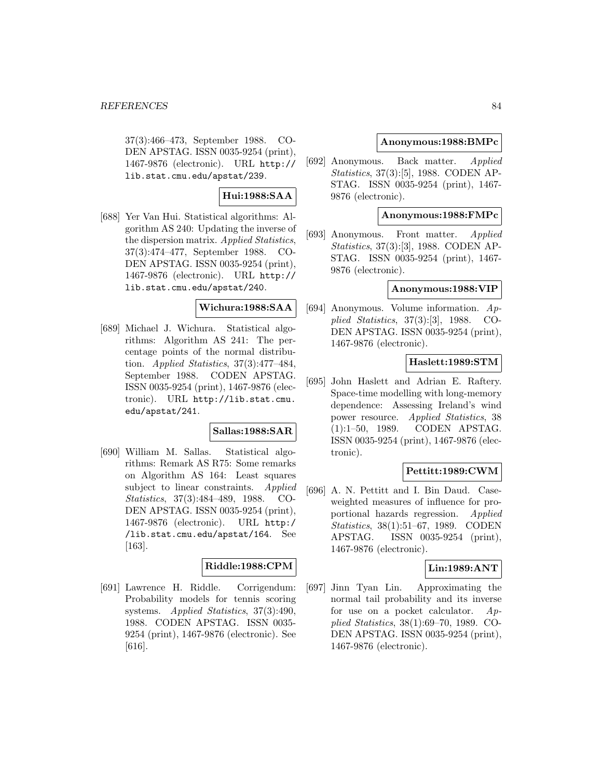37(3):466–473, September 1988. CO-DEN APSTAG. ISSN 0035-9254 (print), 1467-9876 (electronic). URL http:// lib.stat.cmu.edu/apstat/239.

# **Hui:1988:SAA**

[688] Yer Van Hui. Statistical algorithms: Algorithm AS 240: Updating the inverse of the dispersion matrix. Applied Statistics, 37(3):474–477, September 1988. CO-DEN APSTAG. ISSN 0035-9254 (print), 1467-9876 (electronic). URL http:// lib.stat.cmu.edu/apstat/240.

# **Wichura:1988:SAA**

[689] Michael J. Wichura. Statistical algorithms: Algorithm AS 241: The percentage points of the normal distribution. Applied Statistics, 37(3):477–484, September 1988. CODEN APSTAG. ISSN 0035-9254 (print), 1467-9876 (electronic). URL http://lib.stat.cmu. edu/apstat/241.

### **Sallas:1988:SAR**

[690] William M. Sallas. Statistical algorithms: Remark AS R75: Some remarks on Algorithm AS 164: Least squares subject to linear constraints. Applied Statistics, 37(3):484–489, 1988. CO-DEN APSTAG. ISSN 0035-9254 (print), 1467-9876 (electronic). URL http:/ /lib.stat.cmu.edu/apstat/164. See [163].

### **Riddle:1988:CPM**

[691] Lawrence H. Riddle. Corrigendum: Probability models for tennis scoring systems. Applied Statistics, 37(3):490, 1988. CODEN APSTAG. ISSN 0035- 9254 (print), 1467-9876 (electronic). See [616].

# **Anonymous:1988:BMPc**

[692] Anonymous. Back matter. Applied Statistics, 37(3):[5], 1988. CODEN AP-STAG. ISSN 0035-9254 (print), 1467- 9876 (electronic).

### **Anonymous:1988:FMPc**

[693] Anonymous. Front matter. Applied Statistics, 37(3):[3], 1988. CODEN AP-STAG. ISSN 0035-9254 (print), 1467- 9876 (electronic).

### **Anonymous:1988:VIP**

[694] Anonymous. Volume information. Applied Statistics, 37(3):[3], 1988. CO-DEN APSTAG. ISSN 0035-9254 (print), 1467-9876 (electronic).

# **Haslett:1989:STM**

[695] John Haslett and Adrian E. Raftery. Space-time modelling with long-memory dependence: Assessing Ireland's wind power resource. Applied Statistics, 38 (1):1–50, 1989. CODEN APSTAG. ISSN 0035-9254 (print), 1467-9876 (electronic).

# **Pettitt:1989:CWM**

[696] A. N. Pettitt and I. Bin Daud. Caseweighted measures of influence for proportional hazards regression. Applied Statistics, 38(1):51–67, 1989. CODEN APSTAG. ISSN 0035-9254 (print), 1467-9876 (electronic).

### **Lin:1989:ANT**

[697] Jinn Tyan Lin. Approximating the normal tail probability and its inverse for use on a pocket calculator.  $Ap$ plied Statistics, 38(1):69–70, 1989. CO-DEN APSTAG. ISSN 0035-9254 (print), 1467-9876 (electronic).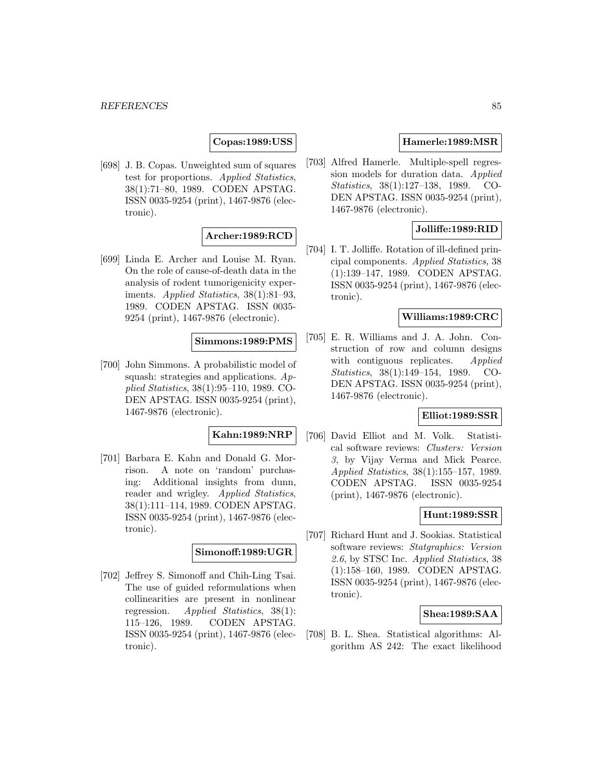# **Copas:1989:USS**

[698] J. B. Copas. Unweighted sum of squares test for proportions. Applied Statistics, 38(1):71–80, 1989. CODEN APSTAG. ISSN 0035-9254 (print), 1467-9876 (electronic).

# **Archer:1989:RCD**

[699] Linda E. Archer and Louise M. Ryan. On the role of cause-of-death data in the analysis of rodent tumorigenicity experiments. Applied Statistics, 38(1):81–93, 1989. CODEN APSTAG. ISSN 0035- 9254 (print), 1467-9876 (electronic).

# **Simmons:1989:PMS**

[700] John Simmons. A probabilistic model of squash: strategies and applications.  $Ap$ plied Statistics, 38(1):95–110, 1989. CO-DEN APSTAG. ISSN 0035-9254 (print), 1467-9876 (electronic).

### **Kahn:1989:NRP**

[701] Barbara E. Kahn and Donald G. Morrison. A note on 'random' purchasing: Additional insights from dunn, reader and wrigley. Applied Statistics, 38(1):111–114, 1989. CODEN APSTAG. ISSN 0035-9254 (print), 1467-9876 (electronic).

#### **Simonoff:1989:UGR**

[702] Jeffrey S. Simonoff and Chih-Ling Tsai. The use of guided reformulations when collinearities are present in nonlinear regression. Applied Statistics, 38(1): 115–126, 1989. CODEN APSTAG. ISSN 0035-9254 (print), 1467-9876 (electronic).

### **Hamerle:1989:MSR**

[703] Alfred Hamerle. Multiple-spell regression models for duration data. Applied Statistics, 38(1):127–138, 1989. CO-DEN APSTAG. ISSN 0035-9254 (print), 1467-9876 (electronic).

### **Jolliffe:1989:RID**

[704] I. T. Jolliffe. Rotation of ill-defined principal components. Applied Statistics, 38 (1):139–147, 1989. CODEN APSTAG. ISSN 0035-9254 (print), 1467-9876 (electronic).

#### **Williams:1989:CRC**

[705] E. R. Williams and J. A. John. Construction of row and column designs with contiguous replicates. Applied Statistics, 38(1):149–154, 1989. CO-DEN APSTAG. ISSN 0035-9254 (print), 1467-9876 (electronic).

## **Elliot:1989:SSR**

[706] David Elliot and M. Volk. Statistical software reviews: Clusters: Version 3, by Vijay Verma and Mick Pearce. Applied Statistics, 38(1):155–157, 1989. CODEN APSTAG. ISSN 0035-9254 (print), 1467-9876 (electronic).

#### **Hunt:1989:SSR**

[707] Richard Hunt and J. Sookias. Statistical software reviews: Statgraphics: Version 2.6, by STSC Inc. Applied Statistics, 38 (1):158–160, 1989. CODEN APSTAG. ISSN 0035-9254 (print), 1467-9876 (electronic).

#### **Shea:1989:SAA**

[708] B. L. Shea. Statistical algorithms: Algorithm AS 242: The exact likelihood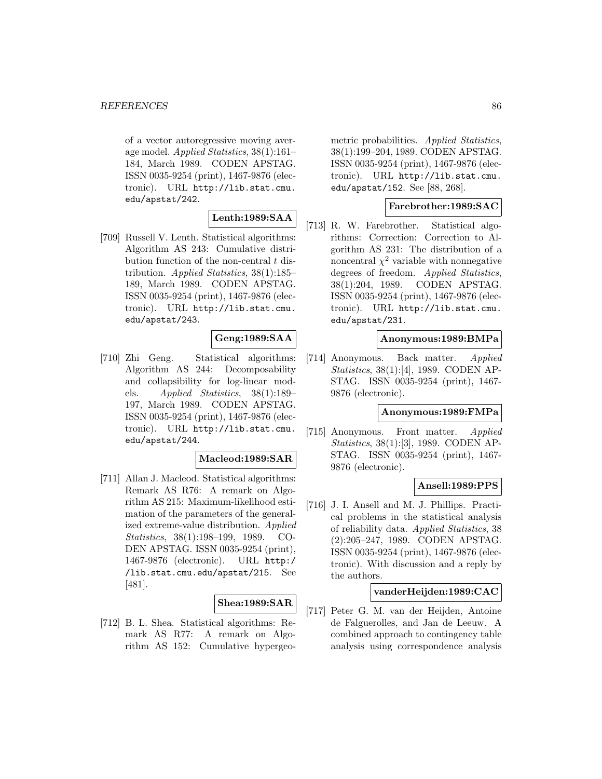of a vector autoregressive moving average model. Applied Statistics, 38(1):161– 184, March 1989. CODEN APSTAG. ISSN 0035-9254 (print), 1467-9876 (electronic). URL http://lib.stat.cmu. edu/apstat/242.

# **Lenth:1989:SAA**

[709] Russell V. Lenth. Statistical algorithms: Algorithm AS 243: Cumulative distribution function of the non-central  $t$  distribution. Applied Statistics, 38(1):185– 189, March 1989. CODEN APSTAG. ISSN 0035-9254 (print), 1467-9876 (electronic). URL http://lib.stat.cmu. edu/apstat/243.

# **Geng:1989:SAA**

[710] Zhi Geng. Statistical algorithms: Algorithm AS 244: Decomposability and collapsibility for log-linear models. Applied Statistics, 38(1):189– 197, March 1989. CODEN APSTAG. ISSN 0035-9254 (print), 1467-9876 (electronic). URL http://lib.stat.cmu. edu/apstat/244.

#### **Macleod:1989:SAR**

[711] Allan J. Macleod. Statistical algorithms: Remark AS R76: A remark on Algorithm AS 215: Maximum-likelihood estimation of the parameters of the generalized extreme-value distribution. Applied Statistics, 38(1):198–199, 1989. CO-DEN APSTAG. ISSN 0035-9254 (print), 1467-9876 (electronic). URL http:/ /lib.stat.cmu.edu/apstat/215. See [481].

# **Shea:1989:SAR**

[712] B. L. Shea. Statistical algorithms: Remark AS R77: A remark on Algorithm AS 152: Cumulative hypergeometric probabilities. Applied Statistics, 38(1):199–204, 1989. CODEN APSTAG. ISSN 0035-9254 (print), 1467-9876 (electronic). URL http://lib.stat.cmu. edu/apstat/152. See [88, 268].

### **Farebrother:1989:SAC**

[713] R. W. Farebrother. Statistical algorithms: Correction: Correction to Algorithm AS 231: The distribution of a noncentral  $\chi^2$  variable with nonnegative degrees of freedom. Applied Statistics, 38(1):204, 1989. CODEN APSTAG. ISSN 0035-9254 (print), 1467-9876 (electronic). URL http://lib.stat.cmu. edu/apstat/231.

# **Anonymous:1989:BMPa**

[714] Anonymous. Back matter. Applied Statistics, 38(1):[4], 1989. CODEN AP-STAG. ISSN 0035-9254 (print), 1467- 9876 (electronic).

#### **Anonymous:1989:FMPa**

[715] Anonymous. Front matter. Applied Statistics, 38(1):[3], 1989. CODEN AP-STAG. ISSN 0035-9254 (print), 1467- 9876 (electronic).

# **Ansell:1989:PPS**

[716] J. I. Ansell and M. J. Phillips. Practical problems in the statistical analysis of reliability data. Applied Statistics, 38 (2):205–247, 1989. CODEN APSTAG. ISSN 0035-9254 (print), 1467-9876 (electronic). With discussion and a reply by the authors.

#### **vanderHeijden:1989:CAC**

[717] Peter G. M. van der Heijden, Antoine de Falguerolles, and Jan de Leeuw. A combined approach to contingency table analysis using correspondence analysis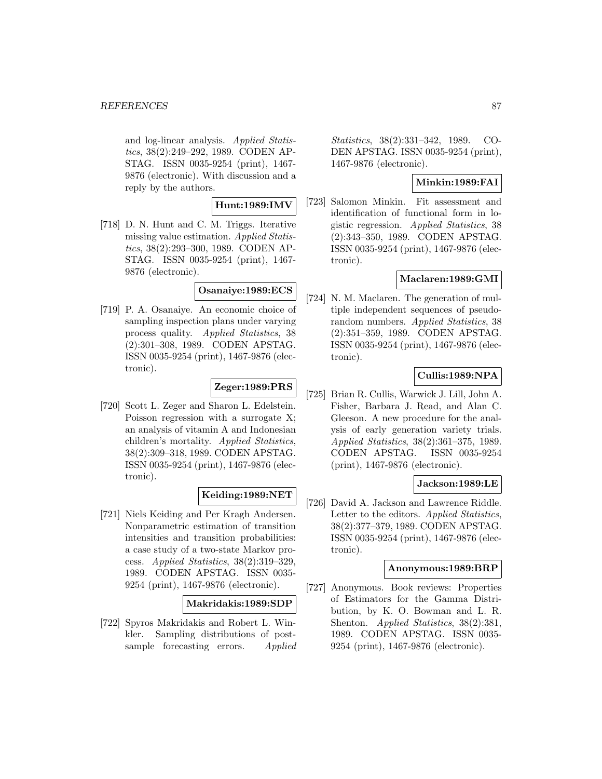and log-linear analysis. Applied Statistics, 38(2):249–292, 1989. CODEN AP-STAG. ISSN 0035-9254 (print), 1467- 9876 (electronic). With discussion and a reply by the authors.

# **Hunt:1989:IMV**

[718] D. N. Hunt and C. M. Triggs. Iterative missing value estimation. Applied Statistics, 38(2):293–300, 1989. CODEN AP-STAG. ISSN 0035-9254 (print), 1467- 9876 (electronic).

### **Osanaiye:1989:ECS**

[719] P. A. Osanaiye. An economic choice of sampling inspection plans under varying process quality. Applied Statistics, 38 (2):301–308, 1989. CODEN APSTAG. ISSN 0035-9254 (print), 1467-9876 (electronic).

### **Zeger:1989:PRS**

[720] Scott L. Zeger and Sharon L. Edelstein. Poisson regression with a surrogate X; an analysis of vitamin A and Indonesian children's mortality. Applied Statistics, 38(2):309–318, 1989. CODEN APSTAG. ISSN 0035-9254 (print), 1467-9876 (electronic).

### **Keiding:1989:NET**

[721] Niels Keiding and Per Kragh Andersen. Nonparametric estimation of transition intensities and transition probabilities: a case study of a two-state Markov process. Applied Statistics, 38(2):319–329, 1989. CODEN APSTAG. ISSN 0035- 9254 (print), 1467-9876 (electronic).

### **Makridakis:1989:SDP**

[722] Spyros Makridakis and Robert L. Winkler. Sampling distributions of postsample forecasting errors. Applied Statistics, 38(2):331–342, 1989. CO-DEN APSTAG. ISSN 0035-9254 (print), 1467-9876 (electronic).

# **Minkin:1989:FAI**

[723] Salomon Minkin. Fit assessment and identification of functional form in logistic regression. Applied Statistics, 38 (2):343–350, 1989. CODEN APSTAG. ISSN 0035-9254 (print), 1467-9876 (electronic).

### **Maclaren:1989:GMI**

[724] N. M. Maclaren. The generation of multiple independent sequences of pseudorandom numbers. Applied Statistics, 38 (2):351–359, 1989. CODEN APSTAG. ISSN 0035-9254 (print), 1467-9876 (electronic).

### **Cullis:1989:NPA**

[725] Brian R. Cullis, Warwick J. Lill, John A. Fisher, Barbara J. Read, and Alan C. Gleeson. A new procedure for the analysis of early generation variety trials. Applied Statistics, 38(2):361–375, 1989. CODEN APSTAG. ISSN 0035-9254 (print), 1467-9876 (electronic).

### **Jackson:1989:LE**

[726] David A. Jackson and Lawrence Riddle. Letter to the editors. Applied Statistics, 38(2):377–379, 1989. CODEN APSTAG. ISSN 0035-9254 (print), 1467-9876 (electronic).

### **Anonymous:1989:BRP**

[727] Anonymous. Book reviews: Properties of Estimators for the Gamma Distribution, by K. O. Bowman and L. R. Shenton. Applied Statistics, 38(2):381, 1989. CODEN APSTAG. ISSN 0035- 9254 (print), 1467-9876 (electronic).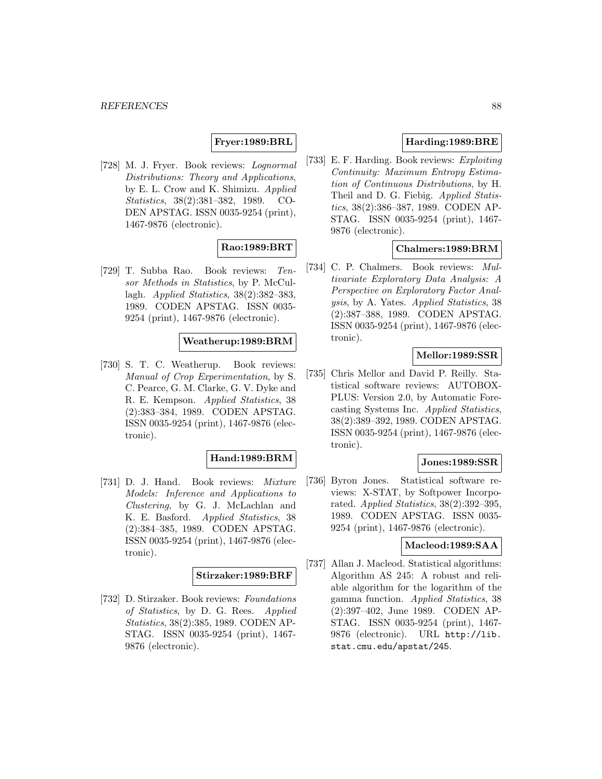# **Fryer:1989:BRL**

[728] M. J. Fryer. Book reviews: Lognormal Distributions: Theory and Applications, by E. L. Crow and K. Shimizu. Applied Statistics, 38(2):381–382, 1989. CO-DEN APSTAG. ISSN 0035-9254 (print), 1467-9876 (electronic).

# **Rao:1989:BRT**

[729] T. Subba Rao. Book reviews: Tensor Methods in Statistics, by P. McCullagh. Applied Statistics, 38(2):382–383, 1989. CODEN APSTAG. ISSN 0035- 9254 (print), 1467-9876 (electronic).

# **Weatherup:1989:BRM**

[730] S. T. C. Weatherup. Book reviews: Manual of Crop Experimentation, by S. C. Pearce, G. M. Clarke, G. V. Dyke and R. E. Kempson. Applied Statistics, 38 (2):383–384, 1989. CODEN APSTAG. ISSN 0035-9254 (print), 1467-9876 (electronic).

### **Hand:1989:BRM**

[731] D. J. Hand. Book reviews: Mixture Models: Inference and Applications to Clustering, by G. J. McLachlan and K. E. Basford. Applied Statistics, 38 (2):384–385, 1989. CODEN APSTAG. ISSN 0035-9254 (print), 1467-9876 (electronic).

#### **Stirzaker:1989:BRF**

[732] D. Stirzaker. Book reviews: Foundations of Statistics, by D. G. Rees. Applied Statistics, 38(2):385, 1989. CODEN AP-STAG. ISSN 0035-9254 (print), 1467- 9876 (electronic).

# **Harding:1989:BRE**

[733] E. F. Harding. Book reviews: Exploiting Continuity: Maximum Entropy Estimation of Continuous Distributions, by H. Theil and D. G. Fiebig. Applied Statistics, 38(2):386–387, 1989. CODEN AP-STAG. ISSN 0035-9254 (print), 1467- 9876 (electronic).

### **Chalmers:1989:BRM**

[734] C. P. Chalmers. Book reviews: Multivariate Exploratory Data Analysis: A Perspective on Exploratory Factor Analysis, by A. Yates. Applied Statistics, 38 (2):387–388, 1989. CODEN APSTAG. ISSN 0035-9254 (print), 1467-9876 (electronic).

#### **Mellor:1989:SSR**

[735] Chris Mellor and David P. Reilly. Statistical software reviews: AUTOBOX-PLUS: Version 2.0, by Automatic Forecasting Systems Inc. Applied Statistics, 38(2):389–392, 1989. CODEN APSTAG. ISSN 0035-9254 (print), 1467-9876 (electronic).

#### **Jones:1989:SSR**

[736] Byron Jones. Statistical software reviews: X-STAT, by Softpower Incorporated. Applied Statistics,  $38(2):392-395$ , 1989. CODEN APSTAG. ISSN 0035- 9254 (print), 1467-9876 (electronic).

### **Macleod:1989:SAA**

[737] Allan J. Macleod. Statistical algorithms: Algorithm AS 245: A robust and reliable algorithm for the logarithm of the gamma function. Applied Statistics, 38 (2):397–402, June 1989. CODEN AP-STAG. ISSN 0035-9254 (print), 1467- 9876 (electronic). URL http://lib. stat.cmu.edu/apstat/245.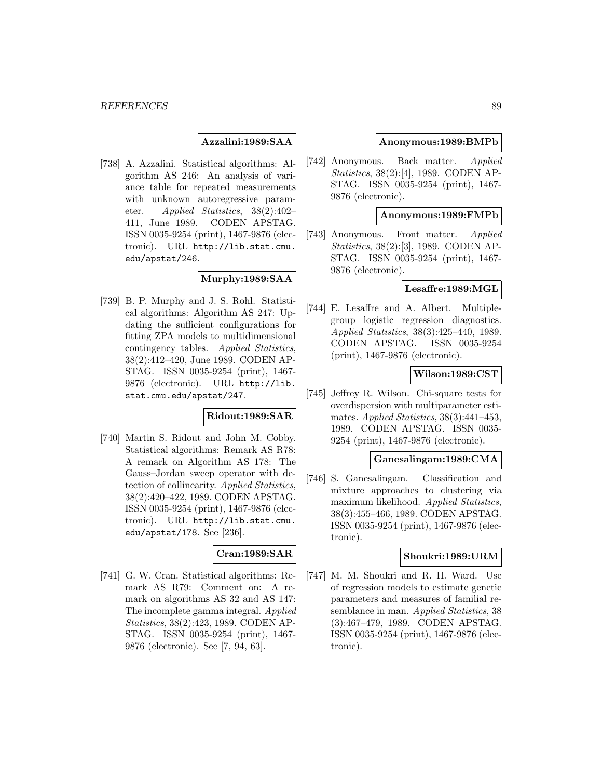### **Azzalini:1989:SAA**

[738] A. Azzalini. Statistical algorithms: Algorithm AS 246: An analysis of variance table for repeated measurements with unknown autoregressive parameter. Applied Statistics, 38(2):402– 411, June 1989. CODEN APSTAG. ISSN 0035-9254 (print), 1467-9876 (electronic). URL http://lib.stat.cmu. edu/apstat/246.

### **Murphy:1989:SAA**

[739] B. P. Murphy and J. S. Rohl. Statistical algorithms: Algorithm AS 247: Updating the sufficient configurations for fitting ZPA models to multidimensional contingency tables. Applied Statistics, 38(2):412–420, June 1989. CODEN AP-STAG. ISSN 0035-9254 (print), 1467- 9876 (electronic). URL http://lib. stat.cmu.edu/apstat/247.

### **Ridout:1989:SAR**

[740] Martin S. Ridout and John M. Cobby. Statistical algorithms: Remark AS R78: A remark on Algorithm AS 178: The Gauss–Jordan sweep operator with detection of collinearity. Applied Statistics, 38(2):420–422, 1989. CODEN APSTAG. ISSN 0035-9254 (print), 1467-9876 (electronic). URL http://lib.stat.cmu. edu/apstat/178. See [236].

#### **Cran:1989:SAR**

[741] G. W. Cran. Statistical algorithms: Remark AS R79: Comment on: A remark on algorithms AS 32 and AS 147: The incomplete gamma integral. Applied Statistics, 38(2):423, 1989. CODEN AP-STAG. ISSN 0035-9254 (print), 1467- 9876 (electronic). See [7, 94, 63].

#### **Anonymous:1989:BMPb**

[742] Anonymous. Back matter. Applied Statistics, 38(2):[4], 1989. CODEN AP-STAG. ISSN 0035-9254 (print), 1467- 9876 (electronic).

### **Anonymous:1989:FMPb**

[743] Anonymous. Front matter. Applied Statistics, 38(2):[3], 1989. CODEN AP-STAG. ISSN 0035-9254 (print), 1467- 9876 (electronic).

# **Lesaffre:1989:MGL**

[744] E. Lesaffre and A. Albert. Multiplegroup logistic regression diagnostics. Applied Statistics, 38(3):425–440, 1989. CODEN APSTAG. ISSN 0035-9254 (print), 1467-9876 (electronic).

### **Wilson:1989:CST**

[745] Jeffrey R. Wilson. Chi-square tests for overdispersion with multiparameter estimates.  $Applied Statistics, 38(3):441-453,$ 1989. CODEN APSTAG. ISSN 0035- 9254 (print), 1467-9876 (electronic).

#### **Ganesalingam:1989:CMA**

[746] S. Ganesalingam. Classification and mixture approaches to clustering via maximum likelihood. Applied Statistics, 38(3):455–466, 1989. CODEN APSTAG. ISSN 0035-9254 (print), 1467-9876 (electronic).

### **Shoukri:1989:URM**

[747] M. M. Shoukri and R. H. Ward. Use of regression models to estimate genetic parameters and measures of familial resemblance in man. Applied Statistics, 38 (3):467–479, 1989. CODEN APSTAG. ISSN 0035-9254 (print), 1467-9876 (electronic).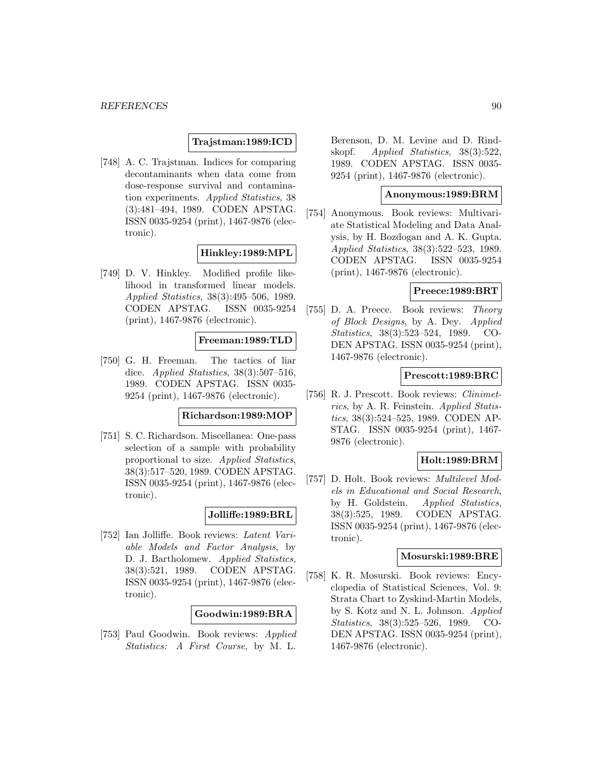### **Trajstman:1989:ICD**

[748] A. C. Trajstman. Indices for comparing decontaminants when data come from dose-response survival and contamination experiments. Applied Statistics, 38 (3):481–494, 1989. CODEN APSTAG. ISSN 0035-9254 (print), 1467-9876 (electronic).

# **Hinkley:1989:MPL**

[749] D. V. Hinkley. Modified profile likelihood in transformed linear models. Applied Statistics, 38(3):495–506, 1989. CODEN APSTAG. ISSN 0035-9254 (print), 1467-9876 (electronic).

# **Freeman:1989:TLD**

[750] G. H. Freeman. The tactics of liar dice. Applied Statistics, 38(3):507-516, 1989. CODEN APSTAG. ISSN 0035- 9254 (print), 1467-9876 (electronic).

#### **Richardson:1989:MOP**

[751] S. C. Richardson. Miscellanea: One-pass selection of a sample with probability proportional to size. Applied Statistics, 38(3):517–520, 1989. CODEN APSTAG. ISSN 0035-9254 (print), 1467-9876 (electronic).

### **Jolliffe:1989:BRL**

[752] Ian Jolliffe. Book reviews: Latent Variable Models and Factor Analysis, by D. J. Bartholomew. Applied Statistics, 38(3):521, 1989. CODEN APSTAG. ISSN 0035-9254 (print), 1467-9876 (electronic).

#### **Goodwin:1989:BRA**

[753] Paul Goodwin. Book reviews: Applied Statistics: A First Course, by M. L.

Berenson, D. M. Levine and D. Rindskopf. Applied Statistics, 38(3):522, 1989. CODEN APSTAG. ISSN 0035- 9254 (print), 1467-9876 (electronic).

### **Anonymous:1989:BRM**

[754] Anonymous. Book reviews: Multivariate Statistical Modeling and Data Analysis, by H. Bozdogan and A. K. Gupta. Applied Statistics, 38(3):522–523, 1989. CODEN APSTAG. ISSN 0035-9254 (print), 1467-9876 (electronic).

### **Preece:1989:BRT**

[755] D. A. Preece. Book reviews: Theory of Block Designs, by A. Dey. Applied Statistics, 38(3):523–524, 1989. CO-DEN APSTAG. ISSN 0035-9254 (print), 1467-9876 (electronic).

### **Prescott:1989:BRC**

[756] R. J. Prescott. Book reviews: Clinimetrics, by A. R. Feinstein. Applied Statistics, 38(3):524–525, 1989. CODEN AP-STAG. ISSN 0035-9254 (print), 1467- 9876 (electronic).

### **Holt:1989:BRM**

[757] D. Holt. Book reviews: Multilevel Models in Educational and Social Research, by H. Goldstein. Applied Statistics, 38(3):525, 1989. CODEN APSTAG. ISSN 0035-9254 (print), 1467-9876 (electronic).

#### **Mosurski:1989:BRE**

[758] K. R. Mosurski. Book reviews: Encyclopedia of Statistical Sciences, Vol. 9: Strata Chart to Zyskind-Martin Models, by S. Kotz and N. L. Johnson. Applied Statistics, 38(3):525–526, 1989. CO-DEN APSTAG. ISSN 0035-9254 (print), 1467-9876 (electronic).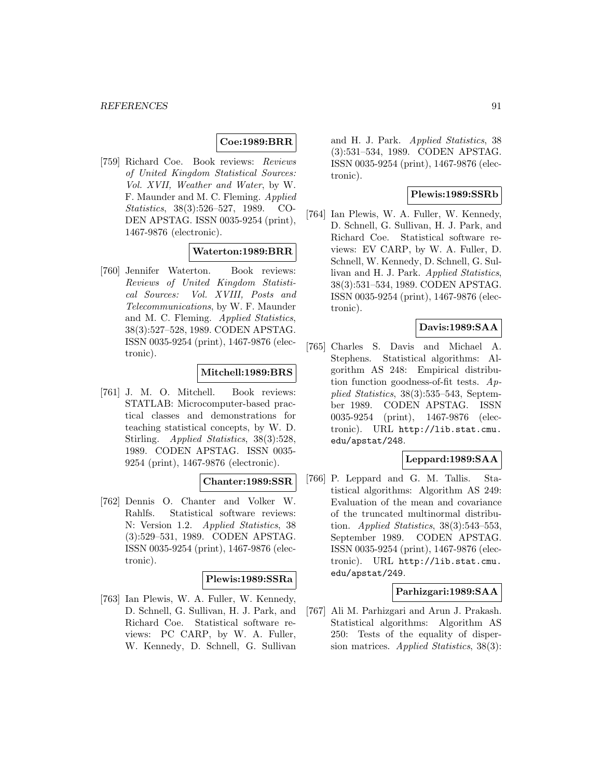### **Coe:1989:BRR**

[759] Richard Coe. Book reviews: Reviews of United Kingdom Statistical Sources: Vol. XVII, Weather and Water, by W. F. Maunder and M. C. Fleming. Applied Statistics, 38(3):526–527, 1989. CO-DEN APSTAG. ISSN 0035-9254 (print), 1467-9876 (electronic).

### **Waterton:1989:BRR**

[760] Jennifer Waterton. Book reviews: Reviews of United Kingdom Statistical Sources: Vol. XVIII, Posts and Telecommunications, by W. F. Maunder and M. C. Fleming. Applied Statistics, 38(3):527–528, 1989. CODEN APSTAG. ISSN 0035-9254 (print), 1467-9876 (electronic).

# **Mitchell:1989:BRS**

[761] J. M. O. Mitchell. Book reviews: STATLAB: Microcomputer-based practical classes and demonstrations for teaching statistical concepts, by W. D. Stirling. Applied Statistics, 38(3):528, 1989. CODEN APSTAG. ISSN 0035- 9254 (print), 1467-9876 (electronic).

### **Chanter:1989:SSR**

[762] Dennis O. Chanter and Volker W. Rahlfs. Statistical software reviews: N: Version 1.2. Applied Statistics, 38 (3):529–531, 1989. CODEN APSTAG. ISSN 0035-9254 (print), 1467-9876 (electronic).

### **Plewis:1989:SSRa**

[763] Ian Plewis, W. A. Fuller, W. Kennedy, D. Schnell, G. Sullivan, H. J. Park, and Richard Coe. Statistical software reviews: PC CARP, by W. A. Fuller, W. Kennedy, D. Schnell, G. Sullivan

and H. J. Park. Applied Statistics, 38 (3):531–534, 1989. CODEN APSTAG. ISSN 0035-9254 (print), 1467-9876 (electronic).

## **Plewis:1989:SSRb**

[764] Ian Plewis, W. A. Fuller, W. Kennedy, D. Schnell, G. Sullivan, H. J. Park, and Richard Coe. Statistical software reviews: EV CARP, by W. A. Fuller, D. Schnell, W. Kennedy, D. Schnell, G. Sullivan and H. J. Park. Applied Statistics, 38(3):531–534, 1989. CODEN APSTAG. ISSN 0035-9254 (print), 1467-9876 (electronic).

# **Davis:1989:SAA**

[765] Charles S. Davis and Michael A. Stephens. Statistical algorithms: Algorithm AS 248: Empirical distribution function goodness-of-fit tests. Applied Statistics, 38(3):535–543, September 1989. CODEN APSTAG. ISSN 0035-9254 (print), 1467-9876 (electronic). URL http://lib.stat.cmu. edu/apstat/248.

# **Leppard:1989:SAA**

[766] P. Leppard and G. M. Tallis. Statistical algorithms: Algorithm AS 249: Evaluation of the mean and covariance of the truncated multinormal distribution. Applied Statistics,  $38(3):543-553$ , September 1989. CODEN APSTAG. ISSN 0035-9254 (print), 1467-9876 (electronic). URL http://lib.stat.cmu. edu/apstat/249.

#### **Parhizgari:1989:SAA**

[767] Ali M. Parhizgari and Arun J. Prakash. Statistical algorithms: Algorithm AS 250: Tests of the equality of dispersion matrices. Applied Statistics, 38(3):